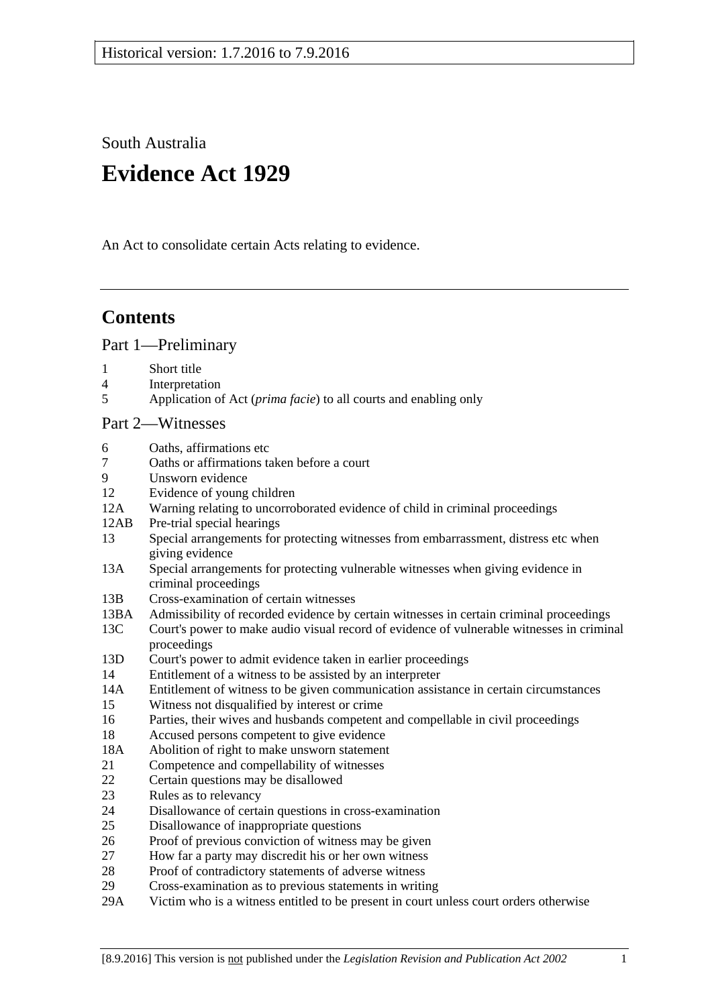South Australia

# **Evidence Act 1929**

An Act to consolidate certain Acts relating to evidence.

## **Contents**

[Part 1—Preliminary](#page-6-0)

- 1 [Short title](#page-6-1)
- 4 [Interpretation](#page-6-2)
- 5 Application of Act (*prima facie*[\) to all courts and enabling only](#page-8-0)

### [Part 2—Witnesses](#page-10-0)

- 6 [Oaths, affirmations etc](#page-10-1)
- 7 [Oaths or affirmations taken before a court](#page-10-2)
- [Unsworn evidence](#page-10-3)
- 12 [Evidence of young children](#page-11-0)
- 12A [Warning relating to uncorroborated evidence of child in criminal proceedings](#page-11-1)
- 12AB [Pre-trial special hearings](#page-12-0)
- 13 [Special arrangements for protecting witnesses from embarrassment, distress etc when](#page-15-0)  [giving evidence](#page-15-0)
- 13A [Special arrangements for protecting vulnerable witnesses when giving evidence in](#page-16-0)  [criminal proceedings](#page-16-0)
- 13B [Cross-examination of certain witnesses](#page-19-0)
- 13BA [Admissibility of recorded evidence by certain witnesses in certain criminal proceedings](#page-20-0)
- 13C [Court's power to make audio visual record of evidence of vulnerable witnesses in criminal](#page-21-0)  [proceedings](#page-21-0)
- 13D [Court's power to admit evidence taken in earlier proceedings](#page-22-0)
- 14 [Entitlement of a witness to be assisted by an interpreter](#page-23-0)
- 14A [Entitlement of witness to be given communication assistance in certain circumstances](#page-23-1)
- 15 [Witness not disqualified by interest or crime](#page-24-0)
- 16 [Parties, their wives and husbands competent and compellable in civil proceedings](#page-24-1)
- 18 [Accused persons competent to give evidence](#page-24-2)
- 18A [Abolition of right to make unsworn statement](#page-25-0)
- 21 [Competence and compellability of witnesses](#page-25-1)
- 22 [Certain questions may be disallowed](#page-27-0)
- 23 [Rules as to relevancy](#page-27-1)
- 24 [Disallowance of certain questions in cross-examination](#page-27-2)
- 25 [Disallowance of inappropriate questions](#page-27-3)
- 26 [Proof of previous conviction of witness may be given](#page-28-0)
- 27 [How far a party may discredit his or her own witness](#page-28-1)
- 28 [Proof of contradictory statements of adverse witness](#page-29-0)
- 29 [Cross-examination as to previous statements in writing](#page-29-1)
- 29A [Victim who is a witness entitled to be present in court unless court orders otherwise](#page-29-2)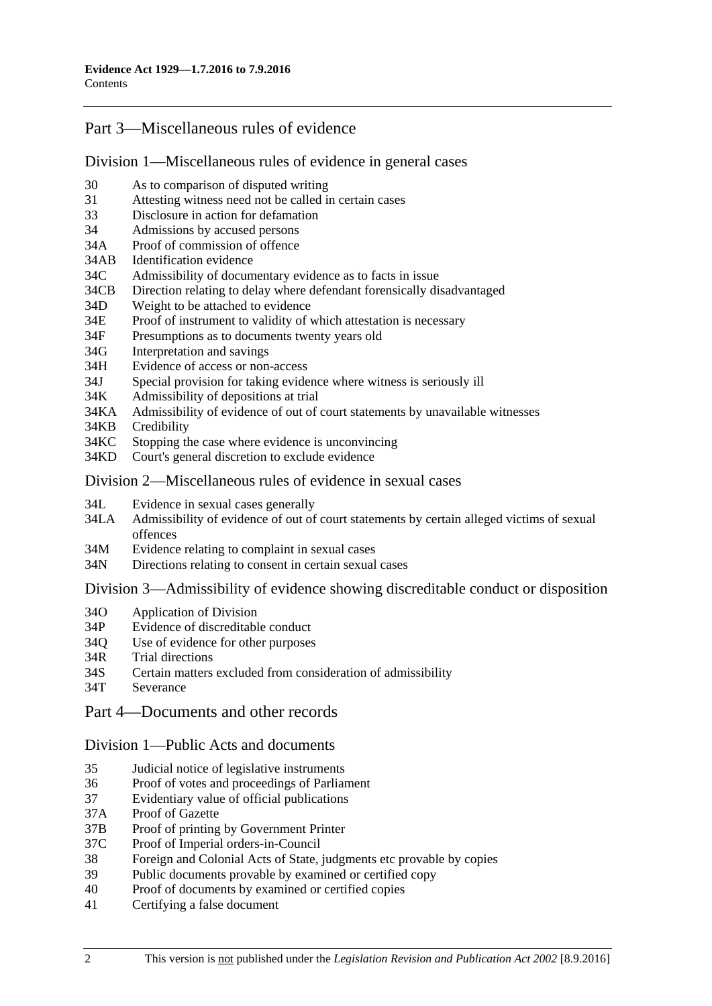### [Part 3—Miscellaneous rules of evidence](#page-30-0)

#### [Division 1—Miscellaneous rules of evidence in general cases](#page-30-1)

- 30 [As to comparison of disputed writing](#page-30-2)
- 31 [Attesting witness need not be called in certain cases](#page-30-3)
- 33 [Disclosure in action for defamation](#page-30-4)
- 34 [Admissions by accused persons](#page-30-5)
- 34A [Proof of commission of offence](#page-30-6)
- 34AB [Identification evidence](#page-30-7)
- 34C [Admissibility of documentary evidence as to facts in issue](#page-31-0)
- 34CB [Direction relating to delay where defendant forensically disadvantaged](#page-32-0)
- 34D [Weight to be attached to evidence](#page-33-0)
- 34E [Proof of instrument to validity of which attestation is necessary](#page-33-1)
- 34F [Presumptions as to documents twenty years old](#page-33-2)
- 34G [Interpretation and savings](#page-33-3)
- 34H [Evidence of access or non-access](#page-34-0)
- 34J [Special provision for taking evidence where witness is seriously ill](#page-34-1)
- 34K [Admissibility of depositions at trial](#page-34-2)
- 34KA [Admissibility of evidence of out of court statements by unavailable witnesses](#page-34-3)
- 34KB [Credibility](#page-36-0)
- 34KC [Stopping the case where evidence is unconvincing](#page-36-1)
- 34KD [Court's general discretion to exclude evidence](#page-37-0)

#### [Division 2—Miscellaneous rules of evidence in sexual cases](#page-37-1)

- 34L [Evidence in sexual cases generally](#page-37-2)
- 34LA [Admissibility of evidence of out of court statements by certain alleged victims of sexual](#page-38-0)  [offences](#page-38-0)
- 34M [Evidence relating to complaint in sexual cases](#page-39-0)
- 34N [Directions relating to consent in certain sexual cases](#page-40-0)

#### Division [3—Admissibility of evidence showing discreditable conduct or disposition](#page-41-0)

- 34O [Application of Division](#page-41-1)
- 34P [Evidence of discreditable conduct](#page-41-2)
- 34Q [Use of evidence for other purposes](#page-42-0)
- 34R [Trial directions](#page-42-1)
- 34S [Certain matters excluded from consideration of admissibility](#page-42-2)
- 34T [Severance](#page-42-3)
- [Part 4—Documents and](#page-44-0) other records

### [Division 1—Public Acts and documents](#page-44-1)

- 35 [Judicial notice of legislative instruments](#page-44-2)
- 36 [Proof of votes and proceedings of Parliament](#page-44-3)
- 37 [Evidentiary value of official publications](#page-44-4)<br>37A Proof of Gazette
- [Proof of Gazette](#page-44-5)
- 37B [Proof of printing by Government Printer](#page-45-0)
- 37C [Proof of Imperial orders-in-Council](#page-45-1)
- 38 [Foreign and Colonial Acts of State, judgments etc provable by copies](#page-45-2)
- 39 [Public documents provable by examined or certified copy](#page-46-0)
- 40 [Proof of documents by examined or certified copies](#page-46-1)<br>41 Certifying a false document
- [Certifying a false document](#page-46-2)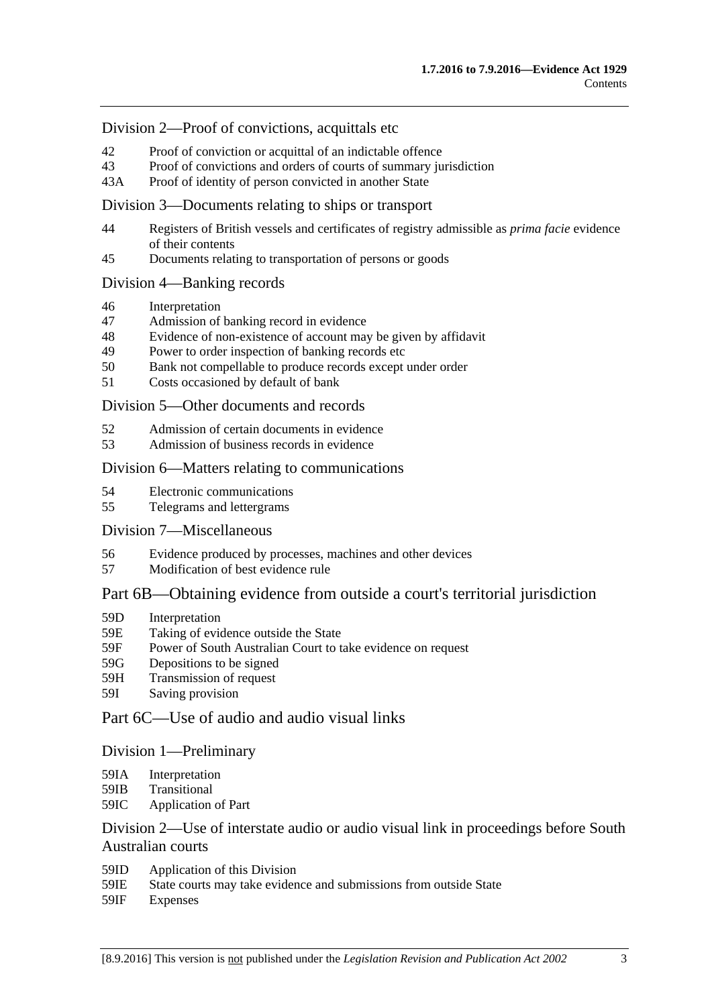### [Division 2—Proof of convictions, acquittals etc](#page-46-3)

- 42 [Proof of conviction or acquittal of an indictable offence](#page-46-4)
- 43 [Proof of convictions and orders of courts of summary jurisdiction](#page-47-0)
- 43A [Proof of identity of person convicted in another State](#page-47-1)

#### [Division 3—Documents relating to ships or transport](#page-47-2)

- 44 [Registers of British vessels and certificates of registry admissible as](#page-47-3) *prima facie* evidence [of their contents](#page-47-3)
- 45 [Documents relating to transportation of persons or goods](#page-48-0)

#### [Division 4—Banking records](#page-48-1)

- 46 [Interpretation](#page-48-2)
- 47 [Admission of banking record in evidence](#page-49-0)
- 48 [Evidence of non-existence of account may be given by affidavit](#page-49-1)<br>49 Power to order inspection of banking records etc
- [Power to order inspection of banking records etc](#page-49-2)
- 50 [Bank not compellable to produce records except under order](#page-50-0)
- 51 [Costs occasioned by default of bank](#page-51-0)

#### [Division 5—Other documents and records](#page-51-1)

- 52 [Admission of certain documents in evidence](#page-51-2)
- 53 [Admission of business records in evidence](#page-51-3)

#### Division [6—Matters relating to communications](#page-52-0)

- 54 [Electronic communications](#page-52-1)
- 55 [Telegrams and lettergrams](#page-53-0)

#### [Division 7—Miscellaneous](#page-53-1)

- 56 [Evidence produced by processes, machines and other devices](#page-53-2)
- 57 [Modification of best evidence rule](#page-54-0)

### [Part 6B—Obtaining evidence from outside a court's territorial jurisdiction](#page-56-0)

- 59D [Interpretation](#page-56-1)
- 59E [Taking of evidence outside the State](#page-56-2)
- 59F [Power of South Australian Court to take evidence on request](#page-57-0)
- 59G [Depositions to be signed](#page-57-1)
- 59H [Transmission of request](#page-57-2)
- 59I [Saving provision](#page-58-0)

### [Part 6C—Use of audio and audio visual links](#page-60-0)

#### [Division 1—Preliminary](#page-60-1)

- 59IA [Interpretation](#page-60-2)
- 59IB [Transitional](#page-60-3)
- 59IC [Application of Part](#page-60-4)

### [Division 2—Use of interstate audio or audio visual link in proceedings before South](#page-61-0)  [Australian courts](#page-61-0)

- 59ID [Application of this Division](#page-61-1)
- 59IE [State courts may take evidence and submissions from outside State](#page-61-2)
- 59IF [Expenses](#page-61-3)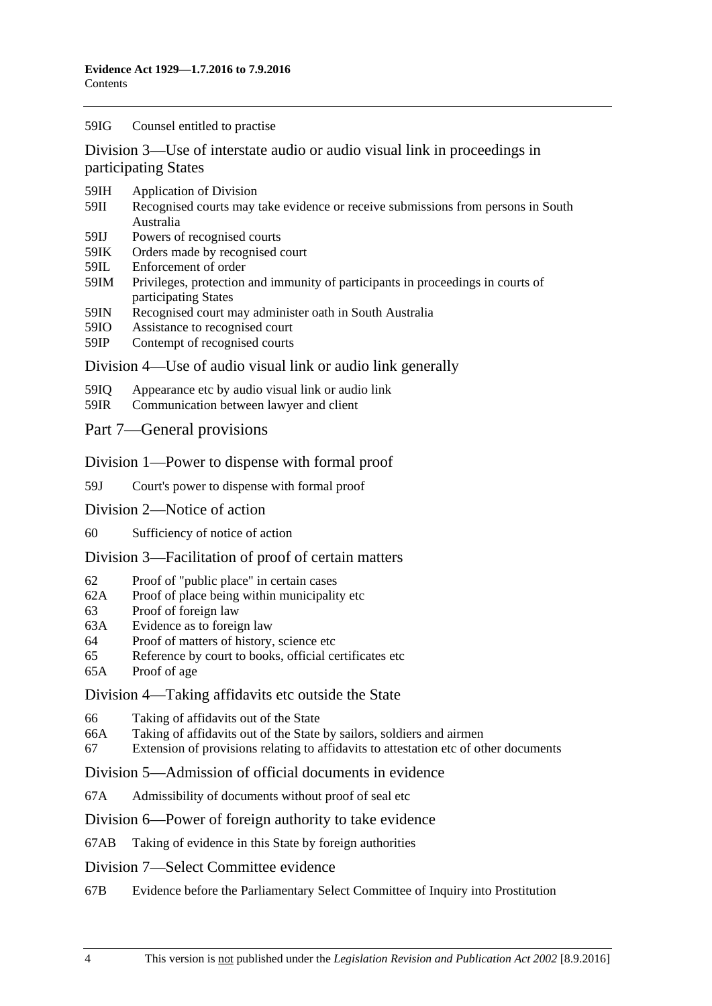#### 59IG [Counsel entitled to practise](#page-61-4)

[Division 3—Use of interstate audio or audio visual link in proceedings in](#page-62-0)  [participating States](#page-62-0)

- 59IH [Application of Division](#page-62-1)
- 59II [Recognised courts may take evidence or receive submissions from persons in South](#page-62-2)  [Australia](#page-62-2)
- 59IJ [Powers of recognised courts](#page-62-3)
- 59IK [Orders made by recognised court](#page-62-4)
- 59IL [Enforcement of order](#page-62-5)
- 59IM [Privileges, protection and immunity of participants in proceedings in courts of](#page-63-0)  [participating States](#page-63-0)
- 59IN [Recognised court may administer oath in South Australia](#page-63-1)
- 59IO [Assistance to recognised court](#page-63-2)
- 59IP [Contempt of recognised courts](#page-63-3)

#### [Division 4—Use of audio visual link or audio link generally](#page-64-0)

- 59IQ [Appearance etc by audio visual link or audio link](#page-64-1)
- 59IR [Communication between lawyer and client](#page-65-0)

#### [Part 7—General provisions](#page-68-0)

#### [Division 1—Power to dispense with formal proof](#page-68-1)

59J [Court's power to dispense with formal proof](#page-68-2)

- [Division 2—Notice of action](#page-68-3)
- 60 [Sufficiency of notice of action](#page-68-4)

### [Division 3—Facilitation of proof of certain matters](#page-68-5)

- 62 [Proof of "public place" in certain cases](#page-68-6)
- 62A [Proof of place being within municipality etc](#page-68-7)
- 63 [Proof of foreign law](#page-69-0)
- 63A [Evidence as to foreign law](#page-69-1)
- 64 [Proof of matters of history, science etc](#page-69-2)
- 65 [Reference by court to books, official certificates etc](#page-69-3)
- 65A [Proof of age](#page-70-0)

#### [Division 4—Taking affidavits etc outside the State](#page-70-1)

- 66 [Taking of affidavits out of the State](#page-70-2)
- 66A [Taking of affidavits out of the State by sailors, soldiers and airmen](#page-71-0)
- 67 [Extension of provisions relating to affidavits to attestation etc of other documents](#page-72-0)

#### [Division 5—Admission of official documents in evidence](#page-72-1)

67A [Admissibility of documents without proof of seal etc](#page-72-2)

#### [Division 6—Power of foreign authority to take evidence](#page-73-0)

67AB [Taking of evidence in this State by foreign authorities](#page-73-1)

#### [Division 7—Select Committee evidence](#page-73-2)

67B [Evidence before the Parliamentary Select Committee of Inquiry into Prostitution](#page-73-3)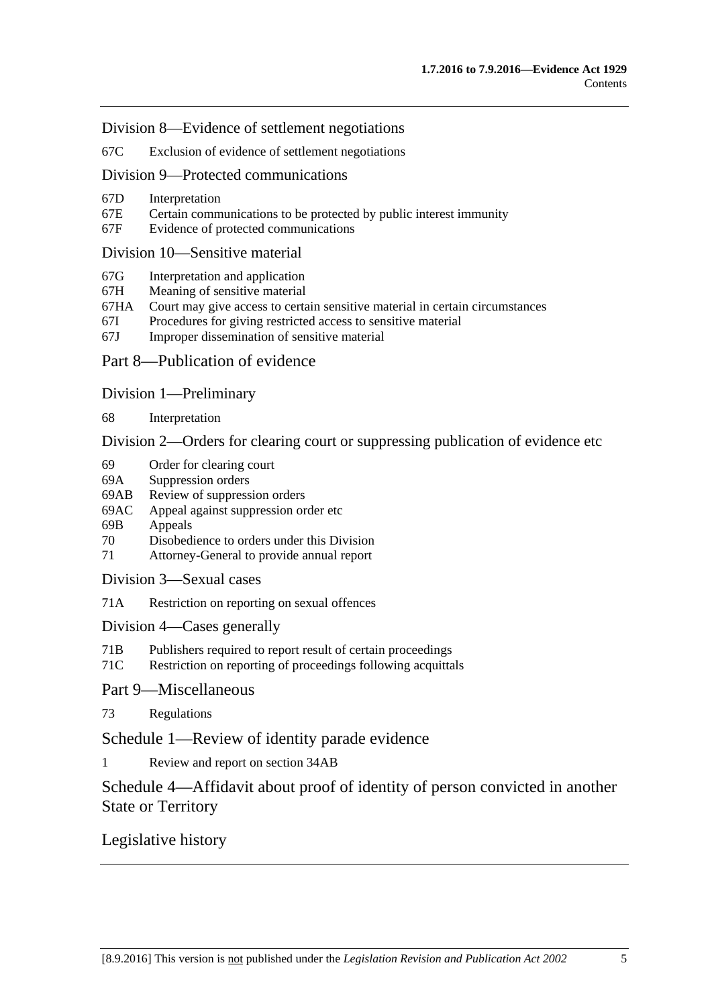[Division 8—Evidence of settlement negotiations](#page-74-0)

67C [Exclusion of evidence of settlement negotiations](#page-74-1)

#### [Division 9—Protected communications](#page-75-0)

- 67D [Interpretation](#page-75-1)
- 67E [Certain communications to be protected by public interest immunity](#page-75-2)
- 67F [Evidence of protected communications](#page-76-0)

#### [Division 10—Sensitive material](#page-77-0)

- 67G [Interpretation and application](#page-77-1)
- 67H [Meaning of sensitive material](#page-79-0)
- 67HA [Court may give access to certain sensitive material in certain circumstances](#page-79-1)
- 67I [Procedures for giving restricted access to sensitive material](#page-79-2)
- 67J [Improper dissemination of sensitive material](#page-80-0)
- [Part 8—Publication of evidence](#page-82-0)
- [Division 1—Preliminary](#page-82-1)

68 [Interpretation](#page-82-2)

[Division 2—Orders for clearing court or suppressing publication of evidence etc](#page-82-3)

- 69 [Order for clearing court](#page-82-4)
- 69A [Suppression orders](#page-83-0)<br>69AB Review of suppress
- [Review of suppression orders](#page-85-0)
- 69AC [Appeal against suppression order etc](#page-86-0)
- 69B [Appeals](#page-87-0)
- 70 [Disobedience to orders under this Division](#page-87-1)
- 71 [Attorney-General to provide annual report](#page-87-2)

[Division 3—Sexual cases](#page-88-0)

71A [Restriction on reporting on sexual offences](#page-88-1)

[Division 4—Cases](#page-90-0) generally

- 71B [Publishers required to report result of certain proceedings](#page-90-1)
- 71C [Restriction on reporting of proceedings following acquittals](#page-91-0)

[Part 9—Miscellaneous](#page-92-0)

73 [Regulations](#page-92-1)

[Schedule 1—Review of identity parade evidence](#page-94-0)

1 [Review and report on section](#page-94-1) 34AB

### [Schedule 4—Affidavit about proof of identity of person convicted in another](#page-95-0)  [State or Territory](#page-95-0)

### [Legislative history](#page-96-0)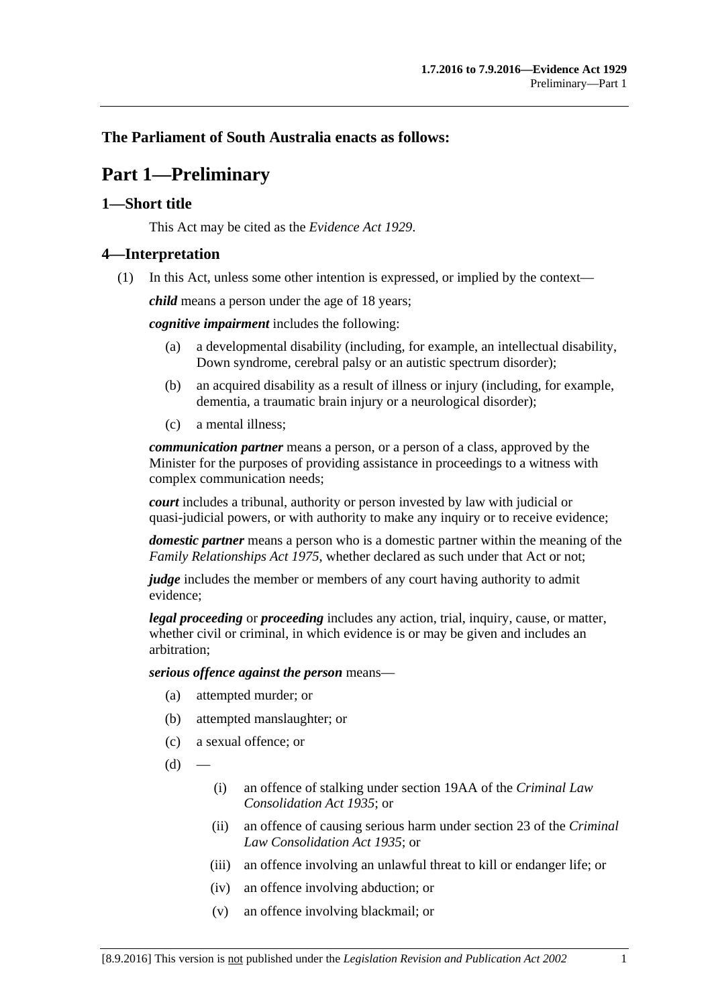### <span id="page-6-0"></span>**The Parliament of South Australia enacts as follows:**

## **Part 1—Preliminary**

### <span id="page-6-1"></span>**1—Short title**

This Act may be cited as the *Evidence Act 1929*.

### <span id="page-6-2"></span>**4—Interpretation**

(1) In this Act, unless some other intention is expressed, or implied by the context—

*child* means a person under the age of 18 years;

*cognitive impairment* includes the following:

- (a) a developmental disability (including, for example, an intellectual disability, Down syndrome, cerebral palsy or an autistic spectrum disorder);
- (b) an acquired disability as a result of illness or injury (including, for example, dementia, a traumatic brain injury or a neurological disorder);
- (c) a mental illness;

*communication partner* means a person, or a person of a class, approved by the Minister for the purposes of providing assistance in proceedings to a witness with complex communication needs;

*court* includes a tribunal, authority or person invested by law with judicial or quasi-judicial powers, or with authority to make any inquiry or to receive evidence;

*domestic partner* means a person who is a domestic partner within the meaning of the *[Family Relationships Act](http://www.legislation.sa.gov.au/index.aspx?action=legref&type=act&legtitle=Family%20Relationships%20Act%201975) 1975*, whether declared as such under that Act or not;

*judge* includes the member or members of any court having authority to admit evidence;

*legal proceeding* or *proceeding* includes any action, trial, inquiry, cause, or matter, whether civil or criminal, in which evidence is or may be given and includes an arbitration;

*serious offence against the person* means—

- (a) attempted murder; or
- (b) attempted manslaughter; or
- (c) a sexual offence; or
- $(d)$ 
	- (i) an offence of stalking under section 19AA of the *[Criminal Law](http://www.legislation.sa.gov.au/index.aspx?action=legref&type=act&legtitle=Criminal%20Law%20Consolidation%20Act%201935)  [Consolidation Act](http://www.legislation.sa.gov.au/index.aspx?action=legref&type=act&legtitle=Criminal%20Law%20Consolidation%20Act%201935) 1935*; or
	- (ii) an offence of causing serious harm under section 23 of the *[Criminal](http://www.legislation.sa.gov.au/index.aspx?action=legref&type=act&legtitle=Criminal%20Law%20Consolidation%20Act%201935)  [Law Consolidation Act](http://www.legislation.sa.gov.au/index.aspx?action=legref&type=act&legtitle=Criminal%20Law%20Consolidation%20Act%201935) 1935*; or
	- (iii) an offence involving an unlawful threat to kill or endanger life; or
	- (iv) an offence involving abduction; or
	- (v) an offence involving blackmail; or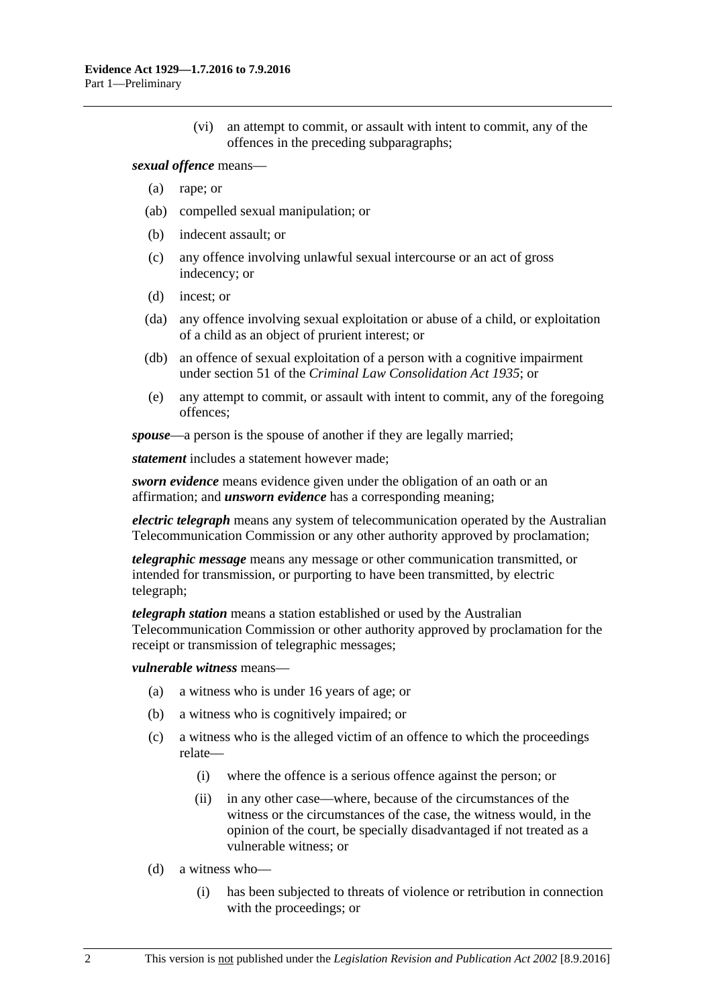(vi) an attempt to commit, or assault with intent to commit, any of the offences in the preceding subparagraphs;

#### *sexual offence* means—

- (a) rape; or
- (ab) compelled sexual manipulation; or
- (b) indecent assault; or
- (c) any offence involving unlawful sexual intercourse or an act of gross indecency; or
- (d) incest; or
- (da) any offence involving sexual exploitation or abuse of a child, or exploitation of a child as an object of prurient interest; or
- (db) an offence of sexual exploitation of a person with a cognitive impairment under section 51 of the *[Criminal Law Consolidation Act](http://www.legislation.sa.gov.au/index.aspx?action=legref&type=act&legtitle=Criminal%20Law%20Consolidation%20Act%201935) 1935*; or
- (e) any attempt to commit, or assault with intent to commit, any of the foregoing offences;

*spouse*—a person is the spouse of another if they are legally married;

*statement* includes a statement however made;

*sworn evidence* means evidence given under the obligation of an oath or an affirmation; and *unsworn evidence* has a corresponding meaning;

*electric telegraph* means any system of telecommunication operated by the Australian Telecommunication Commission or any other authority approved by proclamation;

*telegraphic message* means any message or other communication transmitted, or intended for transmission, or purporting to have been transmitted, by electric telegraph;

*telegraph station* means a station established or used by the Australian Telecommunication Commission or other authority approved by proclamation for the receipt or transmission of telegraphic messages;

#### *vulnerable witness* means—

- (a) a witness who is under 16 years of age; or
- (b) a witness who is cognitively impaired; or
- (c) a witness who is the alleged victim of an offence to which the proceedings relate—
	- (i) where the offence is a serious offence against the person; or
	- (ii) in any other case—where, because of the circumstances of the witness or the circumstances of the case, the witness would, in the opinion of the court, be specially disadvantaged if not treated as a vulnerable witness; or
- (d) a witness who—
	- (i) has been subjected to threats of violence or retribution in connection with the proceedings; or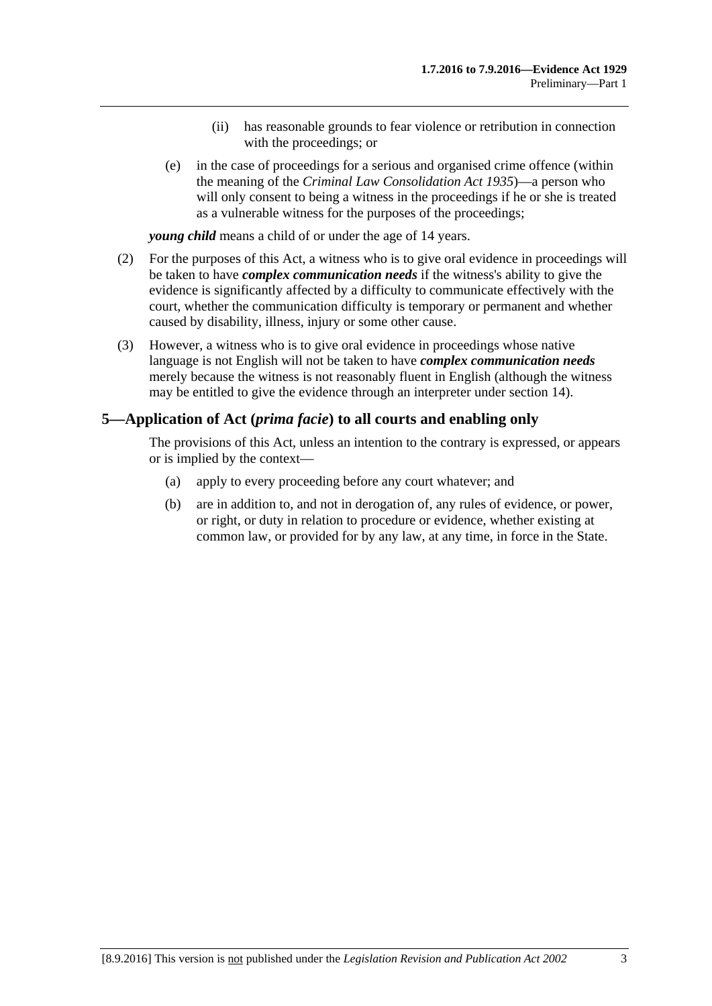- (ii) has reasonable grounds to fear violence or retribution in connection with the proceedings; or
- (e) in the case of proceedings for a serious and organised crime offence (within the meaning of the *[Criminal Law Consolidation Act](http://www.legislation.sa.gov.au/index.aspx?action=legref&type=act&legtitle=Criminal%20Law%20Consolidation%20Act%201935) 1935*)—a person who will only consent to being a witness in the proceedings if he or she is treated as a vulnerable witness for the purposes of the proceedings;

*young child* means a child of or under the age of 14 years.

- (2) For the purposes of this Act, a witness who is to give oral evidence in proceedings will be taken to have *complex communication needs* if the witness's ability to give the evidence is significantly affected by a difficulty to communicate effectively with the court, whether the communication difficulty is temporary or permanent and whether caused by disability, illness, injury or some other cause.
- (3) However, a witness who is to give oral evidence in proceedings whose native language is not English will not be taken to have *complex communication needs* merely because the witness is not reasonably fluent in English (although the witness may be entitled to give the evidence through an interpreter under [section](#page-23-0) 14).

#### <span id="page-8-0"></span>**5—Application of Act (***prima facie***) to all courts and enabling only**

The provisions of this Act, unless an intention to the contrary is expressed, or appears or is implied by the context—

- (a) apply to every proceeding before any court whatever; and
- (b) are in addition to, and not in derogation of, any rules of evidence, or power, or right, or duty in relation to procedure or evidence, whether existing at common law, or provided for by any law, at any time, in force in the State.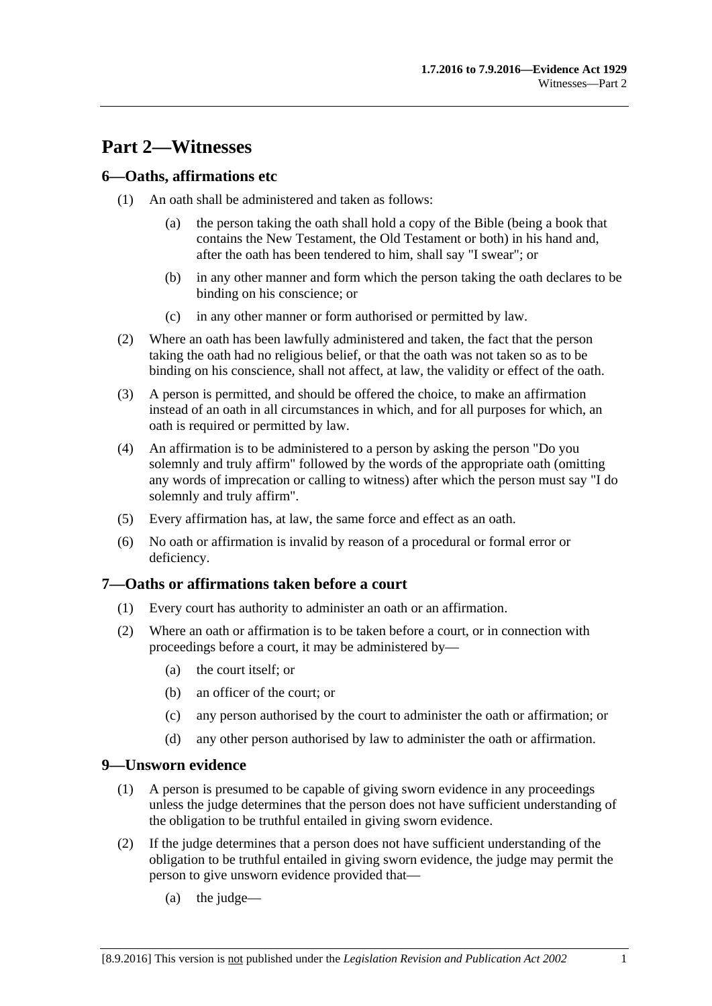## <span id="page-10-0"></span>**Part 2—Witnesses**

### <span id="page-10-1"></span>**6—Oaths, affirmations etc**

- (1) An oath shall be administered and taken as follows:
	- (a) the person taking the oath shall hold a copy of the Bible (being a book that contains the New Testament, the Old Testament or both) in his hand and, after the oath has been tendered to him, shall say "I swear"; or
	- (b) in any other manner and form which the person taking the oath declares to be binding on his conscience; or
	- (c) in any other manner or form authorised or permitted by law.
- (2) Where an oath has been lawfully administered and taken, the fact that the person taking the oath had no religious belief, or that the oath was not taken so as to be binding on his conscience, shall not affect, at law, the validity or effect of the oath.
- (3) A person is permitted, and should be offered the choice, to make an affirmation instead of an oath in all circumstances in which, and for all purposes for which, an oath is required or permitted by law.
- (4) An affirmation is to be administered to a person by asking the person "Do you solemnly and truly affirm" followed by the words of the appropriate oath (omitting any words of imprecation or calling to witness) after which the person must say "I do solemnly and truly affirm".
- (5) Every affirmation has, at law, the same force and effect as an oath.
- (6) No oath or affirmation is invalid by reason of a procedural or formal error or deficiency.

#### <span id="page-10-2"></span>**7—Oaths or affirmations taken before a court**

- (1) Every court has authority to administer an oath or an affirmation.
- (2) Where an oath or affirmation is to be taken before a court, or in connection with proceedings before a court, it may be administered by—
	- (a) the court itself; or
	- (b) an officer of the court; or
	- (c) any person authorised by the court to administer the oath or affirmation; or
	- (d) any other person authorised by law to administer the oath or affirmation.

#### <span id="page-10-3"></span>**9—Unsworn evidence**

- (1) A person is presumed to be capable of giving sworn evidence in any proceedings unless the judge determines that the person does not have sufficient understanding of the obligation to be truthful entailed in giving sworn evidence.
- (2) If the judge determines that a person does not have sufficient understanding of the obligation to be truthful entailed in giving sworn evidence, the judge may permit the person to give unsworn evidence provided that—
	- (a) the judge—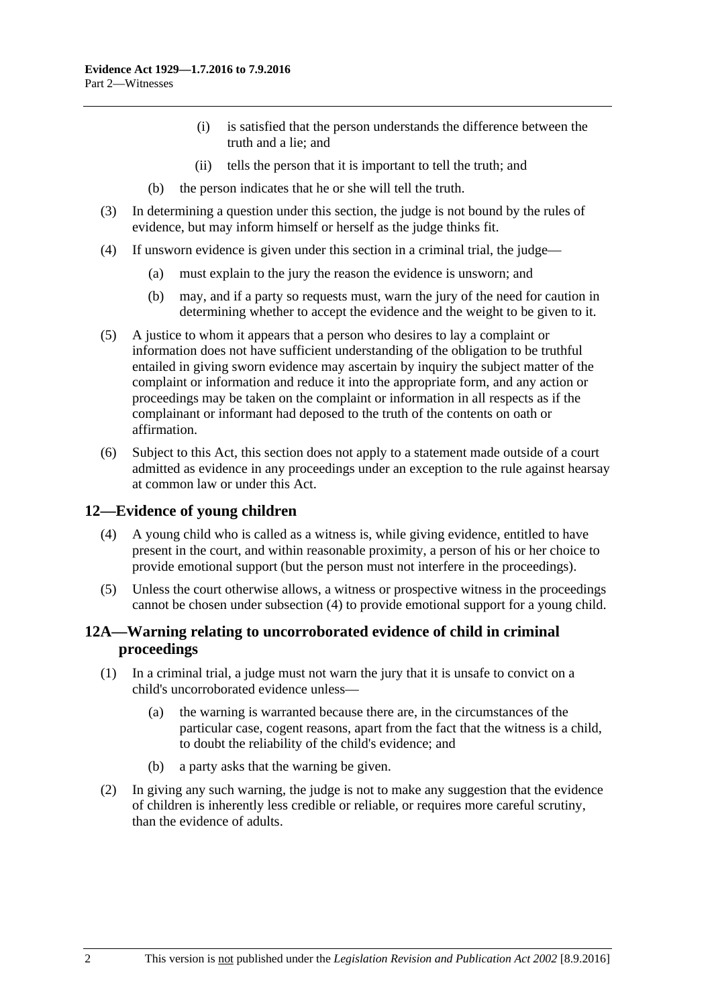- (i) is satisfied that the person understands the difference between the truth and a lie; and
- (ii) tells the person that it is important to tell the truth; and
- (b) the person indicates that he or she will tell the truth.
- (3) In determining a question under this section, the judge is not bound by the rules of evidence, but may inform himself or herself as the judge thinks fit.
- (4) If unsworn evidence is given under this section in a criminal trial, the judge—
	- (a) must explain to the jury the reason the evidence is unsworn; and
	- (b) may, and if a party so requests must, warn the jury of the need for caution in determining whether to accept the evidence and the weight to be given to it.
- (5) A justice to whom it appears that a person who desires to lay a complaint or information does not have sufficient understanding of the obligation to be truthful entailed in giving sworn evidence may ascertain by inquiry the subject matter of the complaint or information and reduce it into the appropriate form, and any action or proceedings may be taken on the complaint or information in all respects as if the complainant or informant had deposed to the truth of the contents on oath or affirmation.
- (6) Subject to this Act, this section does not apply to a statement made outside of a court admitted as evidence in any proceedings under an exception to the rule against hearsay at common law or under this Act.

### <span id="page-11-2"></span><span id="page-11-0"></span>**12—Evidence of young children**

- (4) A young child who is called as a witness is, while giving evidence, entitled to have present in the court, and within reasonable proximity, a person of his or her choice to provide emotional support (but the person must not interfere in the proceedings).
- (5) Unless the court otherwise allows, a witness or prospective witness in the proceedings cannot be chosen under [subsection](#page-11-2) (4) to provide emotional support for a young child.

### <span id="page-11-1"></span>**12A—Warning relating to uncorroborated evidence of child in criminal proceedings**

- (1) In a criminal trial, a judge must not warn the jury that it is unsafe to convict on a child's uncorroborated evidence unless—
	- (a) the warning is warranted because there are, in the circumstances of the particular case, cogent reasons, apart from the fact that the witness is a child, to doubt the reliability of the child's evidence; and
	- (b) a party asks that the warning be given.
- (2) In giving any such warning, the judge is not to make any suggestion that the evidence of children is inherently less credible or reliable, or requires more careful scrutiny, than the evidence of adults.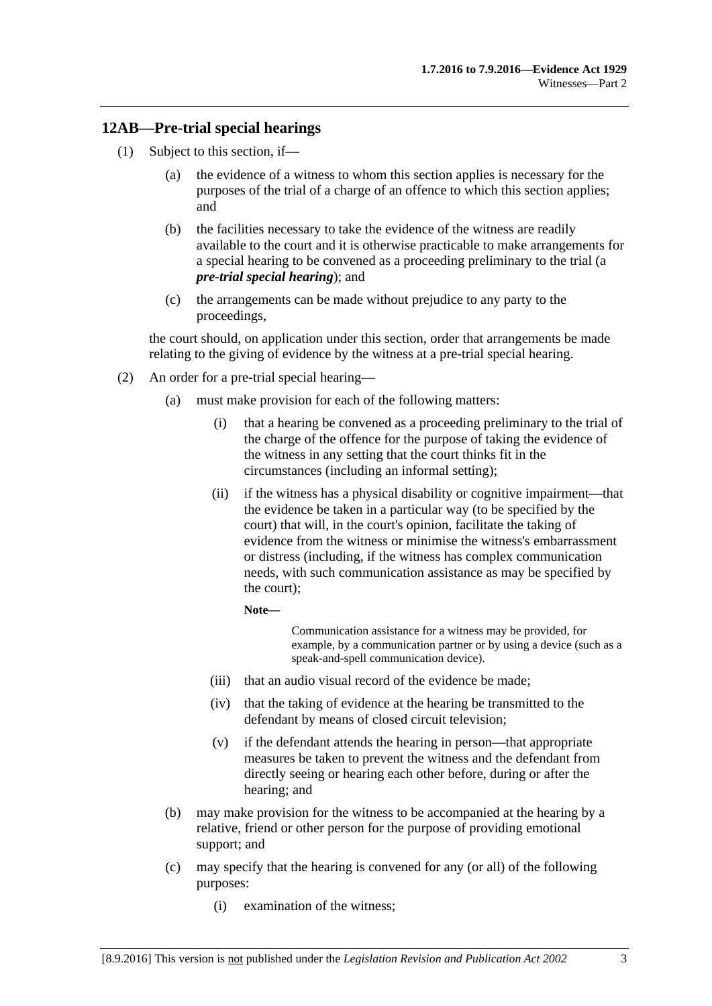### <span id="page-12-0"></span>**12AB—Pre-trial special hearings**

- <span id="page-12-1"></span>(1) Subject to this section, if—
	- (a) the evidence of a witness to whom this section applies is necessary for the purposes of the trial of a charge of an offence to which this section applies; and
	- (b) the facilities necessary to take the evidence of the witness are readily available to the court and it is otherwise practicable to make arrangements for a special hearing to be convened as a proceeding preliminary to the trial (a *pre-trial special hearing*); and
	- (c) the arrangements can be made without prejudice to any party to the proceedings,

<span id="page-12-2"></span>the court should, on application under this section, order that arrangements be made relating to the giving of evidence by the witness at a pre-trial special hearing.

- <span id="page-12-3"></span>(2) An order for a pre-trial special hearing—
	- (a) must make provision for each of the following matters:
		- (i) that a hearing be convened as a proceeding preliminary to the trial of the charge of the offence for the purpose of taking the evidence of the witness in any setting that the court thinks fit in the circumstances (including an informal setting);
		- (ii) if the witness has a physical disability or cognitive impairment—that the evidence be taken in a particular way (to be specified by the court) that will, in the court's opinion, facilitate the taking of evidence from the witness or minimise the witness's embarrassment or distress (including, if the witness has complex communication needs, with such communication assistance as may be specified by the court);

**Note—**

Communication assistance for a witness may be provided, for example, by a communication partner or by using a device (such as a speak-and-spell communication device).

- (iii) that an audio visual record of the evidence be made;
- (iv) that the taking of evidence at the hearing be transmitted to the defendant by means of closed circuit television;
- (v) if the defendant attends the hearing in person—that appropriate measures be taken to prevent the witness and the defendant from directly seeing or hearing each other before, during or after the hearing; and
- (b) may make provision for the witness to be accompanied at the hearing by a relative, friend or other person for the purpose of providing emotional support; and
- (c) may specify that the hearing is convened for any (or all) of the following purposes:
	- (i) examination of the witness;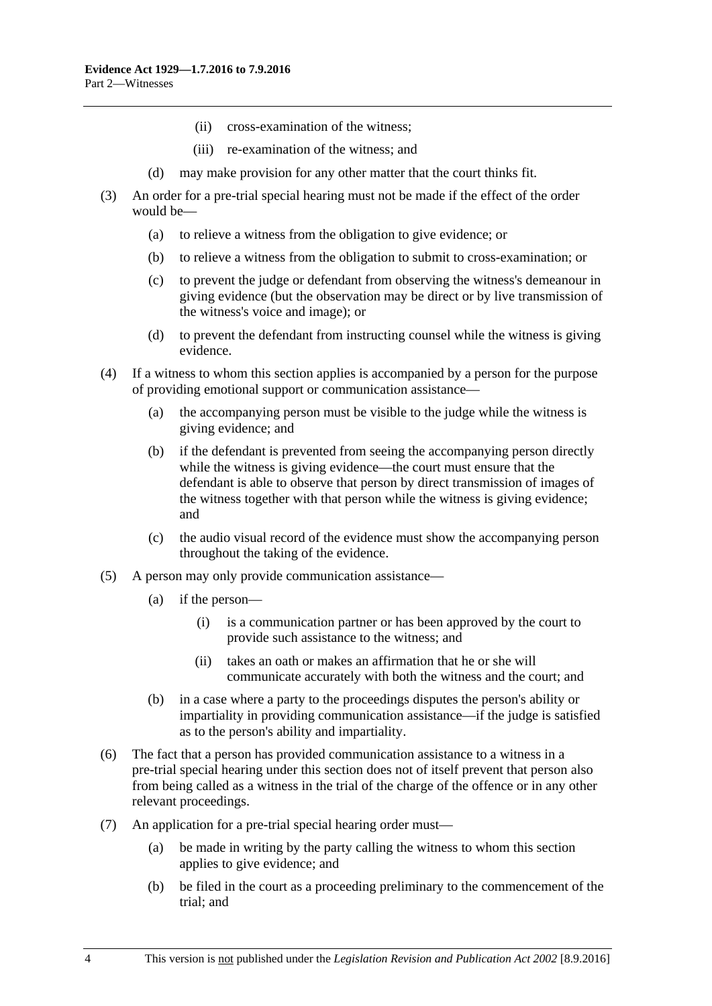- (ii) cross-examination of the witness;
- (iii) re-examination of the witness; and
- (d) may make provision for any other matter that the court thinks fit.
- (3) An order for a pre-trial special hearing must not be made if the effect of the order would be—
	- (a) to relieve a witness from the obligation to give evidence; or
	- (b) to relieve a witness from the obligation to submit to cross-examination; or
	- (c) to prevent the judge or defendant from observing the witness's demeanour in giving evidence (but the observation may be direct or by live transmission of the witness's voice and image); or
	- (d) to prevent the defendant from instructing counsel while the witness is giving evidence.
- (4) If a witness to whom this section applies is accompanied by a person for the purpose of providing emotional support or communication assistance—
	- (a) the accompanying person must be visible to the judge while the witness is giving evidence; and
	- (b) if the defendant is prevented from seeing the accompanying person directly while the witness is giving evidence—the court must ensure that the defendant is able to observe that person by direct transmission of images of the witness together with that person while the witness is giving evidence; and
	- (c) the audio visual record of the evidence must show the accompanying person throughout the taking of the evidence.
- (5) A person may only provide communication assistance—
	- (a) if the person—
		- (i) is a communication partner or has been approved by the court to provide such assistance to the witness; and
		- (ii) takes an oath or makes an affirmation that he or she will communicate accurately with both the witness and the court; and
	- (b) in a case where a party to the proceedings disputes the person's ability or impartiality in providing communication assistance—if the judge is satisfied as to the person's ability and impartiality.
- (6) The fact that a person has provided communication assistance to a witness in a pre-trial special hearing under this section does not of itself prevent that person also from being called as a witness in the trial of the charge of the offence or in any other relevant proceedings.
- (7) An application for a pre-trial special hearing order must—
	- (a) be made in writing by the party calling the witness to whom this section applies to give evidence; and
	- (b) be filed in the court as a proceeding preliminary to the commencement of the trial; and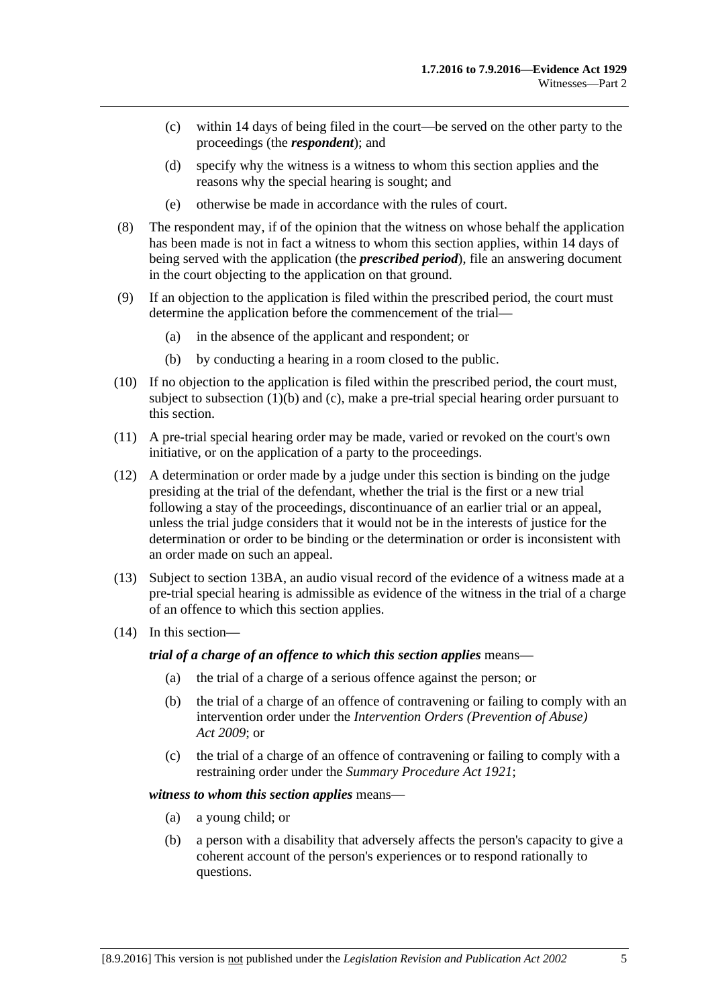- (c) within 14 days of being filed in the court—be served on the other party to the proceedings (the *respondent*); and
- (d) specify why the witness is a witness to whom this section applies and the reasons why the special hearing is sought; and
- (e) otherwise be made in accordance with the rules of court.
- (8) The respondent may, if of the opinion that the witness on whose behalf the application has been made is not in fact a witness to whom this section applies, within 14 days of being served with the application (the *prescribed period*), file an answering document in the court objecting to the application on that ground.
- (9) If an objection to the application is filed within the prescribed period, the court must determine the application before the commencement of the trial—
	- (a) in the absence of the applicant and respondent; or
	- (b) by conducting a hearing in a room closed to the public.
- (10) If no objection to the application is filed within the prescribed period, the court must, subject to [subsection](#page-12-1) (1)(b) and [\(c\),](#page-12-2) make a pre-trial special hearing order pursuant to this section.
- (11) A pre-trial special hearing order may be made, varied or revoked on the court's own initiative, or on the application of a party to the proceedings.
- (12) A determination or order made by a judge under this section is binding on the judge presiding at the trial of the defendant, whether the trial is the first or a new trial following a stay of the proceedings, discontinuance of an earlier trial or an appeal, unless the trial judge considers that it would not be in the interests of justice for the determination or order to be binding or the determination or order is inconsistent with an order made on such an appeal.
- (13) Subject to [section](#page-20-0) 13BA, an audio visual record of the evidence of a witness made at a pre-trial special hearing is admissible as evidence of the witness in the trial of a charge of an offence to which this section applies.
- (14) In this section—

*trial of a charge of an offence to which this section applies* means—

- (a) the trial of a charge of a serious offence against the person; or
- (b) the trial of a charge of an offence of contravening or failing to comply with an intervention order under the *[Intervention Orders \(Prevention of Abuse\)](http://www.legislation.sa.gov.au/index.aspx?action=legref&type=act&legtitle=Intervention%20Orders%20(Prevention%20of%20Abuse)%20Act%202009)  Act [2009](http://www.legislation.sa.gov.au/index.aspx?action=legref&type=act&legtitle=Intervention%20Orders%20(Prevention%20of%20Abuse)%20Act%202009)*; or
- (c) the trial of a charge of an offence of contravening or failing to comply with a restraining order under the *[Summary Procedure Act](http://www.legislation.sa.gov.au/index.aspx?action=legref&type=act&legtitle=Summary%20Procedure%20Act%201921) 1921*;

#### *witness to whom this section applies* means—

- (a) a young child; or
- (b) a person with a disability that adversely affects the person's capacity to give a coherent account of the person's experiences or to respond rationally to questions.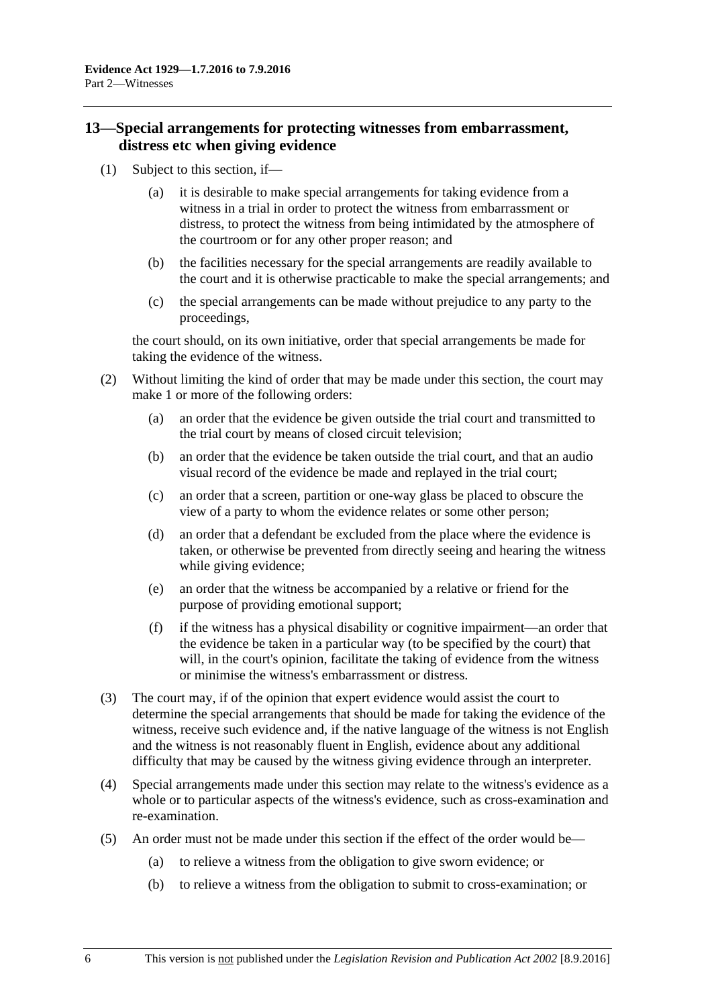### <span id="page-15-0"></span>**13—Special arrangements for protecting witnesses from embarrassment, distress etc when giving evidence**

- (1) Subject to this section, if—
	- (a) it is desirable to make special arrangements for taking evidence from a witness in a trial in order to protect the witness from embarrassment or distress, to protect the witness from being intimidated by the atmosphere of the courtroom or for any other proper reason; and
	- (b) the facilities necessary for the special arrangements are readily available to the court and it is otherwise practicable to make the special arrangements; and
	- (c) the special arrangements can be made without prejudice to any party to the proceedings,

the court should, on its own initiative, order that special arrangements be made for taking the evidence of the witness.

- (2) Without limiting the kind of order that may be made under this section, the court may make 1 or more of the following orders:
	- (a) an order that the evidence be given outside the trial court and transmitted to the trial court by means of closed circuit television;
	- (b) an order that the evidence be taken outside the trial court, and that an audio visual record of the evidence be made and replayed in the trial court;
	- (c) an order that a screen, partition or one-way glass be placed to obscure the view of a party to whom the evidence relates or some other person;
	- (d) an order that a defendant be excluded from the place where the evidence is taken, or otherwise be prevented from directly seeing and hearing the witness while giving evidence;
	- (e) an order that the witness be accompanied by a relative or friend for the purpose of providing emotional support;
	- (f) if the witness has a physical disability or cognitive impairment—an order that the evidence be taken in a particular way (to be specified by the court) that will, in the court's opinion, facilitate the taking of evidence from the witness or minimise the witness's embarrassment or distress.
- (3) The court may, if of the opinion that expert evidence would assist the court to determine the special arrangements that should be made for taking the evidence of the witness, receive such evidence and, if the native language of the witness is not English and the witness is not reasonably fluent in English, evidence about any additional difficulty that may be caused by the witness giving evidence through an interpreter.
- (4) Special arrangements made under this section may relate to the witness's evidence as a whole or to particular aspects of the witness's evidence, such as cross-examination and re-examination.
- (5) An order must not be made under this section if the effect of the order would be—
	- (a) to relieve a witness from the obligation to give sworn evidence; or
	- (b) to relieve a witness from the obligation to submit to cross-examination; or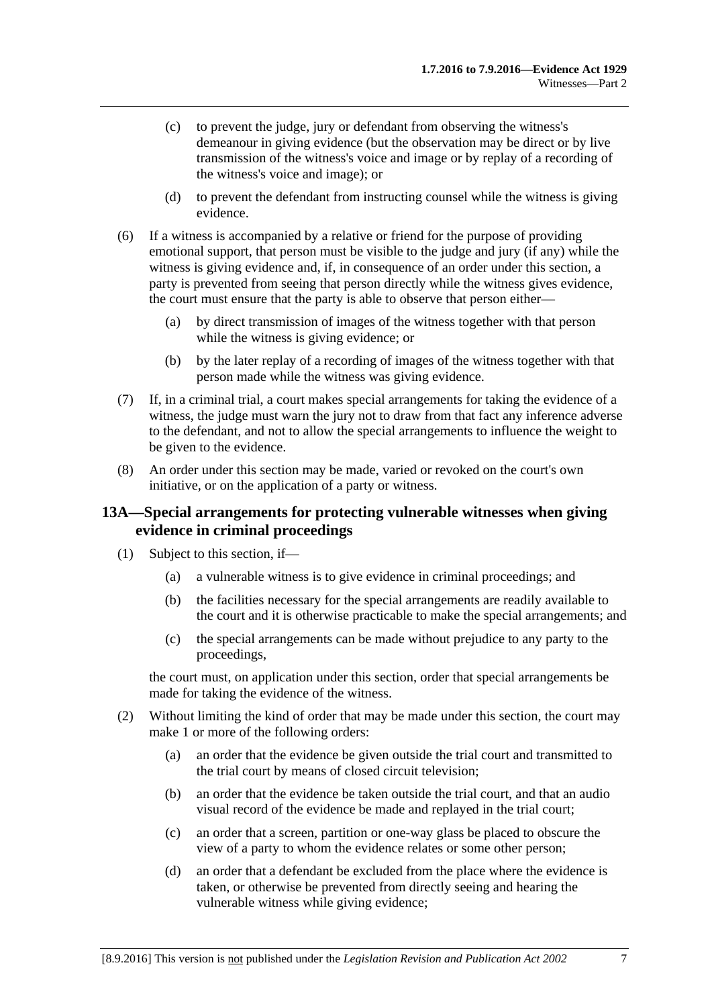- (c) to prevent the judge, jury or defendant from observing the witness's demeanour in giving evidence (but the observation may be direct or by live transmission of the witness's voice and image or by replay of a recording of the witness's voice and image); or
- (d) to prevent the defendant from instructing counsel while the witness is giving evidence.
- (6) If a witness is accompanied by a relative or friend for the purpose of providing emotional support, that person must be visible to the judge and jury (if any) while the witness is giving evidence and, if, in consequence of an order under this section, a party is prevented from seeing that person directly while the witness gives evidence, the court must ensure that the party is able to observe that person either—
	- (a) by direct transmission of images of the witness together with that person while the witness is giving evidence; or
	- (b) by the later replay of a recording of images of the witness together with that person made while the witness was giving evidence.
- (7) If, in a criminal trial, a court makes special arrangements for taking the evidence of a witness, the judge must warn the jury not to draw from that fact any inference adverse to the defendant, and not to allow the special arrangements to influence the weight to be given to the evidence.
- (8) An order under this section may be made, varied or revoked on the court's own initiative, or on the application of a party or witness.

### <span id="page-16-0"></span>**13A—Special arrangements for protecting vulnerable witnesses when giving evidence in criminal proceedings**

- (1) Subject to this section, if—
	- (a) a vulnerable witness is to give evidence in criminal proceedings; and
	- (b) the facilities necessary for the special arrangements are readily available to the court and it is otherwise practicable to make the special arrangements; and
	- (c) the special arrangements can be made without prejudice to any party to the proceedings,

the court must, on application under this section, order that special arrangements be made for taking the evidence of the witness.

- <span id="page-16-1"></span>(2) Without limiting the kind of order that may be made under this section, the court may make 1 or more of the following orders:
	- (a) an order that the evidence be given outside the trial court and transmitted to the trial court by means of closed circuit television;
	- (b) an order that the evidence be taken outside the trial court, and that an audio visual record of the evidence be made and replayed in the trial court;
	- (c) an order that a screen, partition or one-way glass be placed to obscure the view of a party to whom the evidence relates or some other person;
	- (d) an order that a defendant be excluded from the place where the evidence is taken, or otherwise be prevented from directly seeing and hearing the vulnerable witness while giving evidence;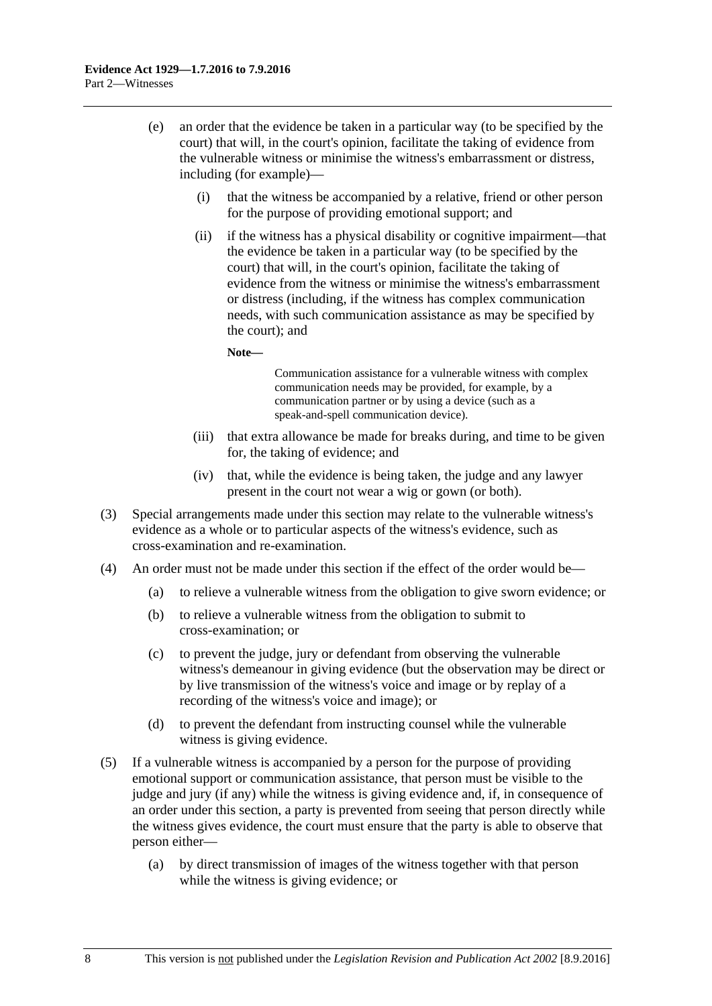- (e) an order that the evidence be taken in a particular way (to be specified by the court) that will, in the court's opinion, facilitate the taking of evidence from the vulnerable witness or minimise the witness's embarrassment or distress, including (for example)—
	- (i) that the witness be accompanied by a relative, friend or other person for the purpose of providing emotional support; and
	- (ii) if the witness has a physical disability or cognitive impairment—that the evidence be taken in a particular way (to be specified by the court) that will, in the court's opinion, facilitate the taking of evidence from the witness or minimise the witness's embarrassment or distress (including, if the witness has complex communication needs, with such communication assistance as may be specified by the court); and

**Note—**

Communication assistance for a vulnerable witness with complex communication needs may be provided, for example, by a communication partner or by using a device (such as a speak-and-spell communication device).

- (iii) that extra allowance be made for breaks during, and time to be given for, the taking of evidence; and
- (iv) that, while the evidence is being taken, the judge and any lawyer present in the court not wear a wig or gown (or both).
- (3) Special arrangements made under this section may relate to the vulnerable witness's evidence as a whole or to particular aspects of the witness's evidence, such as cross-examination and re-examination.
- (4) An order must not be made under this section if the effect of the order would be—
	- (a) to relieve a vulnerable witness from the obligation to give sworn evidence; or
	- (b) to relieve a vulnerable witness from the obligation to submit to cross-examination; or
	- (c) to prevent the judge, jury or defendant from observing the vulnerable witness's demeanour in giving evidence (but the observation may be direct or by live transmission of the witness's voice and image or by replay of a recording of the witness's voice and image); or
	- (d) to prevent the defendant from instructing counsel while the vulnerable witness is giving evidence.
- (5) If a vulnerable witness is accompanied by a person for the purpose of providing emotional support or communication assistance, that person must be visible to the judge and jury (if any) while the witness is giving evidence and, if, in consequence of an order under this section, a party is prevented from seeing that person directly while the witness gives evidence, the court must ensure that the party is able to observe that person either—
	- (a) by direct transmission of images of the witness together with that person while the witness is giving evidence; or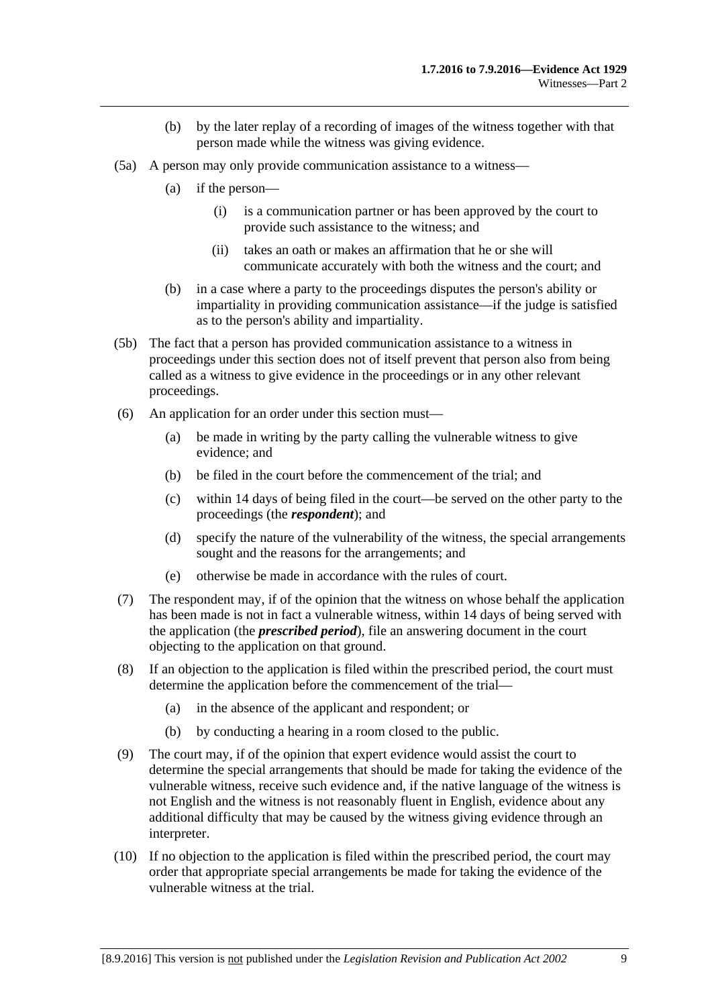- (b) by the later replay of a recording of images of the witness together with that person made while the witness was giving evidence.
- (5a) A person may only provide communication assistance to a witness—
	- (a) if the person—
		- (i) is a communication partner or has been approved by the court to provide such assistance to the witness; and
		- (ii) takes an oath or makes an affirmation that he or she will communicate accurately with both the witness and the court; and
	- (b) in a case where a party to the proceedings disputes the person's ability or impartiality in providing communication assistance—if the judge is satisfied as to the person's ability and impartiality.
- (5b) The fact that a person has provided communication assistance to a witness in proceedings under this section does not of itself prevent that person also from being called as a witness to give evidence in the proceedings or in any other relevant proceedings.
- (6) An application for an order under this section must—
	- (a) be made in writing by the party calling the vulnerable witness to give evidence; and
	- (b) be filed in the court before the commencement of the trial; and
	- (c) within 14 days of being filed in the court—be served on the other party to the proceedings (the *respondent*); and
	- (d) specify the nature of the vulnerability of the witness, the special arrangements sought and the reasons for the arrangements; and
	- (e) otherwise be made in accordance with the rules of court.
- (7) The respondent may, if of the opinion that the witness on whose behalf the application has been made is not in fact a vulnerable witness, within 14 days of being served with the application (the *prescribed period*), file an answering document in the court objecting to the application on that ground.
- (8) If an objection to the application is filed within the prescribed period, the court must determine the application before the commencement of the trial—
	- (a) in the absence of the applicant and respondent; or
	- (b) by conducting a hearing in a room closed to the public.
- (9) The court may, if of the opinion that expert evidence would assist the court to determine the special arrangements that should be made for taking the evidence of the vulnerable witness, receive such evidence and, if the native language of the witness is not English and the witness is not reasonably fluent in English, evidence about any additional difficulty that may be caused by the witness giving evidence through an interpreter.
- (10) If no objection to the application is filed within the prescribed period, the court may order that appropriate special arrangements be made for taking the evidence of the vulnerable witness at the trial.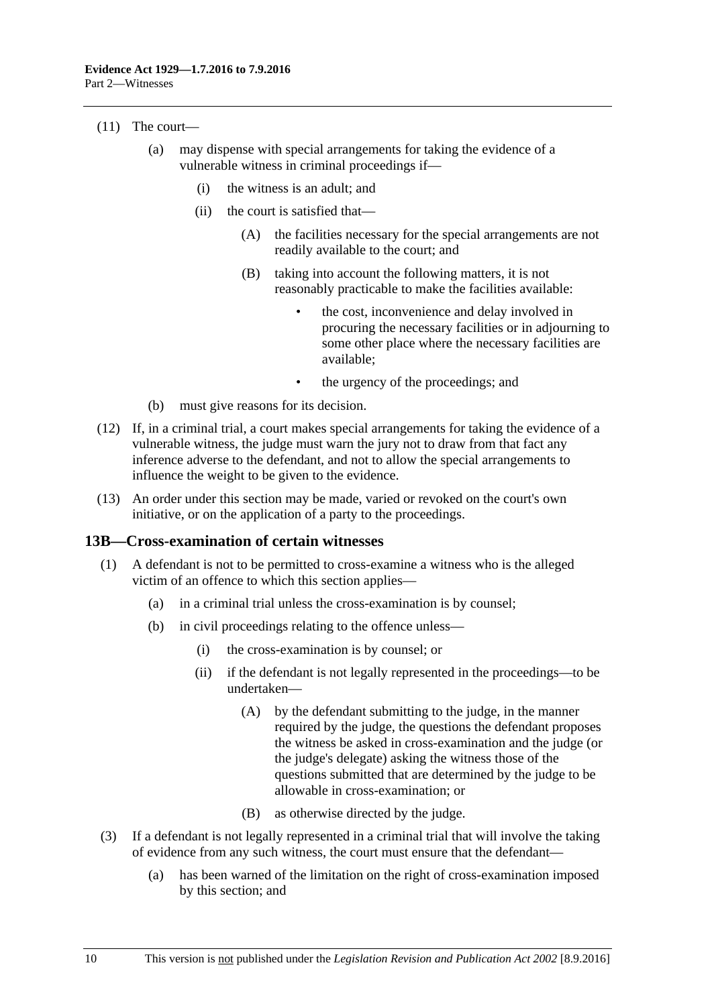#### (11) The court—

- (a) may dispense with special arrangements for taking the evidence of a vulnerable witness in criminal proceedings if—
	- (i) the witness is an adult; and
	- (ii) the court is satisfied that—
		- (A) the facilities necessary for the special arrangements are not readily available to the court; and
		- (B) taking into account the following matters, it is not reasonably practicable to make the facilities available:
			- the cost, inconvenience and delay involved in procuring the necessary facilities or in adjourning to some other place where the necessary facilities are available;
			- the urgency of the proceedings; and
- (b) must give reasons for its decision.
- (12) If, in a criminal trial, a court makes special arrangements for taking the evidence of a vulnerable witness, the judge must warn the jury not to draw from that fact any inference adverse to the defendant, and not to allow the special arrangements to influence the weight to be given to the evidence.
- (13) An order under this section may be made, varied or revoked on the court's own initiative, or on the application of a party to the proceedings.

#### <span id="page-19-0"></span>**13B—Cross-examination of certain witnesses**

- (1) A defendant is not to be permitted to cross-examine a witness who is the alleged victim of an offence to which this section applies—
	- (a) in a criminal trial unless the cross-examination is by counsel;
	- (b) in civil proceedings relating to the offence unless—
		- (i) the cross-examination is by counsel; or
		- (ii) if the defendant is not legally represented in the proceedings—to be undertaken—
			- (A) by the defendant submitting to the judge, in the manner required by the judge, the questions the defendant proposes the witness be asked in cross-examination and the judge (or the judge's delegate) asking the witness those of the questions submitted that are determined by the judge to be allowable in cross-examination; or
			- (B) as otherwise directed by the judge.
- (3) If a defendant is not legally represented in a criminal trial that will involve the taking of evidence from any such witness, the court must ensure that the defendant—
	- (a) has been warned of the limitation on the right of cross-examination imposed by this section; and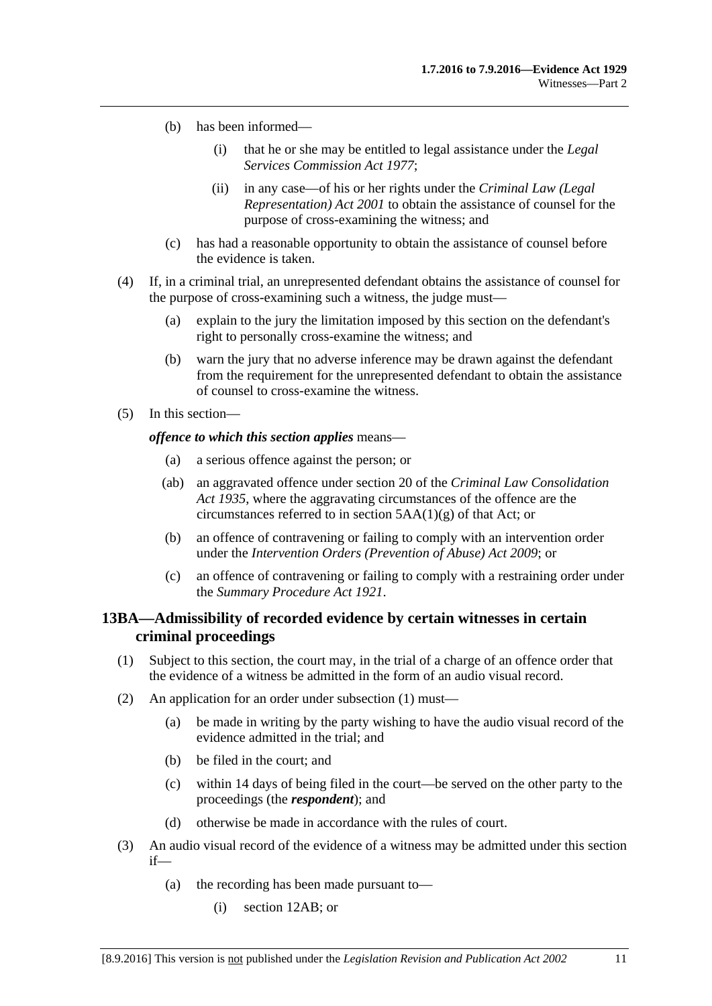- (b) has been informed—
	- (i) that he or she may be entitled to legal assistance under the *[Legal](http://www.legislation.sa.gov.au/index.aspx?action=legref&type=act&legtitle=Legal%20Services%20Commission%20Act%201977)  [Services Commission Act](http://www.legislation.sa.gov.au/index.aspx?action=legref&type=act&legtitle=Legal%20Services%20Commission%20Act%201977) 1977*;
	- (ii) in any case—of his or her rights under the *[Criminal Law \(Legal](http://www.legislation.sa.gov.au/index.aspx?action=legref&type=act&legtitle=Criminal%20Law%20(Legal%20Representation)%20Act%202001)  [Representation\) Act](http://www.legislation.sa.gov.au/index.aspx?action=legref&type=act&legtitle=Criminal%20Law%20(Legal%20Representation)%20Act%202001) 2001* to obtain the assistance of counsel for the purpose of cross-examining the witness; and
- (c) has had a reasonable opportunity to obtain the assistance of counsel before the evidence is taken.
- (4) If, in a criminal trial, an unrepresented defendant obtains the assistance of counsel for the purpose of cross-examining such a witness, the judge must—
	- (a) explain to the jury the limitation imposed by this section on the defendant's right to personally cross-examine the witness; and
	- (b) warn the jury that no adverse inference may be drawn against the defendant from the requirement for the unrepresented defendant to obtain the assistance of counsel to cross-examine the witness.
- (5) In this section—

#### *offence to which this section applies* means—

- (a) a serious offence against the person; or
- (ab) an aggravated offence under section 20 of the *[Criminal Law Consolidation](http://www.legislation.sa.gov.au/index.aspx?action=legref&type=act&legtitle=Criminal%20Law%20Consolidation%20Act%201935)  Act [1935](http://www.legislation.sa.gov.au/index.aspx?action=legref&type=act&legtitle=Criminal%20Law%20Consolidation%20Act%201935)*, where the aggravating circumstances of the offence are the circumstances referred to in section  $5AA(1)(g)$  of that Act; or
- (b) an offence of contravening or failing to comply with an intervention order under the *[Intervention Orders \(Prevention of Abuse\) Act](http://www.legislation.sa.gov.au/index.aspx?action=legref&type=act&legtitle=Intervention%20Orders%20(Prevention%20of%20Abuse)%20Act%202009) 2009*; or
- (c) an offence of contravening or failing to comply with a restraining order under the *[Summary Procedure Act](http://www.legislation.sa.gov.au/index.aspx?action=legref&type=act&legtitle=Summary%20Procedure%20Act%201921) 1921*.

### <span id="page-20-0"></span>**13BA—Admissibility of recorded evidence by certain witnesses in certain criminal proceedings**

- <span id="page-20-1"></span>(1) Subject to this section, the court may, in the trial of a charge of an offence order that the evidence of a witness be admitted in the form of an audio visual record.
- (2) An application for an order under [subsection](#page-20-1) (1) must—
	- (a) be made in writing by the party wishing to have the audio visual record of the evidence admitted in the trial; and
	- (b) be filed in the court; and
	- (c) within 14 days of being filed in the court—be served on the other party to the proceedings (the *respondent*); and
	- (d) otherwise be made in accordance with the rules of court.
- <span id="page-20-2"></span>(3) An audio visual record of the evidence of a witness may be admitted under this section if—
	- (a) the recording has been made pursuant to—
		- (i) [section](#page-12-0) 12AB; or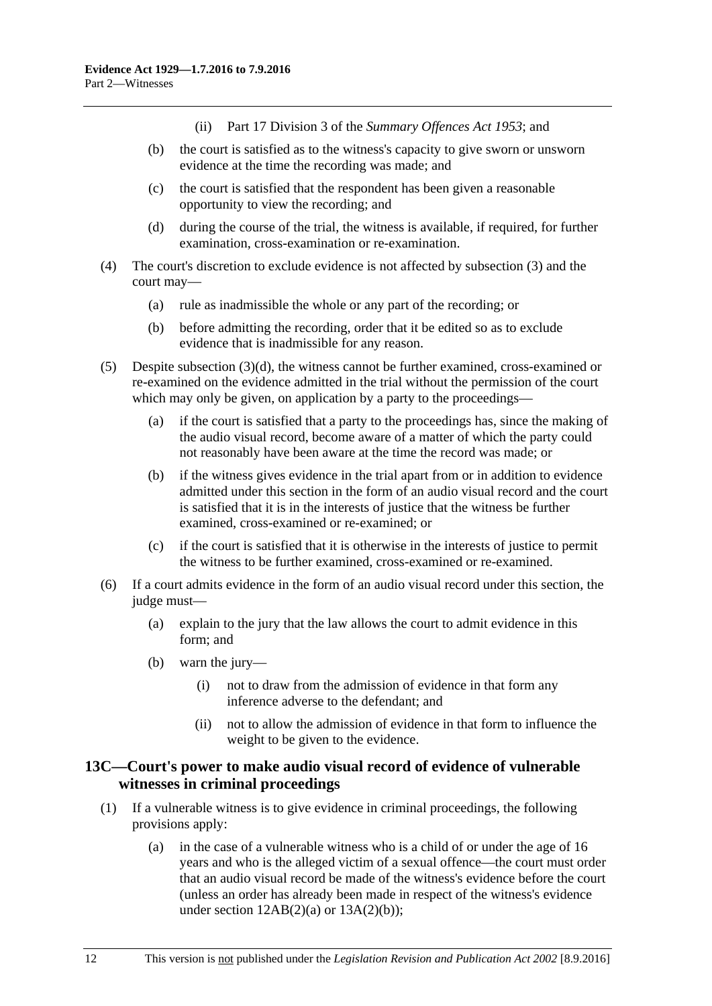(ii) Part 17 Division 3 of the *[Summary Offences Act](http://www.legislation.sa.gov.au/index.aspx?action=legref&type=act&legtitle=Summary%20Offences%20Act%201953) 1953*; and

- (b) the court is satisfied as to the witness's capacity to give sworn or unsworn evidence at the time the recording was made; and
- (c) the court is satisfied that the respondent has been given a reasonable opportunity to view the recording; and
- (d) during the course of the trial, the witness is available, if required, for further examination, cross-examination or re-examination.
- <span id="page-21-1"></span>(4) The court's discretion to exclude evidence is not affected by [subsection](#page-20-2) (3) and the court may—
	- (a) rule as inadmissible the whole or any part of the recording; or
	- (b) before admitting the recording, order that it be edited so as to exclude evidence that is inadmissible for any reason.
- (5) Despite [subsection](#page-21-1) (3)(d), the witness cannot be further examined, cross-examined or re-examined on the evidence admitted in the trial without the permission of the court which may only be given, on application by a party to the proceedings—
	- (a) if the court is satisfied that a party to the proceedings has, since the making of the audio visual record, become aware of a matter of which the party could not reasonably have been aware at the time the record was made; or
	- (b) if the witness gives evidence in the trial apart from or in addition to evidence admitted under this section in the form of an audio visual record and the court is satisfied that it is in the interests of justice that the witness be further examined, cross-examined or re-examined; or
	- (c) if the court is satisfied that it is otherwise in the interests of justice to permit the witness to be further examined, cross-examined or re-examined.
- (6) If a court admits evidence in the form of an audio visual record under this section, the judge must-
	- (a) explain to the jury that the law allows the court to admit evidence in this form; and
	- (b) warn the jury—
		- (i) not to draw from the admission of evidence in that form any inference adverse to the defendant; and
		- (ii) not to allow the admission of evidence in that form to influence the weight to be given to the evidence.

### <span id="page-21-0"></span>**13C—Court's power to make audio visual record of evidence of vulnerable witnesses in criminal proceedings**

- (1) If a vulnerable witness is to give evidence in criminal proceedings, the following provisions apply:
	- (a) in the case of a vulnerable witness who is a child of or under the age of 16 years and who is the alleged victim of a sexual offence—the court must order that an audio visual record be made of the witness's evidence before the court (unless an order has already been made in respect of the witness's evidence under section  $12AB(2)(a)$  or  $13A(2)(b)$ ;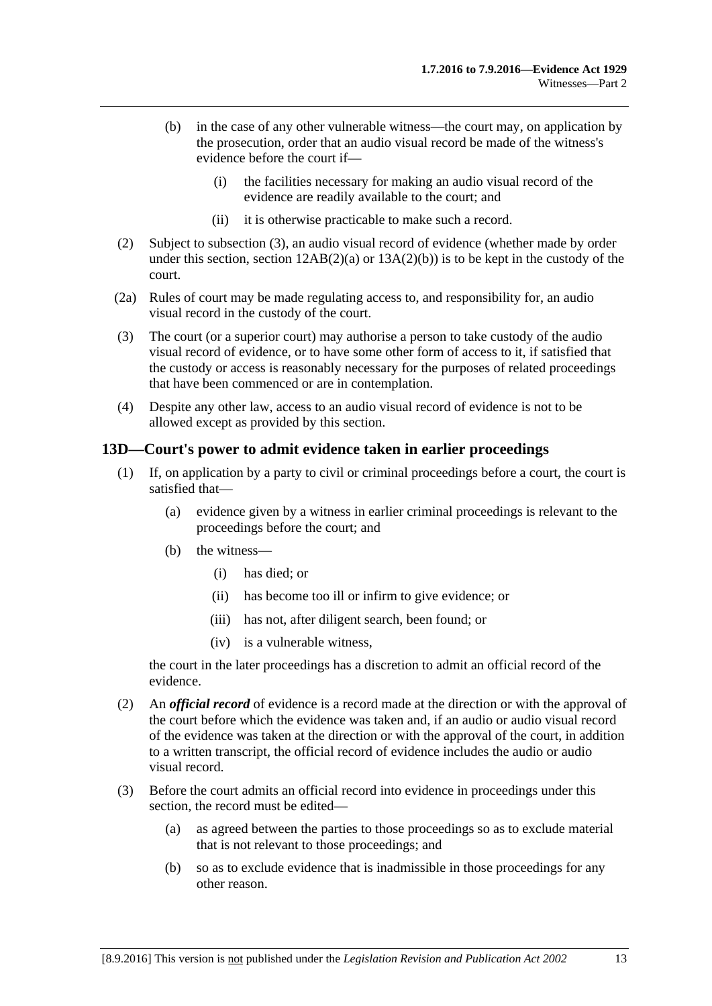- (b) in the case of any other vulnerable witness—the court may, on application by the prosecution, order that an audio visual record be made of the witness's evidence before the court if—
	- (i) the facilities necessary for making an audio visual record of the evidence are readily available to the court; and
	- (ii) it is otherwise practicable to make such a record.
- (2) Subject to [subsection](#page-22-1) (3), an audio visual record of evidence (whether made by order under this section, section  $12AB(2)(a)$  or  $13A(2)(b)$  is to be kept in the custody of the court.
- (2a) Rules of court may be made regulating access to, and responsibility for, an audio visual record in the custody of the court.
- <span id="page-22-1"></span>(3) The court (or a superior court) may authorise a person to take custody of the audio visual record of evidence, or to have some other form of access to it, if satisfied that the custody or access is reasonably necessary for the purposes of related proceedings that have been commenced or are in contemplation.
- (4) Despite any other law, access to an audio visual record of evidence is not to be allowed except as provided by this section.

### <span id="page-22-0"></span>**13D—Court's power to admit evidence taken in earlier proceedings**

- (1) If, on application by a party to civil or criminal proceedings before a court, the court is satisfied that—
	- (a) evidence given by a witness in earlier criminal proceedings is relevant to the proceedings before the court; and
	- (b) the witness—
		- (i) has died; or
		- (ii) has become too ill or infirm to give evidence; or
		- (iii) has not, after diligent search, been found; or
		- (iv) is a vulnerable witness,

the court in the later proceedings has a discretion to admit an official record of the evidence.

- (2) An *official record* of evidence is a record made at the direction or with the approval of the court before which the evidence was taken and, if an audio or audio visual record of the evidence was taken at the direction or with the approval of the court, in addition to a written transcript, the official record of evidence includes the audio or audio visual record.
- (3) Before the court admits an official record into evidence in proceedings under this section, the record must be edited—
	- (a) as agreed between the parties to those proceedings so as to exclude material that is not relevant to those proceedings; and
	- (b) so as to exclude evidence that is inadmissible in those proceedings for any other reason.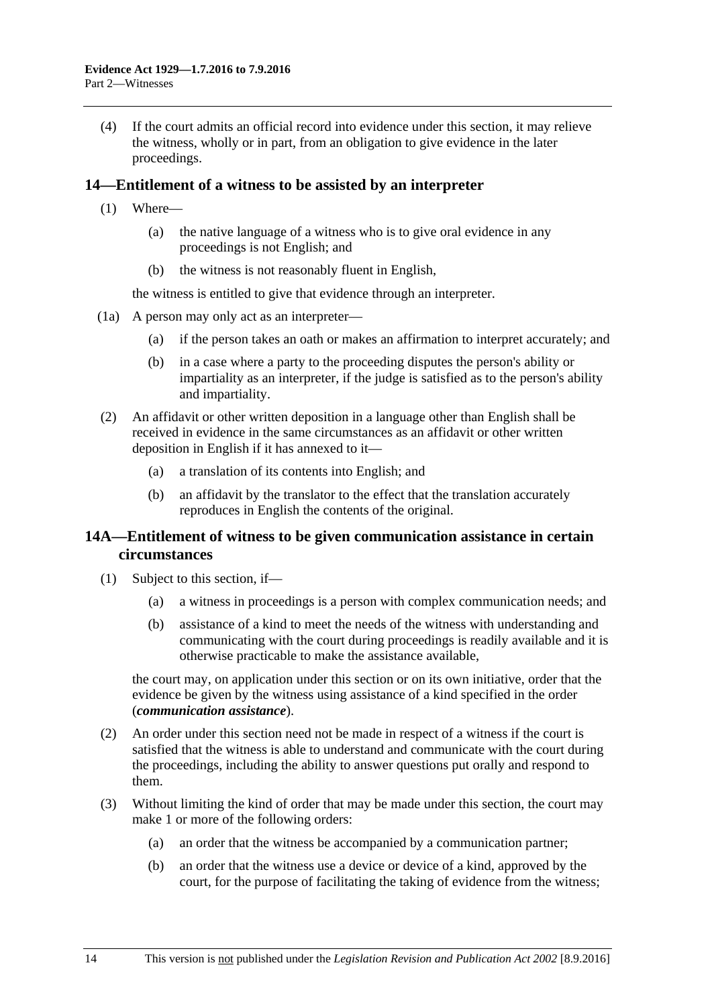(4) If the court admits an official record into evidence under this section, it may relieve the witness, wholly or in part, from an obligation to give evidence in the later proceedings.

### <span id="page-23-0"></span>**14—Entitlement of a witness to be assisted by an interpreter**

- (1) Where—
	- (a) the native language of a witness who is to give oral evidence in any proceedings is not English; and
	- (b) the witness is not reasonably fluent in English,

the witness is entitled to give that evidence through an interpreter.

- (1a) A person may only act as an interpreter—
	- (a) if the person takes an oath or makes an affirmation to interpret accurately; and
	- (b) in a case where a party to the proceeding disputes the person's ability or impartiality as an interpreter, if the judge is satisfied as to the person's ability and impartiality.
- (2) An affidavit or other written deposition in a language other than English shall be received in evidence in the same circumstances as an affidavit or other written deposition in English if it has annexed to it—
	- (a) a translation of its contents into English; and
	- (b) an affidavit by the translator to the effect that the translation accurately reproduces in English the contents of the original.

### <span id="page-23-1"></span>**14A—Entitlement of witness to be given communication assistance in certain circumstances**

- (1) Subject to this section, if—
	- (a) a witness in proceedings is a person with complex communication needs; and
	- (b) assistance of a kind to meet the needs of the witness with understanding and communicating with the court during proceedings is readily available and it is otherwise practicable to make the assistance available,

the court may, on application under this section or on its own initiative, order that the evidence be given by the witness using assistance of a kind specified in the order (*communication assistance*).

- (2) An order under this section need not be made in respect of a witness if the court is satisfied that the witness is able to understand and communicate with the court during the proceedings, including the ability to answer questions put orally and respond to them.
- (3) Without limiting the kind of order that may be made under this section, the court may make 1 or more of the following orders:
	- (a) an order that the witness be accompanied by a communication partner;
	- (b) an order that the witness use a device or device of a kind, approved by the court, for the purpose of facilitating the taking of evidence from the witness;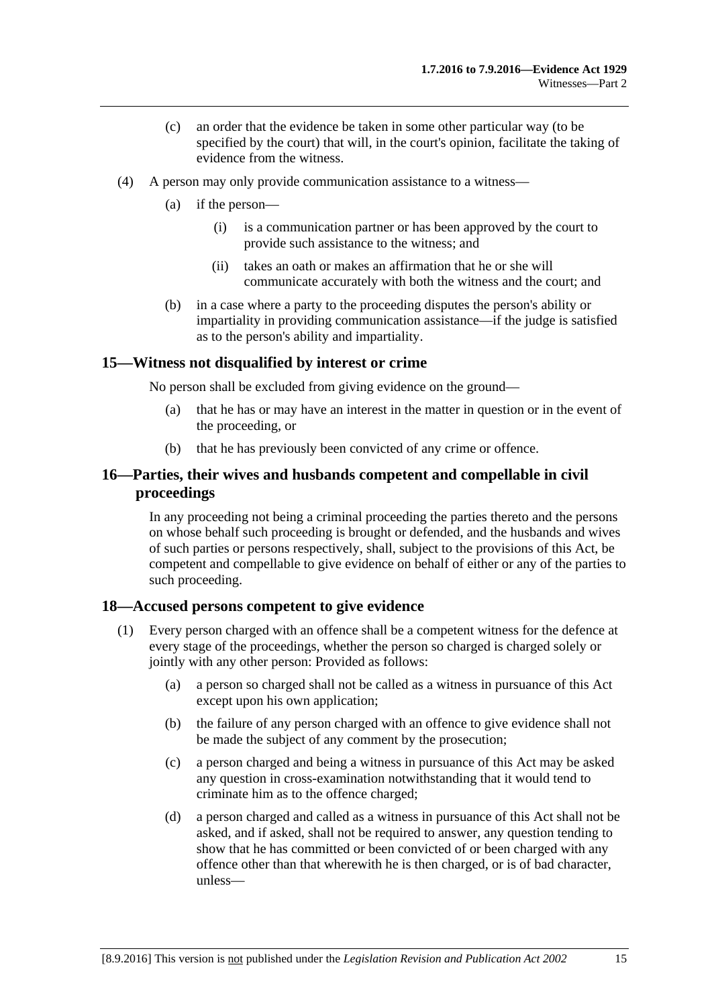- (c) an order that the evidence be taken in some other particular way (to be specified by the court) that will, in the court's opinion, facilitate the taking of evidence from the witness.
- (4) A person may only provide communication assistance to a witness—
	- (a) if the person—
		- (i) is a communication partner or has been approved by the court to provide such assistance to the witness; and
		- (ii) takes an oath or makes an affirmation that he or she will communicate accurately with both the witness and the court; and
	- (b) in a case where a party to the proceeding disputes the person's ability or impartiality in providing communication assistance—if the judge is satisfied as to the person's ability and impartiality.

### <span id="page-24-0"></span>**15—Witness not disqualified by interest or crime**

No person shall be excluded from giving evidence on the ground—

- (a) that he has or may have an interest in the matter in question or in the event of the proceeding, or
- (b) that he has previously been convicted of any crime or offence.

### <span id="page-24-1"></span>**16—Parties, their wives and husbands competent and compellable in civil proceedings**

In any proceeding not being a criminal proceeding the parties thereto and the persons on whose behalf such proceeding is brought or defended, and the husbands and wives of such parties or persons respectively, shall, subject to the provisions of this Act, be competent and compellable to give evidence on behalf of either or any of the parties to such proceeding.

#### <span id="page-24-2"></span>**18—Accused persons competent to give evidence**

- <span id="page-24-3"></span>(1) Every person charged with an offence shall be a competent witness for the defence at every stage of the proceedings, whether the person so charged is charged solely or jointly with any other person: Provided as follows:
	- (a) a person so charged shall not be called as a witness in pursuance of this Act except upon his own application;
	- (b) the failure of any person charged with an offence to give evidence shall not be made the subject of any comment by the prosecution;
	- (c) a person charged and being a witness in pursuance of this Act may be asked any question in cross-examination notwithstanding that it would tend to criminate him as to the offence charged;
	- (d) a person charged and called as a witness in pursuance of this Act shall not be asked, and if asked, shall not be required to answer, any question tending to show that he has committed or been convicted of or been charged with any offence other than that wherewith he is then charged, or is of bad character, unless—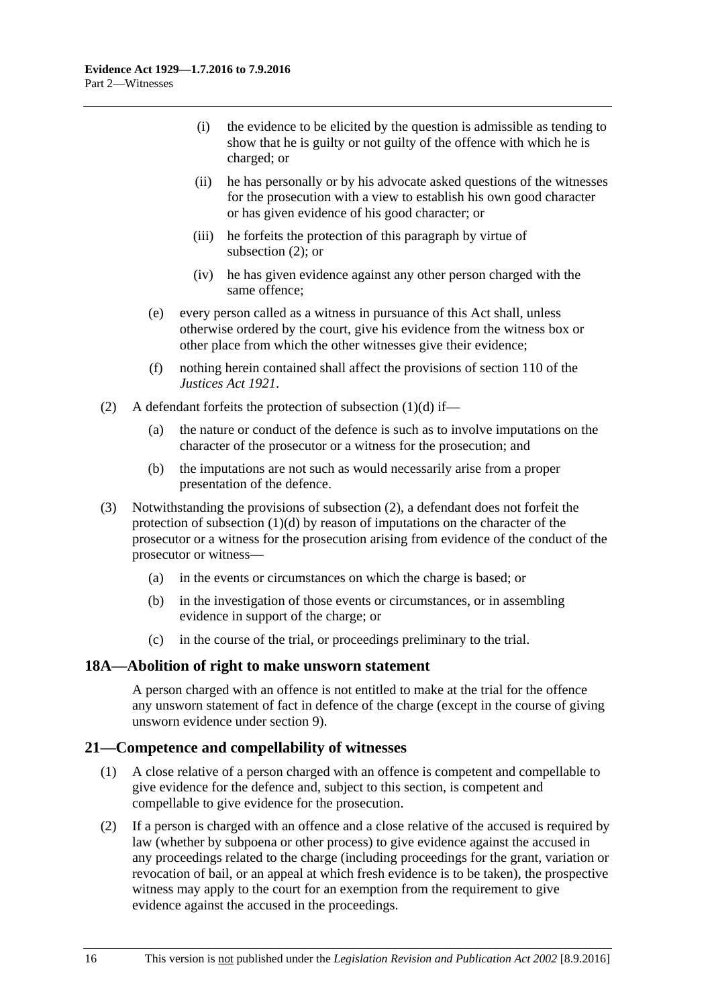- (i) the evidence to be elicited by the question is admissible as tending to show that he is guilty or not guilty of the offence with which he is charged; or
- (ii) he has personally or by his advocate asked questions of the witnesses for the prosecution with a view to establish his own good character or has given evidence of his good character; or
- (iii) he forfeits the protection of this paragraph by virtue of [subsection](#page-25-2) (2); or
- (iv) he has given evidence against any other person charged with the same offence;
- (e) every person called as a witness in pursuance of this Act shall, unless otherwise ordered by the court, give his evidence from the witness box or other place from which the other witnesses give their evidence;
- (f) nothing herein contained shall affect the provisions of section 110 of the *[Justices Act](http://www.legislation.sa.gov.au/index.aspx?action=legref&type=act&legtitle=Justices%20Act%201921) 1921*.
- <span id="page-25-2"></span>(2) A defendant forfeits the protection of [subsection](#page-24-3)  $(1)(d)$  if—
	- (a) the nature or conduct of the defence is such as to involve imputations on the character of the prosecutor or a witness for the prosecution; and
	- (b) the imputations are not such as would necessarily arise from a proper presentation of the defence.
- (3) Notwithstanding the provisions of [subsection](#page-25-2) (2), a defendant does not forfeit the protection of [subsection](#page-24-3) (1)(d) by reason of imputations on the character of the prosecutor or a witness for the prosecution arising from evidence of the conduct of the prosecutor or witness—
	- (a) in the events or circumstances on which the charge is based; or
	- (b) in the investigation of those events or circumstances, or in assembling evidence in support of the charge; or
	- (c) in the course of the trial, or proceedings preliminary to the trial.

#### <span id="page-25-0"></span>**18A—Abolition of right to make unsworn statement**

A person charged with an offence is not entitled to make at the trial for the offence any unsworn statement of fact in defence of the charge (except in the course of giving unsworn evidence under [section](#page-10-3) 9).

#### <span id="page-25-1"></span>**21—Competence and compellability of witnesses**

- (1) A close relative of a person charged with an offence is competent and compellable to give evidence for the defence and, subject to this section, is competent and compellable to give evidence for the prosecution.
- <span id="page-25-3"></span>(2) If a person is charged with an offence and a close relative of the accused is required by law (whether by subpoena or other process) to give evidence against the accused in any proceedings related to the charge (including proceedings for the grant, variation or revocation of bail, or an appeal at which fresh evidence is to be taken), the prospective witness may apply to the court for an exemption from the requirement to give evidence against the accused in the proceedings.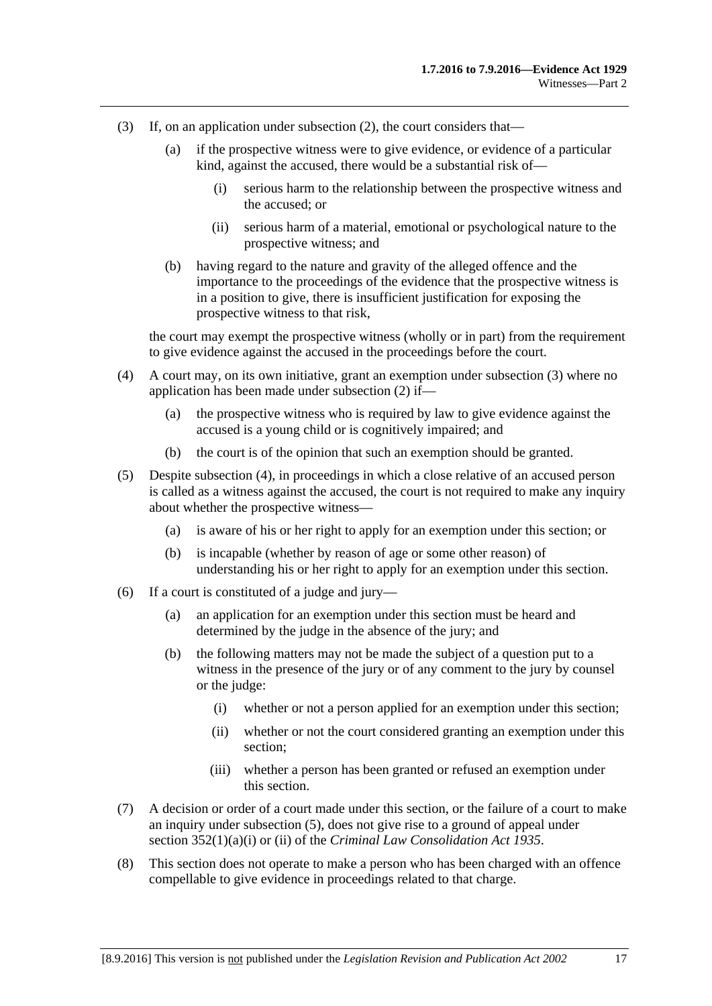- <span id="page-26-0"></span>(3) If, on an application under [subsection](#page-25-3) (2), the court considers that—
	- (a) if the prospective witness were to give evidence, or evidence of a particular kind, against the accused, there would be a substantial risk of—
		- (i) serious harm to the relationship between the prospective witness and the accused; or
		- (ii) serious harm of a material, emotional or psychological nature to the prospective witness; and
	- (b) having regard to the nature and gravity of the alleged offence and the importance to the proceedings of the evidence that the prospective witness is in a position to give, there is insufficient justification for exposing the prospective witness to that risk,

the court may exempt the prospective witness (wholly or in part) from the requirement to give evidence against the accused in the proceedings before the court.

- <span id="page-26-1"></span>(4) A court may, on its own initiative, grant an exemption under [subsection](#page-26-0) (3) where no application has been made under [subsection](#page-25-3) (2) if—
	- (a) the prospective witness who is required by law to give evidence against the accused is a young child or is cognitively impaired; and
	- (b) the court is of the opinion that such an exemption should be granted.
- <span id="page-26-2"></span>(5) Despite [subsection](#page-26-1) (4), in proceedings in which a close relative of an accused person is called as a witness against the accused, the court is not required to make any inquiry about whether the prospective witness—
	- (a) is aware of his or her right to apply for an exemption under this section; or
	- (b) is incapable (whether by reason of age or some other reason) of understanding his or her right to apply for an exemption under this section.
- (6) If a court is constituted of a judge and jury—
	- (a) an application for an exemption under this section must be heard and determined by the judge in the absence of the jury; and
	- (b) the following matters may not be made the subject of a question put to a witness in the presence of the jury or of any comment to the jury by counsel or the judge:
		- (i) whether or not a person applied for an exemption under this section;
		- (ii) whether or not the court considered granting an exemption under this section;
		- (iii) whether a person has been granted or refused an exemption under this section.
- (7) A decision or order of a court made under this section, or the failure of a court to make an inquiry under [subsection](#page-26-2) (5), does not give rise to a ground of appeal under section 352(1)(a)(i) or (ii) of the *[Criminal Law Consolidation Act](http://www.legislation.sa.gov.au/index.aspx?action=legref&type=act&legtitle=Criminal%20Law%20Consolidation%20Act%201935) 1935*.
- (8) This section does not operate to make a person who has been charged with an offence compellable to give evidence in proceedings related to that charge.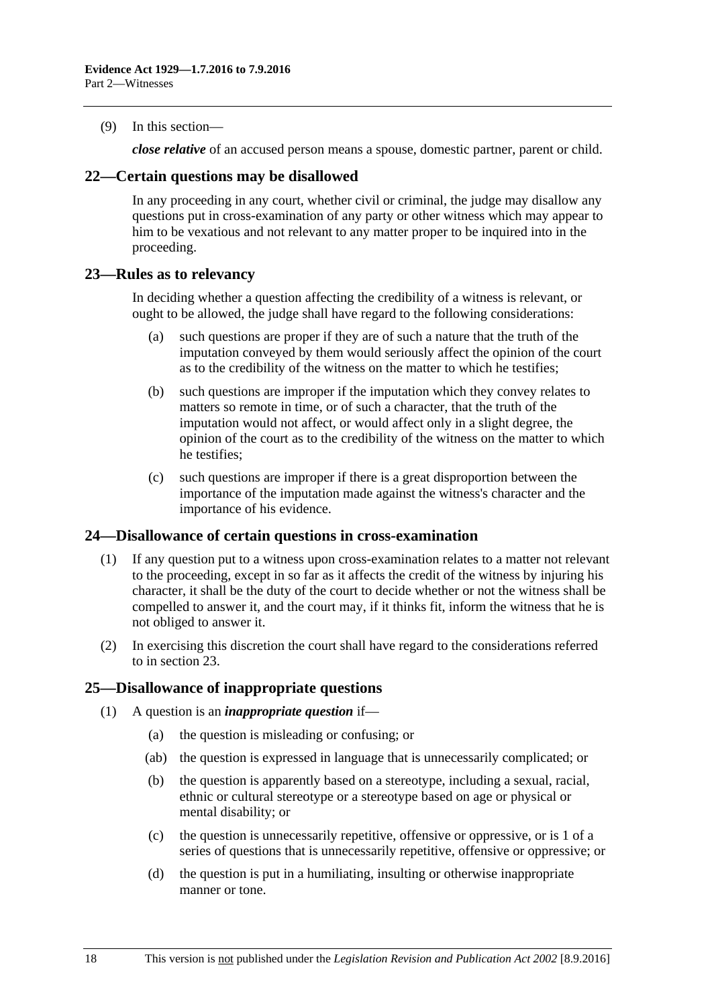(9) In this section—

*close relative* of an accused person means a spouse, domestic partner, parent or child.

#### <span id="page-27-0"></span>**22—Certain questions may be disallowed**

In any proceeding in any court, whether civil or criminal, the judge may disallow any questions put in cross-examination of any party or other witness which may appear to him to be vexatious and not relevant to any matter proper to be inquired into in the proceeding.

### <span id="page-27-1"></span>**23—Rules as to relevancy**

In deciding whether a question affecting the credibility of a witness is relevant, or ought to be allowed, the judge shall have regard to the following considerations:

- (a) such questions are proper if they are of such a nature that the truth of the imputation conveyed by them would seriously affect the opinion of the court as to the credibility of the witness on the matter to which he testifies;
- (b) such questions are improper if the imputation which they convey relates to matters so remote in time, or of such a character, that the truth of the imputation would not affect, or would affect only in a slight degree, the opinion of the court as to the credibility of the witness on the matter to which he testifies;
- (c) such questions are improper if there is a great disproportion between the importance of the imputation made against the witness's character and the importance of his evidence.

#### <span id="page-27-2"></span>**24—Disallowance of certain questions in cross-examination**

- (1) If any question put to a witness upon cross-examination relates to a matter not relevant to the proceeding, except in so far as it affects the credit of the witness by injuring his character, it shall be the duty of the court to decide whether or not the witness shall be compelled to answer it, and the court may, if it thinks fit, inform the witness that he is not obliged to answer it.
- (2) In exercising this discretion the court shall have regard to the considerations referred to in [section](#page-27-1) 23.

### <span id="page-27-3"></span>**25—Disallowance of inappropriate questions**

- (1) A question is an *inappropriate question* if—
	- (a) the question is misleading or confusing; or
	- (ab) the question is expressed in language that is unnecessarily complicated; or
	- (b) the question is apparently based on a stereotype, including a sexual, racial, ethnic or cultural stereotype or a stereotype based on age or physical or mental disability; or
	- (c) the question is unnecessarily repetitive, offensive or oppressive, or is 1 of a series of questions that is unnecessarily repetitive, offensive or oppressive; or
	- (d) the question is put in a humiliating, insulting or otherwise inappropriate manner or tone.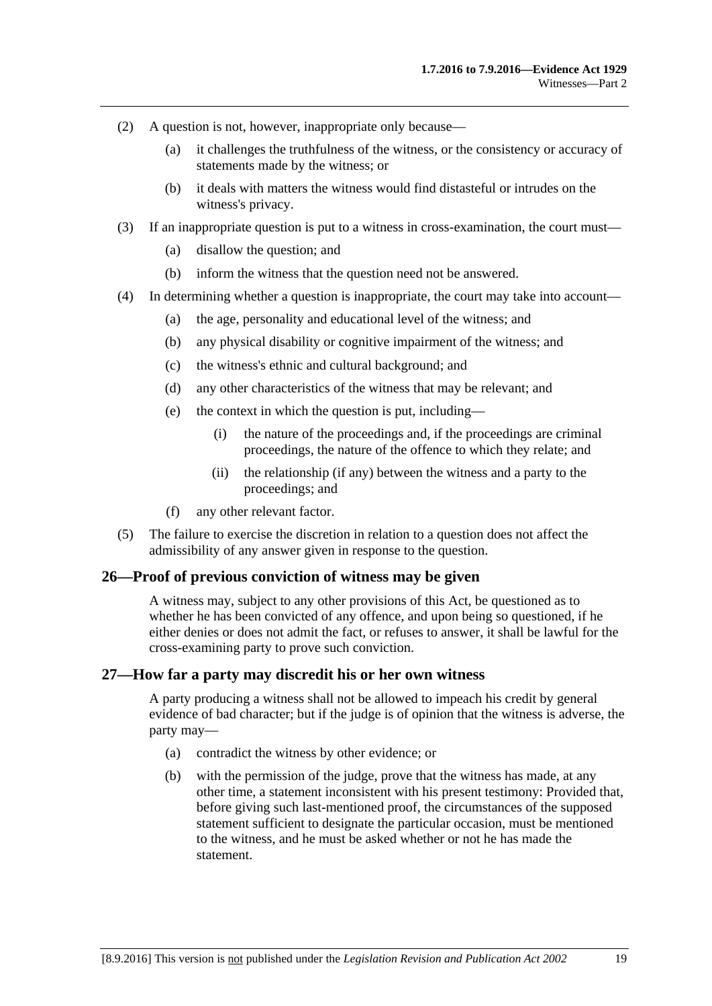- (2) A question is not, however, inappropriate only because—
	- (a) it challenges the truthfulness of the witness, or the consistency or accuracy of statements made by the witness; or
	- (b) it deals with matters the witness would find distasteful or intrudes on the witness's privacy.
- (3) If an inappropriate question is put to a witness in cross-examination, the court must—
	- (a) disallow the question; and
	- (b) inform the witness that the question need not be answered.
- (4) In determining whether a question is inappropriate, the court may take into account—
	- (a) the age, personality and educational level of the witness; and
	- (b) any physical disability or cognitive impairment of the witness; and
	- (c) the witness's ethnic and cultural background; and
	- (d) any other characteristics of the witness that may be relevant; and
	- (e) the context in which the question is put, including—
		- (i) the nature of the proceedings and, if the proceedings are criminal proceedings, the nature of the offence to which they relate; and
		- (ii) the relationship (if any) between the witness and a party to the proceedings; and
	- (f) any other relevant factor.
- (5) The failure to exercise the discretion in relation to a question does not affect the admissibility of any answer given in response to the question.

#### <span id="page-28-0"></span>**26—Proof of previous conviction of witness may be given**

A witness may, subject to any other provisions of this Act, be questioned as to whether he has been convicted of any offence, and upon being so questioned, if he either denies or does not admit the fact, or refuses to answer, it shall be lawful for the cross-examining party to prove such conviction.

#### <span id="page-28-1"></span>**27—How far a party may discredit his or her own witness**

A party producing a witness shall not be allowed to impeach his credit by general evidence of bad character; but if the judge is of opinion that the witness is adverse, the party may—

- (a) contradict the witness by other evidence; or
- (b) with the permission of the judge, prove that the witness has made, at any other time, a statement inconsistent with his present testimony: Provided that, before giving such last-mentioned proof, the circumstances of the supposed statement sufficient to designate the particular occasion, must be mentioned to the witness, and he must be asked whether or not he has made the statement.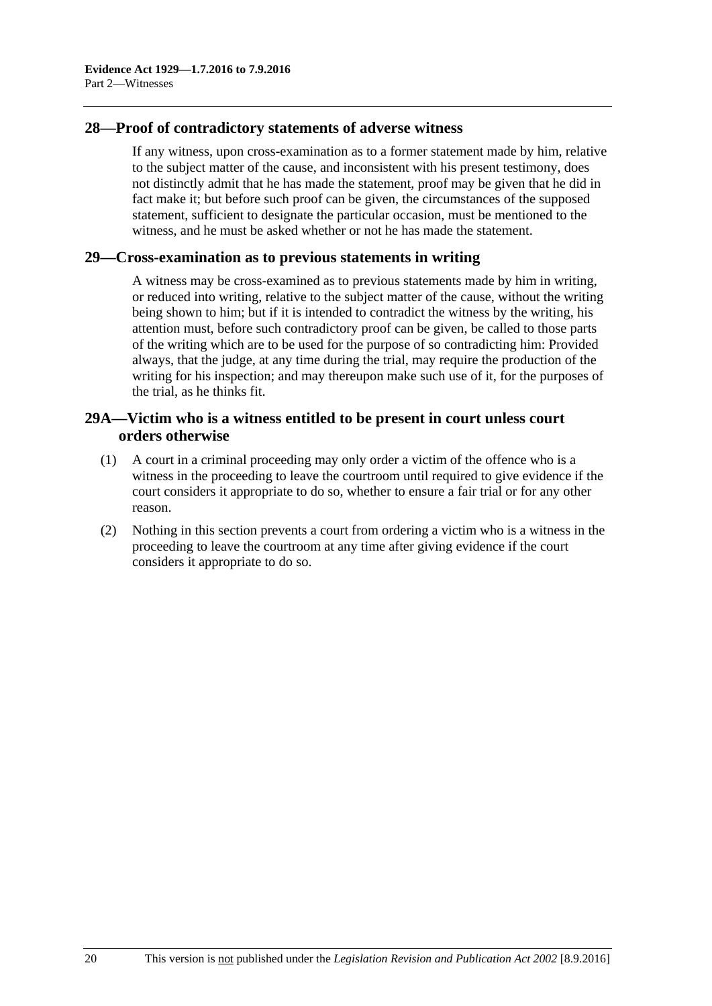### <span id="page-29-0"></span>**28—Proof of contradictory statements of adverse witness**

If any witness, upon cross-examination as to a former statement made by him, relative to the subject matter of the cause, and inconsistent with his present testimony, does not distinctly admit that he has made the statement, proof may be given that he did in fact make it; but before such proof can be given, the circumstances of the supposed statement, sufficient to designate the particular occasion, must be mentioned to the witness, and he must be asked whether or not he has made the statement.

#### <span id="page-29-1"></span>**29—Cross-examination as to previous statements in writing**

A witness may be cross-examined as to previous statements made by him in writing, or reduced into writing, relative to the subject matter of the cause, without the writing being shown to him; but if it is intended to contradict the witness by the writing, his attention must, before such contradictory proof can be given, be called to those parts of the writing which are to be used for the purpose of so contradicting him: Provided always, that the judge, at any time during the trial, may require the production of the writing for his inspection; and may thereupon make such use of it, for the purposes of the trial, as he thinks fit.

### <span id="page-29-2"></span>**29A—Victim who is a witness entitled to be present in court unless court orders otherwise**

- (1) A court in a criminal proceeding may only order a victim of the offence who is a witness in the proceeding to leave the courtroom until required to give evidence if the court considers it appropriate to do so, whether to ensure a fair trial or for any other reason.
- (2) Nothing in this section prevents a court from ordering a victim who is a witness in the proceeding to leave the courtroom at any time after giving evidence if the court considers it appropriate to do so.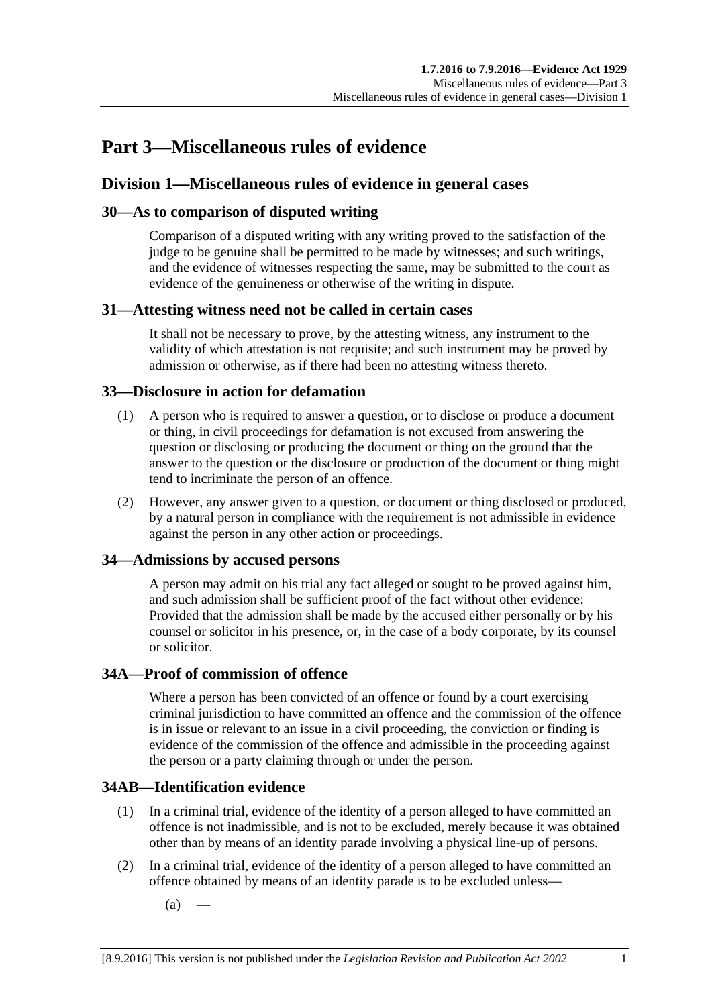## <span id="page-30-0"></span>**Part 3—Miscellaneous rules of evidence**

### <span id="page-30-1"></span>**Division 1—Miscellaneous rules of evidence in general cases**

### <span id="page-30-2"></span>**30—As to comparison of disputed writing**

Comparison of a disputed writing with any writing proved to the satisfaction of the judge to be genuine shall be permitted to be made by witnesses; and such writings, and the evidence of witnesses respecting the same, may be submitted to the court as evidence of the genuineness or otherwise of the writing in dispute.

### <span id="page-30-3"></span>**31—Attesting witness need not be called in certain cases**

It shall not be necessary to prove, by the attesting witness, any instrument to the validity of which attestation is not requisite; and such instrument may be proved by admission or otherwise, as if there had been no attesting witness thereto.

### <span id="page-30-4"></span>**33—Disclosure in action for defamation**

- (1) A person who is required to answer a question, or to disclose or produce a document or thing, in civil proceedings for defamation is not excused from answering the question or disclosing or producing the document or thing on the ground that the answer to the question or the disclosure or production of the document or thing might tend to incriminate the person of an offence.
- (2) However, any answer given to a question, or document or thing disclosed or produced, by a natural person in compliance with the requirement is not admissible in evidence against the person in any other action or proceedings.

### <span id="page-30-5"></span>**34—Admissions by accused persons**

A person may admit on his trial any fact alleged or sought to be proved against him, and such admission shall be sufficient proof of the fact without other evidence: Provided that the admission shall be made by the accused either personally or by his counsel or solicitor in his presence, or, in the case of a body corporate, by its counsel or solicitor.

### <span id="page-30-6"></span>**34A—Proof of commission of offence**

Where a person has been convicted of an offence or found by a court exercising criminal jurisdiction to have committed an offence and the commission of the offence is in issue or relevant to an issue in a civil proceeding, the conviction or finding is evidence of the commission of the offence and admissible in the proceeding against the person or a party claiming through or under the person.

### <span id="page-30-7"></span>**34AB—Identification evidence**

- (1) In a criminal trial, evidence of the identity of a person alleged to have committed an offence is not inadmissible, and is not to be excluded, merely because it was obtained other than by means of an identity parade involving a physical line-up of persons.
- <span id="page-30-8"></span>(2) In a criminal trial, evidence of the identity of a person alleged to have committed an offence obtained by means of an identity parade is to be excluded unless—
	- $(a)$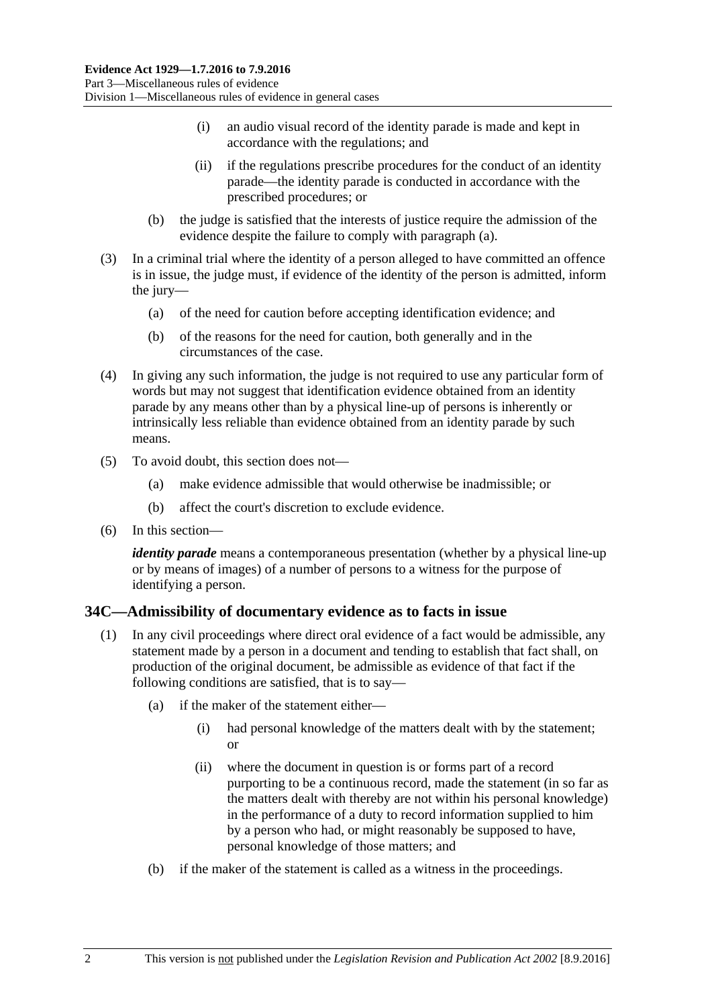- (i) an audio visual record of the identity parade is made and kept in accordance with the regulations; and
- (ii) if the regulations prescribe procedures for the conduct of an identity parade—the identity parade is conducted in accordance with the prescribed procedures; or
- (b) the judge is satisfied that the interests of justice require the admission of the evidence despite the failure to comply with [paragraph](#page-30-8) (a).
- (3) In a criminal trial where the identity of a person alleged to have committed an offence is in issue, the judge must, if evidence of the identity of the person is admitted, inform the jury—
	- (a) of the need for caution before accepting identification evidence; and
	- (b) of the reasons for the need for caution, both generally and in the circumstances of the case.
- (4) In giving any such information, the judge is not required to use any particular form of words but may not suggest that identification evidence obtained from an identity parade by any means other than by a physical line-up of persons is inherently or intrinsically less reliable than evidence obtained from an identity parade by such means.
- (5) To avoid doubt, this section does not—
	- (a) make evidence admissible that would otherwise be inadmissible; or
	- (b) affect the court's discretion to exclude evidence.
- (6) In this section—

*identity parade* means a contemporaneous presentation (whether by a physical line-up or by means of images) of a number of persons to a witness for the purpose of identifying a person.

### <span id="page-31-1"></span><span id="page-31-0"></span>**34C—Admissibility of documentary evidence as to facts in issue**

- (1) In any civil proceedings where direct oral evidence of a fact would be admissible, any statement made by a person in a document and tending to establish that fact shall, on production of the original document, be admissible as evidence of that fact if the following conditions are satisfied, that is to say—
	- (a) if the maker of the statement either—
		- (i) had personal knowledge of the matters dealt with by the statement; or
		- (ii) where the document in question is or forms part of a record purporting to be a continuous record, made the statement (in so far as the matters dealt with thereby are not within his personal knowledge) in the performance of a duty to record information supplied to him by a person who had, or might reasonably be supposed to have, personal knowledge of those matters; and
	- (b) if the maker of the statement is called as a witness in the proceedings.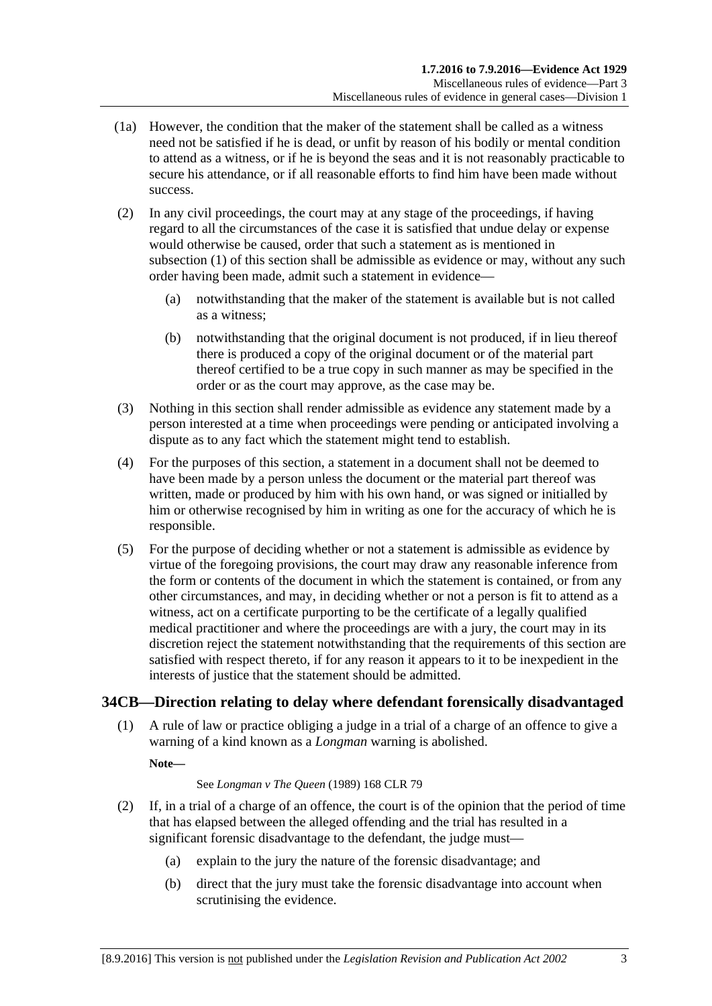- (1a) However, the condition that the maker of the statement shall be called as a witness need not be satisfied if he is dead, or unfit by reason of his bodily or mental condition to attend as a witness, or if he is beyond the seas and it is not reasonably practicable to secure his attendance, or if all reasonable efforts to find him have been made without success.
- (2) In any civil proceedings, the court may at any stage of the proceedings, if having regard to all the circumstances of the case it is satisfied that undue delay or expense would otherwise be caused, order that such a statement as is mentioned in [subsection](#page-31-1) (1) of this section shall be admissible as evidence or may, without any such order having been made, admit such a statement in evidence—
	- (a) notwithstanding that the maker of the statement is available but is not called as a witness;
	- (b) notwithstanding that the original document is not produced, if in lieu thereof there is produced a copy of the original document or of the material part thereof certified to be a true copy in such manner as may be specified in the order or as the court may approve, as the case may be.
- (3) Nothing in this section shall render admissible as evidence any statement made by a person interested at a time when proceedings were pending or anticipated involving a dispute as to any fact which the statement might tend to establish.
- (4) For the purposes of this section, a statement in a document shall not be deemed to have been made by a person unless the document or the material part thereof was written, made or produced by him with his own hand, or was signed or initialled by him or otherwise recognised by him in writing as one for the accuracy of which he is responsible.
- (5) For the purpose of deciding whether or not a statement is admissible as evidence by virtue of the foregoing provisions, the court may draw any reasonable inference from the form or contents of the document in which the statement is contained, or from any other circumstances, and may, in deciding whether or not a person is fit to attend as a witness, act on a certificate purporting to be the certificate of a legally qualified medical practitioner and where the proceedings are with a jury, the court may in its discretion reject the statement notwithstanding that the requirements of this section are satisfied with respect thereto, if for any reason it appears to it to be inexpedient in the interests of justice that the statement should be admitted.

### <span id="page-32-0"></span>**34CB—Direction relating to delay where defendant forensically disadvantaged**

(1) A rule of law or practice obliging a judge in a trial of a charge of an offence to give a warning of a kind known as a *Longman* warning is abolished.

**Note—**

#### See *Longman v The Queen* (1989) 168 CLR 79

- <span id="page-32-1"></span>(2) If, in a trial of a charge of an offence, the court is of the opinion that the period of time that has elapsed between the alleged offending and the trial has resulted in a significant forensic disadvantage to the defendant, the judge must—
	- (a) explain to the jury the nature of the forensic disadvantage; and
	- (b) direct that the jury must take the forensic disadvantage into account when scrutinising the evidence.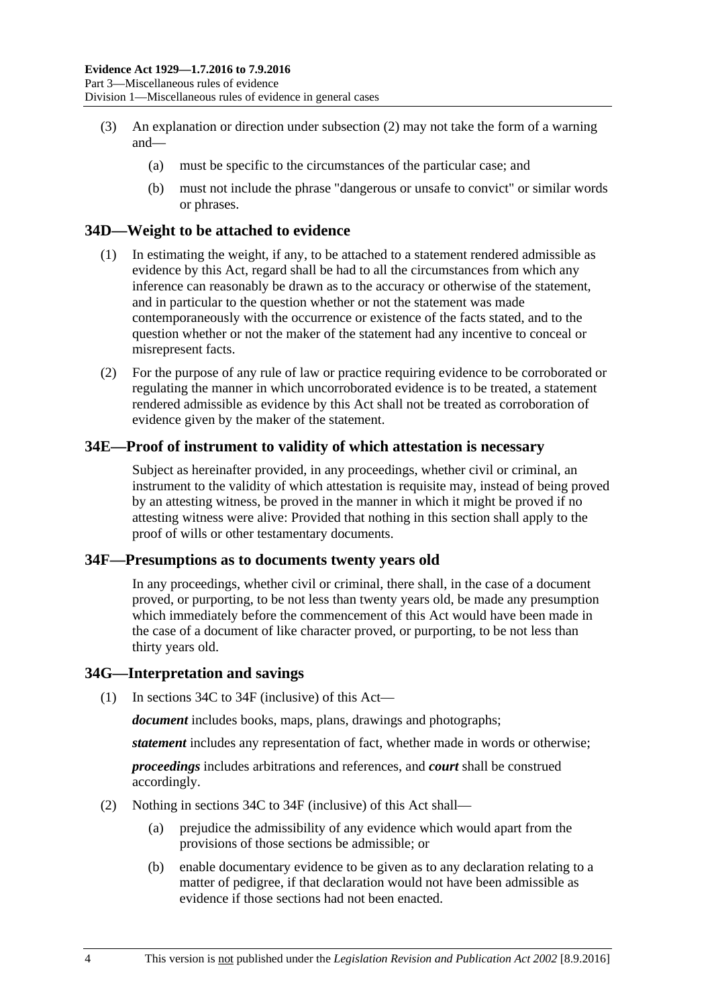- (3) An explanation or direction under [subsection](#page-32-1) (2) may not take the form of a warning and—
	- (a) must be specific to the circumstances of the particular case; and
	- (b) must not include the phrase "dangerous or unsafe to convict" or similar words or phrases.

### <span id="page-33-0"></span>**34D—Weight to be attached to evidence**

- (1) In estimating the weight, if any, to be attached to a statement rendered admissible as evidence by this Act, regard shall be had to all the circumstances from which any inference can reasonably be drawn as to the accuracy or otherwise of the statement, and in particular to the question whether or not the statement was made contemporaneously with the occurrence or existence of the facts stated, and to the question whether or not the maker of the statement had any incentive to conceal or misrepresent facts.
- (2) For the purpose of any rule of law or practice requiring evidence to be corroborated or regulating the manner in which uncorroborated evidence is to be treated, a statement rendered admissible as evidence by this Act shall not be treated as corroboration of evidence given by the maker of the statement.

### <span id="page-33-1"></span>**34E—Proof of instrument to validity of which attestation is necessary**

Subject as hereinafter provided, in any proceedings, whether civil or criminal, an instrument to the validity of which attestation is requisite may, instead of being proved by an attesting witness, be proved in the manner in which it might be proved if no attesting witness were alive: Provided that nothing in this section shall apply to the proof of wills or other testamentary documents.

#### <span id="page-33-2"></span>**34F—Presumptions as to documents twenty years old**

In any proceedings, whether civil or criminal, there shall, in the case of a document proved, or purporting, to be not less than twenty years old, be made any presumption which immediately before the commencement of this Act would have been made in the case of a document of like character proved, or purporting, to be not less than thirty years old.

#### <span id="page-33-3"></span>**34G—Interpretation and savings**

(1) In [sections](#page-31-0) 34C to [34F](#page-33-2) (inclusive) of this Act—

*document* includes books, maps, plans, drawings and photographs;

*statement* includes any representation of fact, whether made in words or otherwise;

*proceedings* includes arbitrations and references, and *court* shall be construed accordingly.

- (2) Nothing in [sections](#page-31-0) 34C to [34F](#page-33-2) (inclusive) of this Act shall—
	- (a) prejudice the admissibility of any evidence which would apart from the provisions of those sections be admissible; or
	- (b) enable documentary evidence to be given as to any declaration relating to a matter of pedigree, if that declaration would not have been admissible as evidence if those sections had not been enacted.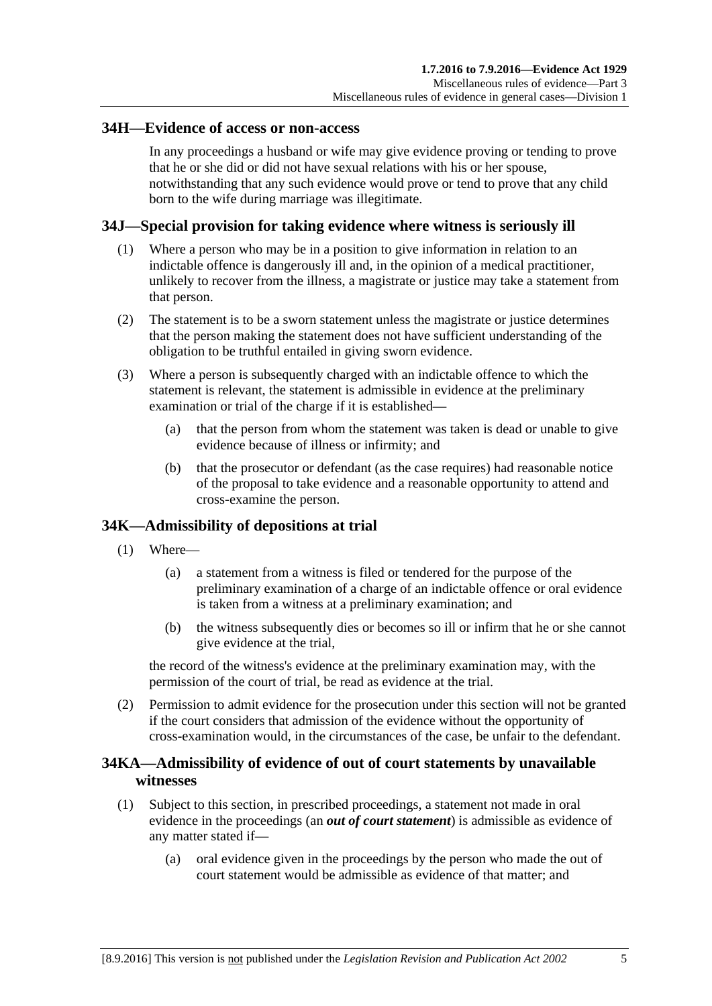### <span id="page-34-0"></span>**34H—Evidence of access or non-access**

In any proceedings a husband or wife may give evidence proving or tending to prove that he or she did or did not have sexual relations with his or her spouse, notwithstanding that any such evidence would prove or tend to prove that any child born to the wife during marriage was illegitimate.

### <span id="page-34-1"></span>**34J—Special provision for taking evidence where witness is seriously ill**

- (1) Where a person who may be in a position to give information in relation to an indictable offence is dangerously ill and, in the opinion of a medical practitioner, unlikely to recover from the illness, a magistrate or justice may take a statement from that person.
- (2) The statement is to be a sworn statement unless the magistrate or justice determines that the person making the statement does not have sufficient understanding of the obligation to be truthful entailed in giving sworn evidence.
- (3) Where a person is subsequently charged with an indictable offence to which the statement is relevant, the statement is admissible in evidence at the preliminary examination or trial of the charge if it is established—
	- (a) that the person from whom the statement was taken is dead or unable to give evidence because of illness or infirmity; and
	- (b) that the prosecutor or defendant (as the case requires) had reasonable notice of the proposal to take evidence and a reasonable opportunity to attend and cross-examine the person.

### <span id="page-34-2"></span>**34K—Admissibility of depositions at trial**

- (1) Where—
	- (a) a statement from a witness is filed or tendered for the purpose of the preliminary examination of a charge of an indictable offence or oral evidence is taken from a witness at a preliminary examination; and
	- (b) the witness subsequently dies or becomes so ill or infirm that he or she cannot give evidence at the trial,

the record of the witness's evidence at the preliminary examination may, with the permission of the court of trial, be read as evidence at the trial.

(2) Permission to admit evidence for the prosecution under this section will not be granted if the court considers that admission of the evidence without the opportunity of cross-examination would, in the circumstances of the case, be unfair to the defendant.

### <span id="page-34-3"></span>**34KA—Admissibility of evidence of out of court statements by unavailable witnesses**

- (1) Subject to this section, in prescribed proceedings, a statement not made in oral evidence in the proceedings (an *out of court statement*) is admissible as evidence of any matter stated if—
	- (a) oral evidence given in the proceedings by the person who made the out of court statement would be admissible as evidence of that matter; and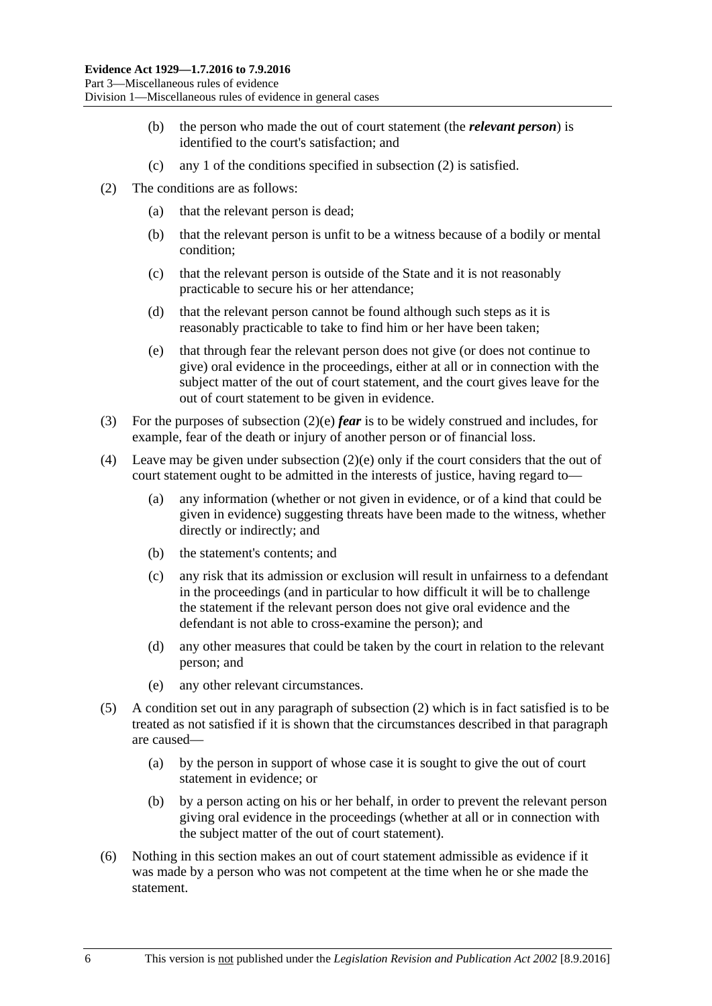- (b) the person who made the out of court statement (the *relevant person*) is identified to the court's satisfaction; and
- (c) any 1 of the conditions specified in [subsection](#page-35-0) (2) is satisfied.
- <span id="page-35-0"></span>(2) The conditions are as follows:
	- (a) that the relevant person is dead;
	- (b) that the relevant person is unfit to be a witness because of a bodily or mental condition;
	- (c) that the relevant person is outside of the State and it is not reasonably practicable to secure his or her attendance;
	- (d) that the relevant person cannot be found although such steps as it is reasonably practicable to take to find him or her have been taken;
	- (e) that through fear the relevant person does not give (or does not continue to give) oral evidence in the proceedings, either at all or in connection with the subject matter of the out of court statement, and the court gives leave for the out of court statement to be given in evidence.
- <span id="page-35-1"></span>(3) For the purposes of [subsection](#page-35-1) (2)(e) *fear* is to be widely construed and includes, for example, fear of the death or injury of another person or of financial loss.
- (4) Leave may be given under [subsection](#page-35-1) (2)(e) only if the court considers that the out of court statement ought to be admitted in the interests of justice, having regard to—
	- (a) any information (whether or not given in evidence, or of a kind that could be given in evidence) suggesting threats have been made to the witness, whether directly or indirectly; and
	- (b) the statement's contents; and
	- (c) any risk that its admission or exclusion will result in unfairness to a defendant in the proceedings (and in particular to how difficult it will be to challenge the statement if the relevant person does not give oral evidence and the defendant is not able to cross-examine the person); and
	- (d) any other measures that could be taken by the court in relation to the relevant person; and
	- (e) any other relevant circumstances.
- (5) A condition set out in any paragraph of [subsection](#page-35-0) (2) which is in fact satisfied is to be treated as not satisfied if it is shown that the circumstances described in that paragraph are caused—
	- (a) by the person in support of whose case it is sought to give the out of court statement in evidence; or
	- (b) by a person acting on his or her behalf, in order to prevent the relevant person giving oral evidence in the proceedings (whether at all or in connection with the subject matter of the out of court statement).
- (6) Nothing in this section makes an out of court statement admissible as evidence if it was made by a person who was not competent at the time when he or she made the statement.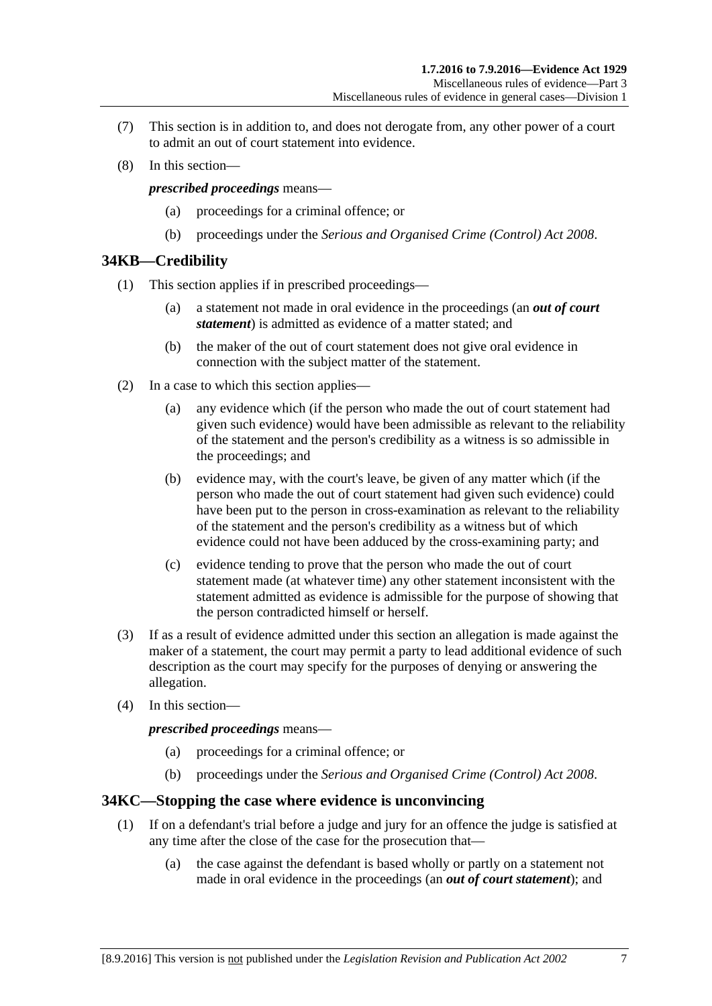- (7) This section is in addition to, and does not derogate from, any other power of a court to admit an out of court statement into evidence.
- (8) In this section—

*prescribed proceedings* means—

- (a) proceedings for a criminal offence; or
- (b) proceedings under the *[Serious and Organised Crime \(Control\) Act](http://www.legislation.sa.gov.au/index.aspx?action=legref&type=act&legtitle=Serious%20and%20Organised%20Crime%20(Control)%20Act%202008) 2008*.

# **34KB—Credibility**

- (1) This section applies if in prescribed proceedings—
	- (a) a statement not made in oral evidence in the proceedings (an *out of court statement*) is admitted as evidence of a matter stated; and
	- (b) the maker of the out of court statement does not give oral evidence in connection with the subject matter of the statement.
- (2) In a case to which this section applies—
	- (a) any evidence which (if the person who made the out of court statement had given such evidence) would have been admissible as relevant to the reliability of the statement and the person's credibility as a witness is so admissible in the proceedings; and
	- (b) evidence may, with the court's leave, be given of any matter which (if the person who made the out of court statement had given such evidence) could have been put to the person in cross-examination as relevant to the reliability of the statement and the person's credibility as a witness but of which evidence could not have been adduced by the cross-examining party; and
	- (c) evidence tending to prove that the person who made the out of court statement made (at whatever time) any other statement inconsistent with the statement admitted as evidence is admissible for the purpose of showing that the person contradicted himself or herself.
- (3) If as a result of evidence admitted under this section an allegation is made against the maker of a statement, the court may permit a party to lead additional evidence of such description as the court may specify for the purposes of denying or answering the allegation.
- (4) In this section—

*prescribed proceedings* means—

- (a) proceedings for a criminal offence; or
- (b) proceedings under the *[Serious and Organised Crime \(Control\) Act](http://www.legislation.sa.gov.au/index.aspx?action=legref&type=act&legtitle=Serious%20and%20Organised%20Crime%20(Control)%20Act%202008) 2008*.

### <span id="page-36-0"></span>**34KC—Stopping the case where evidence is unconvincing**

- (1) If on a defendant's trial before a judge and jury for an offence the judge is satisfied at any time after the close of the case for the prosecution that—
	- (a) the case against the defendant is based wholly or partly on a statement not made in oral evidence in the proceedings (an *out of court statement*); and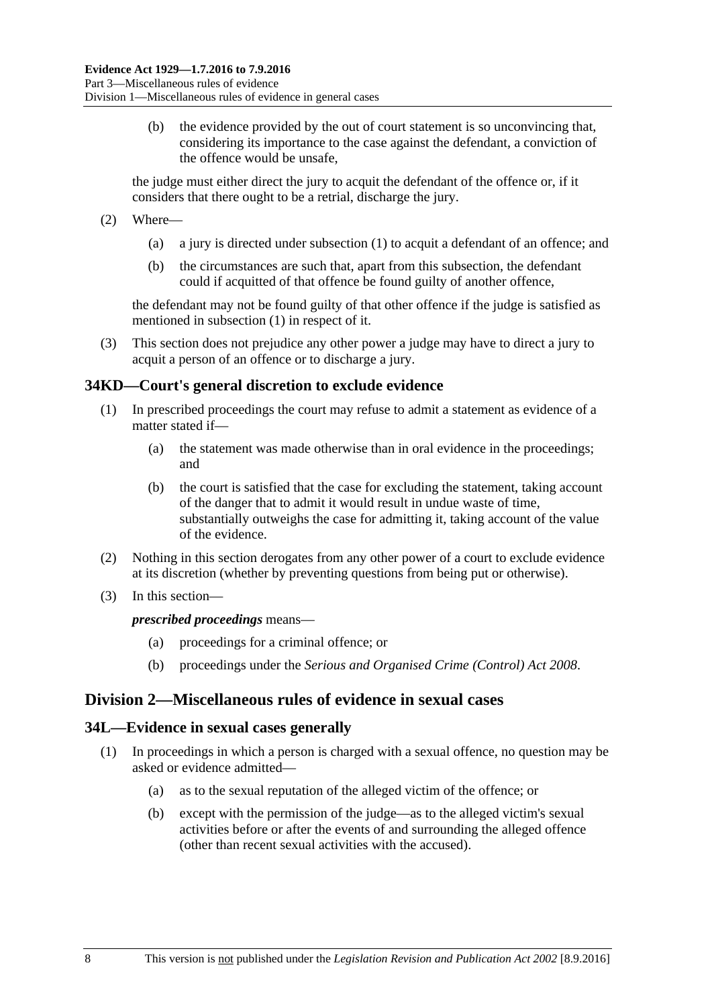(b) the evidence provided by the out of court statement is so unconvincing that, considering its importance to the case against the defendant, a conviction of the offence would be unsafe,

the judge must either direct the jury to acquit the defendant of the offence or, if it considers that there ought to be a retrial, discharge the jury.

- (2) Where—
	- (a) a jury is directed under [subsection](#page-36-0) (1) to acquit a defendant of an offence; and
	- (b) the circumstances are such that, apart from this subsection, the defendant could if acquitted of that offence be found guilty of another offence,

the defendant may not be found guilty of that other offence if the judge is satisfied as mentioned in [subsection](#page-36-0) (1) in respect of it.

(3) This section does not prejudice any other power a judge may have to direct a jury to acquit a person of an offence or to discharge a jury.

### **34KD—Court's general discretion to exclude evidence**

- (1) In prescribed proceedings the court may refuse to admit a statement as evidence of a matter stated if—
	- (a) the statement was made otherwise than in oral evidence in the proceedings; and
	- (b) the court is satisfied that the case for excluding the statement, taking account of the danger that to admit it would result in undue waste of time, substantially outweighs the case for admitting it, taking account of the value of the evidence.
- (2) Nothing in this section derogates from any other power of a court to exclude evidence at its discretion (whether by preventing questions from being put or otherwise).
- (3) In this section—

### *prescribed proceedings* means—

- (a) proceedings for a criminal offence; or
- (b) proceedings under the *[Serious and Organised Crime \(Control\) Act](http://www.legislation.sa.gov.au/index.aspx?action=legref&type=act&legtitle=Serious%20and%20Organised%20Crime%20(Control)%20Act%202008) 2008*.

# **Division 2—Miscellaneous rules of evidence in sexual cases**

### **34L—Evidence in sexual cases generally**

- <span id="page-37-0"></span>(1) In proceedings in which a person is charged with a sexual offence, no question may be asked or evidence admitted—
	- (a) as to the sexual reputation of the alleged victim of the offence; or
	- (b) except with the permission of the judge—as to the alleged victim's sexual activities before or after the events of and surrounding the alleged offence (other than recent sexual activities with the accused).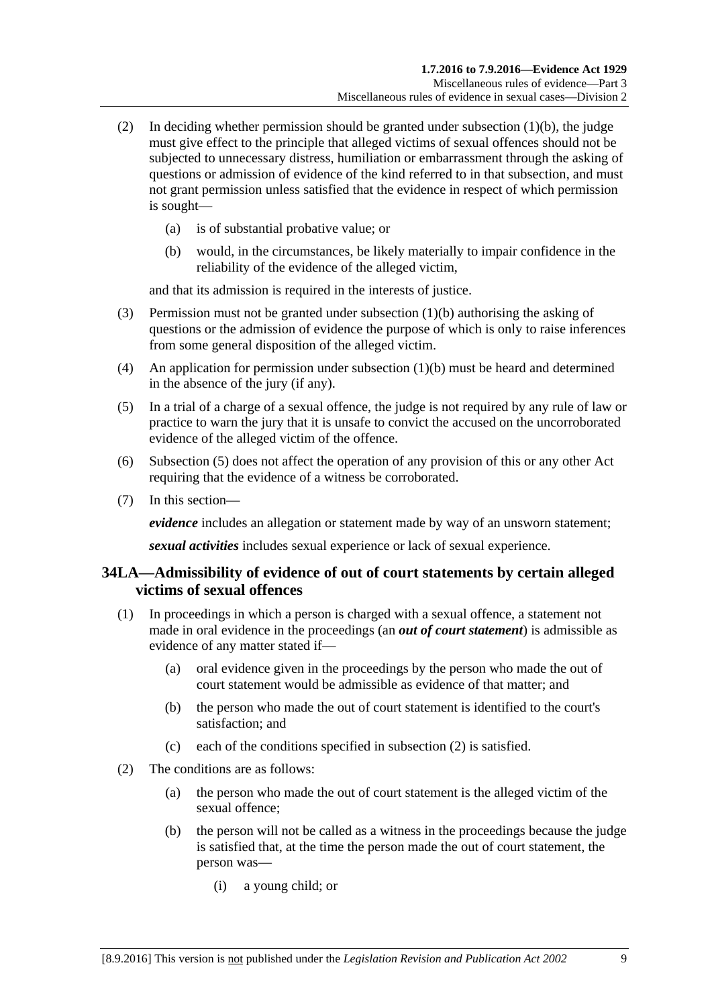- (2) In deciding whether permission should be granted under [subsection](#page-37-0)  $(1)(b)$ , the judge must give effect to the principle that alleged victims of sexual offences should not be subjected to unnecessary distress, humiliation or embarrassment through the asking of questions or admission of evidence of the kind referred to in that subsection, and must not grant permission unless satisfied that the evidence in respect of which permission is sought—
	- (a) is of substantial probative value; or
	- (b) would, in the circumstances, be likely materially to impair confidence in the reliability of the evidence of the alleged victim,

and that its admission is required in the interests of justice.

- (3) Permission must not be granted under [subsection](#page-37-0) (1)(b) authorising the asking of questions or the admission of evidence the purpose of which is only to raise inferences from some general disposition of the alleged victim.
- (4) An application for permission under [subsection](#page-37-0) (1)(b) must be heard and determined in the absence of the jury (if any).
- <span id="page-38-0"></span>(5) In a trial of a charge of a sexual offence, the judge is not required by any rule of law or practice to warn the jury that it is unsafe to convict the accused on the uncorroborated evidence of the alleged victim of the offence.
- (6) [Subsection](#page-38-0) (5) does not affect the operation of any provision of this or any other Act requiring that the evidence of a witness be corroborated.
- (7) In this section—

*evidence* includes an allegation or statement made by way of an unsworn statement;

*sexual activities* includes sexual experience or lack of sexual experience.

### **34LA—Admissibility of evidence of out of court statements by certain alleged victims of sexual offences**

- (1) In proceedings in which a person is charged with a sexual offence, a statement not made in oral evidence in the proceedings (an *out of court statement*) is admissible as evidence of any matter stated if—
	- (a) oral evidence given in the proceedings by the person who made the out of court statement would be admissible as evidence of that matter; and
	- (b) the person who made the out of court statement is identified to the court's satisfaction; and
	- (c) each of the conditions specified in [subsection](#page-38-1) (2) is satisfied.
- <span id="page-38-2"></span><span id="page-38-1"></span>(2) The conditions are as follows:
	- (a) the person who made the out of court statement is the alleged victim of the sexual offence;
	- (b) the person will not be called as a witness in the proceedings because the judge is satisfied that, at the time the person made the out of court statement, the person was—
		- (i) a young child; or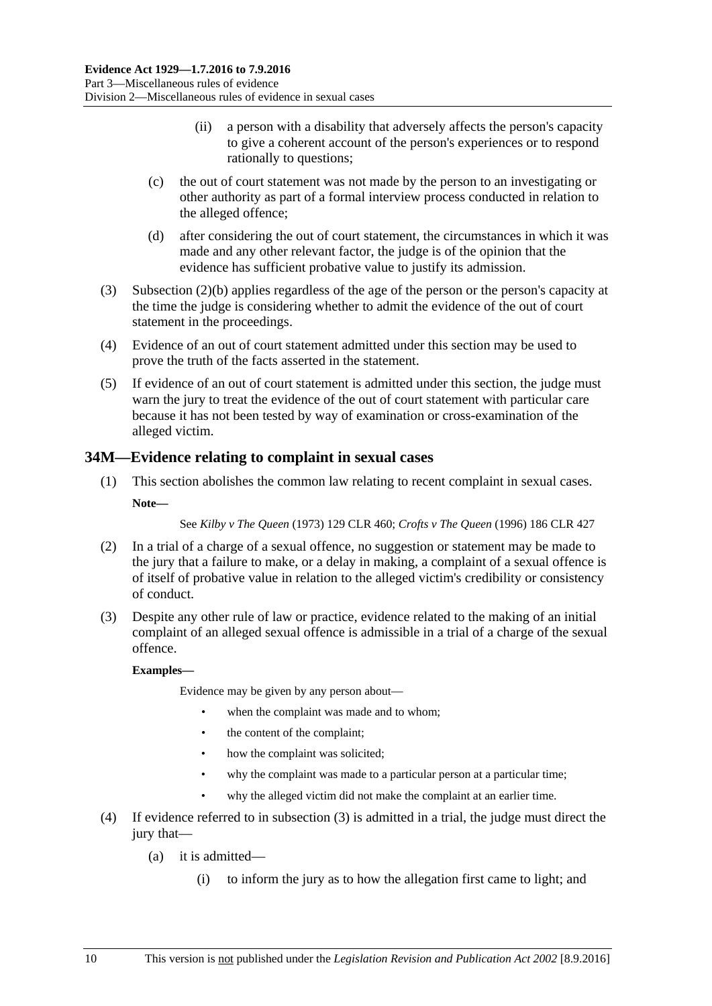- (ii) a person with a disability that adversely affects the person's capacity to give a coherent account of the person's experiences or to respond rationally to questions;
- (c) the out of court statement was not made by the person to an investigating or other authority as part of a formal interview process conducted in relation to the alleged offence;
- (d) after considering the out of court statement, the circumstances in which it was made and any other relevant factor, the judge is of the opinion that the evidence has sufficient probative value to justify its admission.
- (3) [Subsection \(2\)\(b\)](#page-38-2) applies regardless of the age of the person or the person's capacity at the time the judge is considering whether to admit the evidence of the out of court statement in the proceedings.
- (4) Evidence of an out of court statement admitted under this section may be used to prove the truth of the facts asserted in the statement.
- (5) If evidence of an out of court statement is admitted under this section, the judge must warn the jury to treat the evidence of the out of court statement with particular care because it has not been tested by way of examination or cross-examination of the alleged victim.

# **34M—Evidence relating to complaint in sexual cases**

(1) This section abolishes the common law relating to recent complaint in sexual cases. **Note—**

See *Kilby v The Queen* (1973) 129 CLR 460; *Crofts v The Queen* (1996) 186 CLR 427

- (2) In a trial of a charge of a sexual offence, no suggestion or statement may be made to the jury that a failure to make, or a delay in making, a complaint of a sexual offence is of itself of probative value in relation to the alleged victim's credibility or consistency of conduct.
- <span id="page-39-0"></span>(3) Despite any other rule of law or practice, evidence related to the making of an initial complaint of an alleged sexual offence is admissible in a trial of a charge of the sexual offence.

#### **Examples—**

Evidence may be given by any person about—

- when the complaint was made and to whom;
- the content of the complaint;
- how the complaint was solicited;
- why the complaint was made to a particular person at a particular time;
- why the alleged victim did not make the complaint at an earlier time.
- <span id="page-39-1"></span>(4) If evidence referred to in [subsection](#page-39-0) (3) is admitted in a trial, the judge must direct the jury that—
	- (a) it is admitted—
		- (i) to inform the jury as to how the allegation first came to light; and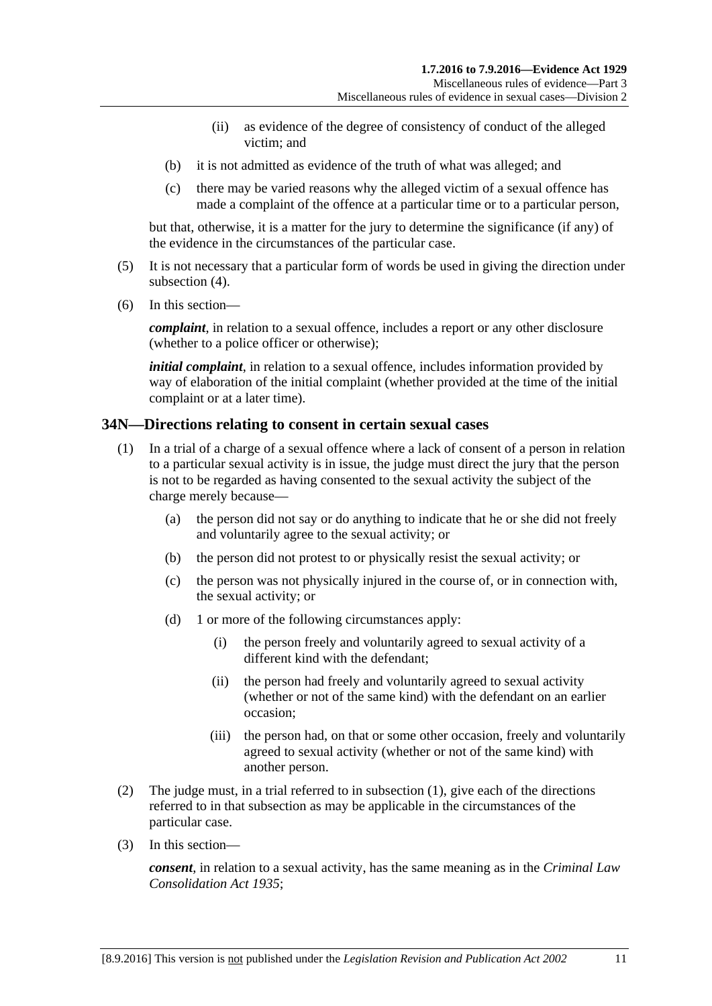- (ii) as evidence of the degree of consistency of conduct of the alleged victim; and
- (b) it is not admitted as evidence of the truth of what was alleged; and
- (c) there may be varied reasons why the alleged victim of a sexual offence has made a complaint of the offence at a particular time or to a particular person,

but that, otherwise, it is a matter for the jury to determine the significance (if any) of the evidence in the circumstances of the particular case.

- (5) It is not necessary that a particular form of words be used in giving the direction under [subsection](#page-39-1) (4).
- (6) In this section—

*complaint*, in relation to a sexual offence, includes a report or any other disclosure (whether to a police officer or otherwise);

*initial complaint*, in relation to a sexual offence, includes information provided by way of elaboration of the initial complaint (whether provided at the time of the initial complaint or at a later time).

### <span id="page-40-0"></span>**34N—Directions relating to consent in certain sexual cases**

- (1) In a trial of a charge of a sexual offence where a lack of consent of a person in relation to a particular sexual activity is in issue, the judge must direct the jury that the person is not to be regarded as having consented to the sexual activity the subject of the charge merely because—
	- (a) the person did not say or do anything to indicate that he or she did not freely and voluntarily agree to the sexual activity; or
	- (b) the person did not protest to or physically resist the sexual activity; or
	- (c) the person was not physically injured in the course of, or in connection with, the sexual activity; or
	- (d) 1 or more of the following circumstances apply:
		- (i) the person freely and voluntarily agreed to sexual activity of a different kind with the defendant;
		- (ii) the person had freely and voluntarily agreed to sexual activity (whether or not of the same kind) with the defendant on an earlier occasion;
		- (iii) the person had, on that or some other occasion, freely and voluntarily agreed to sexual activity (whether or not of the same kind) with another person.
- (2) The judge must, in a trial referred to in [subsection](#page-40-0) (1), give each of the directions referred to in that subsection as may be applicable in the circumstances of the particular case.
- (3) In this section—

*consent*, in relation to a sexual activity, has the same meaning as in the *[Criminal Law](http://www.legislation.sa.gov.au/index.aspx?action=legref&type=act&legtitle=Criminal%20Law%20Consolidation%20Act%201935)  [Consolidation Act](http://www.legislation.sa.gov.au/index.aspx?action=legref&type=act&legtitle=Criminal%20Law%20Consolidation%20Act%201935) 1935*;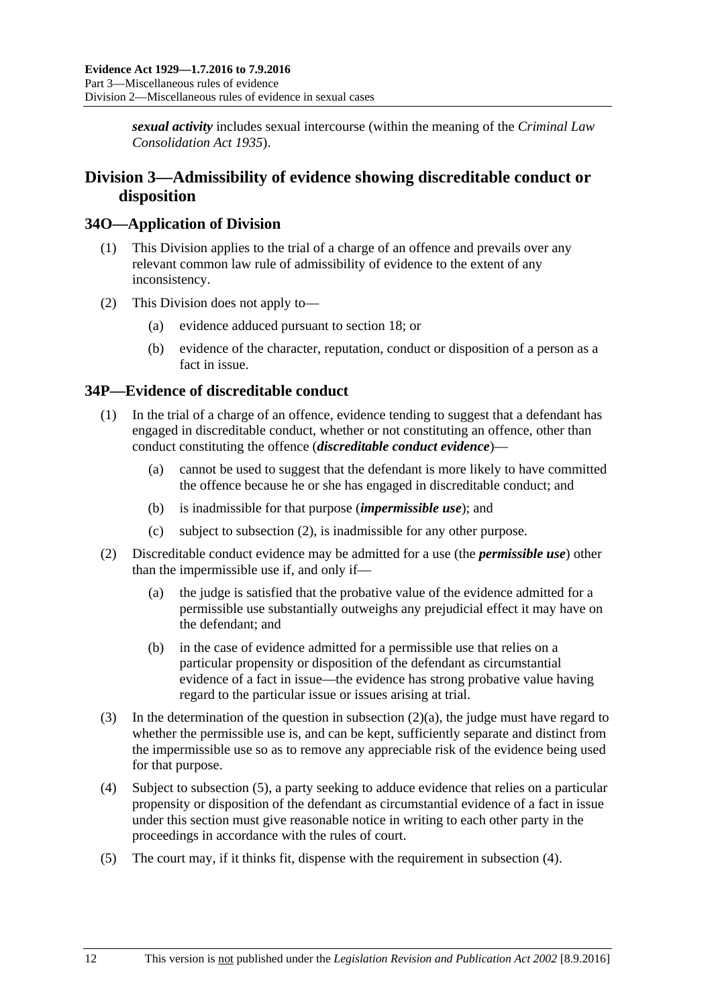*sexual activity* includes sexual intercourse (within the meaning of the *[Criminal Law](http://www.legislation.sa.gov.au/index.aspx?action=legref&type=act&legtitle=Criminal%20Law%20Consolidation%20Act%201935)  [Consolidation Act](http://www.legislation.sa.gov.au/index.aspx?action=legref&type=act&legtitle=Criminal%20Law%20Consolidation%20Act%201935) 1935*).

# **Division 3—Admissibility of evidence showing discreditable conduct or disposition**

# **34O—Application of Division**

- (1) This Division applies to the trial of a charge of an offence and prevails over any relevant common law rule of admissibility of evidence to the extent of any inconsistency.
- (2) This Division does not apply to—
	- (a) evidence adduced pursuant to [section](#page-24-0) 18; or
	- (b) evidence of the character, reputation, conduct or disposition of a person as a fact in issue.

# <span id="page-41-4"></span>**34P—Evidence of discreditable conduct**

- (1) In the trial of a charge of an offence, evidence tending to suggest that a defendant has engaged in discreditable conduct, whether or not constituting an offence, other than conduct constituting the offence (*discreditable conduct evidence*)—
	- (a) cannot be used to suggest that the defendant is more likely to have committed the offence because he or she has engaged in discreditable conduct; and
	- (b) is inadmissible for that purpose (*impermissible use*); and
	- (c) subject to [subsection](#page-41-0) (2), is inadmissible for any other purpose.
- <span id="page-41-1"></span><span id="page-41-0"></span>(2) Discreditable conduct evidence may be admitted for a use (the *permissible use*) other than the impermissible use if, and only if—
	- (a) the judge is satisfied that the probative value of the evidence admitted for a permissible use substantially outweighs any prejudicial effect it may have on the defendant; and
	- (b) in the case of evidence admitted for a permissible use that relies on a particular propensity or disposition of the defendant as circumstantial evidence of a fact in issue—the evidence has strong probative value having regard to the particular issue or issues arising at trial.
- (3) In the determination of the question in [subsection](#page-41-1) (2)(a), the judge must have regard to whether the permissible use is, and can be kept, sufficiently separate and distinct from the impermissible use so as to remove any appreciable risk of the evidence being used for that purpose.
- <span id="page-41-3"></span>(4) Subject to [subsection](#page-41-2) (5), a party seeking to adduce evidence that relies on a particular propensity or disposition of the defendant as circumstantial evidence of a fact in issue under this section must give reasonable notice in writing to each other party in the proceedings in accordance with the rules of court.
- <span id="page-41-2"></span>(5) The court may, if it thinks fit, dispense with the requirement in [subsection](#page-41-3) (4).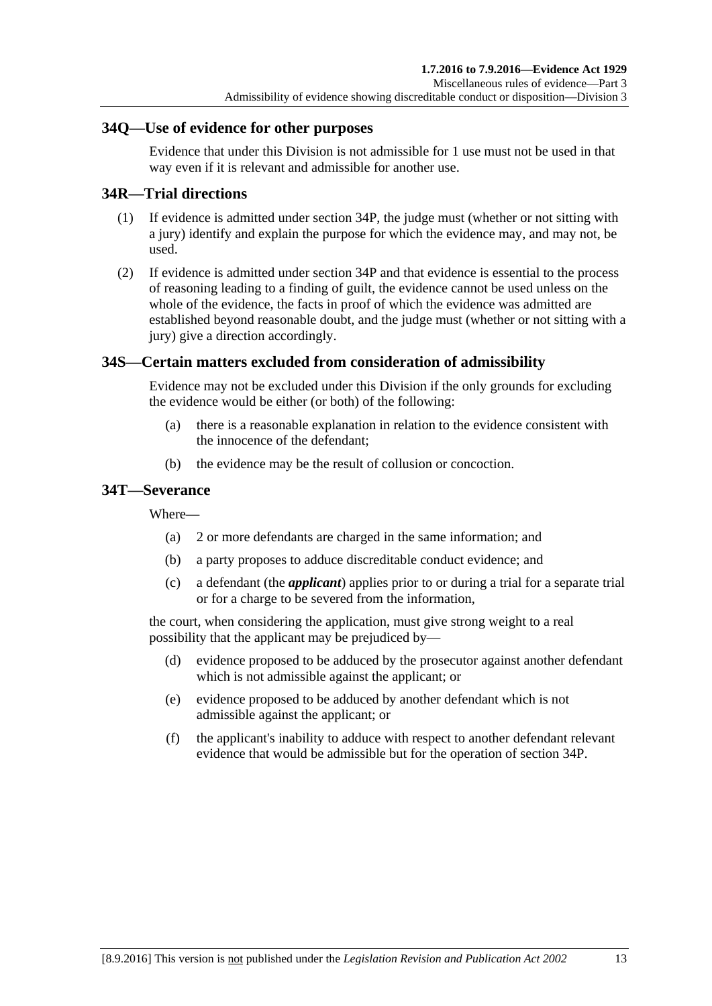# **34Q—Use of evidence for other purposes**

Evidence that under this Division is not admissible for 1 use must not be used in that way even if it is relevant and admissible for another use.

# **34R—Trial directions**

- (1) If evidence is admitted under [section](#page-41-4) 34P, the judge must (whether or not sitting with a jury) identify and explain the purpose for which the evidence may, and may not, be used.
- (2) If evidence is admitted under [section](#page-41-4) 34P and that evidence is essential to the process of reasoning leading to a finding of guilt, the evidence cannot be used unless on the whole of the evidence, the facts in proof of which the evidence was admitted are established beyond reasonable doubt, and the judge must (whether or not sitting with a jury) give a direction accordingly.

# **34S—Certain matters excluded from consideration of admissibility**

Evidence may not be excluded under this Division if the only grounds for excluding the evidence would be either (or both) of the following:

- (a) there is a reasonable explanation in relation to the evidence consistent with the innocence of the defendant;
- (b) the evidence may be the result of collusion or concoction.

# **34T—Severance**

Where—

- (a) 2 or more defendants are charged in the same information; and
- (b) a party proposes to adduce discreditable conduct evidence; and
- (c) a defendant (the *applicant*) applies prior to or during a trial for a separate trial or for a charge to be severed from the information,

the court, when considering the application, must give strong weight to a real possibility that the applicant may be prejudiced by—

- (d) evidence proposed to be adduced by the prosecutor against another defendant which is not admissible against the applicant; or
- (e) evidence proposed to be adduced by another defendant which is not admissible against the applicant; or
- (f) the applicant's inability to adduce with respect to another defendant relevant evidence that would be admissible but for the operation of [section](#page-41-4) 34P.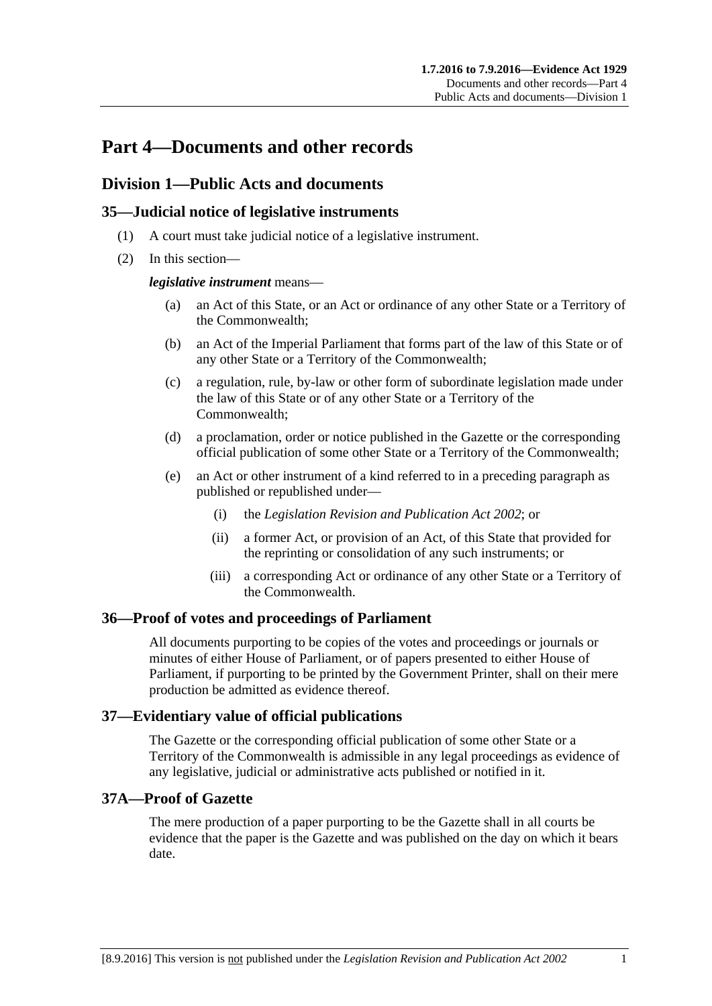# **Part 4—Documents and other records**

# **Division 1—Public Acts and documents**

# **35—Judicial notice of legislative instruments**

- (1) A court must take judicial notice of a legislative instrument.
- (2) In this section—

### *legislative instrument* means—

- (a) an Act of this State, or an Act or ordinance of any other State or a Territory of the Commonwealth;
- (b) an Act of the Imperial Parliament that forms part of the law of this State or of any other State or a Territory of the Commonwealth;
- (c) a regulation, rule, by-law or other form of subordinate legislation made under the law of this State or of any other State or a Territory of the Commonwealth;
- (d) a proclamation, order or notice published in the Gazette or the corresponding official publication of some other State or a Territory of the Commonwealth;
- (e) an Act or other instrument of a kind referred to in a preceding paragraph as published or republished under—
	- (i) the *[Legislation Revision and Publication Act](http://www.legislation.sa.gov.au/index.aspx?action=legref&type=act&legtitle=Legislation%20Revision%20and%20Publication%20Act%202002) 2002*; or
	- (ii) a former Act, or provision of an Act, of this State that provided for the reprinting or consolidation of any such instruments; or
	- (iii) a corresponding Act or ordinance of any other State or a Territory of the Commonwealth.

# **36—Proof of votes and proceedings of Parliament**

All documents purporting to be copies of the votes and proceedings or journals or minutes of either House of Parliament, or of papers presented to either House of Parliament, if purporting to be printed by the Government Printer, shall on their mere production be admitted as evidence thereof.

# **37—Evidentiary value of official publications**

The Gazette or the corresponding official publication of some other State or a Territory of the Commonwealth is admissible in any legal proceedings as evidence of any legislative, judicial or administrative acts published or notified in it.

# **37A—Proof of Gazette**

The mere production of a paper purporting to be the Gazette shall in all courts be evidence that the paper is the Gazette and was published on the day on which it bears date.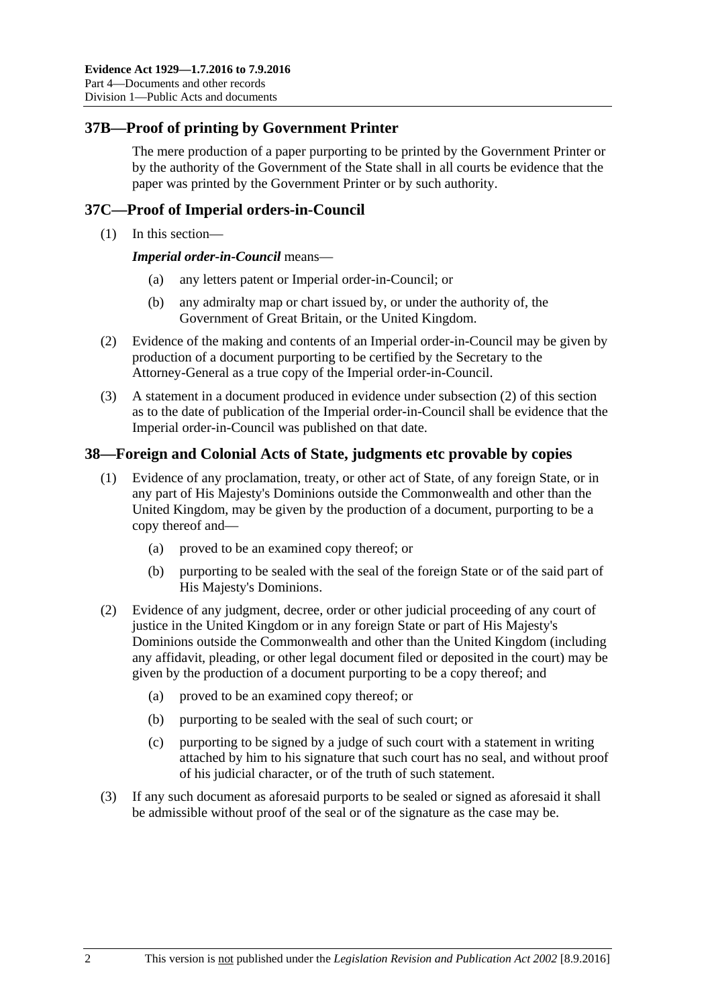# **37B—Proof of printing by Government Printer**

The mere production of a paper purporting to be printed by the Government Printer or by the authority of the Government of the State shall in all courts be evidence that the paper was printed by the Government Printer or by such authority.

### **37C—Proof of Imperial orders-in-Council**

(1) In this section—

*Imperial order-in-Council* means—

- (a) any letters patent or Imperial order-in-Council; or
- (b) any admiralty map or chart issued by, or under the authority of, the Government of Great Britain, or the United Kingdom.
- <span id="page-45-0"></span>(2) Evidence of the making and contents of an Imperial order-in-Council may be given by production of a document purporting to be certified by the Secretary to the Attorney-General as a true copy of the Imperial order-in-Council.
- (3) A statement in a document produced in evidence under [subsection](#page-45-0) (2) of this section as to the date of publication of the Imperial order-in-Council shall be evidence that the Imperial order-in-Council was published on that date.

### **38—Foreign and Colonial Acts of State, judgments etc provable by copies**

- (1) Evidence of any proclamation, treaty, or other act of State, of any foreign State, or in any part of His Majesty's Dominions outside the Commonwealth and other than the United Kingdom, may be given by the production of a document, purporting to be a copy thereof and—
	- (a) proved to be an examined copy thereof; or
	- (b) purporting to be sealed with the seal of the foreign State or of the said part of His Majesty's Dominions.
- (2) Evidence of any judgment, decree, order or other judicial proceeding of any court of justice in the United Kingdom or in any foreign State or part of His Majesty's Dominions outside the Commonwealth and other than the United Kingdom (including any affidavit, pleading, or other legal document filed or deposited in the court) may be given by the production of a document purporting to be a copy thereof; and
	- (a) proved to be an examined copy thereof; or
	- (b) purporting to be sealed with the seal of such court; or
	- (c) purporting to be signed by a judge of such court with a statement in writing attached by him to his signature that such court has no seal, and without proof of his judicial character, or of the truth of such statement.
- (3) If any such document as aforesaid purports to be sealed or signed as aforesaid it shall be admissible without proof of the seal or of the signature as the case may be.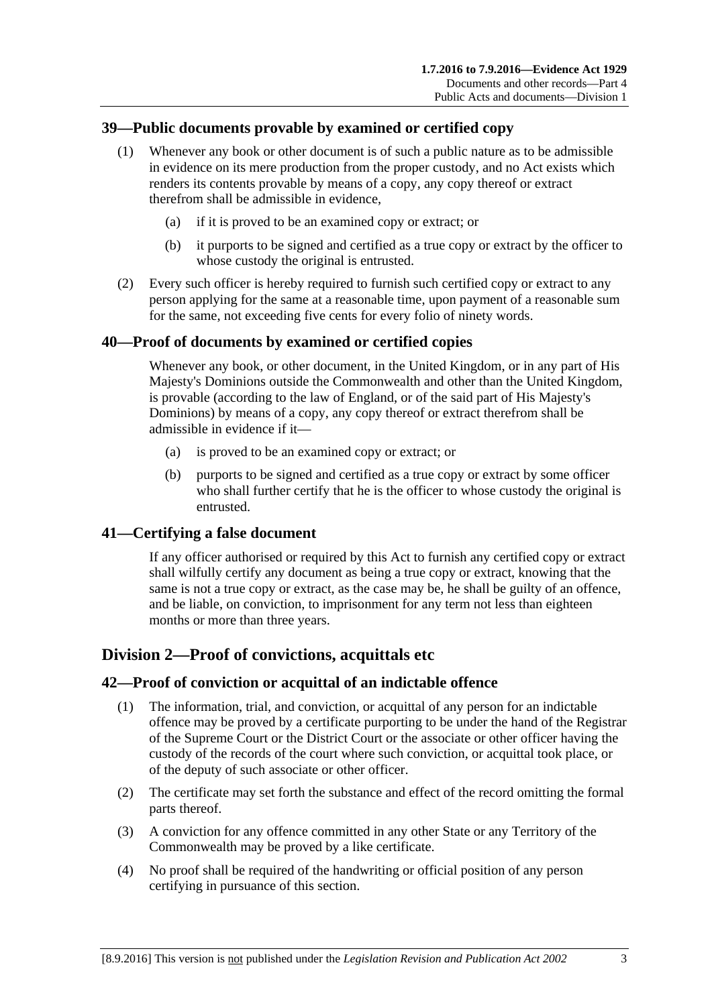# **39—Public documents provable by examined or certified copy**

- (1) Whenever any book or other document is of such a public nature as to be admissible in evidence on its mere production from the proper custody, and no Act exists which renders its contents provable by means of a copy, any copy thereof or extract therefrom shall be admissible in evidence,
	- (a) if it is proved to be an examined copy or extract; or
	- (b) it purports to be signed and certified as a true copy or extract by the officer to whose custody the original is entrusted.
- (2) Every such officer is hereby required to furnish such certified copy or extract to any person applying for the same at a reasonable time, upon payment of a reasonable sum for the same, not exceeding five cents for every folio of ninety words.

# **40—Proof of documents by examined or certified copies**

Whenever any book, or other document, in the United Kingdom, or in any part of His Majesty's Dominions outside the Commonwealth and other than the United Kingdom, is provable (according to the law of England, or of the said part of His Majesty's Dominions) by means of a copy, any copy thereof or extract therefrom shall be admissible in evidence if it—

- (a) is proved to be an examined copy or extract; or
- (b) purports to be signed and certified as a true copy or extract by some officer who shall further certify that he is the officer to whose custody the original is entrusted.

# **41—Certifying a false document**

If any officer authorised or required by this Act to furnish any certified copy or extract shall wilfully certify any document as being a true copy or extract, knowing that the same is not a true copy or extract, as the case may be, he shall be guilty of an offence, and be liable, on conviction, to imprisonment for any term not less than eighteen months or more than three years.

# **Division 2—Proof of convictions, acquittals etc**

# **42—Proof of conviction or acquittal of an indictable offence**

- (1) The information, trial, and conviction, or acquittal of any person for an indictable offence may be proved by a certificate purporting to be under the hand of the Registrar of the Supreme Court or the District Court or the associate or other officer having the custody of the records of the court where such conviction, or acquittal took place, or of the deputy of such associate or other officer.
- (2) The certificate may set forth the substance and effect of the record omitting the formal parts thereof.
- (3) A conviction for any offence committed in any other State or any Territory of the Commonwealth may be proved by a like certificate.
- (4) No proof shall be required of the handwriting or official position of any person certifying in pursuance of this section.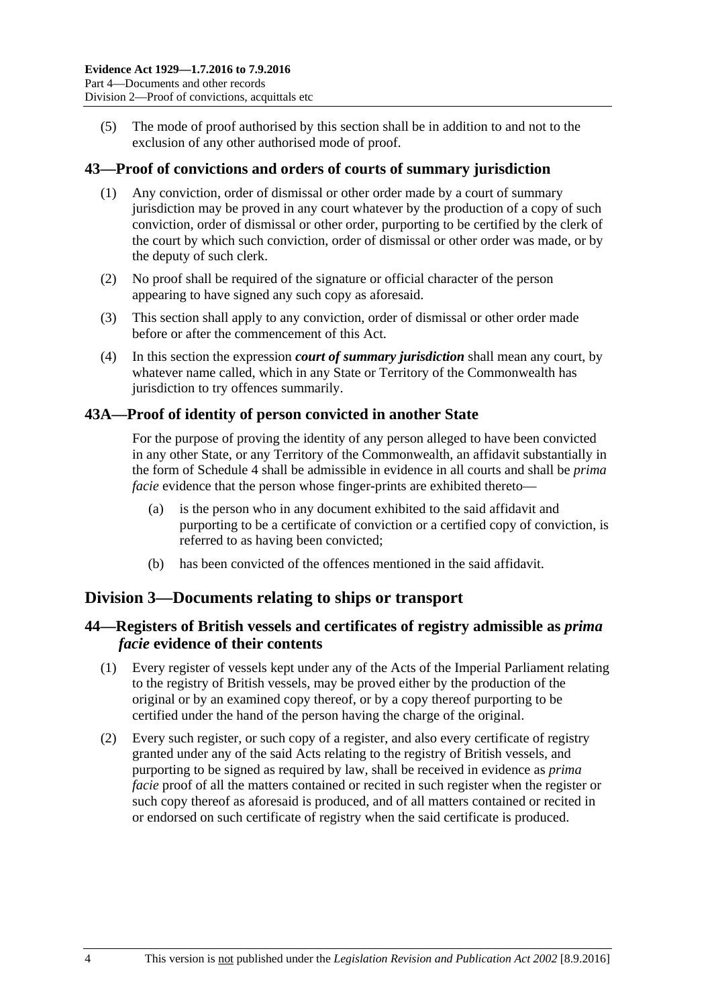(5) The mode of proof authorised by this section shall be in addition to and not to the exclusion of any other authorised mode of proof.

# **43—Proof of convictions and orders of courts of summary jurisdiction**

- (1) Any conviction, order of dismissal or other order made by a court of summary jurisdiction may be proved in any court whatever by the production of a copy of such conviction, order of dismissal or other order, purporting to be certified by the clerk of the court by which such conviction, order of dismissal or other order was made, or by the deputy of such clerk.
- (2) No proof shall be required of the signature or official character of the person appearing to have signed any such copy as aforesaid.
- (3) This section shall apply to any conviction, order of dismissal or other order made before or after the commencement of this Act.
- (4) In this section the expression *court of summary jurisdiction* shall mean any court, by whatever name called, which in any State or Territory of the Commonwealth has jurisdiction to try offences summarily.

# **43A—Proof of identity of person convicted in another State**

For the purpose of proving the identity of any person alleged to have been convicted in any other State, or any Territory of the Commonwealth, an affidavit substantially in the form of [Schedule 4](#page-95-0) shall be admissible in evidence in all courts and shall be *prima facie* evidence that the person whose finger-prints are exhibited thereto—

- (a) is the person who in any document exhibited to the said affidavit and purporting to be a certificate of conviction or a certified copy of conviction, is referred to as having been convicted;
- (b) has been convicted of the offences mentioned in the said affidavit.

# **Division 3—Documents relating to ships or transport**

# **44—Registers of British vessels and certificates of registry admissible as** *prima facie* **evidence of their contents**

- (1) Every register of vessels kept under any of the Acts of the Imperial Parliament relating to the registry of British vessels, may be proved either by the production of the original or by an examined copy thereof, or by a copy thereof purporting to be certified under the hand of the person having the charge of the original.
- (2) Every such register, or such copy of a register, and also every certificate of registry granted under any of the said Acts relating to the registry of British vessels, and purporting to be signed as required by law, shall be received in evidence as *prima facie* proof of all the matters contained or recited in such register when the register or such copy thereof as aforesaid is produced, and of all matters contained or recited in or endorsed on such certificate of registry when the said certificate is produced.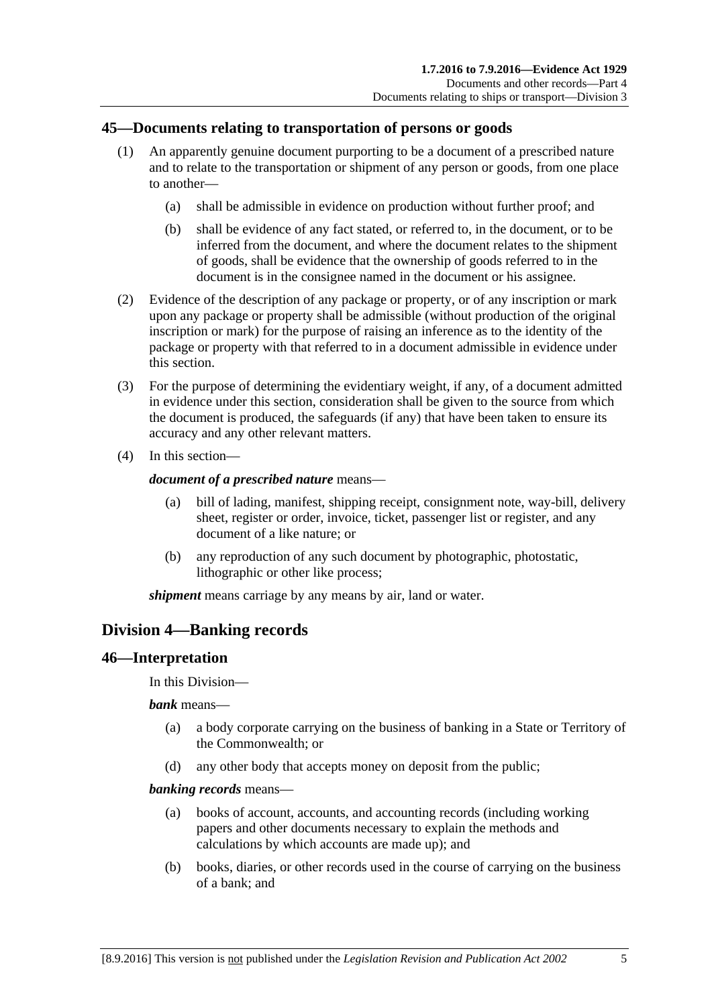# **45—Documents relating to transportation of persons or goods**

- (1) An apparently genuine document purporting to be a document of a prescribed nature and to relate to the transportation or shipment of any person or goods, from one place to another—
	- (a) shall be admissible in evidence on production without further proof; and
	- (b) shall be evidence of any fact stated, or referred to, in the document, or to be inferred from the document, and where the document relates to the shipment of goods, shall be evidence that the ownership of goods referred to in the document is in the consignee named in the document or his assignee.
- (2) Evidence of the description of any package or property, or of any inscription or mark upon any package or property shall be admissible (without production of the original inscription or mark) for the purpose of raising an inference as to the identity of the package or property with that referred to in a document admissible in evidence under this section.
- (3) For the purpose of determining the evidentiary weight, if any, of a document admitted in evidence under this section, consideration shall be given to the source from which the document is produced, the safeguards (if any) that have been taken to ensure its accuracy and any other relevant matters.
- (4) In this section—

### *document of a prescribed nature* means—

- (a) bill of lading, manifest, shipping receipt, consignment note, way-bill, delivery sheet, register or order, invoice, ticket, passenger list or register, and any document of a like nature; or
- (b) any reproduction of any such document by photographic, photostatic, lithographic or other like process;

*shipment* means carriage by any means by air, land or water.

# **Division 4—Banking records**

# **46—Interpretation**

In this Division—

*bank* means—

- (a) a body corporate carrying on the business of banking in a State or Territory of the Commonwealth; or
- (d) any other body that accepts money on deposit from the public;

### *banking records* means—

- (a) books of account, accounts, and accounting records (including working papers and other documents necessary to explain the methods and calculations by which accounts are made up); and
- (b) books, diaries, or other records used in the course of carrying on the business of a bank; and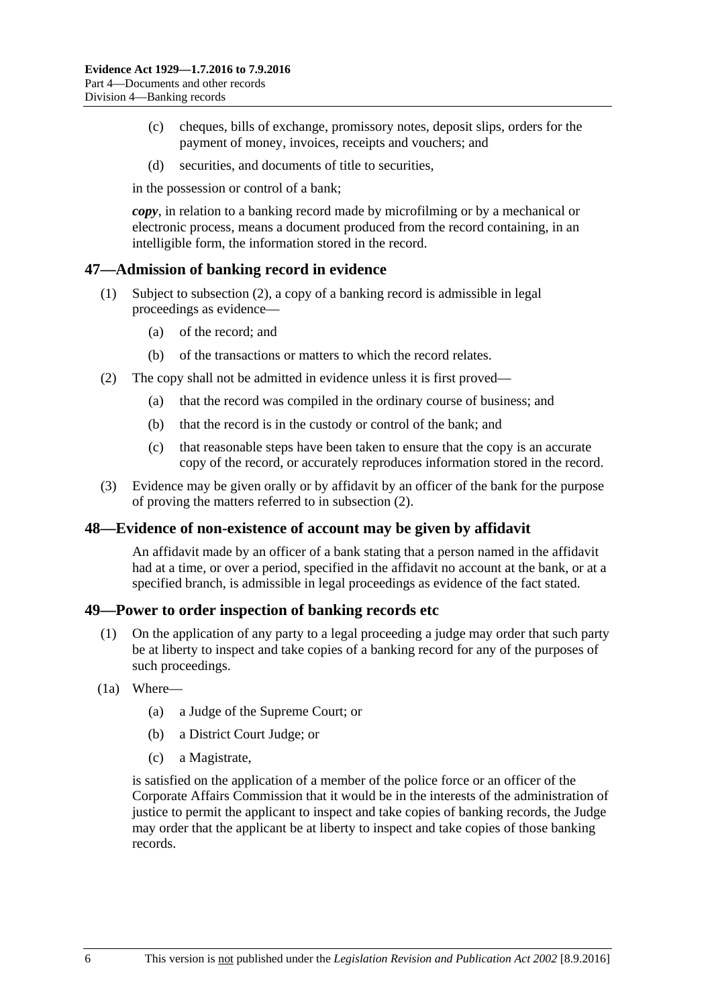- (c) cheques, bills of exchange, promissory notes, deposit slips, orders for the payment of money, invoices, receipts and vouchers; and
- (d) securities, and documents of title to securities,

in the possession or control of a bank;

*copy*, in relation to a banking record made by microfilming or by a mechanical or electronic process, means a document produced from the record containing, in an intelligible form, the information stored in the record.

### **47—Admission of banking record in evidence**

- (1) Subject to [subsection](#page-49-0) (2), a copy of a banking record is admissible in legal proceedings as evidence—
	- (a) of the record; and
	- (b) of the transactions or matters to which the record relates.
- <span id="page-49-0"></span>(2) The copy shall not be admitted in evidence unless it is first proved—
	- (a) that the record was compiled in the ordinary course of business; and
	- (b) that the record is in the custody or control of the bank; and
	- (c) that reasonable steps have been taken to ensure that the copy is an accurate copy of the record, or accurately reproduces information stored in the record.
- (3) Evidence may be given orally or by affidavit by an officer of the bank for the purpose of proving the matters referred to in [subsection](#page-49-0) (2).

### **48—Evidence of non-existence of account may be given by affidavit**

An affidavit made by an officer of a bank stating that a person named in the affidavit had at a time, or over a period, specified in the affidavit no account at the bank, or at a specified branch, is admissible in legal proceedings as evidence of the fact stated.

### **49—Power to order inspection of banking records etc**

- (1) On the application of any party to a legal proceeding a judge may order that such party be at liberty to inspect and take copies of a banking record for any of the purposes of such proceedings.
- <span id="page-49-1"></span>(1a) Where—
	- (a) a Judge of the Supreme Court; or
	- (b) a District Court Judge; or
	- (c) a Magistrate,

is satisfied on the application of a member of the police force or an officer of the Corporate Affairs Commission that it would be in the interests of the administration of justice to permit the applicant to inspect and take copies of banking records, the Judge may order that the applicant be at liberty to inspect and take copies of those banking records.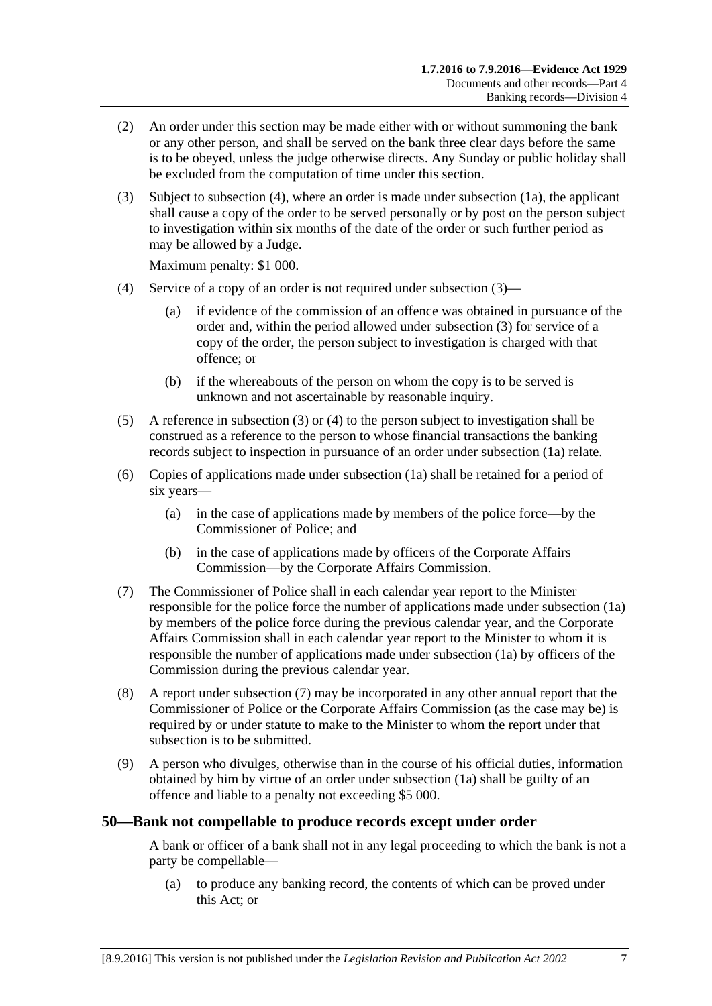- (2) An order under this section may be made either with or without summoning the bank or any other person, and shall be served on the bank three clear days before the same is to be obeyed, unless the judge otherwise directs. Any Sunday or public holiday shall be excluded from the computation of time under this section.
- <span id="page-50-1"></span>(3) Subject to [subsection](#page-50-0) (4), where an order is made under [subsection](#page-49-1) (1a), the applicant shall cause a copy of the order to be served personally or by post on the person subject to investigation within six months of the date of the order or such further period as may be allowed by a Judge.

Maximum penalty: \$1 000.

- <span id="page-50-0"></span>(4) Service of a copy of an order is not required under [subsection](#page-50-1) (3)—
	- (a) if evidence of the commission of an offence was obtained in pursuance of the order and, within the period allowed under [subsection](#page-50-1) (3) for service of a copy of the order, the person subject to investigation is charged with that offence; or
	- (b) if the whereabouts of the person on whom the copy is to be served is unknown and not ascertainable by reasonable inquiry.
- (5) A reference in [subsection](#page-50-1) (3) or [\(4\)](#page-50-0) to the person subject to investigation shall be construed as a reference to the person to whose financial transactions the banking records subject to inspection in pursuance of an order under [subsection](#page-49-1) (1a) relate.
- (6) Copies of applications made under [subsection](#page-49-1) (1a) shall be retained for a period of six years—
	- (a) in the case of applications made by members of the police force—by the Commissioner of Police; and
	- (b) in the case of applications made by officers of the Corporate Affairs Commission—by the Corporate Affairs Commission.
- <span id="page-50-2"></span>(7) The Commissioner of Police shall in each calendar year report to the Minister responsible for the police force the number of applications made under [subsection](#page-49-1) (1a) by members of the police force during the previous calendar year, and the Corporate Affairs Commission shall in each calendar year report to the Minister to whom it is responsible the number of applications made under [subsection](#page-49-1) (1a) by officers of the Commission during the previous calendar year.
- (8) A report under [subsection](#page-50-2) (7) may be incorporated in any other annual report that the Commissioner of Police or the Corporate Affairs Commission (as the case may be) is required by or under statute to make to the Minister to whom the report under that subsection is to be submitted.
- (9) A person who divulges, otherwise than in the course of his official duties, information obtained by him by virtue of an order under [subsection](#page-49-1) (1a) shall be guilty of an offence and liable to a penalty not exceeding \$5 000.

### **50—Bank not compellable to produce records except under order**

A bank or officer of a bank shall not in any legal proceeding to which the bank is not a party be compellable—

(a) to produce any banking record, the contents of which can be proved under this Act; or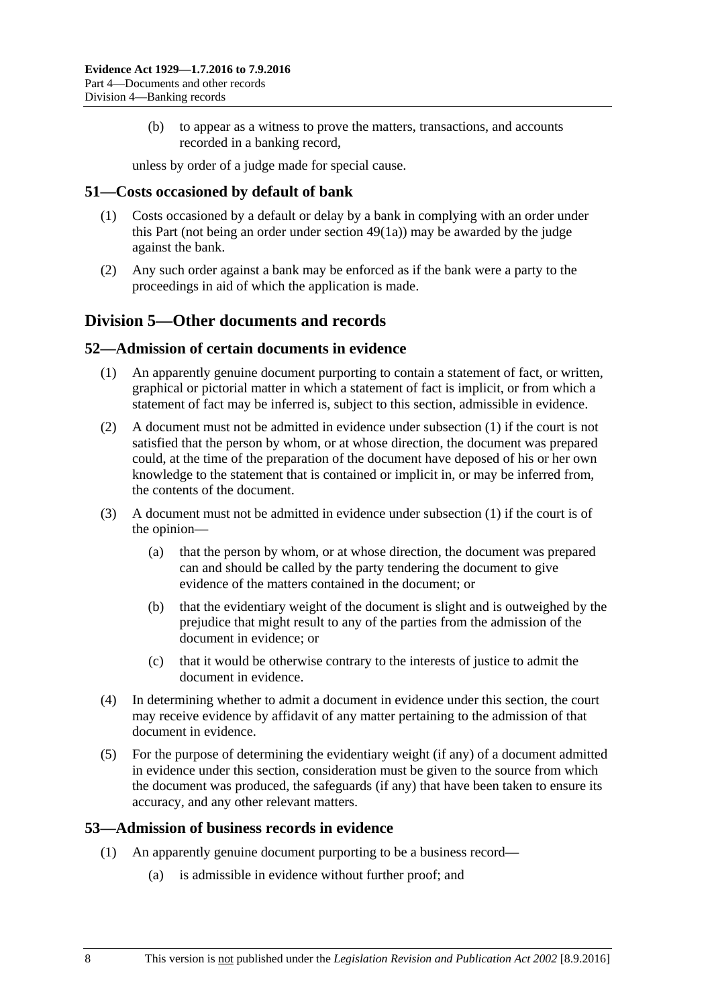(b) to appear as a witness to prove the matters, transactions, and accounts recorded in a banking record,

unless by order of a judge made for special cause.

### **51—Costs occasioned by default of bank**

- (1) Costs occasioned by a default or delay by a bank in complying with an order under this Part (not being an order under [section](#page-49-1) 49(1a)) may be awarded by the judge against the bank.
- (2) Any such order against a bank may be enforced as if the bank were a party to the proceedings in aid of which the application is made.

# **Division 5—Other documents and records**

### <span id="page-51-0"></span>**52—Admission of certain documents in evidence**

- (1) An apparently genuine document purporting to contain a statement of fact, or written, graphical or pictorial matter in which a statement of fact is implicit, or from which a statement of fact may be inferred is, subject to this section, admissible in evidence.
- (2) A document must not be admitted in evidence under [subsection](#page-51-0) (1) if the court is not satisfied that the person by whom, or at whose direction, the document was prepared could, at the time of the preparation of the document have deposed of his or her own knowledge to the statement that is contained or implicit in, or may be inferred from, the contents of the document.
- (3) A document must not be admitted in evidence under [subsection](#page-51-0) (1) if the court is of the opinion—
	- (a) that the person by whom, or at whose direction, the document was prepared can and should be called by the party tendering the document to give evidence of the matters contained in the document; or
	- (b) that the evidentiary weight of the document is slight and is outweighed by the prejudice that might result to any of the parties from the admission of the document in evidence; or
	- (c) that it would be otherwise contrary to the interests of justice to admit the document in evidence.
- (4) In determining whether to admit a document in evidence under this section, the court may receive evidence by affidavit of any matter pertaining to the admission of that document in evidence.
- (5) For the purpose of determining the evidentiary weight (if any) of a document admitted in evidence under this section, consideration must be given to the source from which the document was produced, the safeguards (if any) that have been taken to ensure its accuracy, and any other relevant matters.

# <span id="page-51-1"></span>**53—Admission of business records in evidence**

- (1) An apparently genuine document purporting to be a business record—
	- (a) is admissible in evidence without further proof; and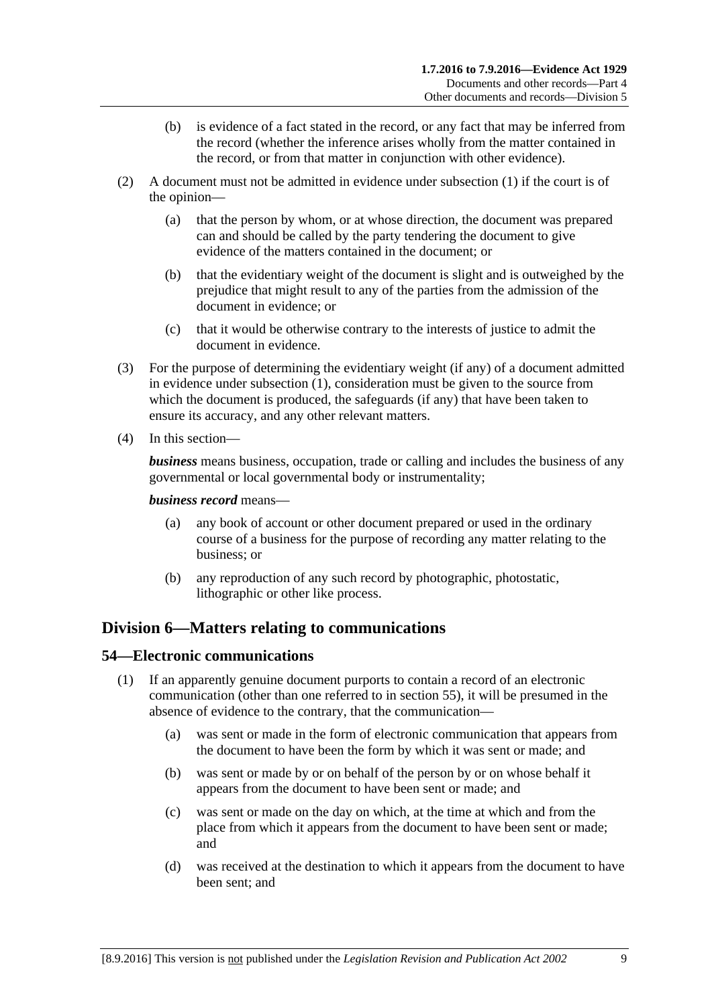- (b) is evidence of a fact stated in the record, or any fact that may be inferred from the record (whether the inference arises wholly from the matter contained in the record, or from that matter in conjunction with other evidence).
- (2) A document must not be admitted in evidence under [subsection](#page-51-1) (1) if the court is of the opinion—
	- (a) that the person by whom, or at whose direction, the document was prepared can and should be called by the party tendering the document to give evidence of the matters contained in the document; or
	- (b) that the evidentiary weight of the document is slight and is outweighed by the prejudice that might result to any of the parties from the admission of the document in evidence; or
	- (c) that it would be otherwise contrary to the interests of justice to admit the document in evidence.
- (3) For the purpose of determining the evidentiary weight (if any) of a document admitted in evidence under [subsection](#page-51-1) (1), consideration must be given to the source from which the document is produced, the safeguards (if any) that have been taken to ensure its accuracy, and any other relevant matters.
- (4) In this section—

*business* means business, occupation, trade or calling and includes the business of any governmental or local governmental body or instrumentality;

#### *business record* means—

- (a) any book of account or other document prepared or used in the ordinary course of a business for the purpose of recording any matter relating to the business; or
- (b) any reproduction of any such record by photographic, photostatic, lithographic or other like process.

# **Division 6—Matters relating to communications**

### <span id="page-52-0"></span>**54—Electronic communications**

- (1) If an apparently genuine document purports to contain a record of an electronic communication (other than one referred to in [section](#page-53-0) 55), it will be presumed in the absence of evidence to the contrary, that the communication—
	- (a) was sent or made in the form of electronic communication that appears from the document to have been the form by which it was sent or made; and
	- (b) was sent or made by or on behalf of the person by or on whose behalf it appears from the document to have been sent or made; and
	- (c) was sent or made on the day on which, at the time at which and from the place from which it appears from the document to have been sent or made; and
	- (d) was received at the destination to which it appears from the document to have been sent; and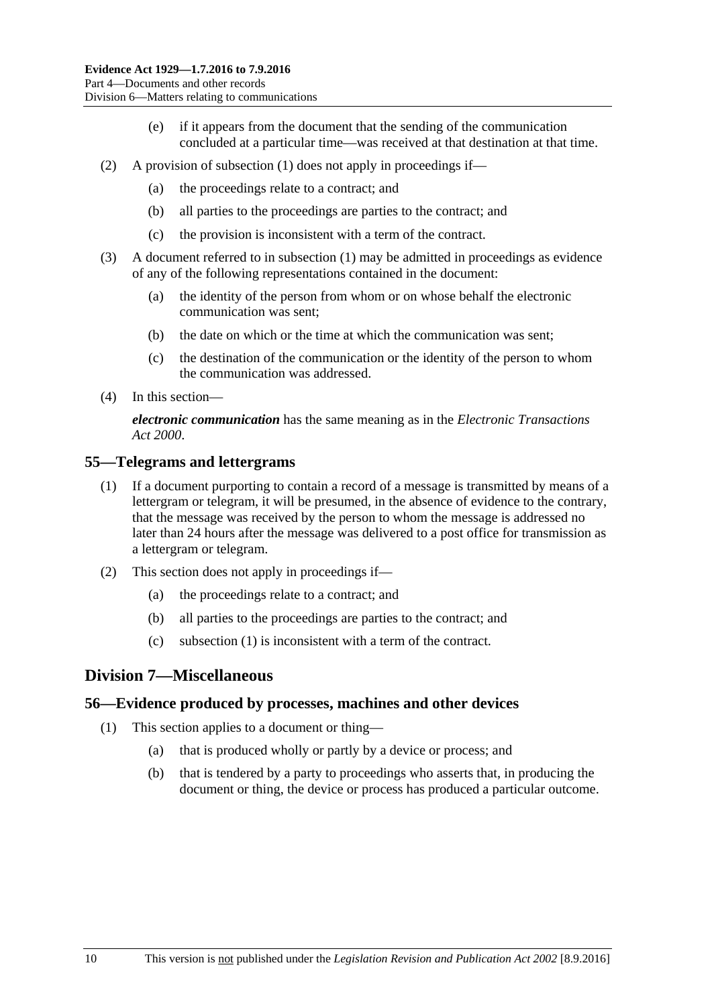- (e) if it appears from the document that the sending of the communication concluded at a particular time—was received at that destination at that time.
- (2) A provision of [subsection](#page-52-0) (1) does not apply in proceedings if—
	- (a) the proceedings relate to a contract; and
	- (b) all parties to the proceedings are parties to the contract; and
	- (c) the provision is inconsistent with a term of the contract.
- (3) A document referred to in [subsection](#page-52-0) (1) may be admitted in proceedings as evidence of any of the following representations contained in the document:
	- (a) the identity of the person from whom or on whose behalf the electronic communication was sent;
	- (b) the date on which or the time at which the communication was sent;
	- (c) the destination of the communication or the identity of the person to whom the communication was addressed.
- (4) In this section—

*electronic communication* has the same meaning as in the *[Electronic Transactions](http://www.legislation.sa.gov.au/index.aspx?action=legref&type=act&legtitle=Electronic%20Transactions%20Act%202000)  Act [2000](http://www.legislation.sa.gov.au/index.aspx?action=legref&type=act&legtitle=Electronic%20Transactions%20Act%202000)*.

### <span id="page-53-1"></span><span id="page-53-0"></span>**55—Telegrams and lettergrams**

- (1) If a document purporting to contain a record of a message is transmitted by means of a lettergram or telegram, it will be presumed, in the absence of evidence to the contrary, that the message was received by the person to whom the message is addressed no later than 24 hours after the message was delivered to a post office for transmission as a lettergram or telegram.
- (2) This section does not apply in proceedings if—
	- (a) the proceedings relate to a contract; and
	- (b) all parties to the proceedings are parties to the contract; and
	- (c) [subsection \(1\)](#page-53-1) is inconsistent with a term of the contract.

# **Division 7—Miscellaneous**

### **56—Evidence produced by processes, machines and other devices**

- (1) This section applies to a document or thing—
	- (a) that is produced wholly or partly by a device or process; and
	- (b) that is tendered by a party to proceedings who asserts that, in producing the document or thing, the device or process has produced a particular outcome.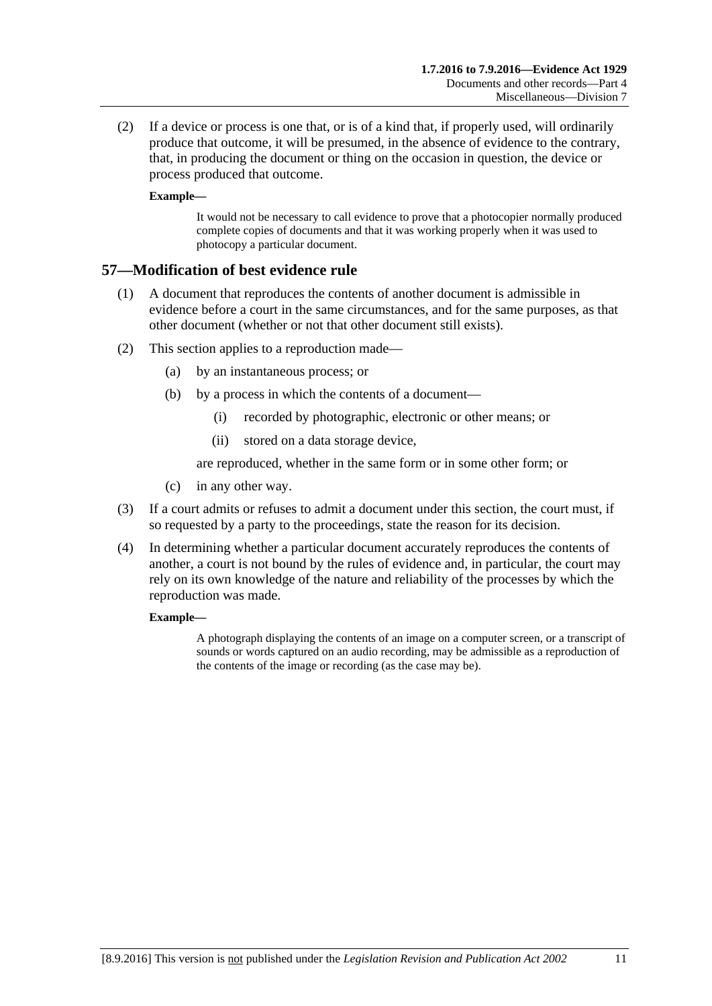(2) If a device or process is one that, or is of a kind that, if properly used, will ordinarily produce that outcome, it will be presumed, in the absence of evidence to the contrary, that, in producing the document or thing on the occasion in question, the device or process produced that outcome.

#### **Example—**

It would not be necessary to call evidence to prove that a photocopier normally produced complete copies of documents and that it was working properly when it was used to photocopy a particular document.

### **57—Modification of best evidence rule**

- (1) A document that reproduces the contents of another document is admissible in evidence before a court in the same circumstances, and for the same purposes, as that other document (whether or not that other document still exists).
- (2) This section applies to a reproduction made—
	- (a) by an instantaneous process; or
	- (b) by a process in which the contents of a document—
		- (i) recorded by photographic, electronic or other means; or
		- (ii) stored on a data storage device,

are reproduced, whether in the same form or in some other form; or

- (c) in any other way.
- (3) If a court admits or refuses to admit a document under this section, the court must, if so requested by a party to the proceedings, state the reason for its decision.
- (4) In determining whether a particular document accurately reproduces the contents of another, a court is not bound by the rules of evidence and, in particular, the court may rely on its own knowledge of the nature and reliability of the processes by which the reproduction was made.

#### **Example—**

A photograph displaying the contents of an image on a computer screen, or a transcript of sounds or words captured on an audio recording, may be admissible as a reproduction of the contents of the image or recording (as the case may be).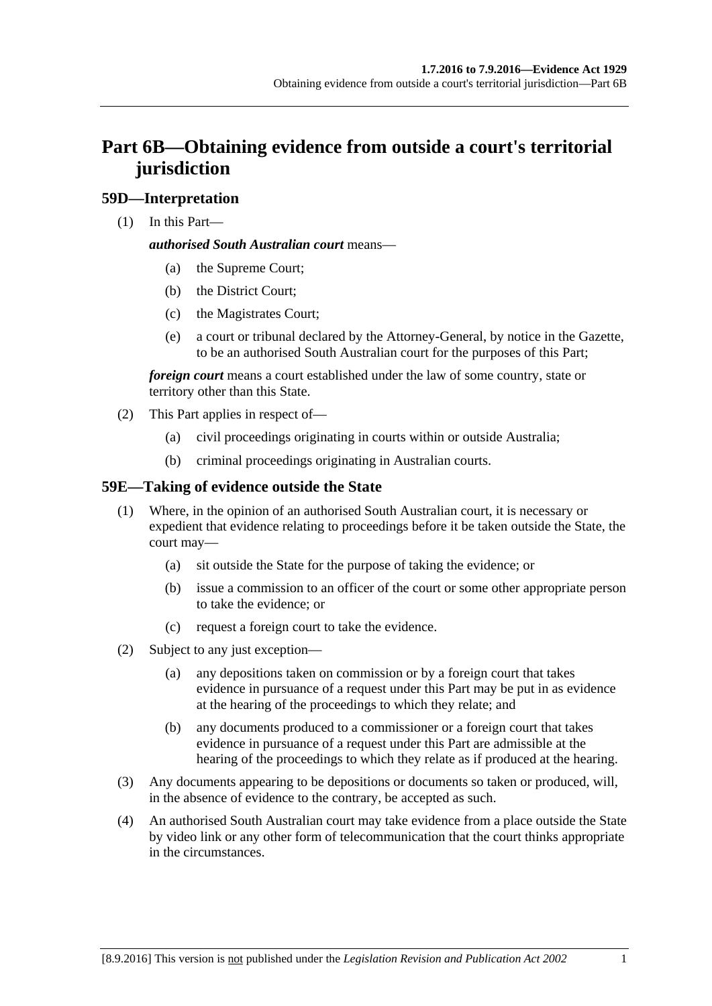# **Part 6B—Obtaining evidence from outside a court's territorial jurisdiction**

# **59D—Interpretation**

(1) In this Part—

### *authorised South Australian court* means—

- (a) the Supreme Court;
- (b) the District Court;
- (c) the Magistrates Court;
- (e) a court or tribunal declared by the Attorney-General, by notice in the Gazette, to be an authorised South Australian court for the purposes of this Part;

*foreign court* means a court established under the law of some country, state or territory other than this State.

- (2) This Part applies in respect of—
	- (a) civil proceedings originating in courts within or outside Australia;
	- (b) criminal proceedings originating in Australian courts.

# **59E—Taking of evidence outside the State**

- (1) Where, in the opinion of an authorised South Australian court, it is necessary or expedient that evidence relating to proceedings before it be taken outside the State, the court may—
	- (a) sit outside the State for the purpose of taking the evidence; or
	- (b) issue a commission to an officer of the court or some other appropriate person to take the evidence; or
	- (c) request a foreign court to take the evidence.
- (2) Subject to any just exception—
	- (a) any depositions taken on commission or by a foreign court that takes evidence in pursuance of a request under this Part may be put in as evidence at the hearing of the proceedings to which they relate; and
	- (b) any documents produced to a commissioner or a foreign court that takes evidence in pursuance of a request under this Part are admissible at the hearing of the proceedings to which they relate as if produced at the hearing.
- (3) Any documents appearing to be depositions or documents so taken or produced, will, in the absence of evidence to the contrary, be accepted as such.
- (4) An authorised South Australian court may take evidence from a place outside the State by video link or any other form of telecommunication that the court thinks appropriate in the circumstances.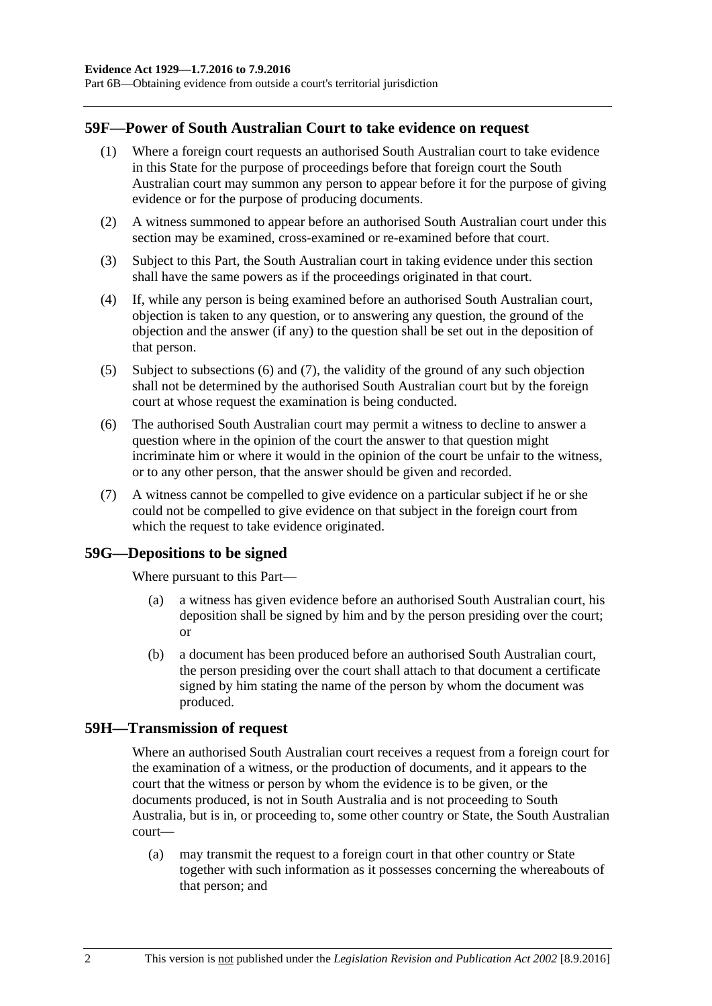Part 6B—Obtaining evidence from outside a court's territorial jurisdiction

### **59F—Power of South Australian Court to take evidence on request**

- (1) Where a foreign court requests an authorised South Australian court to take evidence in this State for the purpose of proceedings before that foreign court the South Australian court may summon any person to appear before it for the purpose of giving evidence or for the purpose of producing documents.
- (2) A witness summoned to appear before an authorised South Australian court under this section may be examined, cross-examined or re-examined before that court.
- (3) Subject to this Part, the South Australian court in taking evidence under this section shall have the same powers as if the proceedings originated in that court.
- (4) If, while any person is being examined before an authorised South Australian court, objection is taken to any question, or to answering any question, the ground of the objection and the answer (if any) to the question shall be set out in the deposition of that person.
- (5) Subject to [subsections](#page-57-0) (6) and [\(7\),](#page-57-1) the validity of the ground of any such objection shall not be determined by the authorised South Australian court but by the foreign court at whose request the examination is being conducted.
- <span id="page-57-0"></span>(6) The authorised South Australian court may permit a witness to decline to answer a question where in the opinion of the court the answer to that question might incriminate him or where it would in the opinion of the court be unfair to the witness, or to any other person, that the answer should be given and recorded.
- <span id="page-57-1"></span>(7) A witness cannot be compelled to give evidence on a particular subject if he or she could not be compelled to give evidence on that subject in the foreign court from which the request to take evidence originated.

### **59G—Depositions to be signed**

Where pursuant to this Part—

- (a) a witness has given evidence before an authorised South Australian court, his deposition shall be signed by him and by the person presiding over the court; or
- (b) a document has been produced before an authorised South Australian court, the person presiding over the court shall attach to that document a certificate signed by him stating the name of the person by whom the document was produced.

### **59H—Transmission of request**

Where an authorised South Australian court receives a request from a foreign court for the examination of a witness, or the production of documents, and it appears to the court that the witness or person by whom the evidence is to be given, or the documents produced, is not in South Australia and is not proceeding to South Australia, but is in, or proceeding to, some other country or State, the South Australian court—

(a) may transmit the request to a foreign court in that other country or State together with such information as it possesses concerning the whereabouts of that person; and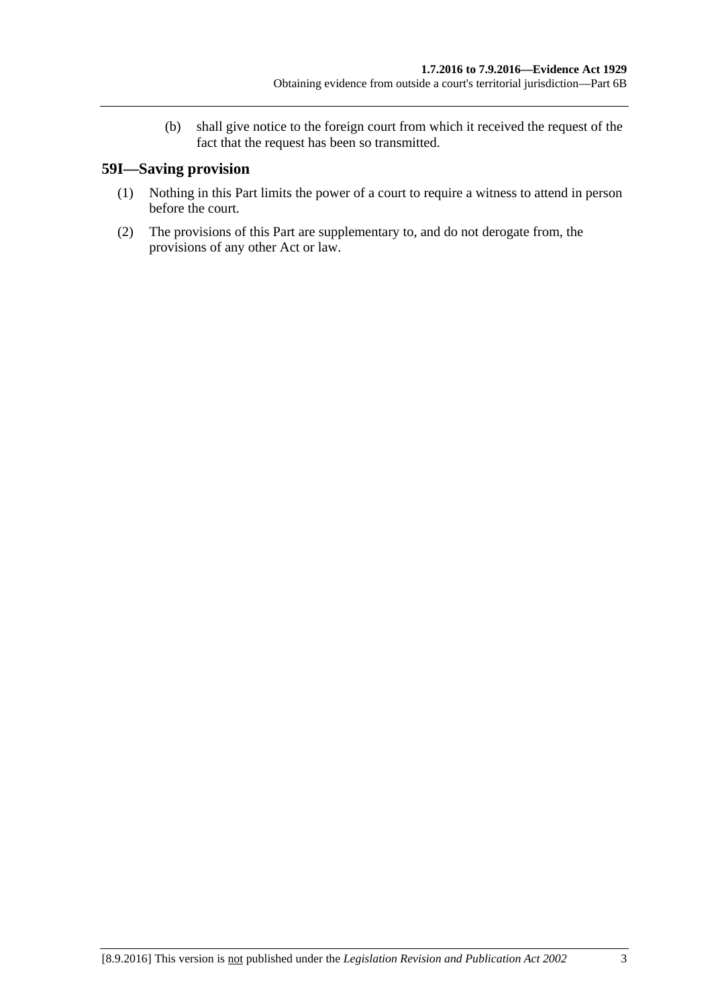(b) shall give notice to the foreign court from which it received the request of the fact that the request has been so transmitted.

# **59I—Saving provision**

- (1) Nothing in this Part limits the power of a court to require a witness to attend in person before the court.
- (2) The provisions of this Part are supplementary to, and do not derogate from, the provisions of any other Act or law.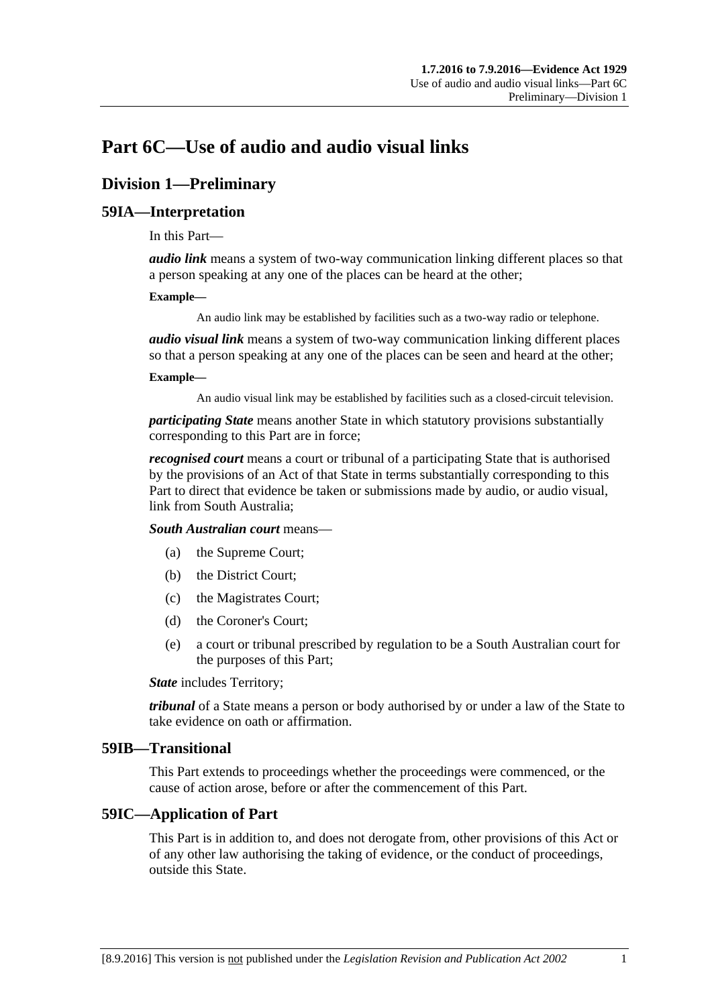# **Part 6C—Use of audio and audio visual links**

# **Division 1—Preliminary**

### **59IA—Interpretation**

In this Part—

*audio link* means a system of two-way communication linking different places so that a person speaking at any one of the places can be heard at the other;

#### **Example—**

An audio link may be established by facilities such as a two-way radio or telephone.

*audio visual link* means a system of two-way communication linking different places so that a person speaking at any one of the places can be seen and heard at the other;

#### **Example—**

An audio visual link may be established by facilities such as a closed-circuit television.

*participating State* means another State in which statutory provisions substantially corresponding to this Part are in force;

*recognised court* means a court or tribunal of a participating State that is authorised by the provisions of an Act of that State in terms substantially corresponding to this Part to direct that evidence be taken or submissions made by audio, or audio visual, link from South Australia;

*South Australian court* means—

- (a) the Supreme Court;
- (b) the District Court;
- (c) the Magistrates Court;
- (d) the Coroner's Court;
- (e) a court or tribunal prescribed by regulation to be a South Australian court for the purposes of this Part;

*State* includes Territory;

*tribunal* of a State means a person or body authorised by or under a law of the State to take evidence on oath or affirmation.

### **59IB—Transitional**

This Part extends to proceedings whether the proceedings were commenced, or the cause of action arose, before or after the commencement of this Part.

### **59IC—Application of Part**

This Part is in addition to, and does not derogate from, other provisions of this Act or of any other law authorising the taking of evidence, or the conduct of proceedings, outside this State.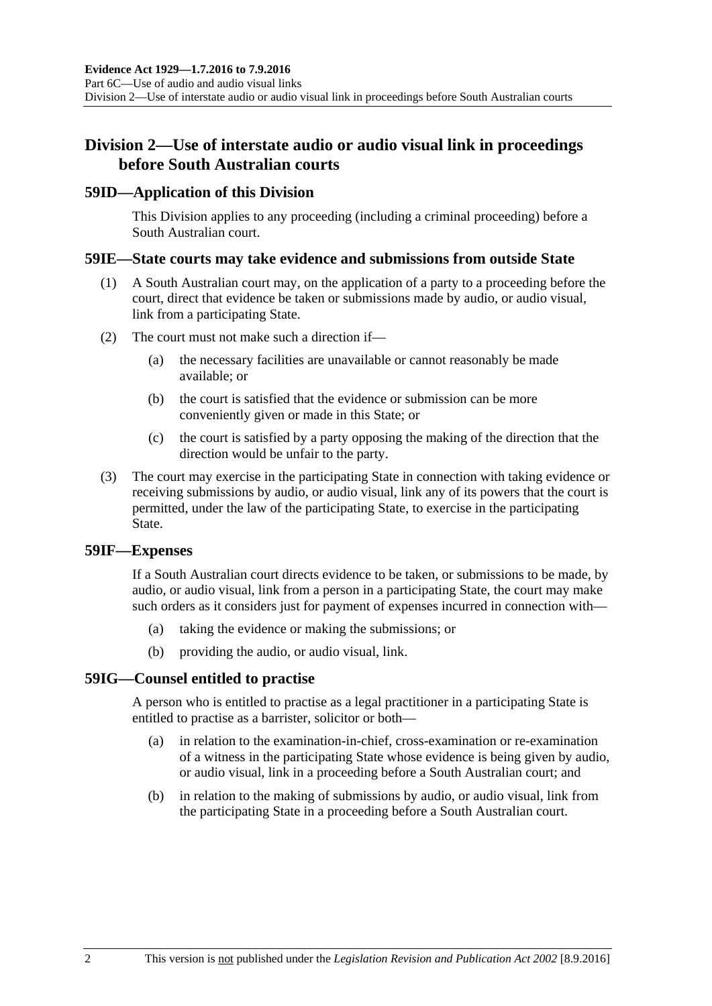# **Division 2—Use of interstate audio or audio visual link in proceedings before South Australian courts**

### **59ID—Application of this Division**

This Division applies to any proceeding (including a criminal proceeding) before a South Australian court.

### **59IE—State courts may take evidence and submissions from outside State**

- (1) A South Australian court may, on the application of a party to a proceeding before the court, direct that evidence be taken or submissions made by audio, or audio visual, link from a participating State.
- (2) The court must not make such a direction if—
	- (a) the necessary facilities are unavailable or cannot reasonably be made available; or
	- (b) the court is satisfied that the evidence or submission can be more conveniently given or made in this State; or
	- (c) the court is satisfied by a party opposing the making of the direction that the direction would be unfair to the party.
- (3) The court may exercise in the participating State in connection with taking evidence or receiving submissions by audio, or audio visual, link any of its powers that the court is permitted, under the law of the participating State, to exercise in the participating State.

### **59IF—Expenses**

If a South Australian court directs evidence to be taken, or submissions to be made, by audio, or audio visual, link from a person in a participating State, the court may make such orders as it considers just for payment of expenses incurred in connection with—

- (a) taking the evidence or making the submissions; or
- (b) providing the audio, or audio visual, link.

# **59IG—Counsel entitled to practise**

A person who is entitled to practise as a legal practitioner in a participating State is entitled to practise as a barrister, solicitor or both—

- (a) in relation to the examination-in-chief, cross-examination or re-examination of a witness in the participating State whose evidence is being given by audio, or audio visual, link in a proceeding before a South Australian court; and
- (b) in relation to the making of submissions by audio, or audio visual, link from the participating State in a proceeding before a South Australian court.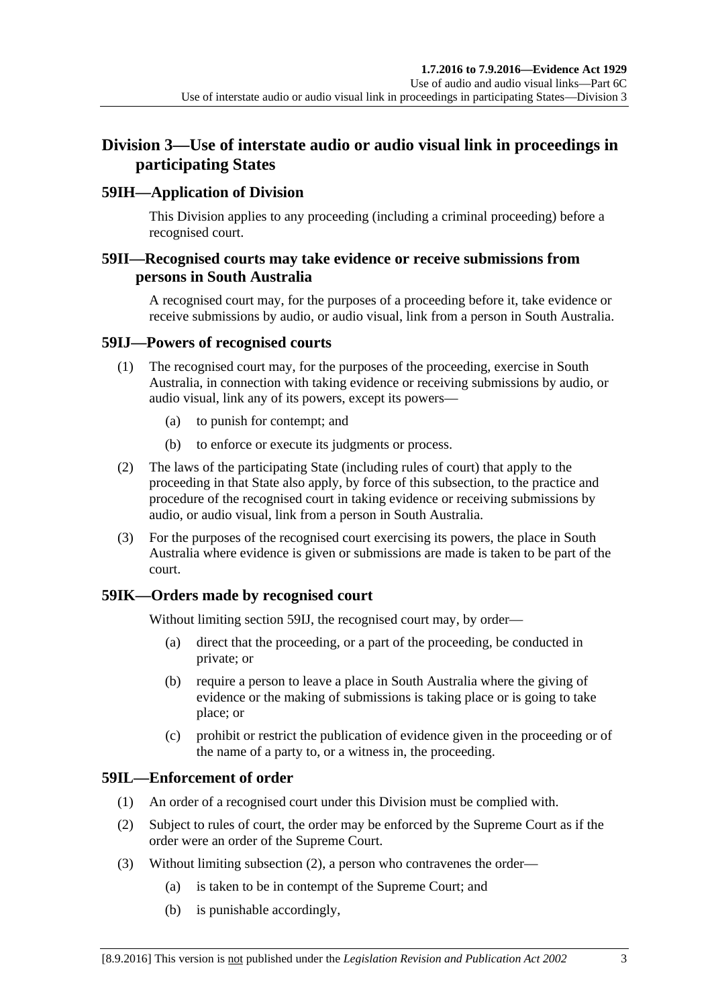# **Division 3—Use of interstate audio or audio visual link in proceedings in participating States**

# **59IH—Application of Division**

This Division applies to any proceeding (including a criminal proceeding) before a recognised court.

# **59II—Recognised courts may take evidence or receive submissions from persons in South Australia**

A recognised court may, for the purposes of a proceeding before it, take evidence or receive submissions by audio, or audio visual, link from a person in South Australia.

# <span id="page-62-0"></span>**59IJ—Powers of recognised courts**

- (1) The recognised court may, for the purposes of the proceeding, exercise in South Australia, in connection with taking evidence or receiving submissions by audio, or audio visual, link any of its powers, except its powers—
	- (a) to punish for contempt; and
	- (b) to enforce or execute its judgments or process.
- (2) The laws of the participating State (including rules of court) that apply to the proceeding in that State also apply, by force of this subsection, to the practice and procedure of the recognised court in taking evidence or receiving submissions by audio, or audio visual, link from a person in South Australia.
- (3) For the purposes of the recognised court exercising its powers, the place in South Australia where evidence is given or submissions are made is taken to be part of the court.

# **59IK—Orders made by recognised court**

Without limiting [section](#page-62-0) 59IJ, the recognised court may, by order—

- (a) direct that the proceeding, or a part of the proceeding, be conducted in private; or
- (b) require a person to leave a place in South Australia where the giving of evidence or the making of submissions is taking place or is going to take place; or
- (c) prohibit or restrict the publication of evidence given in the proceeding or of the name of a party to, or a witness in, the proceeding.

# **59IL—Enforcement of order**

- (1) An order of a recognised court under this Division must be complied with.
- <span id="page-62-1"></span>(2) Subject to rules of court, the order may be enforced by the Supreme Court as if the order were an order of the Supreme Court.
- (3) Without limiting [subsection](#page-62-1) (2), a person who contravenes the order—
	- (a) is taken to be in contempt of the Supreme Court; and
	- (b) is punishable accordingly,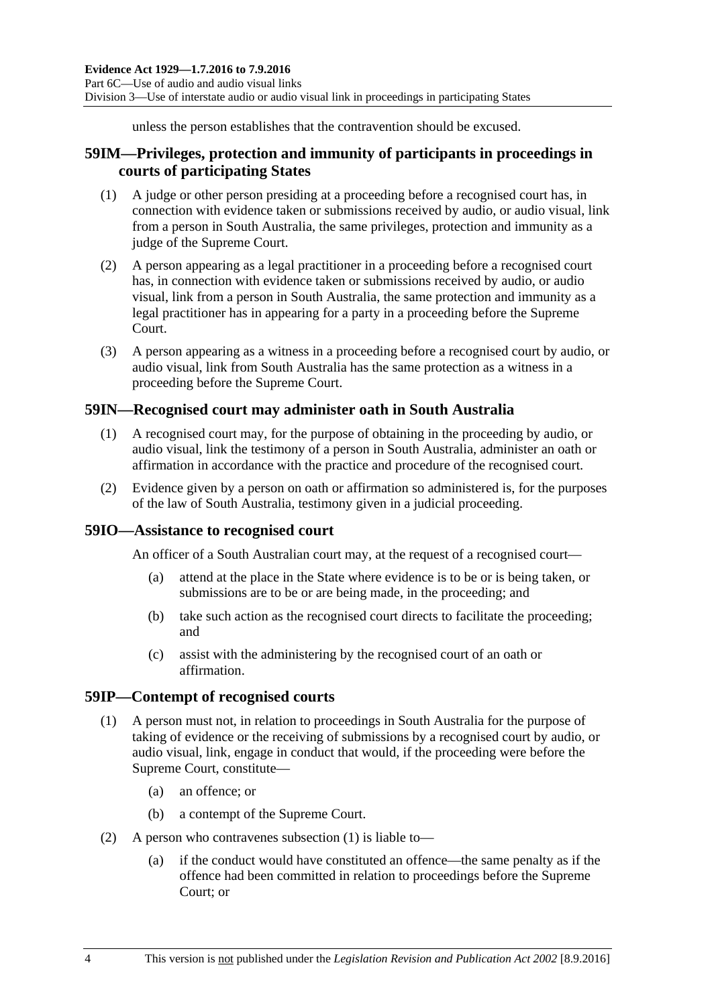unless the person establishes that the contravention should be excused.

# **59IM—Privileges, protection and immunity of participants in proceedings in courts of participating States**

- (1) A judge or other person presiding at a proceeding before a recognised court has, in connection with evidence taken or submissions received by audio, or audio visual, link from a person in South Australia, the same privileges, protection and immunity as a judge of the Supreme Court.
- (2) A person appearing as a legal practitioner in a proceeding before a recognised court has, in connection with evidence taken or submissions received by audio, or audio visual, link from a person in South Australia, the same protection and immunity as a legal practitioner has in appearing for a party in a proceeding before the Supreme Court.
- (3) A person appearing as a witness in a proceeding before a recognised court by audio, or audio visual, link from South Australia has the same protection as a witness in a proceeding before the Supreme Court.

# **59IN—Recognised court may administer oath in South Australia**

- (1) A recognised court may, for the purpose of obtaining in the proceeding by audio, or audio visual, link the testimony of a person in South Australia, administer an oath or affirmation in accordance with the practice and procedure of the recognised court.
- (2) Evidence given by a person on oath or affirmation so administered is, for the purposes of the law of South Australia, testimony given in a judicial proceeding.

# **59IO—Assistance to recognised court**

An officer of a South Australian court may, at the request of a recognised court—

- (a) attend at the place in the State where evidence is to be or is being taken, or submissions are to be or are being made, in the proceeding; and
- (b) take such action as the recognised court directs to facilitate the proceeding; and
- (c) assist with the administering by the recognised court of an oath or affirmation.

### <span id="page-63-0"></span>**59IP—Contempt of recognised courts**

- (1) A person must not, in relation to proceedings in South Australia for the purpose of taking of evidence or the receiving of submissions by a recognised court by audio, or audio visual, link, engage in conduct that would, if the proceeding were before the Supreme Court, constitute—
	- (a) an offence; or
	- (b) a contempt of the Supreme Court.
- (2) A person who contravenes [subsection](#page-63-0) (1) is liable to—
	- (a) if the conduct would have constituted an offence—the same penalty as if the offence had been committed in relation to proceedings before the Supreme Court; or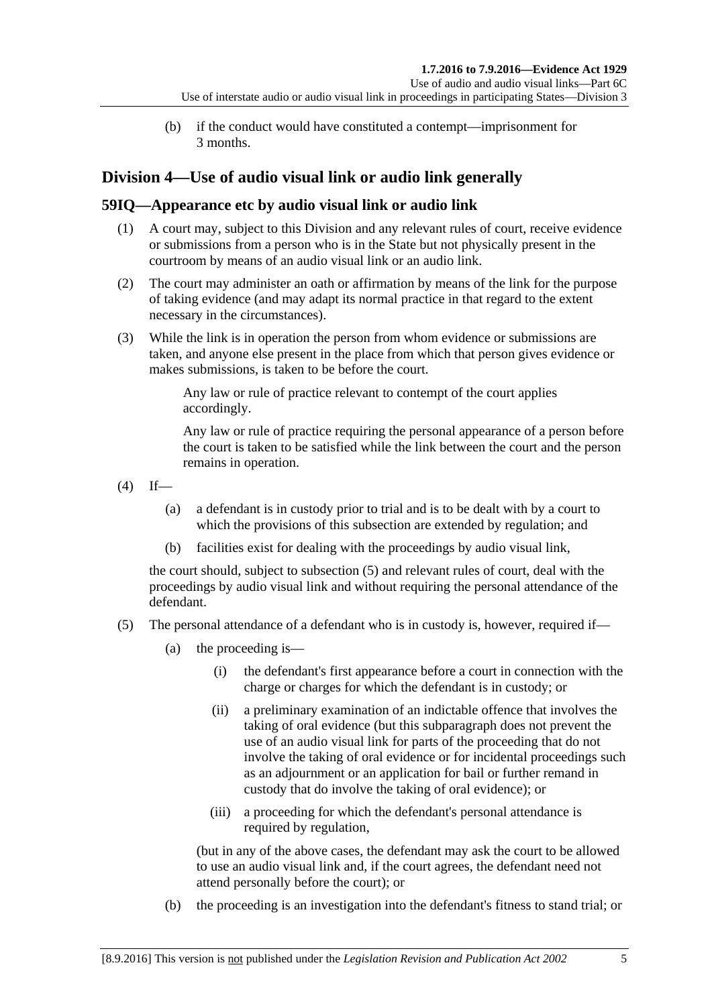(b) if the conduct would have constituted a contempt—imprisonment for 3 months.

# **Division 4—Use of audio visual link or audio link generally**

# **59IQ—Appearance etc by audio visual link or audio link**

- (1) A court may, subject to this Division and any relevant rules of court, receive evidence or submissions from a person who is in the State but not physically present in the courtroom by means of an audio visual link or an audio link.
- (2) The court may administer an oath or affirmation by means of the link for the purpose of taking evidence (and may adapt its normal practice in that regard to the extent necessary in the circumstances).
- (3) While the link is in operation the person from whom evidence or submissions are taken, and anyone else present in the place from which that person gives evidence or makes submissions, is taken to be before the court.

Any law or rule of practice relevant to contempt of the court applies accordingly.

Any law or rule of practice requiring the personal appearance of a person before the court is taken to be satisfied while the link between the court and the person remains in operation.

- <span id="page-64-1"></span> $(4)$  If—
	- (a) a defendant is in custody prior to trial and is to be dealt with by a court to which the provisions of this subsection are extended by regulation; and
	- (b) facilities exist for dealing with the proceedings by audio visual link,

the court should, subject to [subsection](#page-64-0) (5) and relevant rules of court, deal with the proceedings by audio visual link and without requiring the personal attendance of the defendant.

- <span id="page-64-0"></span>(5) The personal attendance of a defendant who is in custody is, however, required if—
	- (a) the proceeding is—
		- (i) the defendant's first appearance before a court in connection with the charge or charges for which the defendant is in custody; or
		- (ii) a preliminary examination of an indictable offence that involves the taking of oral evidence (but this subparagraph does not prevent the use of an audio visual link for parts of the proceeding that do not involve the taking of oral evidence or for incidental proceedings such as an adjournment or an application for bail or further remand in custody that do involve the taking of oral evidence); or
		- (iii) a proceeding for which the defendant's personal attendance is required by regulation,

(but in any of the above cases, the defendant may ask the court to be allowed to use an audio visual link and, if the court agrees, the defendant need not attend personally before the court); or

(b) the proceeding is an investigation into the defendant's fitness to stand trial; or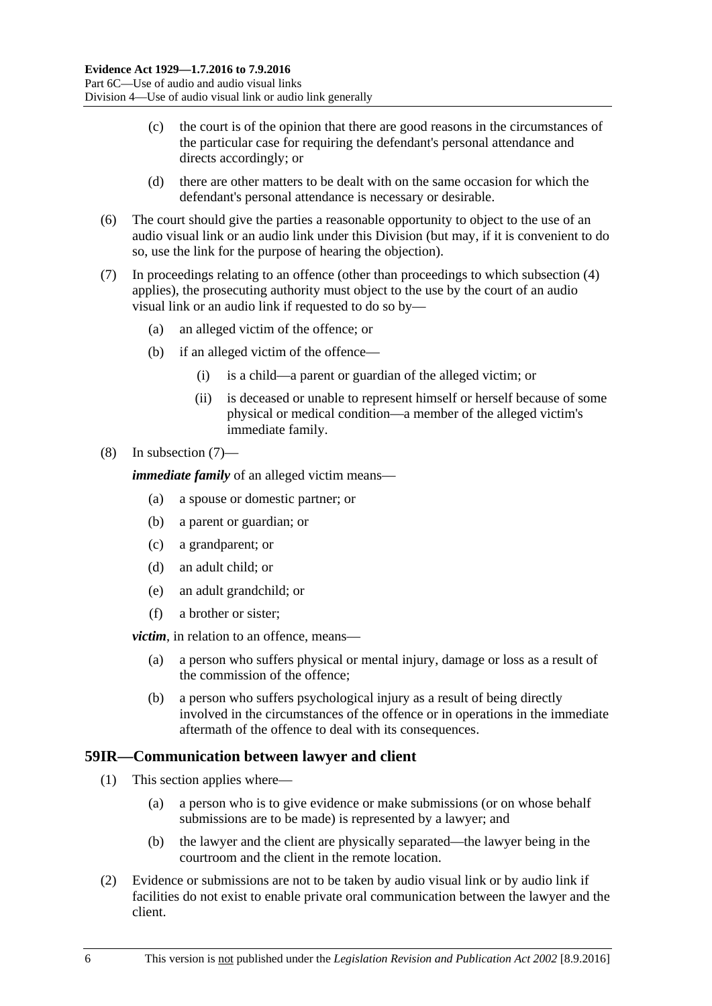- (c) the court is of the opinion that there are good reasons in the circumstances of the particular case for requiring the defendant's personal attendance and directs accordingly; or
- (d) there are other matters to be dealt with on the same occasion for which the defendant's personal attendance is necessary or desirable.
- (6) The court should give the parties a reasonable opportunity to object to the use of an audio visual link or an audio link under this Division (but may, if it is convenient to do so, use the link for the purpose of hearing the objection).
- <span id="page-65-0"></span>(7) In proceedings relating to an offence (other than proceedings to which [subsection](#page-64-1) (4) applies), the prosecuting authority must object to the use by the court of an audio visual link or an audio link if requested to do so by—
	- (a) an alleged victim of the offence; or
	- (b) if an alleged victim of the offence—
		- (i) is a child—a parent or guardian of the alleged victim; or
		- (ii) is deceased or unable to represent himself or herself because of some physical or medical condition—a member of the alleged victim's immediate family.

### (8) In [subsection](#page-65-0) (7)—

*immediate family* of an alleged victim means—

- (a) a spouse or domestic partner; or
- (b) a parent or guardian; or
- (c) a grandparent; or
- (d) an adult child; or
- (e) an adult grandchild; or
- (f) a brother or sister;

*victim*, in relation to an offence, means—

- (a) a person who suffers physical or mental injury, damage or loss as a result of the commission of the offence;
- (b) a person who suffers psychological injury as a result of being directly involved in the circumstances of the offence or in operations in the immediate aftermath of the offence to deal with its consequences.

### **59IR—Communication between lawyer and client**

- (1) This section applies where—
	- (a) a person who is to give evidence or make submissions (or on whose behalf submissions are to be made) is represented by a lawyer; and
	- (b) the lawyer and the client are physically separated—the lawyer being in the courtroom and the client in the remote location.
- (2) Evidence or submissions are not to be taken by audio visual link or by audio link if facilities do not exist to enable private oral communication between the lawyer and the client.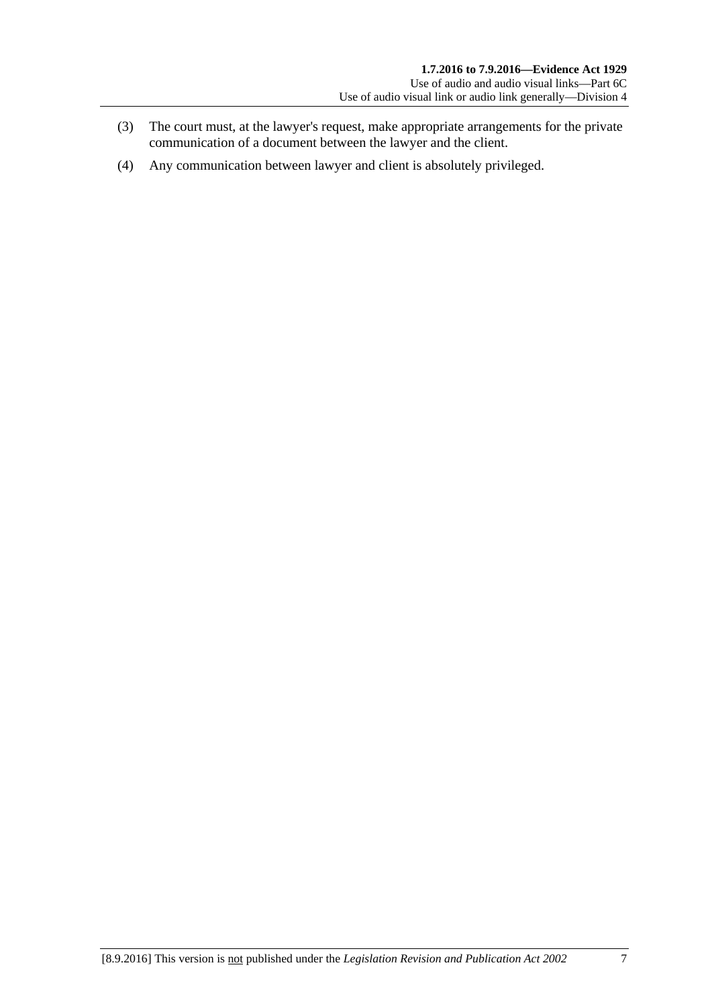- (3) The court must, at the lawyer's request, make appropriate arrangements for the private communication of a document between the lawyer and the client.
- (4) Any communication between lawyer and client is absolutely privileged.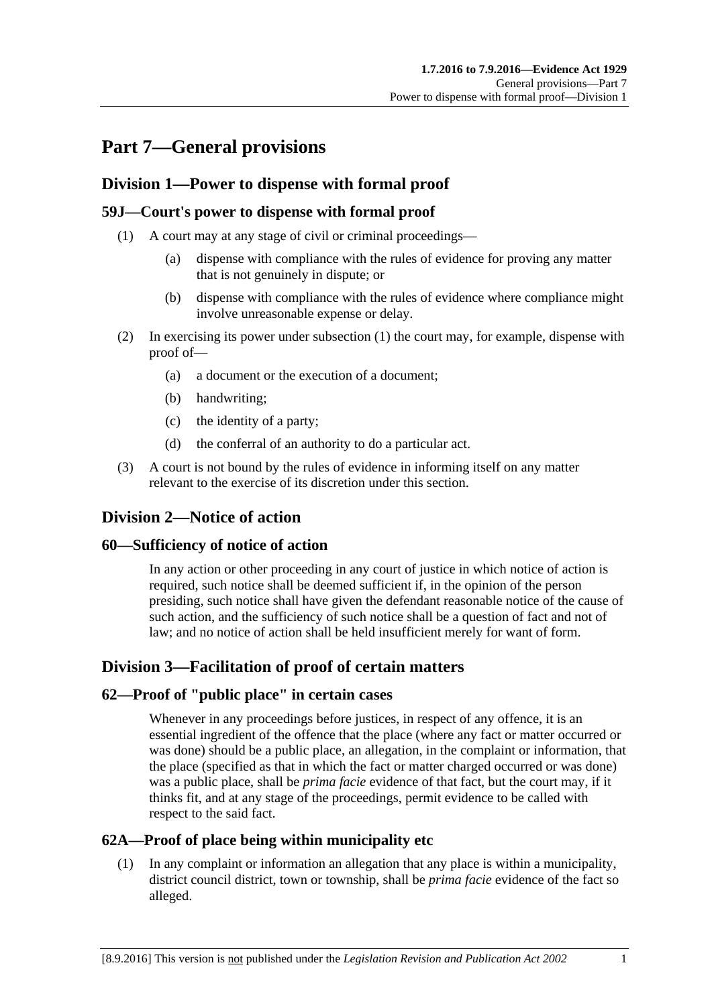# **Part 7—General provisions**

# **Division 1—Power to dispense with formal proof**

# <span id="page-68-0"></span>**59J—Court's power to dispense with formal proof**

- (1) A court may at any stage of civil or criminal proceedings—
	- (a) dispense with compliance with the rules of evidence for proving any matter that is not genuinely in dispute; or
	- (b) dispense with compliance with the rules of evidence where compliance might involve unreasonable expense or delay.
- (2) In exercising its power under [subsection](#page-68-0) (1) the court may, for example, dispense with proof of—
	- (a) a document or the execution of a document;
	- (b) handwriting;
	- (c) the identity of a party;
	- (d) the conferral of an authority to do a particular act.
- (3) A court is not bound by the rules of evidence in informing itself on any matter relevant to the exercise of its discretion under this section.

# **Division 2—Notice of action**

# **60—Sufficiency of notice of action**

In any action or other proceeding in any court of justice in which notice of action is required, such notice shall be deemed sufficient if, in the opinion of the person presiding, such notice shall have given the defendant reasonable notice of the cause of such action, and the sufficiency of such notice shall be a question of fact and not of law; and no notice of action shall be held insufficient merely for want of form.

# **Division 3—Facilitation of proof of certain matters**

# **62—Proof of "public place" in certain cases**

Whenever in any proceedings before justices, in respect of any offence, it is an essential ingredient of the offence that the place (where any fact or matter occurred or was done) should be a public place, an allegation, in the complaint or information, that the place (specified as that in which the fact or matter charged occurred or was done) was a public place, shall be *prima facie* evidence of that fact, but the court may, if it thinks fit, and at any stage of the proceedings, permit evidence to be called with respect to the said fact.

# **62A—Proof of place being within municipality etc**

(1) In any complaint or information an allegation that any place is within a municipality, district council district, town or township, shall be *prima facie* evidence of the fact so alleged.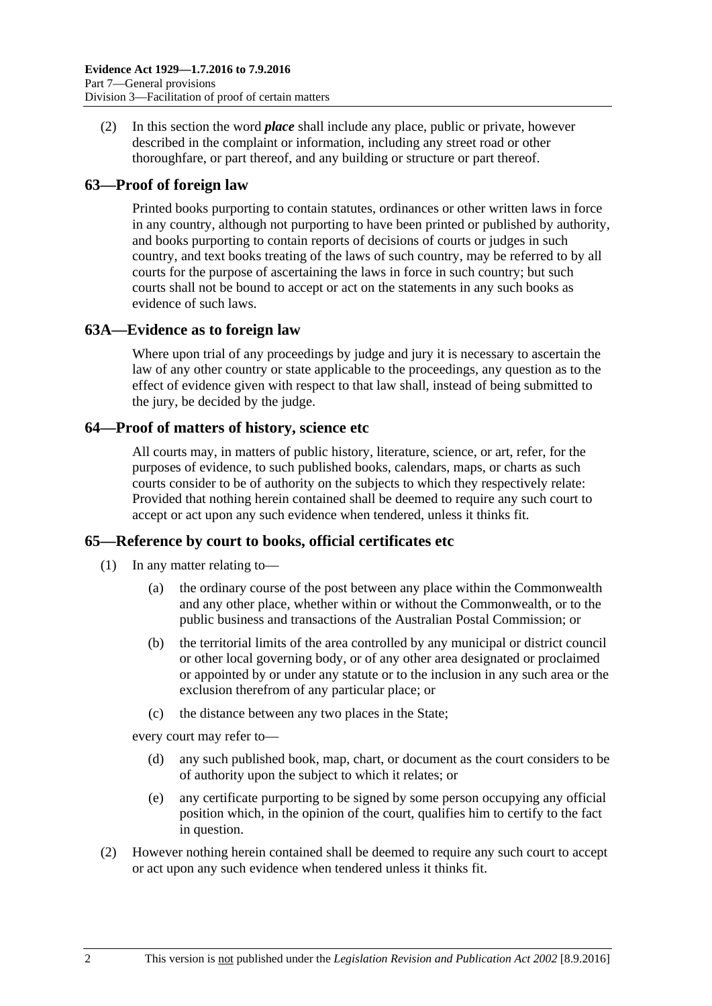(2) In this section the word *place* shall include any place, public or private, however described in the complaint or information, including any street road or other thoroughfare, or part thereof, and any building or structure or part thereof.

# **63—Proof of foreign law**

Printed books purporting to contain statutes, ordinances or other written laws in force in any country, although not purporting to have been printed or published by authority, and books purporting to contain reports of decisions of courts or judges in such country, and text books treating of the laws of such country, may be referred to by all courts for the purpose of ascertaining the laws in force in such country; but such courts shall not be bound to accept or act on the statements in any such books as evidence of such laws.

# **63A—Evidence as to foreign law**

Where upon trial of any proceedings by judge and jury it is necessary to ascertain the law of any other country or state applicable to the proceedings, any question as to the effect of evidence given with respect to that law shall, instead of being submitted to the jury, be decided by the judge.

# **64—Proof of matters of history, science etc**

All courts may, in matters of public history, literature, science, or art, refer, for the purposes of evidence, to such published books, calendars, maps, or charts as such courts consider to be of authority on the subjects to which they respectively relate: Provided that nothing herein contained shall be deemed to require any such court to accept or act upon any such evidence when tendered, unless it thinks fit.

# **65—Reference by court to books, official certificates etc**

- (1) In any matter relating to—
	- (a) the ordinary course of the post between any place within the Commonwealth and any other place, whether within or without the Commonwealth, or to the public business and transactions of the Australian Postal Commission; or
	- (b) the territorial limits of the area controlled by any municipal or district council or other local governing body, or of any other area designated or proclaimed or appointed by or under any statute or to the inclusion in any such area or the exclusion therefrom of any particular place; or
	- (c) the distance between any two places in the State;

every court may refer to—

- (d) any such published book, map, chart, or document as the court considers to be of authority upon the subject to which it relates; or
- (e) any certificate purporting to be signed by some person occupying any official position which, in the opinion of the court, qualifies him to certify to the fact in question.
- (2) However nothing herein contained shall be deemed to require any such court to accept or act upon any such evidence when tendered unless it thinks fit.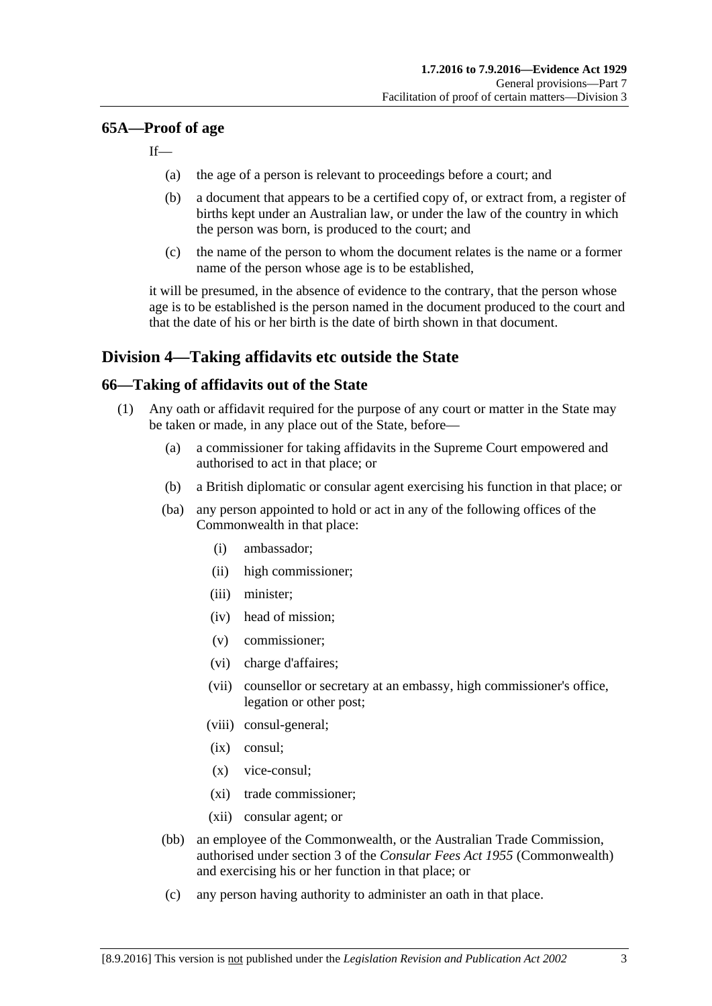# **65A—Proof of age**

If—

- (a) the age of a person is relevant to proceedings before a court; and
- (b) a document that appears to be a certified copy of, or extract from, a register of births kept under an Australian law, or under the law of the country in which the person was born, is produced to the court; and
- (c) the name of the person to whom the document relates is the name or a former name of the person whose age is to be established,

it will be presumed, in the absence of evidence to the contrary, that the person whose age is to be established is the person named in the document produced to the court and that the date of his or her birth is the date of birth shown in that document.

# **Division 4—Taking affidavits etc outside the State**

# <span id="page-70-3"></span>**66—Taking of affidavits out of the State**

- <span id="page-70-2"></span><span id="page-70-1"></span><span id="page-70-0"></span>(1) Any oath or affidavit required for the purpose of any court or matter in the State may be taken or made, in any place out of the State, before—
	- (a) a commissioner for taking affidavits in the Supreme Court empowered and authorised to act in that place; or
	- (b) a British diplomatic or consular agent exercising his function in that place; or
	- (ba) any person appointed to hold or act in any of the following offices of the Commonwealth in that place:
		- (i) ambassador;
		- (ii) high commissioner;
		- (iii) minister;
		- (iv) head of mission;
		- (v) commissioner;
		- (vi) charge d'affaires;
		- (vii) counsellor or secretary at an embassy, high commissioner's office, legation or other post;
		- (viii) consul-general;
		- (ix) consul;
		- (x) vice-consul;
		- (xi) trade commissioner;
		- (xii) consular agent; or
	- (bb) an employee of the Commonwealth, or the Australian Trade Commission, authorised under section 3 of the *Consular Fees Act 1955* (Commonwealth) and exercising his or her function in that place; or
	- (c) any person having authority to administer an oath in that place.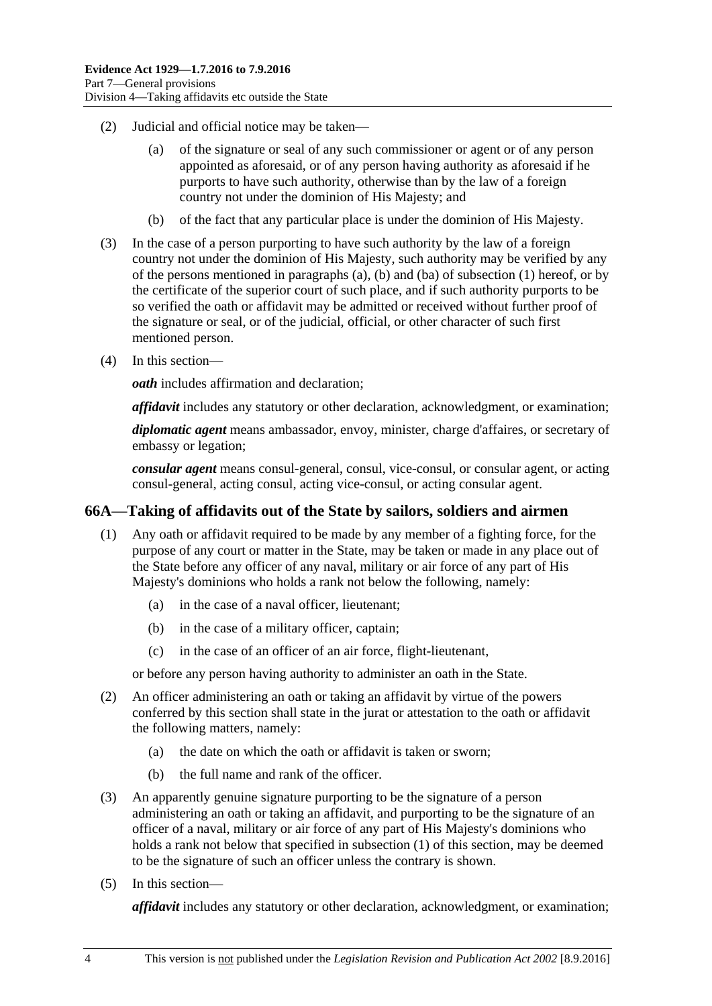- (2) Judicial and official notice may be taken—
	- (a) of the signature or seal of any such commissioner or agent or of any person appointed as aforesaid, or of any person having authority as aforesaid if he purports to have such authority, otherwise than by the law of a foreign country not under the dominion of His Majesty; and
	- (b) of the fact that any particular place is under the dominion of His Majesty.
- (3) In the case of a person purporting to have such authority by the law of a foreign country not under the dominion of His Majesty, such authority may be verified by any of the persons mentioned in [paragraphs](#page-70-0) (a), [\(b\)](#page-70-1) and [\(ba\)](#page-70-2) of [subsection](#page-70-3) (1) hereof, or by the certificate of the superior court of such place, and if such authority purports to be so verified the oath or affidavit may be admitted or received without further proof of the signature or seal, or of the judicial, official, or other character of such first mentioned person.
- (4) In this section—

*oath* includes affirmation and declaration;

*affidavit* includes any statutory or other declaration, acknowledgment, or examination;

*diplomatic agent* means ambassador, envoy, minister, charge d'affaires, or secretary of embassy or legation;

*consular agent* means consul-general, consul, vice-consul, or consular agent, or acting consul-general, acting consul, acting vice-consul, or acting consular agent.

### <span id="page-71-0"></span>**66A—Taking of affidavits out of the State by sailors, soldiers and airmen**

- (1) Any oath or affidavit required to be made by any member of a fighting force, for the purpose of any court or matter in the State, may be taken or made in any place out of the State before any officer of any naval, military or air force of any part of His Majesty's dominions who holds a rank not below the following, namely:
	- (a) in the case of a naval officer, lieutenant;
	- (b) in the case of a military officer, captain;
	- (c) in the case of an officer of an air force, flight-lieutenant,

or before any person having authority to administer an oath in the State.

- (2) An officer administering an oath or taking an affidavit by virtue of the powers conferred by this section shall state in the jurat or attestation to the oath or affidavit the following matters, namely:
	- (a) the date on which the oath or affidavit is taken or sworn;
	- (b) the full name and rank of the officer.
- (3) An apparently genuine signature purporting to be the signature of a person administering an oath or taking an affidavit, and purporting to be the signature of an officer of a naval, military or air force of any part of His Majesty's dominions who holds a rank not below that specified in [subsection](#page-71-0) (1) of this section, may be deemed to be the signature of such an officer unless the contrary is shown.
- (5) In this section—

*affidavit* includes any statutory or other declaration, acknowledgment, or examination;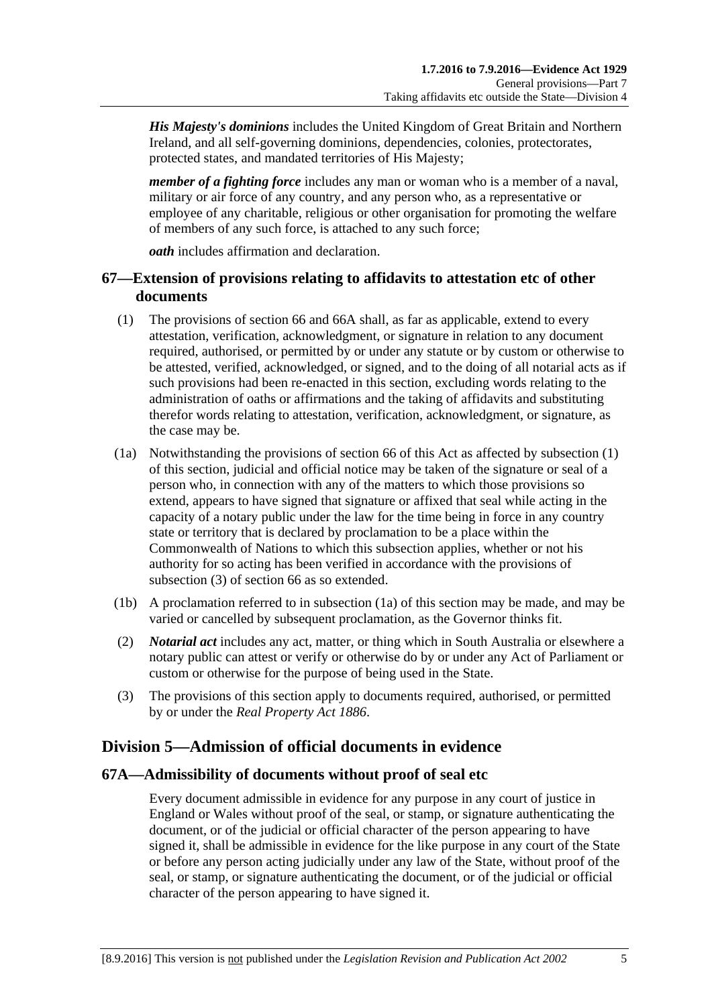*His Majesty's dominions* includes the United Kingdom of Great Britain and Northern Ireland, and all self-governing dominions, dependencies, colonies, protectorates, protected states, and mandated territories of His Majesty;

*member of a fighting force* includes any man or woman who is a member of a naval, military or air force of any country, and any person who, as a representative or employee of any charitable, religious or other organisation for promoting the welfare of members of any such force, is attached to any such force;

*oath* includes affirmation and declaration.

## **67—Extension of provisions relating to affidavits to attestation etc of other documents**

- <span id="page-72-0"></span>(1) The provisions of [section](#page-70-0) 66 and [66A](#page-71-0) shall, as far as applicable, extend to every attestation, verification, acknowledgment, or signature in relation to any document required, authorised, or permitted by or under any statute or by custom or otherwise to be attested, verified, acknowledged, or signed, and to the doing of all notarial acts as if such provisions had been re-enacted in this section, excluding words relating to the administration of oaths or affirmations and the taking of affidavits and substituting therefor words relating to attestation, verification, acknowledgment, or signature, as the case may be.
- <span id="page-72-2"></span>(1a) Notwithstanding the provisions of [section](#page-70-0) 66 of this Act as affected by [subsection](#page-72-0) (1) of this section, judicial and official notice may be taken of the signature or seal of a person who, in connection with any of the matters to which those provisions so extend, appears to have signed that signature or affixed that seal while acting in the capacity of a notary public under the law for the time being in force in any country state or territory that is declared by proclamation to be a place within the Commonwealth of Nations to which this subsection applies, whether or not his authority for so acting has been verified in accordance with the provisions of [subsection](#page-72-1) (3) of [section](#page-70-0) 66 as so extended.
- (1b) A proclamation referred to in [subsection](#page-72-2) (1a) of this section may be made, and may be varied or cancelled by subsequent proclamation, as the Governor thinks fit.
- (2) *Notarial act* includes any act, matter, or thing which in South Australia or elsewhere a notary public can attest or verify or otherwise do by or under any Act of Parliament or custom or otherwise for the purpose of being used in the State.
- <span id="page-72-1"></span>(3) The provisions of this section apply to documents required, authorised, or permitted by or under the *[Real Property Act](http://www.legislation.sa.gov.au/index.aspx?action=legref&type=act&legtitle=Real%20Property%20Act%201886) 1886*.

# **Division 5—Admission of official documents in evidence**

### **67A—Admissibility of documents without proof of seal etc**

Every document admissible in evidence for any purpose in any court of justice in England or Wales without proof of the seal, or stamp, or signature authenticating the document, or of the judicial or official character of the person appearing to have signed it, shall be admissible in evidence for the like purpose in any court of the State or before any person acting judicially under any law of the State, without proof of the seal, or stamp, or signature authenticating the document, or of the judicial or official character of the person appearing to have signed it.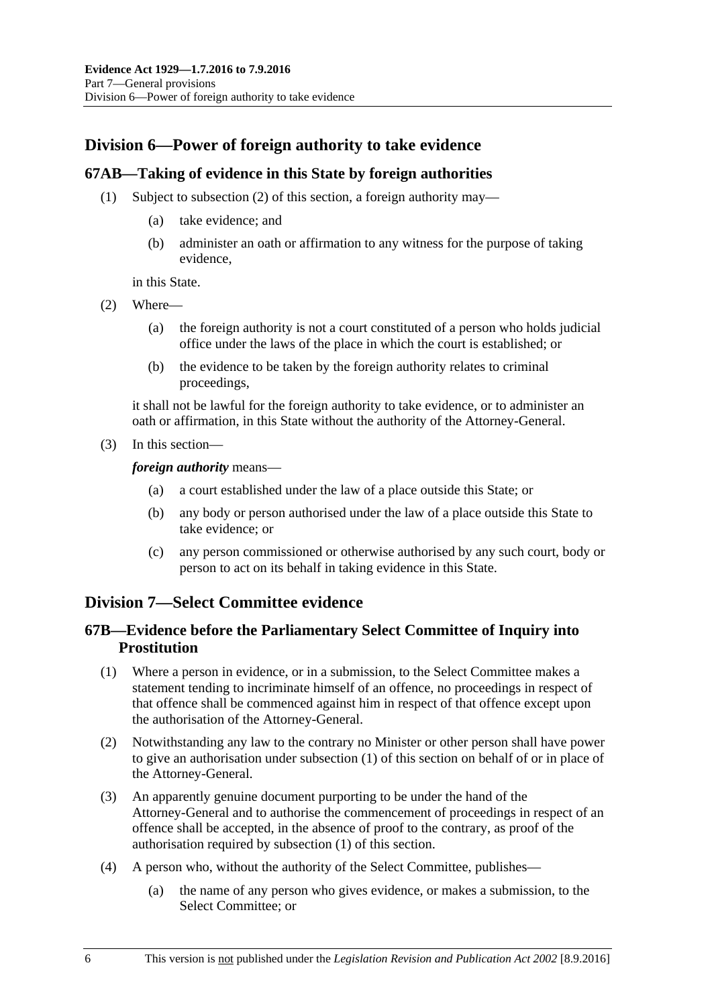# **Division 6—Power of foreign authority to take evidence**

## **67AB—Taking of evidence in this State by foreign authorities**

- (1) Subject to [subsection](#page-73-0) (2) of this section, a foreign authority may—
	- (a) take evidence; and
	- (b) administer an oath or affirmation to any witness for the purpose of taking evidence,

in this State.

- <span id="page-73-0"></span>(2) Where—
	- (a) the foreign authority is not a court constituted of a person who holds judicial office under the laws of the place in which the court is established; or
	- (b) the evidence to be taken by the foreign authority relates to criminal proceedings,

it shall not be lawful for the foreign authority to take evidence, or to administer an oath or affirmation, in this State without the authority of the Attorney-General.

(3) In this section—

*foreign authority* means—

- (a) a court established under the law of a place outside this State; or
- (b) any body or person authorised under the law of a place outside this State to take evidence; or
- (c) any person commissioned or otherwise authorised by any such court, body or person to act on its behalf in taking evidence in this State.

## **Division 7—Select Committee evidence**

## **67B—Evidence before the Parliamentary Select Committee of Inquiry into Prostitution**

- <span id="page-73-1"></span>(1) Where a person in evidence, or in a submission, to the Select Committee makes a statement tending to incriminate himself of an offence, no proceedings in respect of that offence shall be commenced against him in respect of that offence except upon the authorisation of the Attorney-General.
- (2) Notwithstanding any law to the contrary no Minister or other person shall have power to give an authorisation under [subsection](#page-73-1) (1) of this section on behalf of or in place of the Attorney-General.
- (3) An apparently genuine document purporting to be under the hand of the Attorney-General and to authorise the commencement of proceedings in respect of an offence shall be accepted, in the absence of proof to the contrary, as proof of the authorisation required by [subsection](#page-73-1) (1) of this section.
- (4) A person who, without the authority of the Select Committee, publishes—
	- (a) the name of any person who gives evidence, or makes a submission, to the Select Committee; or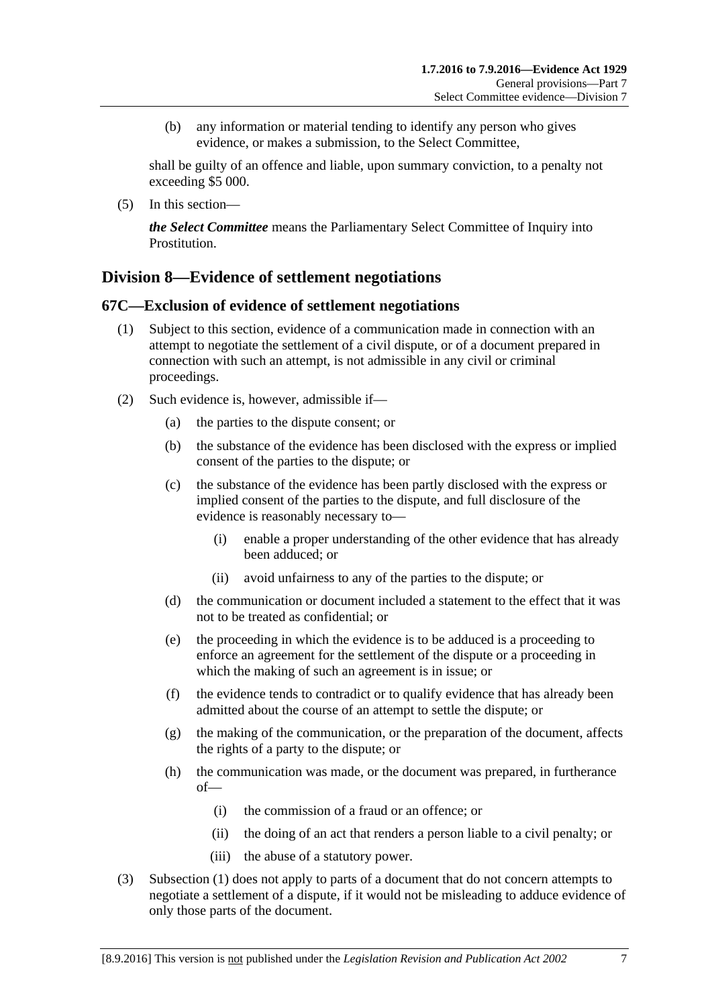(b) any information or material tending to identify any person who gives evidence, or makes a submission, to the Select Committee,

shall be guilty of an offence and liable, upon summary conviction, to a penalty not exceeding \$5 000.

(5) In this section—

*the Select Committee* means the Parliamentary Select Committee of Inquiry into Prostitution.

## **Division 8—Evidence of settlement negotiations**

#### <span id="page-74-0"></span>**67C—Exclusion of evidence of settlement negotiations**

- (1) Subject to this section, evidence of a communication made in connection with an attempt to negotiate the settlement of a civil dispute, or of a document prepared in connection with such an attempt, is not admissible in any civil or criminal proceedings.
- (2) Such evidence is, however, admissible if—
	- (a) the parties to the dispute consent; or
	- (b) the substance of the evidence has been disclosed with the express or implied consent of the parties to the dispute; or
	- (c) the substance of the evidence has been partly disclosed with the express or implied consent of the parties to the dispute, and full disclosure of the evidence is reasonably necessary to—
		- (i) enable a proper understanding of the other evidence that has already been adduced; or
		- (ii) avoid unfairness to any of the parties to the dispute; or
	- (d) the communication or document included a statement to the effect that it was not to be treated as confidential; or
	- (e) the proceeding in which the evidence is to be adduced is a proceeding to enforce an agreement for the settlement of the dispute or a proceeding in which the making of such an agreement is in issue; or
	- (f) the evidence tends to contradict or to qualify evidence that has already been admitted about the course of an attempt to settle the dispute; or
	- (g) the making of the communication, or the preparation of the document, affects the rights of a party to the dispute; or
	- (h) the communication was made, or the document was prepared, in furtherance of—
		- (i) the commission of a fraud or an offence; or
		- (ii) the doing of an act that renders a person liable to a civil penalty; or
		- (iii) the abuse of a statutory power.
- (3) [Subsection](#page-74-0) (1) does not apply to parts of a document that do not concern attempts to negotiate a settlement of a dispute, if it would not be misleading to adduce evidence of only those parts of the document.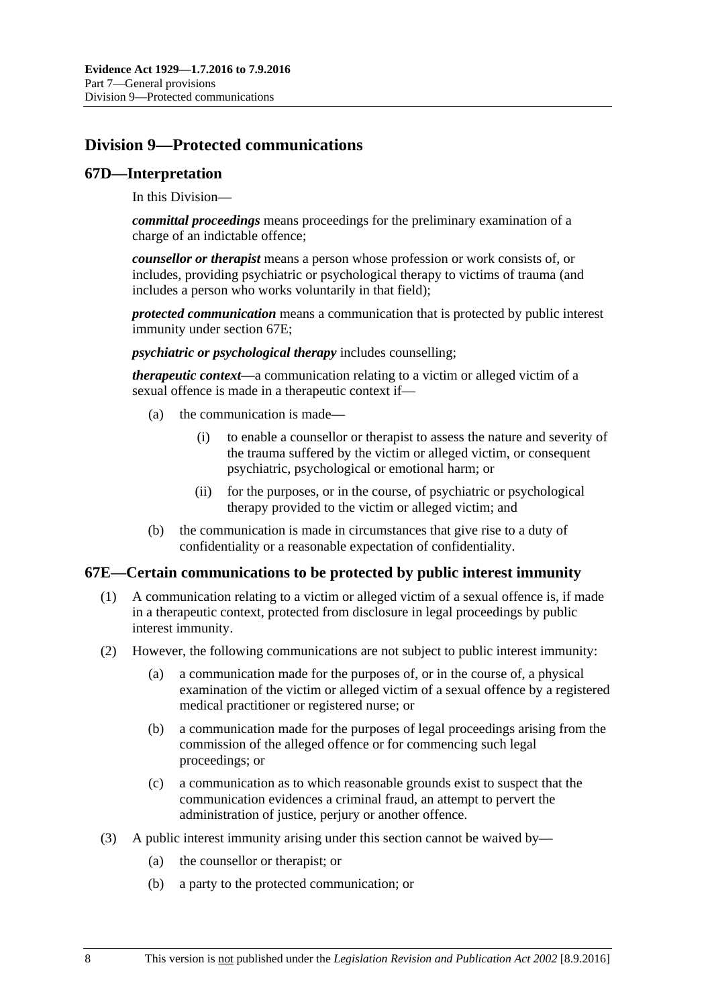# **Division 9—Protected communications**

#### **67D—Interpretation**

In this Division—

*committal proceedings* means proceedings for the preliminary examination of a charge of an indictable offence;

*counsellor or therapist* means a person whose profession or work consists of, or includes, providing psychiatric or psychological therapy to victims of trauma (and includes a person who works voluntarily in that field);

*protected communication* means a communication that is protected by public interest immunity under [section](#page-75-0) 67E;

*psychiatric or psychological therapy* includes counselling;

*therapeutic context*—a communication relating to a victim or alleged victim of a sexual offence is made in a therapeutic context if—

- (a) the communication is made—
	- (i) to enable a counsellor or therapist to assess the nature and severity of the trauma suffered by the victim or alleged victim, or consequent psychiatric, psychological or emotional harm; or
	- (ii) for the purposes, or in the course, of psychiatric or psychological therapy provided to the victim or alleged victim; and
- (b) the communication is made in circumstances that give rise to a duty of confidentiality or a reasonable expectation of confidentiality.

### <span id="page-75-0"></span>**67E—Certain communications to be protected by public interest immunity**

- (1) A communication relating to a victim or alleged victim of a sexual offence is, if made in a therapeutic context, protected from disclosure in legal proceedings by public interest immunity.
- (2) However, the following communications are not subject to public interest immunity:
	- (a) a communication made for the purposes of, or in the course of, a physical examination of the victim or alleged victim of a sexual offence by a registered medical practitioner or registered nurse; or
	- (b) a communication made for the purposes of legal proceedings arising from the commission of the alleged offence or for commencing such legal proceedings; or
	- (c) a communication as to which reasonable grounds exist to suspect that the communication evidences a criminal fraud, an attempt to pervert the administration of justice, perjury or another offence.
- (3) A public interest immunity arising under this section cannot be waived by—
	- (a) the counsellor or therapist; or
	- (b) a party to the protected communication; or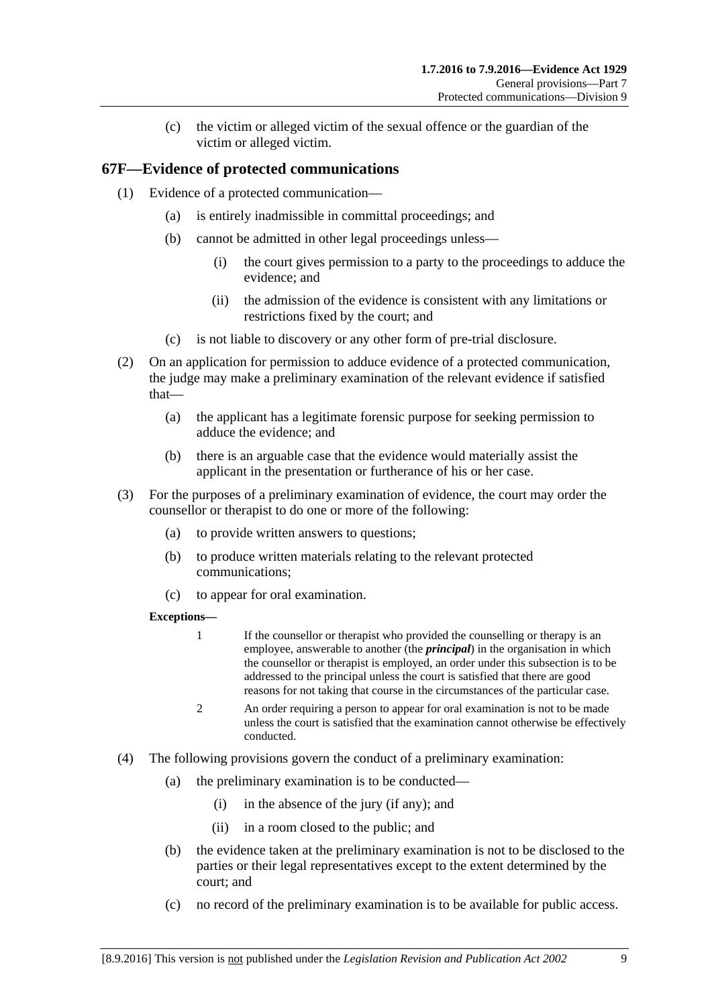(c) the victim or alleged victim of the sexual offence or the guardian of the victim or alleged victim.

## **67F—Evidence of protected communications**

- (1) Evidence of a protected communication—
	- (a) is entirely inadmissible in committal proceedings; and
	- (b) cannot be admitted in other legal proceedings unless—
		- (i) the court gives permission to a party to the proceedings to adduce the evidence; and
		- (ii) the admission of the evidence is consistent with any limitations or restrictions fixed by the court; and
	- (c) is not liable to discovery or any other form of pre-trial disclosure.
- (2) On an application for permission to adduce evidence of a protected communication, the judge may make a preliminary examination of the relevant evidence if satisfied that—
	- (a) the applicant has a legitimate forensic purpose for seeking permission to adduce the evidence; and
	- (b) there is an arguable case that the evidence would materially assist the applicant in the presentation or furtherance of his or her case.
- (3) For the purposes of a preliminary examination of evidence, the court may order the counsellor or therapist to do one or more of the following:
	- (a) to provide written answers to questions;
	- (b) to produce written materials relating to the relevant protected communications;
	- (c) to appear for oral examination.

#### **Exceptions—**

- 1 If the counsellor or therapist who provided the counselling or therapy is an employee, answerable to another (the *principal*) in the organisation in which the counsellor or therapist is employed, an order under this subsection is to be addressed to the principal unless the court is satisfied that there are good reasons for not taking that course in the circumstances of the particular case.
- 2 An order requiring a person to appear for oral examination is not to be made unless the court is satisfied that the examination cannot otherwise be effectively conducted.
- (4) The following provisions govern the conduct of a preliminary examination:
	- (a) the preliminary examination is to be conducted—
		- (i) in the absence of the jury (if any); and
		- (ii) in a room closed to the public; and
	- (b) the evidence taken at the preliminary examination is not to be disclosed to the parties or their legal representatives except to the extent determined by the court; and
	- (c) no record of the preliminary examination is to be available for public access.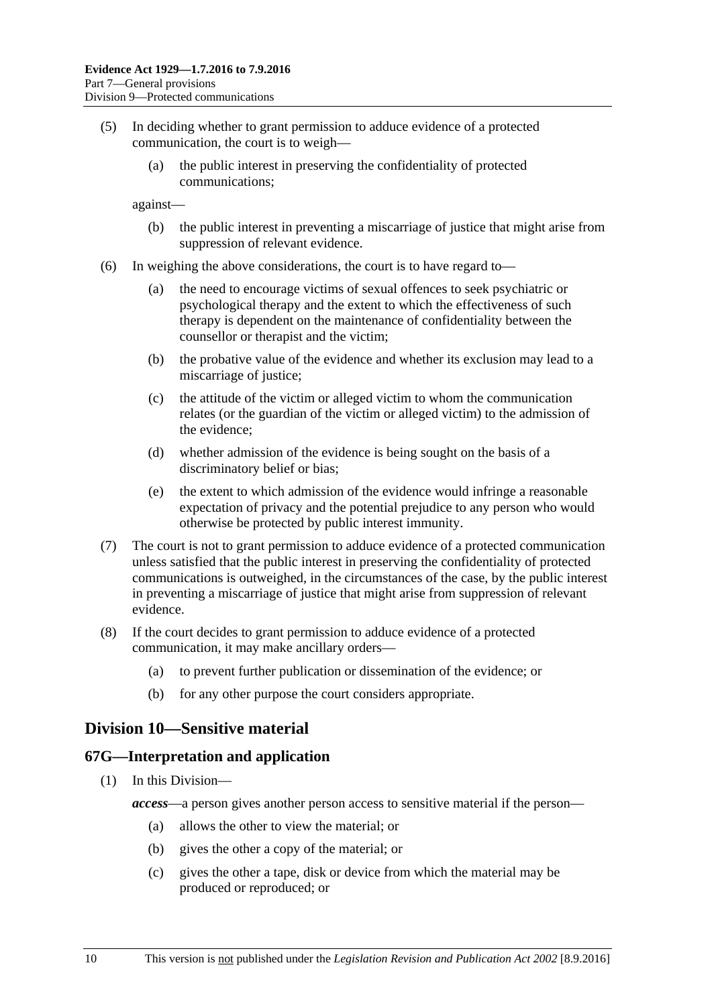- (5) In deciding whether to grant permission to adduce evidence of a protected communication, the court is to weigh—
	- (a) the public interest in preserving the confidentiality of protected communications;

against—

- (b) the public interest in preventing a miscarriage of justice that might arise from suppression of relevant evidence.
- (6) In weighing the above considerations, the court is to have regard to—
	- (a) the need to encourage victims of sexual offences to seek psychiatric or psychological therapy and the extent to which the effectiveness of such therapy is dependent on the maintenance of confidentiality between the counsellor or therapist and the victim;
	- (b) the probative value of the evidence and whether its exclusion may lead to a miscarriage of justice;
	- (c) the attitude of the victim or alleged victim to whom the communication relates (or the guardian of the victim or alleged victim) to the admission of the evidence;
	- (d) whether admission of the evidence is being sought on the basis of a discriminatory belief or bias;
	- (e) the extent to which admission of the evidence would infringe a reasonable expectation of privacy and the potential prejudice to any person who would otherwise be protected by public interest immunity.
- (7) The court is not to grant permission to adduce evidence of a protected communication unless satisfied that the public interest in preserving the confidentiality of protected communications is outweighed, in the circumstances of the case, by the public interest in preventing a miscarriage of justice that might arise from suppression of relevant evidence.
- (8) If the court decides to grant permission to adduce evidence of a protected communication, it may make ancillary orders—
	- (a) to prevent further publication or dissemination of the evidence; or
	- (b) for any other purpose the court considers appropriate.

## **Division 10—Sensitive material**

#### **67G—Interpretation and application**

- (1) In this Division
	- *access*—a person gives another person access to sensitive material if the person—
		- (a) allows the other to view the material; or
		- (b) gives the other a copy of the material; or
		- (c) gives the other a tape, disk or device from which the material may be produced or reproduced; or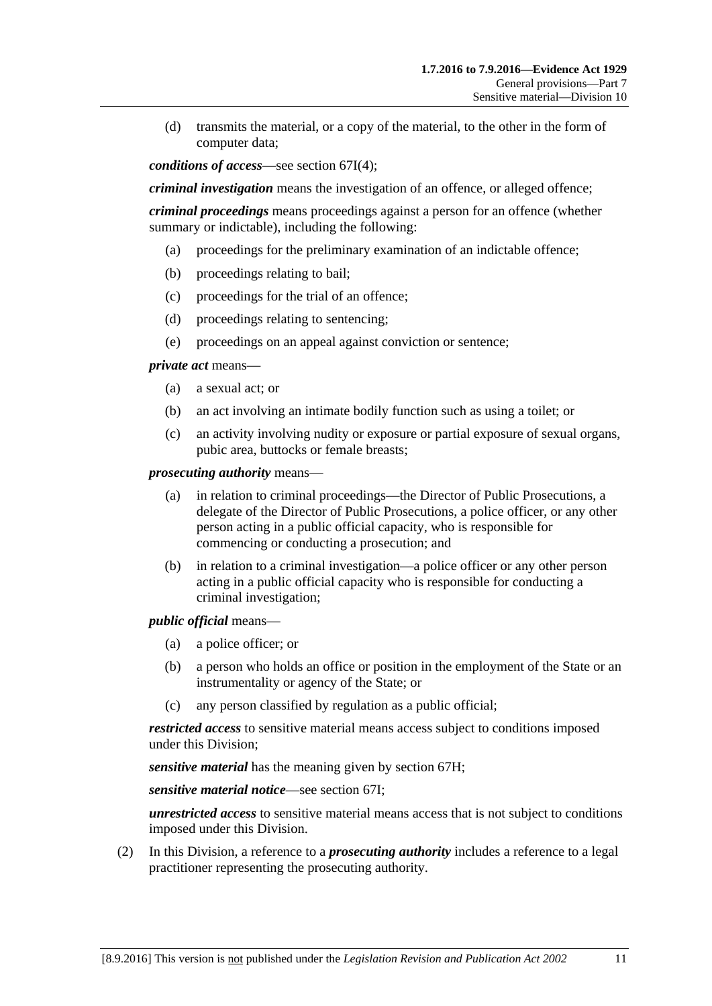(d) transmits the material, or a copy of the material, to the other in the form of computer data;

*conditions of access*—see [section](#page-80-0) 67I(4);

*criminal investigation* means the investigation of an offence, or alleged offence;

*criminal proceedings* means proceedings against a person for an offence (whether summary or indictable), including the following:

- (a) proceedings for the preliminary examination of an indictable offence;
- (b) proceedings relating to bail;
- (c) proceedings for the trial of an offence;
- (d) proceedings relating to sentencing;
- (e) proceedings on an appeal against conviction or sentence;

*private act* means—

- (a) a sexual act; or
- (b) an act involving an intimate bodily function such as using a toilet; or
- (c) an activity involving nudity or exposure or partial exposure of sexual organs, pubic area, buttocks or female breasts;

*prosecuting authority* means—

- (a) in relation to criminal proceedings—the Director of Public Prosecutions, a delegate of the Director of Public Prosecutions, a police officer, or any other person acting in a public official capacity, who is responsible for commencing or conducting a prosecution; and
- (b) in relation to a criminal investigation—a police officer or any other person acting in a public official capacity who is responsible for conducting a criminal investigation;

*public official* means—

- (a) a police officer; or
- (b) a person who holds an office or position in the employment of the State or an instrumentality or agency of the State; or
- (c) any person classified by regulation as a public official;

*restricted access* to sensitive material means access subject to conditions imposed under this Division;

*sensitive material* has the meaning given by [section](#page-79-0) 67H;

*sensitive material notice*—see [section](#page-79-1) 67I;

*unrestricted access* to sensitive material means access that is not subject to conditions imposed under this Division.

(2) In this Division, a reference to a *prosecuting authority* includes a reference to a legal practitioner representing the prosecuting authority.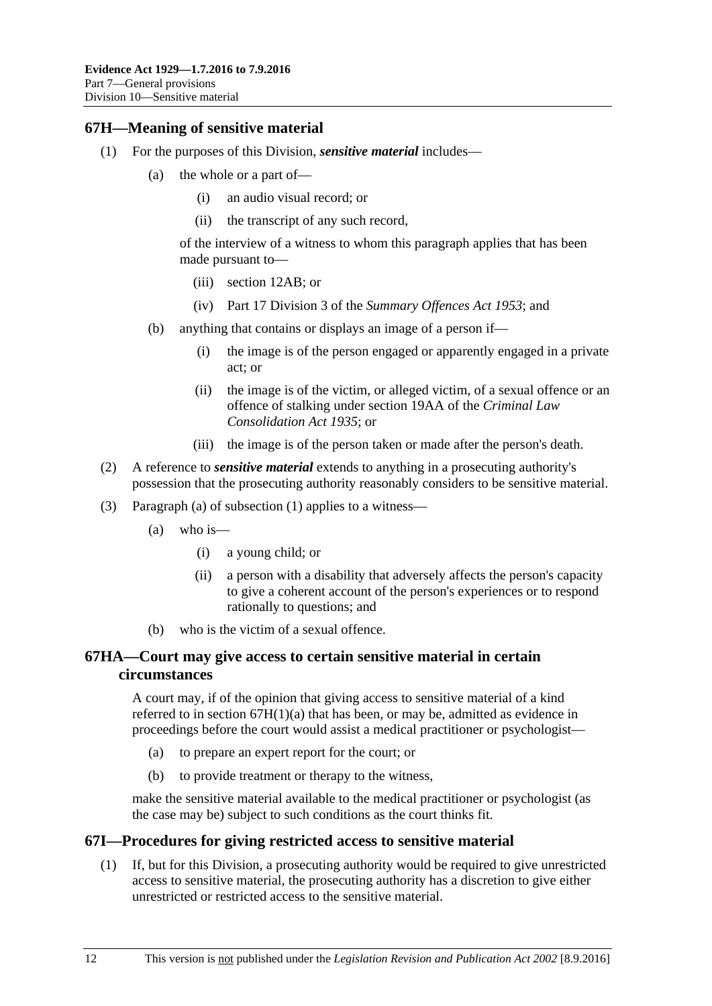### <span id="page-79-3"></span><span id="page-79-0"></span>**67H—Meaning of sensitive material**

- <span id="page-79-2"></span>(1) For the purposes of this Division, *sensitive material* includes—
	- (a) the whole or a part of—
		- (i) an audio visual record; or
		- (ii) the transcript of any such record,

of the interview of a witness to whom this paragraph applies that has been made pursuant to—

- (iii) [section](#page-12-0) 12AB; or
- (iv) Part 17 Division 3 of the *[Summary Offences Act](http://www.legislation.sa.gov.au/index.aspx?action=legref&type=act&legtitle=Summary%20Offences%20Act%201953) 1953*; and
- (b) anything that contains or displays an image of a person if—
	- (i) the image is of the person engaged or apparently engaged in a private act; or
	- (ii) the image is of the victim, or alleged victim, of a sexual offence or an offence of stalking under section 19AA of the *[Criminal Law](http://www.legislation.sa.gov.au/index.aspx?action=legref&type=act&legtitle=Criminal%20Law%20Consolidation%20Act%201935)  [Consolidation Act](http://www.legislation.sa.gov.au/index.aspx?action=legref&type=act&legtitle=Criminal%20Law%20Consolidation%20Act%201935) 1935*; or
	- (iii) the image is of the person taken or made after the person's death.
- (2) A reference to *sensitive material* extends to anything in a prosecuting authority's possession that the prosecuting authority reasonably considers to be sensitive material.
- (3) [Paragraph](#page-79-2) (a) of [subsection](#page-79-3) (1) applies to a witness—
	- (a) who is—
		- (i) a young child; or
		- (ii) a person with a disability that adversely affects the person's capacity to give a coherent account of the person's experiences or to respond rationally to questions; and
	- (b) who is the victim of a sexual offence.

## **67HA—Court may give access to certain sensitive material in certain circumstances**

A court may, if of the opinion that giving access to sensitive material of a kind referred to in section [67H\(1\)\(a\)](#page-79-2) that has been, or may be, admitted as evidence in proceedings before the court would assist a medical practitioner or psychologist—

- (a) to prepare an expert report for the court; or
- (b) to provide treatment or therapy to the witness,

make the sensitive material available to the medical practitioner or psychologist (as the case may be) subject to such conditions as the court thinks fit.

### <span id="page-79-1"></span>**67I—Procedures for giving restricted access to sensitive material**

(1) If, but for this Division, a prosecuting authority would be required to give unrestricted access to sensitive material, the prosecuting authority has a discretion to give either unrestricted or restricted access to the sensitive material.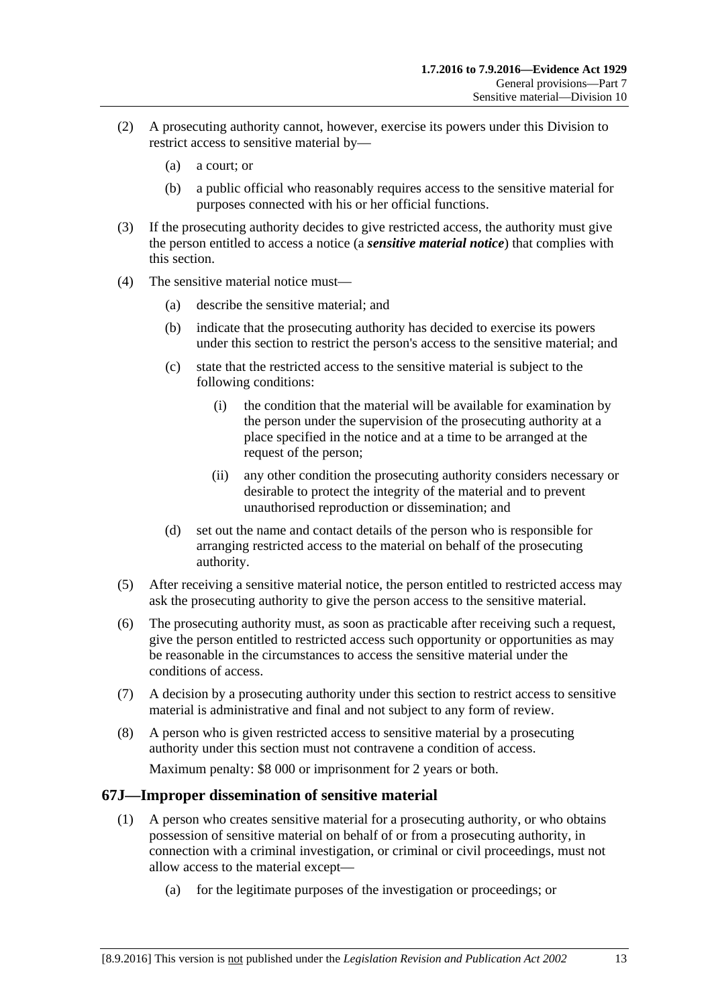- (2) A prosecuting authority cannot, however, exercise its powers under this Division to restrict access to sensitive material by—
	- (a) a court; or
	- (b) a public official who reasonably requires access to the sensitive material for purposes connected with his or her official functions.
- (3) If the prosecuting authority decides to give restricted access, the authority must give the person entitled to access a notice (a *sensitive material notice*) that complies with this section.
- <span id="page-80-0"></span>(4) The sensitive material notice must—
	- (a) describe the sensitive material; and
	- (b) indicate that the prosecuting authority has decided to exercise its powers under this section to restrict the person's access to the sensitive material; and
	- (c) state that the restricted access to the sensitive material is subject to the following conditions:
		- (i) the condition that the material will be available for examination by the person under the supervision of the prosecuting authority at a place specified in the notice and at a time to be arranged at the request of the person;
		- (ii) any other condition the prosecuting authority considers necessary or desirable to protect the integrity of the material and to prevent unauthorised reproduction or dissemination; and
	- (d) set out the name and contact details of the person who is responsible for arranging restricted access to the material on behalf of the prosecuting authority.
- (5) After receiving a sensitive material notice, the person entitled to restricted access may ask the prosecuting authority to give the person access to the sensitive material.
- (6) The prosecuting authority must, as soon as practicable after receiving such a request, give the person entitled to restricted access such opportunity or opportunities as may be reasonable in the circumstances to access the sensitive material under the conditions of access.
- (7) A decision by a prosecuting authority under this section to restrict access to sensitive material is administrative and final and not subject to any form of review.
- (8) A person who is given restricted access to sensitive material by a prosecuting authority under this section must not contravene a condition of access.

Maximum penalty: \$8 000 or imprisonment for 2 years or both.

### <span id="page-80-1"></span>**67J—Improper dissemination of sensitive material**

- (1) A person who creates sensitive material for a prosecuting authority, or who obtains possession of sensitive material on behalf of or from a prosecuting authority, in connection with a criminal investigation, or criminal or civil proceedings, must not allow access to the material except—
	- (a) for the legitimate purposes of the investigation or proceedings; or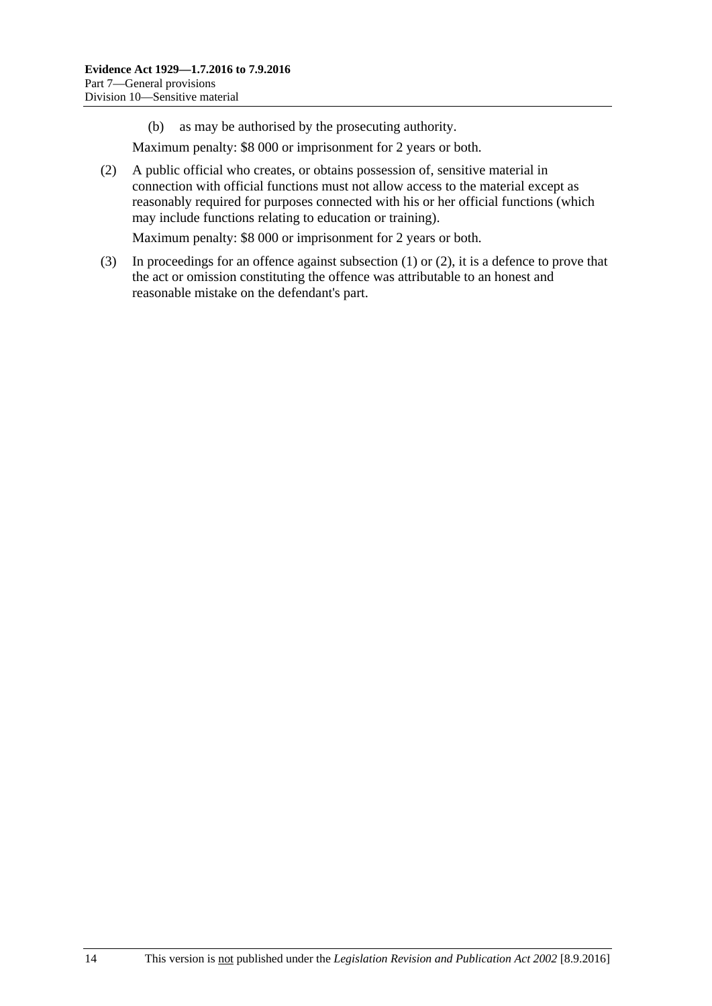(b) as may be authorised by the prosecuting authority.

Maximum penalty: \$8 000 or imprisonment for 2 years or both.

<span id="page-81-0"></span>(2) A public official who creates, or obtains possession of, sensitive material in connection with official functions must not allow access to the material except as reasonably required for purposes connected with his or her official functions (which may include functions relating to education or training).

Maximum penalty: \$8 000 or imprisonment for 2 years or both.

(3) In proceedings for an offence against [subsection](#page-80-1) (1) or [\(2\),](#page-81-0) it is a defence to prove that the act or omission constituting the offence was attributable to an honest and reasonable mistake on the defendant's part.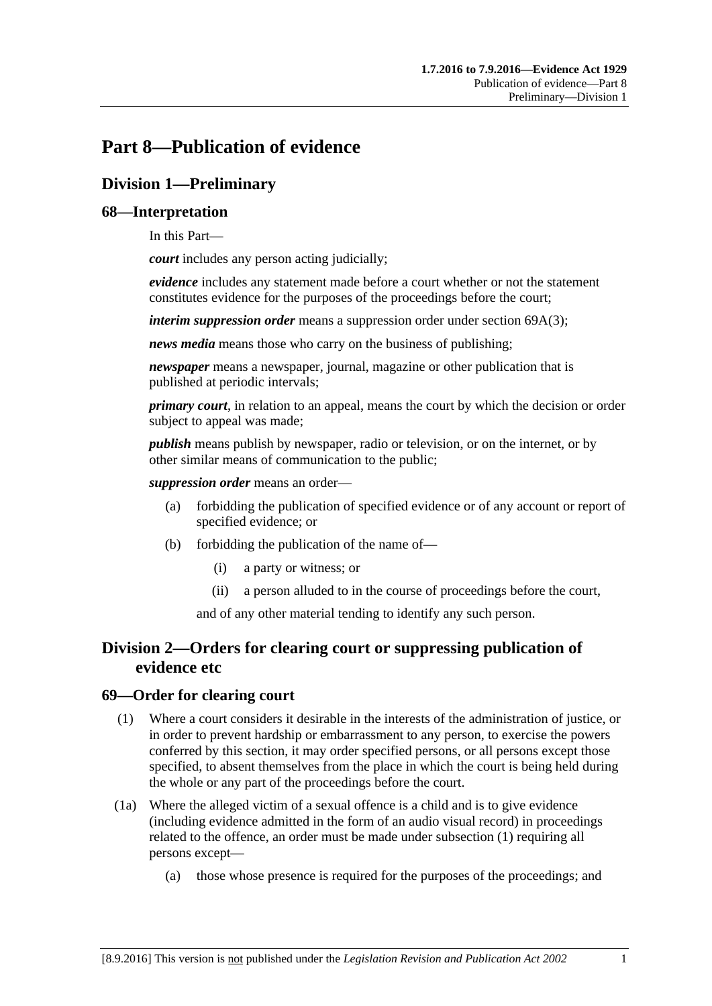# **Part 8—Publication of evidence**

# **Division 1—Preliminary**

## **68—Interpretation**

In this Part—

*court* includes any person acting judicially;

*evidence* includes any statement made before a court whether or not the statement constitutes evidence for the purposes of the proceedings before the court;

*interim suppression order* means a suppression order under section [69A\(3\);](#page-83-0)

*news media* means those who carry on the business of publishing;

*newspaper* means a newspaper, journal, magazine or other publication that is published at periodic intervals;

*primary court*, in relation to an appeal, means the court by which the decision or order subject to appeal was made;

*publish* means publish by newspaper, radio or television, or on the internet, or by other similar means of communication to the public;

*suppression order* means an order—

- (a) forbidding the publication of specified evidence or of any account or report of specified evidence; or
- (b) forbidding the publication of the name of—
	- (i) a party or witness; or
	- (ii) a person alluded to in the course of proceedings before the court,

and of any other material tending to identify any such person.

# **Division 2—Orders for clearing court or suppressing publication of evidence etc**

### <span id="page-82-0"></span>**69—Order for clearing court**

- (1) Where a court considers it desirable in the interests of the administration of justice, or in order to prevent hardship or embarrassment to any person, to exercise the powers conferred by this section, it may order specified persons, or all persons except those specified, to absent themselves from the place in which the court is being held during the whole or any part of the proceedings before the court.
- (1a) Where the alleged victim of a sexual offence is a child and is to give evidence (including evidence admitted in the form of an audio visual record) in proceedings related to the offence, an order must be made under [subsection](#page-82-0) (1) requiring all persons except—
	- (a) those whose presence is required for the purposes of the proceedings; and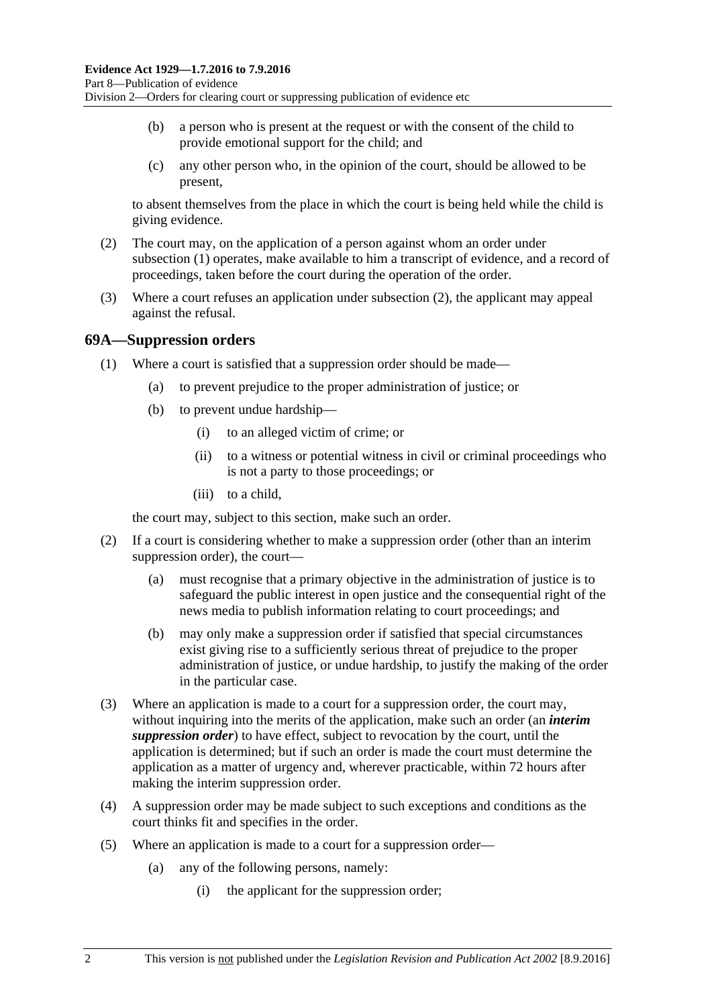- (b) a person who is present at the request or with the consent of the child to provide emotional support for the child; and
- (c) any other person who, in the opinion of the court, should be allowed to be present,

to absent themselves from the place in which the court is being held while the child is giving evidence.

- <span id="page-83-1"></span>(2) The court may, on the application of a person against whom an order under [subsection](#page-82-0) (1) operates, make available to him a transcript of evidence, and a record of proceedings, taken before the court during the operation of the order.
- (3) Where a court refuses an application under [subsection](#page-83-1) (2), the applicant may appeal against the refusal.

#### **69A—Suppression orders**

- (1) Where a court is satisfied that a suppression order should be made—
	- (a) to prevent prejudice to the proper administration of justice; or
	- (b) to prevent undue hardship—
		- (i) to an alleged victim of crime; or
		- (ii) to a witness or potential witness in civil or criminal proceedings who is not a party to those proceedings; or
		- (iii) to a child,

the court may, subject to this section, make such an order.

- (2) If a court is considering whether to make a suppression order (other than an interim suppression order), the court—
	- (a) must recognise that a primary objective in the administration of justice is to safeguard the public interest in open justice and the consequential right of the news media to publish information relating to court proceedings; and
	- (b) may only make a suppression order if satisfied that special circumstances exist giving rise to a sufficiently serious threat of prejudice to the proper administration of justice, or undue hardship, to justify the making of the order in the particular case.
- <span id="page-83-0"></span>(3) Where an application is made to a court for a suppression order, the court may, without inquiring into the merits of the application, make such an order (an *interim suppression order*) to have effect, subject to revocation by the court, until the application is determined; but if such an order is made the court must determine the application as a matter of urgency and, wherever practicable, within 72 hours after making the interim suppression order.
- (4) A suppression order may be made subject to such exceptions and conditions as the court thinks fit and specifies in the order.
- <span id="page-83-2"></span>(5) Where an application is made to a court for a suppression order—
	- (a) any of the following persons, namely:
		- (i) the applicant for the suppression order;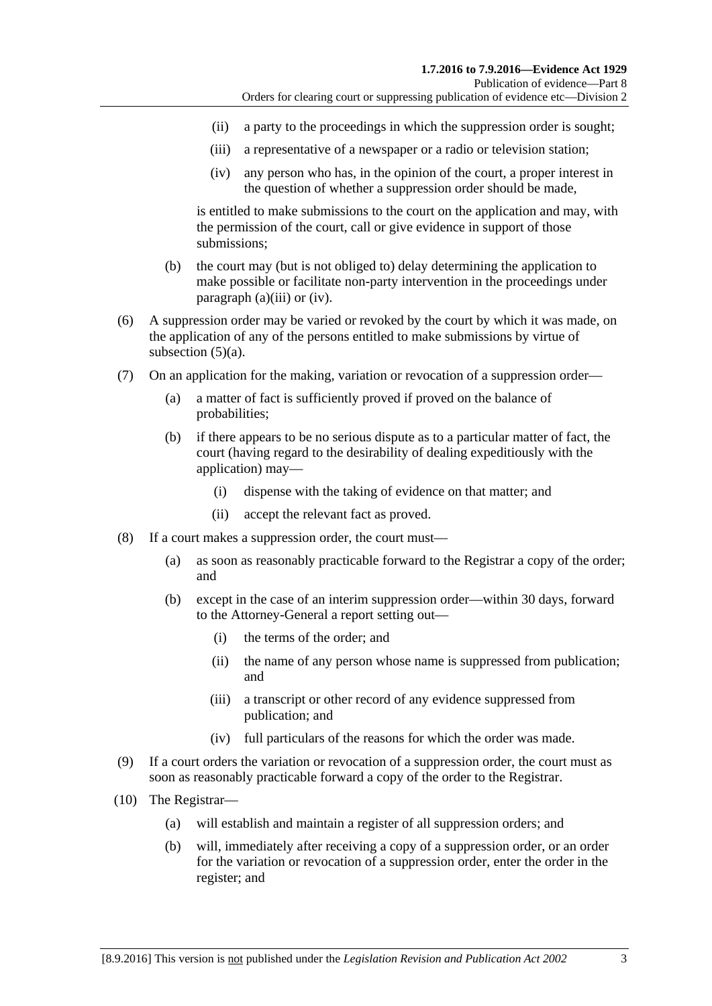- (ii) a party to the proceedings in which the suppression order is sought;
- <span id="page-84-0"></span>(iii) a representative of a newspaper or a radio or television station;
- (iv) any person who has, in the opinion of the court, a proper interest in the question of whether a suppression order should be made,

<span id="page-84-1"></span>is entitled to make submissions to the court on the application and may, with the permission of the court, call or give evidence in support of those submissions;

- (b) the court may (but is not obliged to) delay determining the application to make possible or facilitate non-party intervention in the proceedings under [paragraph](#page-84-0) (a)(iii) or [\(iv\).](#page-84-1)
- (6) A suppression order may be varied or revoked by the court by which it was made, on the application of any of the persons entitled to make submissions by virtue of [subsection](#page-83-2) (5)(a).
- (7) On an application for the making, variation or revocation of a suppression order—
	- (a) a matter of fact is sufficiently proved if proved on the balance of probabilities;
	- (b) if there appears to be no serious dispute as to a particular matter of fact, the court (having regard to the desirability of dealing expeditiously with the application) may—
		- (i) dispense with the taking of evidence on that matter; and
		- (ii) accept the relevant fact as proved.
- (8) If a court makes a suppression order, the court must—
	- (a) as soon as reasonably practicable forward to the Registrar a copy of the order; and
	- (b) except in the case of an interim suppression order—within 30 days, forward to the Attorney-General a report setting out—
		- (i) the terms of the order; and
		- (ii) the name of any person whose name is suppressed from publication; and
		- (iii) a transcript or other record of any evidence suppressed from publication; and
		- (iv) full particulars of the reasons for which the order was made.
- (9) If a court orders the variation or revocation of a suppression order, the court must as soon as reasonably practicable forward a copy of the order to the Registrar.
- (10) The Registrar—
	- (a) will establish and maintain a register of all suppression orders; and
	- (b) will, immediately after receiving a copy of a suppression order, or an order for the variation or revocation of a suppression order, enter the order in the register; and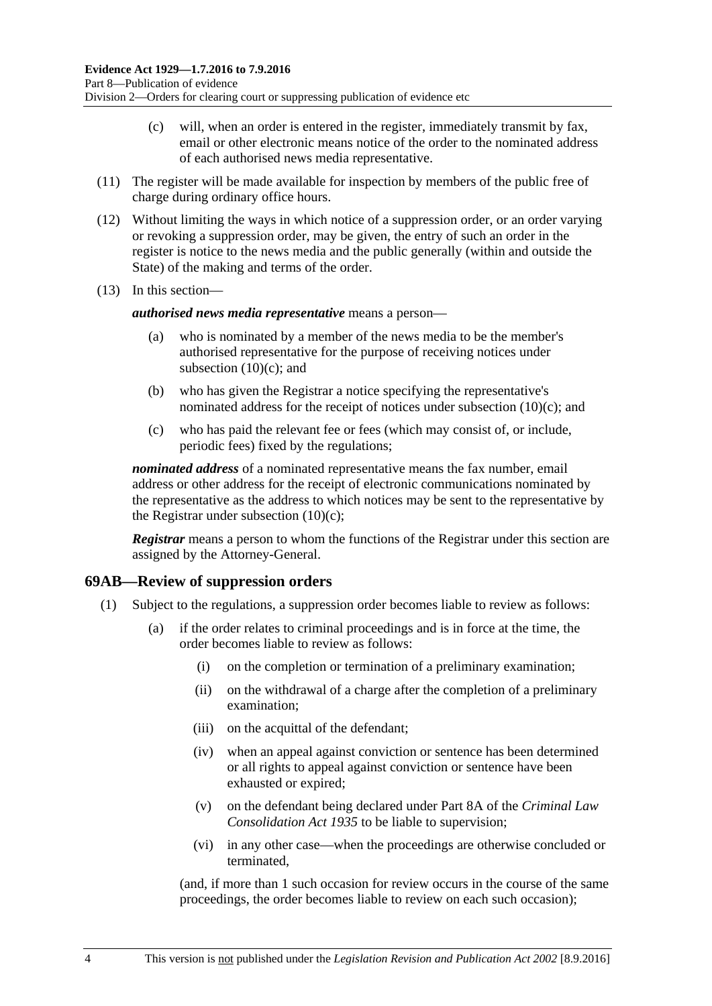- (c) will, when an order is entered in the register, immediately transmit by fax, email or other electronic means notice of the order to the nominated address of each authorised news media representative.
- <span id="page-85-0"></span>(11) The register will be made available for inspection by members of the public free of charge during ordinary office hours.
- (12) Without limiting the ways in which notice of a suppression order, or an order varying or revoking a suppression order, may be given, the entry of such an order in the register is notice to the news media and the public generally (within and outside the State) of the making and terms of the order.
- (13) In this section—

#### *authorised news media representative* means a person—

- (a) who is nominated by a member of the news media to be the member's authorised representative for the purpose of receiving notices under [subsection](#page-85-0)  $(10)(c)$ ; and
- (b) who has given the Registrar a notice specifying the representative's nominated address for the receipt of notices under [subsection](#page-85-0) (10)(c); and
- (c) who has paid the relevant fee or fees (which may consist of, or include, periodic fees) fixed by the regulations;

*nominated address* of a nominated representative means the fax number, email address or other address for the receipt of electronic communications nominated by the representative as the address to which notices may be sent to the representative by the Registrar under [subsection](#page-85-0)  $(10)(c)$ ;

*Registrar* means a person to whom the functions of the Registrar under this section are assigned by the Attorney-General.

### **69AB—Review of suppression orders**

- (1) Subject to the regulations, a suppression order becomes liable to review as follows:
	- (a) if the order relates to criminal proceedings and is in force at the time, the order becomes liable to review as follows:
		- (i) on the completion or termination of a preliminary examination;
		- (ii) on the withdrawal of a charge after the completion of a preliminary examination;
		- (iii) on the acquittal of the defendant;
		- (iv) when an appeal against conviction or sentence has been determined or all rights to appeal against conviction or sentence have been exhausted or expired;
		- (v) on the defendant being declared under Part 8A of the *[Criminal Law](http://www.legislation.sa.gov.au/index.aspx?action=legref&type=act&legtitle=Criminal%20Law%20Consolidation%20Act%201935)  [Consolidation Act](http://www.legislation.sa.gov.au/index.aspx?action=legref&type=act&legtitle=Criminal%20Law%20Consolidation%20Act%201935) 1935* to be liable to supervision;
		- (vi) in any other case—when the proceedings are otherwise concluded or terminated,

(and, if more than 1 such occasion for review occurs in the course of the same proceedings, the order becomes liable to review on each such occasion);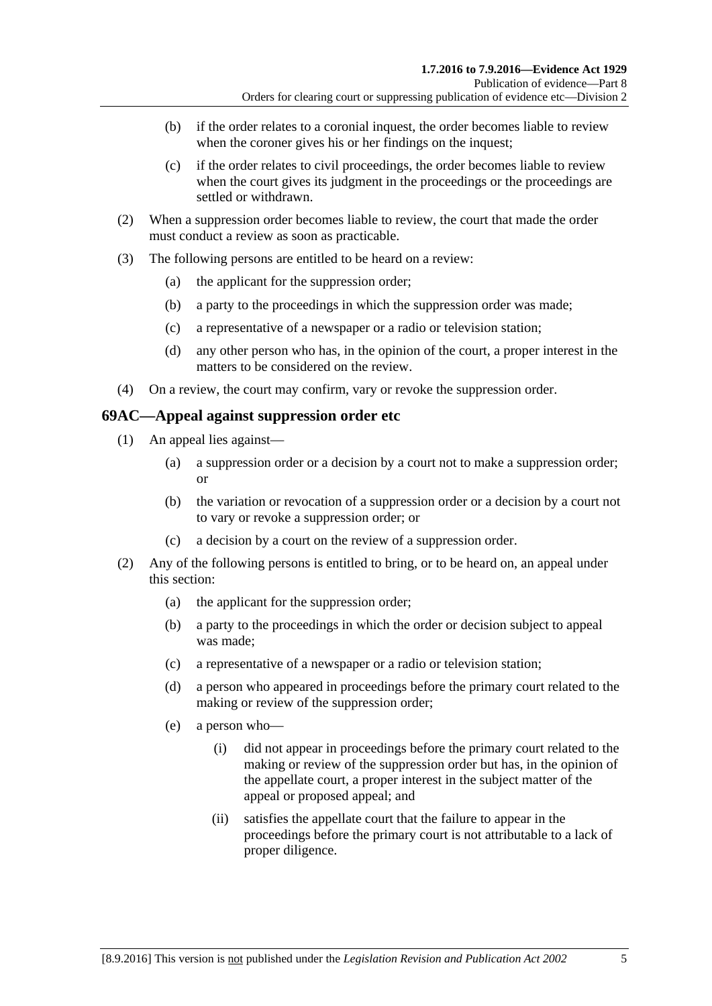- (b) if the order relates to a coronial inquest, the order becomes liable to review when the coroner gives his or her findings on the inquest;
- (c) if the order relates to civil proceedings, the order becomes liable to review when the court gives its judgment in the proceedings or the proceedings are settled or withdrawn.
- (2) When a suppression order becomes liable to review, the court that made the order must conduct a review as soon as practicable.
- (3) The following persons are entitled to be heard on a review:
	- (a) the applicant for the suppression order;
	- (b) a party to the proceedings in which the suppression order was made;
	- (c) a representative of a newspaper or a radio or television station;
	- (d) any other person who has, in the opinion of the court, a proper interest in the matters to be considered on the review.
- (4) On a review, the court may confirm, vary or revoke the suppression order.

#### **69AC—Appeal against suppression order etc**

- (1) An appeal lies against—
	- (a) a suppression order or a decision by a court not to make a suppression order; or
	- (b) the variation or revocation of a suppression order or a decision by a court not to vary or revoke a suppression order; or
	- (c) a decision by a court on the review of a suppression order.
- (2) Any of the following persons is entitled to bring, or to be heard on, an appeal under this section:
	- (a) the applicant for the suppression order;
	- (b) a party to the proceedings in which the order or decision subject to appeal was made;
	- (c) a representative of a newspaper or a radio or television station;
	- (d) a person who appeared in proceedings before the primary court related to the making or review of the suppression order;
	- (e) a person who—
		- (i) did not appear in proceedings before the primary court related to the making or review of the suppression order but has, in the opinion of the appellate court, a proper interest in the subject matter of the appeal or proposed appeal; and
		- (ii) satisfies the appellate court that the failure to appear in the proceedings before the primary court is not attributable to a lack of proper diligence.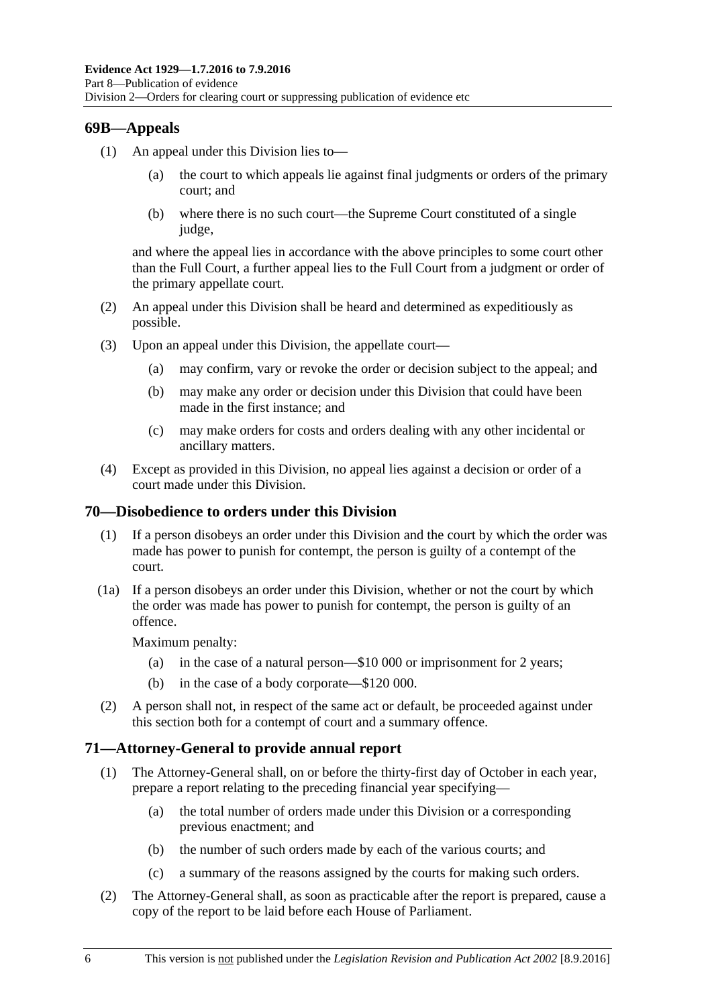### **69B—Appeals**

- (1) An appeal under this Division lies to
	- the court to which appeals lie against final judgments or orders of the primary court; and
	- (b) where there is no such court—the Supreme Court constituted of a single judge,

and where the appeal lies in accordance with the above principles to some court other than the Full Court, a further appeal lies to the Full Court from a judgment or order of the primary appellate court.

- (2) An appeal under this Division shall be heard and determined as expeditiously as possible.
- (3) Upon an appeal under this Division, the appellate court—
	- (a) may confirm, vary or revoke the order or decision subject to the appeal; and
	- (b) may make any order or decision under this Division that could have been made in the first instance; and
	- (c) may make orders for costs and orders dealing with any other incidental or ancillary matters.
- (4) Except as provided in this Division, no appeal lies against a decision or order of a court made under this Division.

### **70—Disobedience to orders under this Division**

- (1) If a person disobeys an order under this Division and the court by which the order was made has power to punish for contempt, the person is guilty of a contempt of the court.
- (1a) If a person disobeys an order under this Division, whether or not the court by which the order was made has power to punish for contempt, the person is guilty of an offence.

Maximum penalty:

- (a) in the case of a natural person—\$10 000 or imprisonment for 2 years;
- (b) in the case of a body corporate—\$120 000.
- (2) A person shall not, in respect of the same act or default, be proceeded against under this section both for a contempt of court and a summary offence.

#### **71—Attorney-General to provide annual report**

- (1) The Attorney-General shall, on or before the thirty-first day of October in each year, prepare a report relating to the preceding financial year specifying—
	- (a) the total number of orders made under this Division or a corresponding previous enactment; and
	- (b) the number of such orders made by each of the various courts; and
	- (c) a summary of the reasons assigned by the courts for making such orders.
- (2) The Attorney-General shall, as soon as practicable after the report is prepared, cause a copy of the report to be laid before each House of Parliament.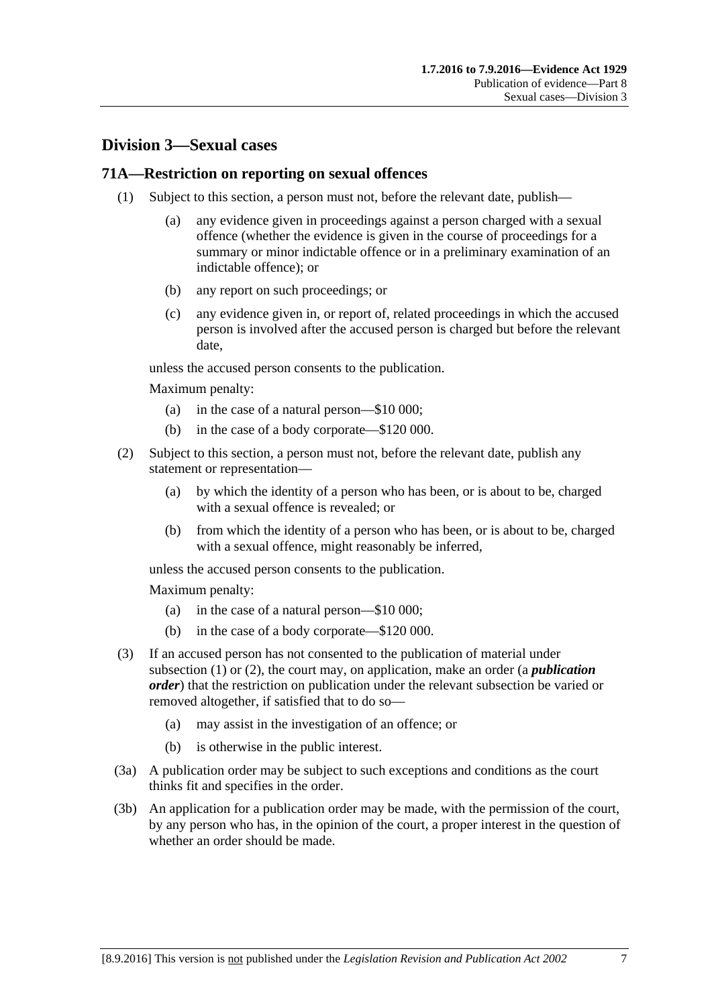# **Division 3—Sexual cases**

#### <span id="page-88-0"></span>**71A—Restriction on reporting on sexual offences**

- (1) Subject to this section, a person must not, before the relevant date, publish—
	- (a) any evidence given in proceedings against a person charged with a sexual offence (whether the evidence is given in the course of proceedings for a summary or minor indictable offence or in a preliminary examination of an indictable offence); or
	- (b) any report on such proceedings; or
	- (c) any evidence given in, or report of, related proceedings in which the accused person is involved after the accused person is charged but before the relevant date,

unless the accused person consents to the publication.

Maximum penalty:

- (a) in the case of a natural person—\$10 000;
- (b) in the case of a body corporate—\$120 000.
- <span id="page-88-1"></span>(2) Subject to this section, a person must not, before the relevant date, publish any statement or representation—
	- (a) by which the identity of a person who has been, or is about to be, charged with a sexual offence is revealed; or
	- (b) from which the identity of a person who has been, or is about to be, charged with a sexual offence, might reasonably be inferred,

unless the accused person consents to the publication.

Maximum penalty:

- (a) in the case of a natural person—\$10 000;
- (b) in the case of a body corporate—\$120 000.
- (3) If an accused person has not consented to the publication of material under [subsection](#page-88-0) (1) or [\(2\),](#page-88-1) the court may, on application, make an order (a *publication order*) that the restriction on publication under the relevant subsection be varied or removed altogether, if satisfied that to do so—
	- (a) may assist in the investigation of an offence; or
	- (b) is otherwise in the public interest.
- (3a) A publication order may be subject to such exceptions and conditions as the court thinks fit and specifies in the order.
- (3b) An application for a publication order may be made, with the permission of the court, by any person who has, in the opinion of the court, a proper interest in the question of whether an order should be made.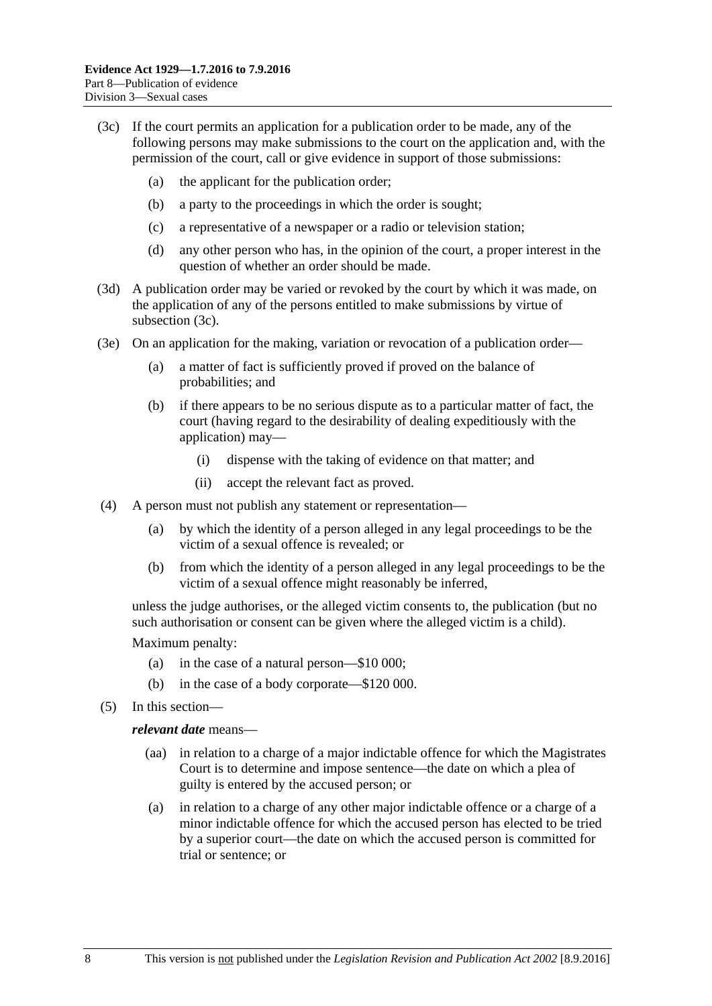- <span id="page-89-0"></span>(3c) If the court permits an application for a publication order to be made, any of the following persons may make submissions to the court on the application and, with the permission of the court, call or give evidence in support of those submissions:
	- (a) the applicant for the publication order;
	- (b) a party to the proceedings in which the order is sought;
	- (c) a representative of a newspaper or a radio or television station;
	- (d) any other person who has, in the opinion of the court, a proper interest in the question of whether an order should be made.
- (3d) A publication order may be varied or revoked by the court by which it was made, on the application of any of the persons entitled to make submissions by virtue of [subsection](#page-89-0) (3c).
- (3e) On an application for the making, variation or revocation of a publication order—
	- (a) a matter of fact is sufficiently proved if proved on the balance of probabilities; and
	- (b) if there appears to be no serious dispute as to a particular matter of fact, the court (having regard to the desirability of dealing expeditiously with the application) may—
		- (i) dispense with the taking of evidence on that matter; and
		- (ii) accept the relevant fact as proved.
- (4) A person must not publish any statement or representation—
	- (a) by which the identity of a person alleged in any legal proceedings to be the victim of a sexual offence is revealed; or
	- (b) from which the identity of a person alleged in any legal proceedings to be the victim of a sexual offence might reasonably be inferred,

unless the judge authorises, or the alleged victim consents to, the publication (but no such authorisation or consent can be given where the alleged victim is a child).

Maximum penalty:

- (a) in the case of a natural person—\$10 000;
- (b) in the case of a body corporate—\$120 000.
- (5) In this section—

#### *relevant date* means—

- (aa) in relation to a charge of a major indictable offence for which the Magistrates Court is to determine and impose sentence—the date on which a plea of guilty is entered by the accused person; or
- (a) in relation to a charge of any other major indictable offence or a charge of a minor indictable offence for which the accused person has elected to be tried by a superior court—the date on which the accused person is committed for trial or sentence; or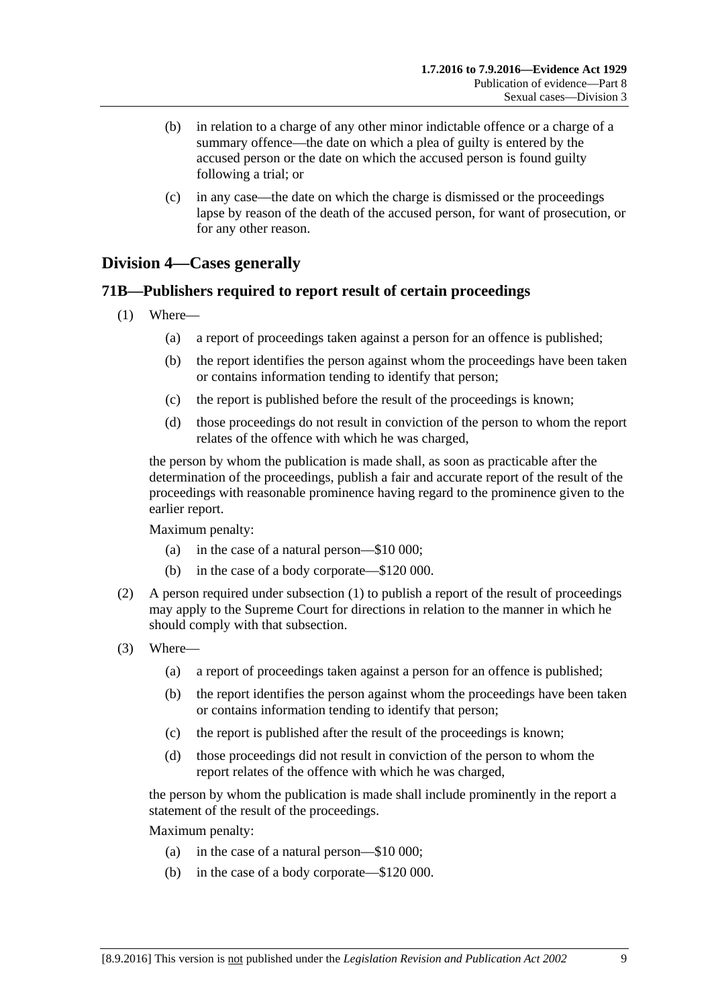- (b) in relation to a charge of any other minor indictable offence or a charge of a summary offence—the date on which a plea of guilty is entered by the accused person or the date on which the accused person is found guilty following a trial; or
- (c) in any case—the date on which the charge is dismissed or the proceedings lapse by reason of the death of the accused person, for want of prosecution, or for any other reason.

# **Division 4—Cases generally**

### <span id="page-90-0"></span>**71B—Publishers required to report result of certain proceedings**

- (1) Where—
	- (a) a report of proceedings taken against a person for an offence is published;
	- (b) the report identifies the person against whom the proceedings have been taken or contains information tending to identify that person;
	- (c) the report is published before the result of the proceedings is known;
	- (d) those proceedings do not result in conviction of the person to whom the report relates of the offence with which he was charged,

the person by whom the publication is made shall, as soon as practicable after the determination of the proceedings, publish a fair and accurate report of the result of the proceedings with reasonable prominence having regard to the prominence given to the earlier report.

Maximum penalty:

- (a) in the case of a natural person—\$10 000;
- (b) in the case of a body corporate—\$120 000.
- (2) A person required under [subsection](#page-90-0) (1) to publish a report of the result of proceedings may apply to the Supreme Court for directions in relation to the manner in which he should comply with that subsection.
- (3) Where—
	- (a) a report of proceedings taken against a person for an offence is published;
	- (b) the report identifies the person against whom the proceedings have been taken or contains information tending to identify that person;
	- (c) the report is published after the result of the proceedings is known;
	- (d) those proceedings did not result in conviction of the person to whom the report relates of the offence with which he was charged,

the person by whom the publication is made shall include prominently in the report a statement of the result of the proceedings.

Maximum penalty:

- (a) in the case of a natural person—\$10 000;
- (b) in the case of a body corporate—\$120 000.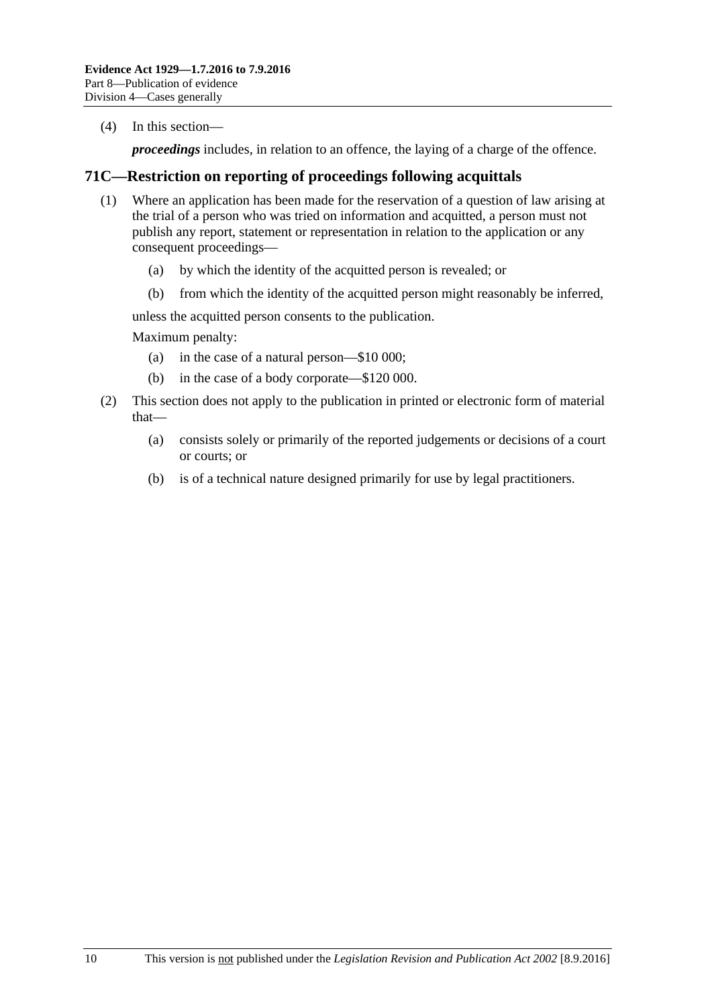(4) In this section—

*proceedings* includes, in relation to an offence, the laying of a charge of the offence.

## **71C—Restriction on reporting of proceedings following acquittals**

- (1) Where an application has been made for the reservation of a question of law arising at the trial of a person who was tried on information and acquitted, a person must not publish any report, statement or representation in relation to the application or any consequent proceedings—
	- (a) by which the identity of the acquitted person is revealed; or
	- (b) from which the identity of the acquitted person might reasonably be inferred,

unless the acquitted person consents to the publication.

Maximum penalty:

- (a) in the case of a natural person—\$10 000;
- (b) in the case of a body corporate—\$120 000.
- (2) This section does not apply to the publication in printed or electronic form of material that—
	- (a) consists solely or primarily of the reported judgements or decisions of a court or courts; or
	- (b) is of a technical nature designed primarily for use by legal practitioners.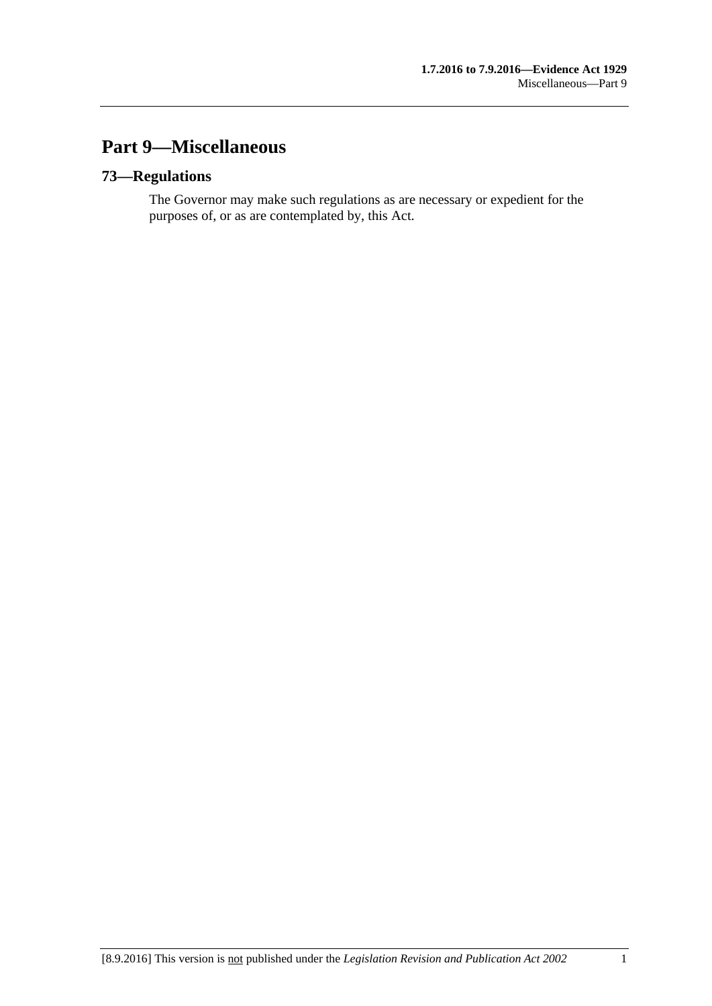# **Part 9—Miscellaneous**

# **73—Regulations**

The Governor may make such regulations as are necessary or expedient for the purposes of, or as are contemplated by, this Act.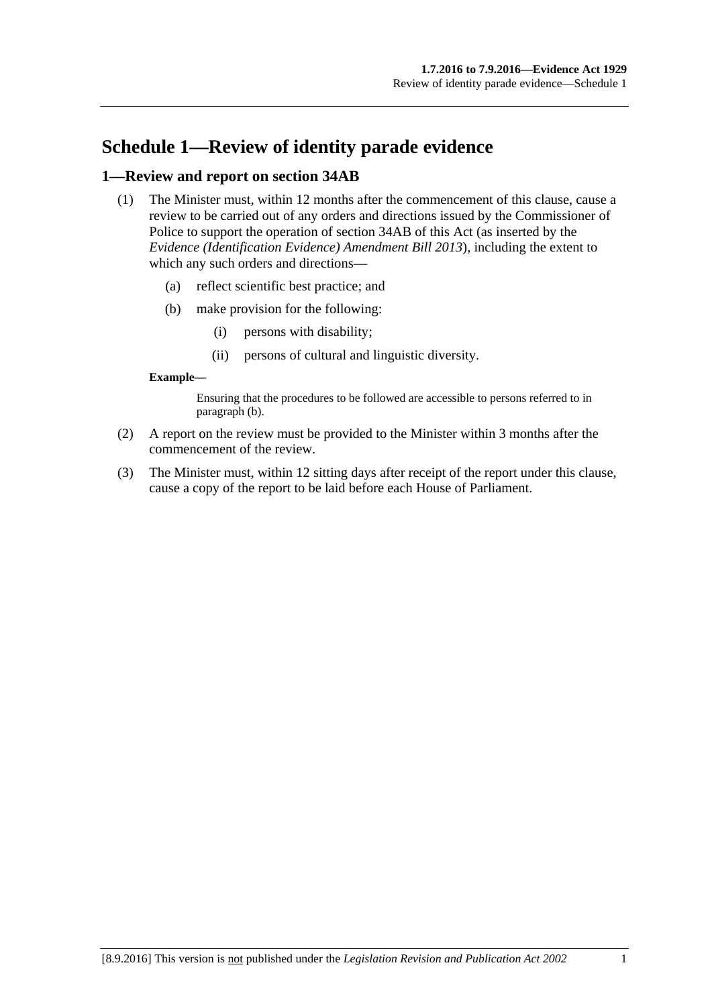# **Schedule 1—Review of identity parade evidence**

#### **1—Review and report on section 34AB**

- (1) The Minister must, within 12 months after the commencement of this clause, cause a review to be carried out of any orders and directions issued by the Commissioner of Police to support the operation of section 34AB of this Act (as inserted by the *[Evidence \(Identification Evidence\) Amendment Bill](http://www.legislation.sa.gov.au/index.aspx?action=legref&type=act&legtitle=Evidence%20(Identification%20Evidence)%20Amendment%20Bill%202013) 2013*), including the extent to which any such orders and directions—
	- (a) reflect scientific best practice; and
	- (b) make provision for the following:
		- (i) persons with disability;
		- (ii) persons of cultural and linguistic diversity.

#### <span id="page-94-0"></span>**Example—**

Ensuring that the procedures to be followed are accessible to persons referred to in [paragraph](#page-94-0) (b).

- (2) A report on the review must be provided to the Minister within 3 months after the commencement of the review.
- (3) The Minister must, within 12 sitting days after receipt of the report under this clause, cause a copy of the report to be laid before each House of Parliament.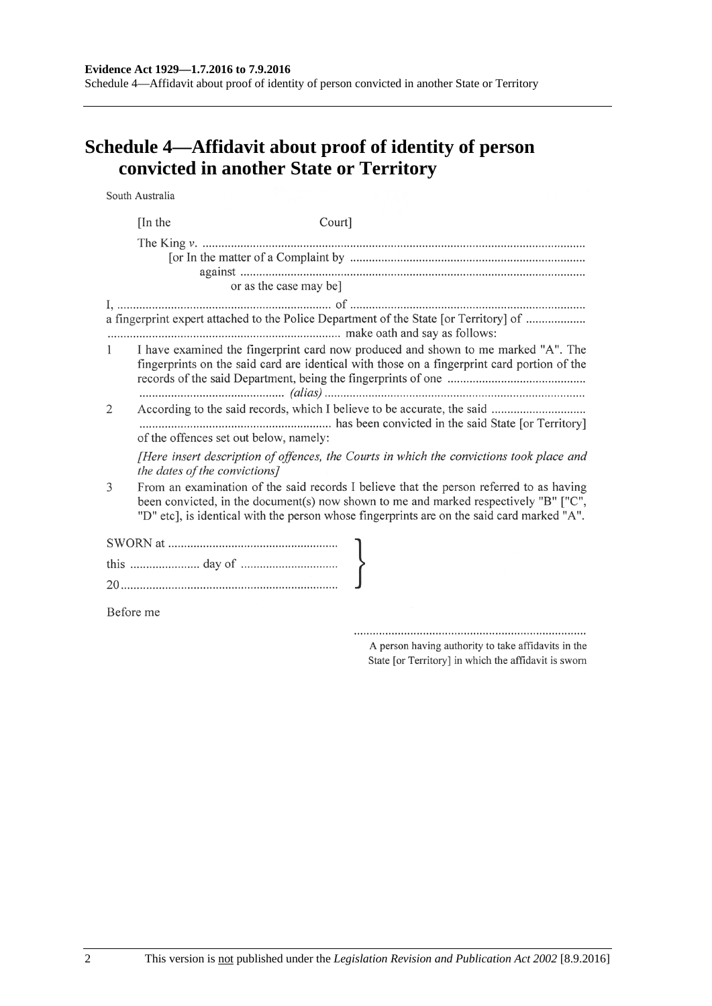Schedule 4—Affidavit about proof of identity of person convicted in another State or Territory

# **Schedule 4—Affidavit about proof of identity of person convicted in another State or Territory**

South Australia

|              | [In the]                               | Court]                                                                                                                                                                                                                                                                        |  |  |
|--------------|----------------------------------------|-------------------------------------------------------------------------------------------------------------------------------------------------------------------------------------------------------------------------------------------------------------------------------|--|--|
|              |                                        | or as the case may be]                                                                                                                                                                                                                                                        |  |  |
|              |                                        | a fingerprint expert attached to the Police Department of the State [or Territory] of                                                                                                                                                                                         |  |  |
| $\mathbf{1}$ |                                        | I have examined the fingerprint card now produced and shown to me marked "A". The<br>fingerprints on the said card are identical with those on a fingerprint card portion of the                                                                                              |  |  |
| 2            | of the offences set out below, namely: |                                                                                                                                                                                                                                                                               |  |  |
|              | the dates of the convictions]          | [Here insert description of offences, the Courts in which the convictions took place and                                                                                                                                                                                      |  |  |
| 3            |                                        | From an examination of the said records I believe that the person referred to as having<br>been convicted, in the document(s) now shown to me and marked respectively "B" ["C",<br>"D" etc], is identical with the person whose fingerprints are on the said card marked "A". |  |  |
|              |                                        |                                                                                                                                                                                                                                                                               |  |  |
|              |                                        |                                                                                                                                                                                                                                                                               |  |  |
|              |                                        |                                                                                                                                                                                                                                                                               |  |  |
| Before me    |                                        |                                                                                                                                                                                                                                                                               |  |  |

A person having authority to take affidavits in the State [or Territory] in which the affidavit is sworn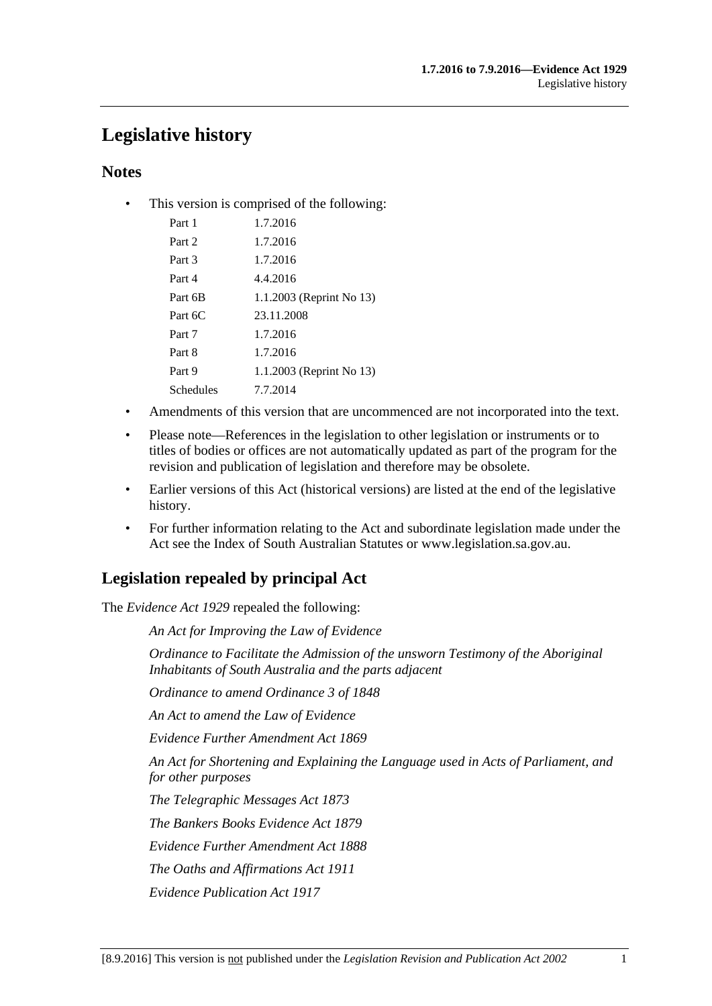# **Legislative history**

## **Notes**

• This version is comprised of the following:

| Part 1    | 1.7.2016                 |
|-----------|--------------------------|
| Part 2    | 1.7.2016                 |
| Part 3    | 1.7.2016                 |
| Part 4    | 4.4.2016                 |
| Part 6B   | 1.1.2003 (Reprint No 13) |
| Part 6C   | 23.11.2008               |
| Part 7    | 1.7.2016                 |
| Part 8    | 1.7.2016                 |
| Part 9    | 1.1.2003 (Reprint No 13) |
| Schedules | 7.7.2014                 |

- Amendments of this version that are uncommenced are not incorporated into the text.
- Please note—References in the legislation to other legislation or instruments or to titles of bodies or offices are not automatically updated as part of the program for the revision and publication of legislation and therefore may be obsolete.
- Earlier versions of this Act (historical versions) are listed at the end of the legislative history.
- For further information relating to the Act and subordinate legislation made under the Act see the Index of South Australian Statutes or www.legislation.sa.gov.au.

# **Legislation repealed by principal Act**

The *Evidence Act 1929* repealed the following:

*An Act for Improving the Law of Evidence*

*Ordinance to Facilitate the Admission of the unsworn Testimony of the Aboriginal Inhabitants of South Australia and the parts adjacent*

*Ordinance to amend Ordinance 3 of 1848*

*An Act to amend the Law of Evidence*

*Evidence Further Amendment Act 1869*

*An Act for Shortening and Explaining the Language used in Acts of Parliament, and for other purposes*

*The Telegraphic Messages Act 1873*

*The Bankers Books Evidence Act 1879*

*Evidence Further Amendment Act 1888*

*The Oaths and Affirmations Act 1911*

*Evidence Publication Act 1917*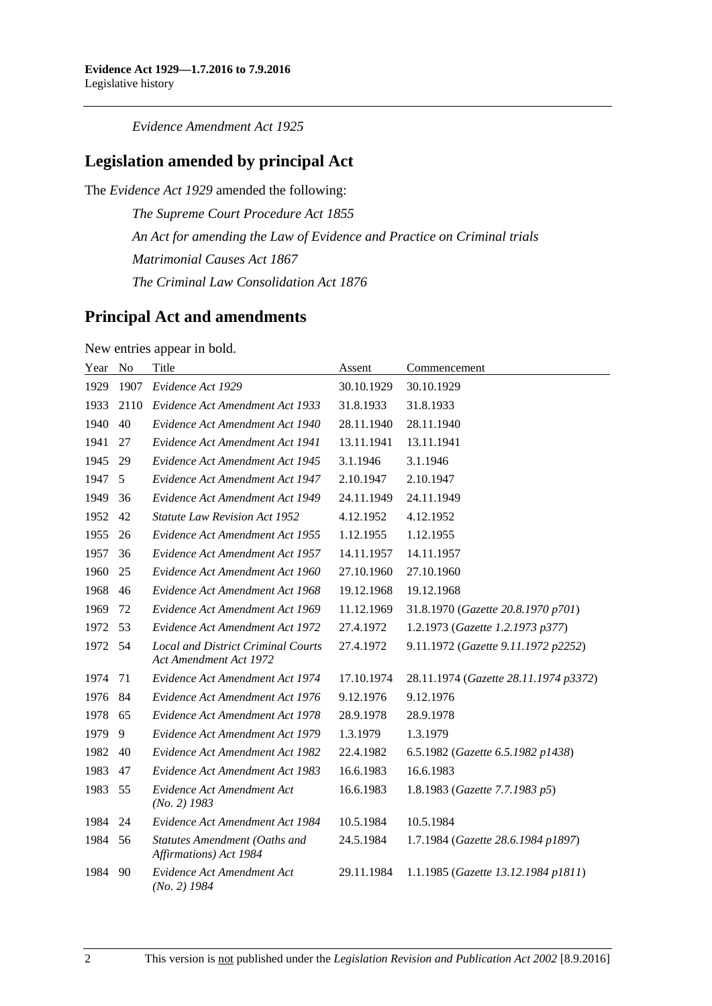*Evidence Amendment Act 1925*

# **Legislation amended by principal Act**

The *Evidence Act 1929* amended the following:

*The Supreme Court Procedure Act 1855 An Act for amending the Law of Evidence and Practice on Criminal trials Matrimonial Causes Act 1867 The Criminal Law Consolidation Act 1876*

# **Principal Act and amendments**

New entries appear in bold.

| Year | N <sub>o</sub> | Title                                                               | Assent     | Commencement                          |
|------|----------------|---------------------------------------------------------------------|------------|---------------------------------------|
| 1929 | 1907           | Evidence Act 1929                                                   | 30.10.1929 | 30.10.1929                            |
| 1933 | 2110           | Evidence Act Amendment Act 1933                                     | 31.8.1933  | 31.8.1933                             |
| 1940 | 40             | Evidence Act Amendment Act 1940                                     | 28.11.1940 | 28.11.1940                            |
| 1941 | 27             | Evidence Act Amendment Act 1941                                     | 13.11.1941 | 13.11.1941                            |
| 1945 | 29             | Evidence Act Amendment Act 1945                                     | 3.1.1946   | 3.1.1946                              |
| 1947 | 5              | Evidence Act Amendment Act 1947                                     | 2.10.1947  | 2.10.1947                             |
| 1949 | 36             | Evidence Act Amendment Act 1949                                     | 24.11.1949 | 24.11.1949                            |
| 1952 | 42             | <b>Statute Law Revision Act 1952</b>                                | 4.12.1952  | 4.12.1952                             |
| 1955 | 26             | Evidence Act Amendment Act 1955                                     | 1.12.1955  | 1.12.1955                             |
| 1957 | 36             | Evidence Act Amendment Act 1957                                     | 14.11.1957 | 14.11.1957                            |
| 1960 | 25             | Evidence Act Amendment Act 1960                                     | 27.10.1960 | 27.10.1960                            |
| 1968 | 46             | Evidence Act Amendment Act 1968                                     | 19.12.1968 | 19.12.1968                            |
| 1969 | 72             | Evidence Act Amendment Act 1969                                     | 11.12.1969 | 31.8.1970 (Gazette 20.8.1970 p701)    |
| 1972 | 53             | Evidence Act Amendment Act 1972                                     | 27.4.1972  | 1.2.1973 (Gazette 1.2.1973 p377)      |
| 1972 | 54             | <b>Local and District Criminal Courts</b><br>Act Amendment Act 1972 | 27.4.1972  | 9.11.1972 (Gazette 9.11.1972 p2252)   |
| 1974 | 71             | Evidence Act Amendment Act 1974                                     | 17.10.1974 | 28.11.1974 (Gazette 28.11.1974 p3372) |
| 1976 | -84            | Evidence Act Amendment Act 1976                                     | 9.12.1976  | 9.12.1976                             |
| 1978 | 65             | Evidence Act Amendment Act 1978                                     | 28.9.1978  | 28.9.1978                             |
| 1979 | 9              | Evidence Act Amendment Act 1979                                     | 1.3.1979   | 1.3.1979                              |
| 1982 | 40             | Evidence Act Amendment Act 1982                                     | 22.4.1982  | 6.5.1982 (Gazette 6.5.1982 p1438)     |
| 1983 | 47             | Evidence Act Amendment Act 1983                                     | 16.6.1983  | 16.6.1983                             |
| 1983 | 55             | Evidence Act Amendment Act<br>$(No. 2)$ 1983                        | 16.6.1983  | 1.8.1983 (Gazette 7.7.1983 p5)        |
| 1984 | 24             | Evidence Act Amendment Act 1984                                     | 10.5.1984  | 10.5.1984                             |
| 1984 | 56             | Statutes Amendment (Oaths and<br>Affirmations) Act 1984             | 24.5.1984  | 1.7.1984 (Gazette 28.6.1984 p1897)    |
| 1984 | 90             | Evidence Act Amendment Act<br>$(No. 2)$ 1984                        | 29.11.1984 | 1.1.1985 (Gazette 13.12.1984 p1811)   |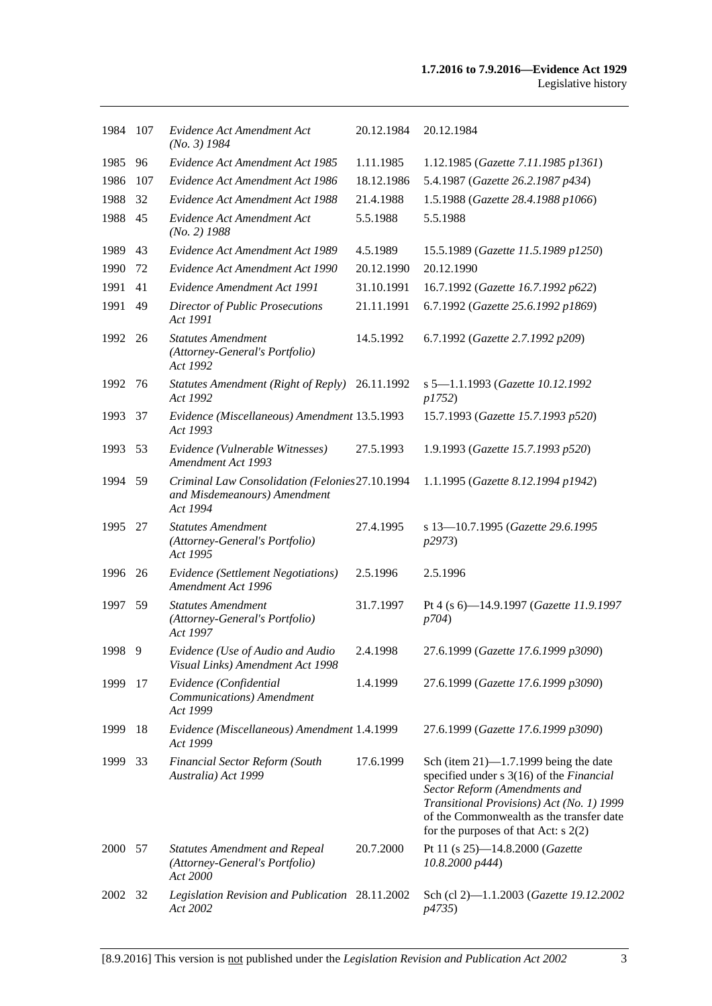| 1984    | 107 | Evidence Act Amendment Act<br>$(No. 3)$ 1984                                                | 20.12.1984 | 20.12.1984                                                                                                                                                                                                                                               |
|---------|-----|---------------------------------------------------------------------------------------------|------------|----------------------------------------------------------------------------------------------------------------------------------------------------------------------------------------------------------------------------------------------------------|
| 1985    | 96  | Evidence Act Amendment Act 1985                                                             | 1.11.1985  | 1.12.1985 (Gazette 7.11.1985 p1361)                                                                                                                                                                                                                      |
| 1986    | 107 | Evidence Act Amendment Act 1986                                                             | 18.12.1986 | 5.4.1987 (Gazette 26.2.1987 p434)                                                                                                                                                                                                                        |
| 1988    | 32  | Evidence Act Amendment Act 1988                                                             | 21.4.1988  | 1.5.1988 (Gazette 28.4.1988 p1066)                                                                                                                                                                                                                       |
| 1988    | 45  | Evidence Act Amendment Act<br>$(No. 2)$ 1988                                                | 5.5.1988   | 5.5.1988                                                                                                                                                                                                                                                 |
| 1989    | 43  | Evidence Act Amendment Act 1989                                                             | 4.5.1989   | 15.5.1989 (Gazette 11.5.1989 p1250)                                                                                                                                                                                                                      |
| 1990    | 72  | Evidence Act Amendment Act 1990                                                             | 20.12.1990 | 20.12.1990                                                                                                                                                                                                                                               |
| 1991    | 41  | Evidence Amendment Act 1991                                                                 | 31.10.1991 | 16.7.1992 (Gazette 16.7.1992 p622)                                                                                                                                                                                                                       |
| 1991    | 49  | <b>Director of Public Prosecutions</b><br>Act 1991                                          | 21.11.1991 | 6.7.1992 (Gazette 25.6.1992 p1869)                                                                                                                                                                                                                       |
| 1992    | 26  | <b>Statutes Amendment</b><br>(Attorney-General's Portfolio)<br>Act 1992                     | 14.5.1992  | 6.7.1992 (Gazette 2.7.1992 p209)                                                                                                                                                                                                                         |
| 1992    | 76  | Statutes Amendment (Right of Reply) 26.11.1992<br>Act 1992                                  |            | s 5-1.1.1993 (Gazette 10.12.1992<br>p1752)                                                                                                                                                                                                               |
| 1993    | 37  | Evidence (Miscellaneous) Amendment 13.5.1993<br>Act 1993                                    |            | 15.7.1993 (Gazette 15.7.1993 p520)                                                                                                                                                                                                                       |
| 1993    | 53  | Evidence (Vulnerable Witnesses)<br>Amendment Act 1993                                       | 27.5.1993  | 1.9.1993 (Gazette 15.7.1993 p520)                                                                                                                                                                                                                        |
| 1994    | 59  | Criminal Law Consolidation (Felonies 27.10.1994<br>and Misdemeanours) Amendment<br>Act 1994 |            | 1.1.1995 (Gazette 8.12.1994 p1942)                                                                                                                                                                                                                       |
| 1995    | 27  | <b>Statutes Amendment</b><br>(Attorney-General's Portfolio)<br>Act 1995                     | 27.4.1995  | s 13-10.7.1995 (Gazette 29.6.1995<br>p2973)                                                                                                                                                                                                              |
| 1996 26 |     | Evidence (Settlement Negotiations)<br>Amendment Act 1996                                    | 2.5.1996   | 2.5.1996                                                                                                                                                                                                                                                 |
| 1997    | 59  | <b>Statutes Amendment</b><br>(Attorney-General's Portfolio)<br>Act 1997                     | 31.7.1997  | Pt 4 (s 6)-14.9.1997 (Gazette 11.9.1997<br>p704)                                                                                                                                                                                                         |
| 1998    | 9   | Evidence (Use of Audio and Audio<br>Visual Links) Amendment Act 1998                        | 2.4.1998   | 27.6.1999 (Gazette 17.6.1999 p3090)                                                                                                                                                                                                                      |
| 1999    | 17  | Evidence (Confidential<br>Communications) Amendment<br>Act 1999                             | 1.4.1999   | 27.6.1999 (Gazette 17.6.1999 p3090)                                                                                                                                                                                                                      |
| 1999    | 18  | Evidence (Miscellaneous) Amendment 1.4.1999<br>Act 1999                                     |            | 27.6.1999 (Gazette 17.6.1999 p3090)                                                                                                                                                                                                                      |
| 1999    | 33  | <b>Financial Sector Reform (South</b><br>Australia) Act 1999                                | 17.6.1999  | Sch (item $21$ )-1.7.1999 being the date<br>specified under s 3(16) of the Financial<br>Sector Reform (Amendments and<br>Transitional Provisions) Act (No. 1) 1999<br>of the Commonwealth as the transfer date<br>for the purposes of that Act: $s$ 2(2) |
| 2000    | 57  | <b>Statutes Amendment and Repeal</b><br>(Attorney-General's Portfolio)<br>Act 2000          | 20.7.2000  | Pt 11 (s 25)-14.8.2000 (Gazette<br>10.8.2000 p444)                                                                                                                                                                                                       |
| 2002 32 |     | Legislation Revision and Publication 28.11.2002<br>Act 2002                                 |            | Sch (cl 2)-1.1.2003 (Gazette 19.12.2002<br>p4735)                                                                                                                                                                                                        |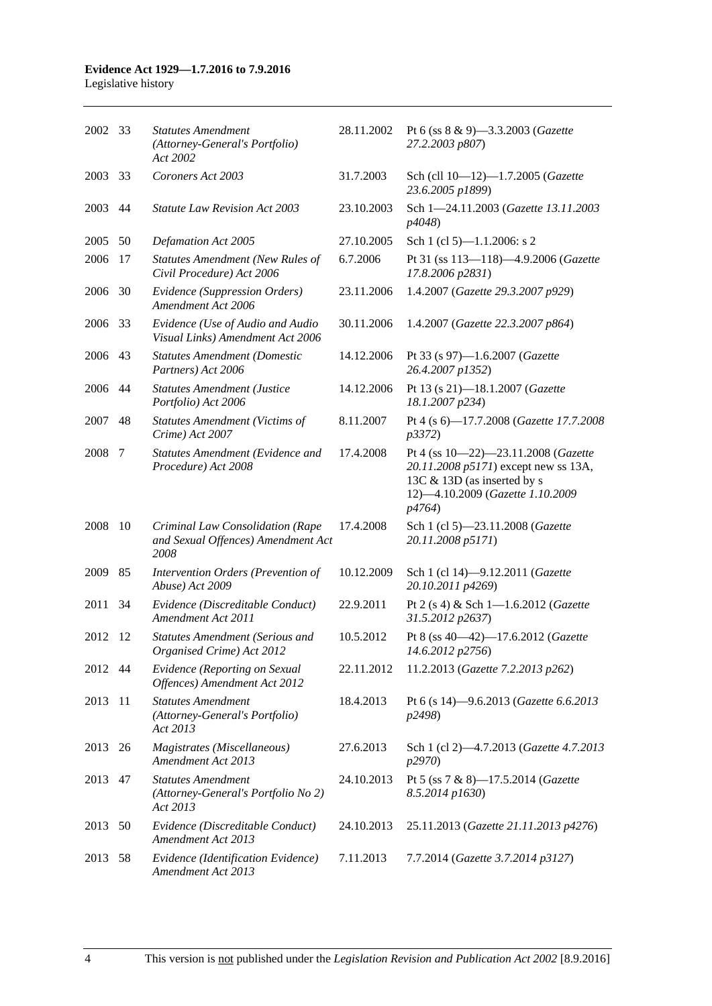#### **Evidence Act 1929—1.7.2016 to 7.9.2016** Legislative history

| 2002 33 |     | <b>Statutes Amendment</b><br>(Attorney-General's Portfolio)<br>Act 2002        | 28.11.2002 | Pt 6 (ss 8 & 9)-3.3.2003 (Gazette<br>27.2.2003 p807)                                                                                                     |
|---------|-----|--------------------------------------------------------------------------------|------------|----------------------------------------------------------------------------------------------------------------------------------------------------------|
| 2003    | 33  | Coroners Act 2003                                                              | 31.7.2003  | Sch (cll 10-12)-1.7.2005 (Gazette<br>23.6.2005 p1899)                                                                                                    |
| 2003    | 44  | <b>Statute Law Revision Act 2003</b>                                           | 23.10.2003 | Sch 1-24.11.2003 (Gazette 13.11.2003<br>p4048)                                                                                                           |
| 2005    | 50  | Defamation Act 2005                                                            | 27.10.2005 | Sch 1 (cl 5)-1.1.2006: s 2                                                                                                                               |
| 2006    | 17  | <b>Statutes Amendment (New Rules of</b><br>Civil Procedure) Act 2006           | 6.7.2006   | Pt 31 (ss 113-118)-4.9.2006 (Gazette<br>17.8.2006 p2831)                                                                                                 |
| 2006    | 30  | Evidence (Suppression Orders)<br>Amendment Act 2006                            | 23.11.2006 | 1.4.2007 (Gazette 29.3.2007 p929)                                                                                                                        |
| 2006    | 33  | Evidence (Use of Audio and Audio<br>Visual Links) Amendment Act 2006           | 30.11.2006 | 1.4.2007 (Gazette 22.3.2007 p864)                                                                                                                        |
| 2006 43 |     | <b>Statutes Amendment (Domestic</b><br>Partners) Act 2006                      | 14.12.2006 | Pt 33 (s 97)-1.6.2007 (Gazette<br>26.4.2007 p1352)                                                                                                       |
| 2006    | 44  | <b>Statutes Amendment (Justice</b><br>Portfolio) Act 2006                      | 14.12.2006 | Pt 13 (s 21)-18.1.2007 (Gazette<br>18.1.2007 p234)                                                                                                       |
| 2007    | 48  | <b>Statutes Amendment (Victims of</b><br>Crime) Act 2007                       | 8.11.2007  | Pt 4 (s 6)-17.7.2008 (Gazette 17.7.2008<br><i>p</i> 3372)                                                                                                |
| 2008    | -7  | Statutes Amendment (Evidence and<br>Procedure) Act 2008                        | 17.4.2008  | Pt 4 (ss 10-22)-23.11.2008 (Gazette<br>20.11.2008 p5171) except new ss 13A,<br>13C & 13D (as inserted by s<br>12)-4.10.2009 (Gazette 1.10.2009<br>p4764) |
| 2008    | 10  | Criminal Law Consolidation (Rape<br>and Sexual Offences) Amendment Act<br>2008 | 17.4.2008  | Sch 1 (cl 5)-23.11.2008 (Gazette<br>20.11.2008 p5171)                                                                                                    |
| 2009    | 85  | Intervention Orders (Prevention of<br>Abuse) Act 2009                          | 10.12.2009 | Sch 1 (cl 14)-9.12.2011 (Gazette<br>20.10.2011 p4269)                                                                                                    |
| 2011    | 34  | Evidence (Discreditable Conduct)<br>Amendment Act 2011                         | 22.9.2011  | Pt 2 (s 4) & Sch 1-1.6.2012 (Gazette<br>31.5.2012 p2637)                                                                                                 |
| 2012 12 |     | <b>Statutes Amendment (Serious and</b><br>Organised Crime) Act 2012            | 10.5.2012  | Pt 8 (ss 40-42)-17.6.2012 (Gazette<br>14.6.2012 p2756)                                                                                                   |
| 2012 44 |     | Evidence (Reporting on Sexual<br>Offences) Amendment Act 2012                  | 22.11.2012 | 11.2.2013 (Gazette 7.2.2013 p262)                                                                                                                        |
| 2013    | -11 | <b>Statutes Amendment</b><br>(Attorney-General's Portfolio)<br>Act 2013        | 18.4.2013  | Pt 6 (s 14)-9.6.2013 (Gazette 6.6.2013<br>p2498)                                                                                                         |
| 2013    | 26  | Magistrates (Miscellaneous)<br>Amendment Act 2013                              | 27.6.2013  | Sch 1 (cl 2)-4.7.2013 (Gazette 4.7.2013<br>p2970)                                                                                                        |
| 2013    | 47  | <b>Statutes Amendment</b><br>(Attorney-General's Portfolio No 2)<br>Act 2013   | 24.10.2013 | Pt 5 (ss 7 & 8)-17.5.2014 (Gazette<br>8.5.2014 p1630)                                                                                                    |
| 2013    | 50  | Evidence (Discreditable Conduct)<br>Amendment Act 2013                         | 24.10.2013 | 25.11.2013 (Gazette 21.11.2013 p4276)                                                                                                                    |
| 2013    | 58  | Evidence (Identification Evidence)<br>Amendment Act 2013                       | 7.11.2013  | 7.7.2014 (Gazette 3.7.2014 p3127)                                                                                                                        |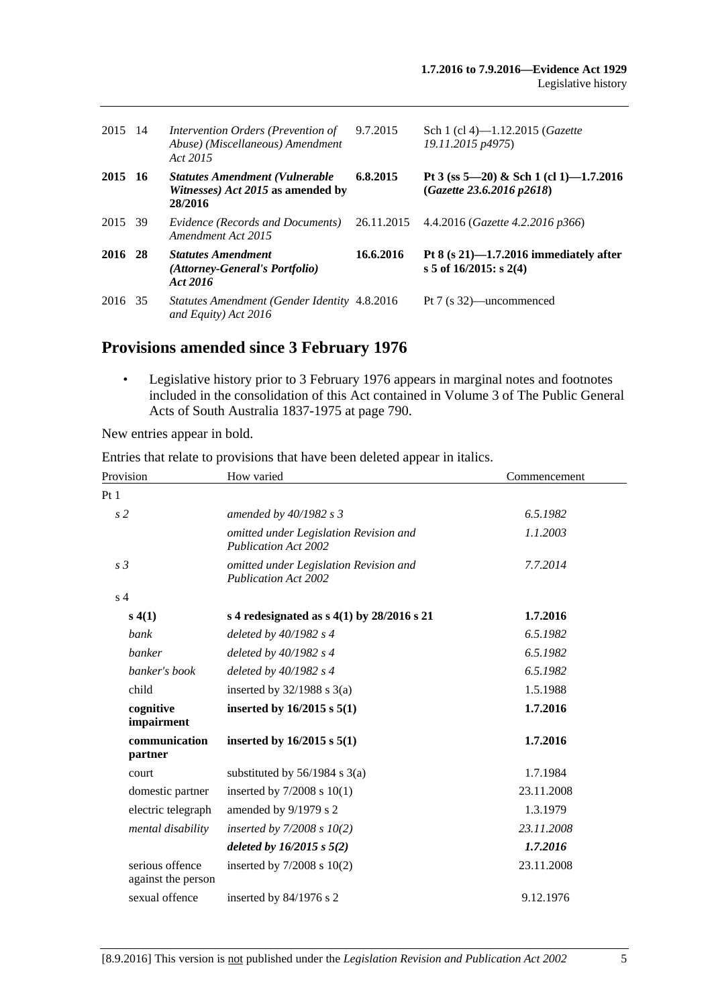| 2015 14 | Intervention Orders (Prevention of<br>Abuse) (Miscellaneous) Amendment<br>Act 2015           | 9.7.2015   | Sch 1 (cl 4)-1.12.2015 ( <i>Gazette</i><br>19.11.2015 p4975)           |
|---------|----------------------------------------------------------------------------------------------|------------|------------------------------------------------------------------------|
| 2015 16 | <b>Statutes Amendment (Vulnerable</b><br><i>Witnesses) Act 2015</i> as amended by<br>28/2016 | 6.8.2015   | Pt 3 (ss $5-20$ ) & Sch 1 (cl 1)-1.7.2016<br>(Gazette 23.6.2016 p2618) |
| 2015 39 | Evidence (Records and Documents)<br>Amendment Act 2015                                       | 26.11.2015 | 4.4.2016 (Gazette 4.2.2016 p366)                                       |
| 2016 28 | <b>Statutes Amendment</b><br>(Attorney-General's Portfolio)<br>Act 2016                      | 16.6.2016  | Pt $8(s 21)$ —1.7.2016 immediately after<br>s 5 of $16/2015$ : s 2(4)  |
| 2016 35 | Statutes Amendment (Gender Identity 4.8.2016<br>and Equity) Act 2016                         |            | Pt 7 (s 32)—uncommenced                                                |

# **Provisions amended since 3 February 1976**

• Legislative history prior to 3 February 1976 appears in marginal notes and footnotes included in the consolidation of this Act contained in Volume 3 of The Public General Acts of South Australia 1837-1975 at page 790.

New entries appear in bold.

Entries that relate to provisions that have been deleted appear in italics.

| Provision                             | How varied                                                            | Commencement |
|---------------------------------------|-----------------------------------------------------------------------|--------------|
| Pt <sub>1</sub>                       |                                                                       |              |
| s <sub>2</sub>                        | amended by 40/1982 s 3                                                | 6.5.1982     |
|                                       | omitted under Legislation Revision and<br><b>Publication Act 2002</b> | 1.1.2003     |
| s <sub>3</sub>                        | omitted under Legislation Revision and<br><b>Publication Act 2002</b> | 7.7.2014     |
| s <sub>4</sub>                        |                                                                       |              |
| s(4(1))                               | s 4 redesignated as $s$ 4(1) by 28/2016 s 21                          | 1.7.2016     |
| bank                                  | deleted by $40/1982 s 4$                                              | 6.5.1982     |
| banker                                | deleted by $40/1982$ s 4                                              | 6.5.1982     |
| banker's book                         | deleted by $40/1982$ s 4                                              | 6.5.1982     |
| child                                 | inserted by $32/1988$ s $3(a)$                                        | 1.5.1988     |
| cognitive<br>impairment               | inserted by $16/2015$ s $5(1)$                                        | 1.7.2016     |
| communication<br>partner              | inserted by $16/2015$ s $5(1)$                                        | 1.7.2016     |
| court                                 | substituted by $56/1984$ s $3(a)$                                     | 1.7.1984     |
| domestic partner                      | inserted by $7/2008$ s $10(1)$                                        | 23.11.2008   |
| electric telegraph                    | amended by 9/1979 s 2                                                 | 1.3.1979     |
| mental disability                     | inserted by $7/2008 s 10(2)$                                          | 23.11.2008   |
|                                       | deleted by $16/2015$ s $5(2)$                                         | 1.7.2016     |
| serious offence<br>against the person | inserted by $7/2008$ s $10(2)$                                        | 23.11.2008   |
| sexual offence                        | inserted by $84/1976$ s 2                                             | 9.12.1976    |
|                                       |                                                                       |              |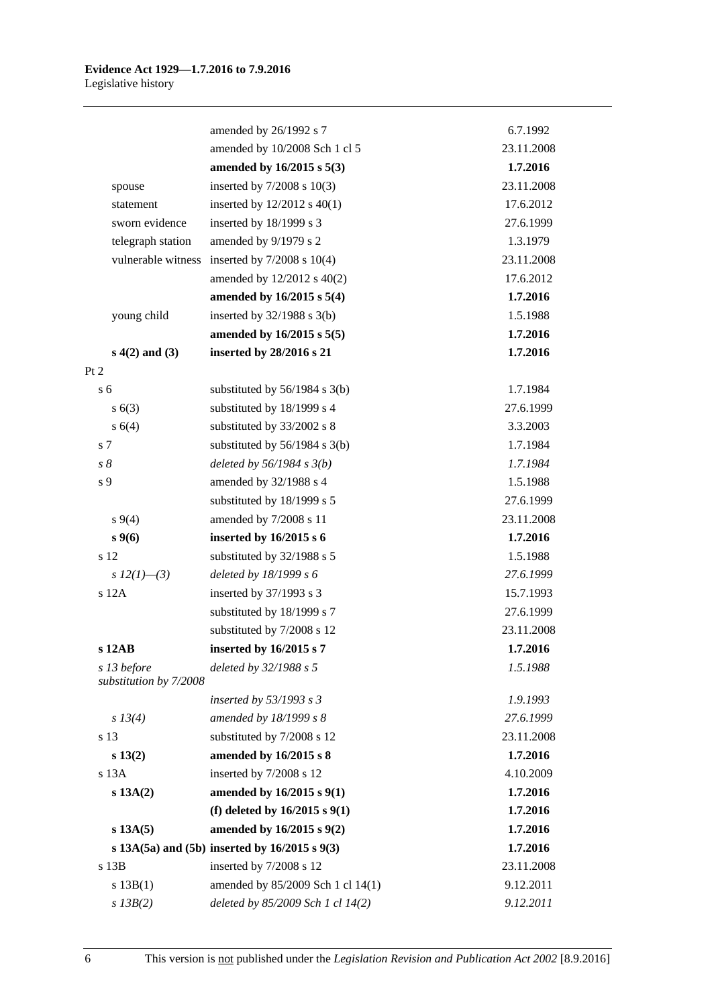|                                       | amended by 26/1992 s 7                                | 6.7.1992   |
|---------------------------------------|-------------------------------------------------------|------------|
|                                       | amended by 10/2008 Sch 1 cl 5                         | 23.11.2008 |
|                                       | amended by 16/2015 s 5(3)                             | 1.7.2016   |
| spouse                                | inserted by 7/2008 s 10(3)                            | 23.11.2008 |
| statement                             | inserted by $12/2012$ s $40(1)$                       | 17.6.2012  |
| sworn evidence                        | inserted by 18/1999 s 3                               | 27.6.1999  |
| telegraph station                     | amended by 9/1979 s 2                                 | 1.3.1979   |
| vulnerable witness                    | inserted by $7/2008$ s $10(4)$                        | 23.11.2008 |
|                                       | amended by 12/2012 s 40(2)                            | 17.6.2012  |
|                                       | amended by 16/2015 s 5(4)                             | 1.7.2016   |
| young child                           | inserted by $32/1988$ s $3(b)$                        | 1.5.1988   |
|                                       | amended by 16/2015 s 5(5)                             | 1.7.2016   |
| $s(4(2)$ and $(3)$                    | inserted by 28/2016 s 21                              | 1.7.2016   |
| Pt 2                                  |                                                       |            |
| s <sub>6</sub>                        | substituted by $56/1984$ s $3(b)$                     | 1.7.1984   |
| s(6(3))                               | substituted by 18/1999 s 4                            | 27.6.1999  |
| s(4)                                  | substituted by 33/2002 s 8                            | 3.3.2003   |
| s 7                                   | substituted by $56/1984$ s 3(b)                       | 1.7.1984   |
| $s\,8$                                | deleted by $56/1984$ s $3(b)$                         | 1.7.1984   |
| s 9                                   | amended by 32/1988 s 4                                | 1.5.1988   |
|                                       | substituted by 18/1999 s 5                            | 27.6.1999  |
| $s\,9(4)$                             | amended by 7/2008 s 11                                | 23.11.2008 |
| $s\,9(6)$                             | inserted by 16/2015 s 6                               | 1.7.2016   |
| s 12                                  | substituted by 32/1988 s 5                            | 1.5.1988   |
| s $12(1)$ —(3)                        | deleted by $18/1999 s 6$                              | 27.6.1999  |
| s 12A                                 | inserted by 37/1993 s 3                               | 15.7.1993  |
|                                       | substituted by 18/1999 s 7                            | 27.6.1999  |
|                                       | substituted by 7/2008 s 12                            | 23.11.2008 |
| s 12AB                                | inserted by 16/2015 s 7                               | 1.7.2016   |
| s 13 before<br>substitution by 7/2008 | deleted by 32/1988 s 5                                | 1.5.1988   |
|                                       | inserted by 53/1993 s 3                               | 1.9.1993   |
| $s\,13(4)$                            | amended by 18/1999 s 8                                | 27.6.1999  |
| s 13                                  | substituted by 7/2008 s 12                            | 23.11.2008 |
| s 13(2)                               | amended by 16/2015 s 8                                | 1.7.2016   |
| $s$ 13 $A$                            | inserted by 7/2008 s 12                               | 4.10.2009  |
| s 13A(2)                              | amended by 16/2015 s 9(1)                             | 1.7.2016   |
|                                       | (f) deleted by $16/2015$ s $9(1)$                     | 1.7.2016   |
| $s$ 13A $(5)$                         | amended by 16/2015 s 9(2)                             | 1.7.2016   |
|                                       | s $13A(5a)$ and $(5b)$ inserted by $16/2015$ s $9(3)$ | 1.7.2016   |
| s 13B                                 | inserted by 7/2008 s 12                               | 23.11.2008 |
| s 13B(1)                              | amended by 85/2009 Sch 1 cl 14(1)                     | 9.12.2011  |
| $s$ 13B(2)                            | deleted by 85/2009 Sch 1 cl 14(2)                     | 9.12.2011  |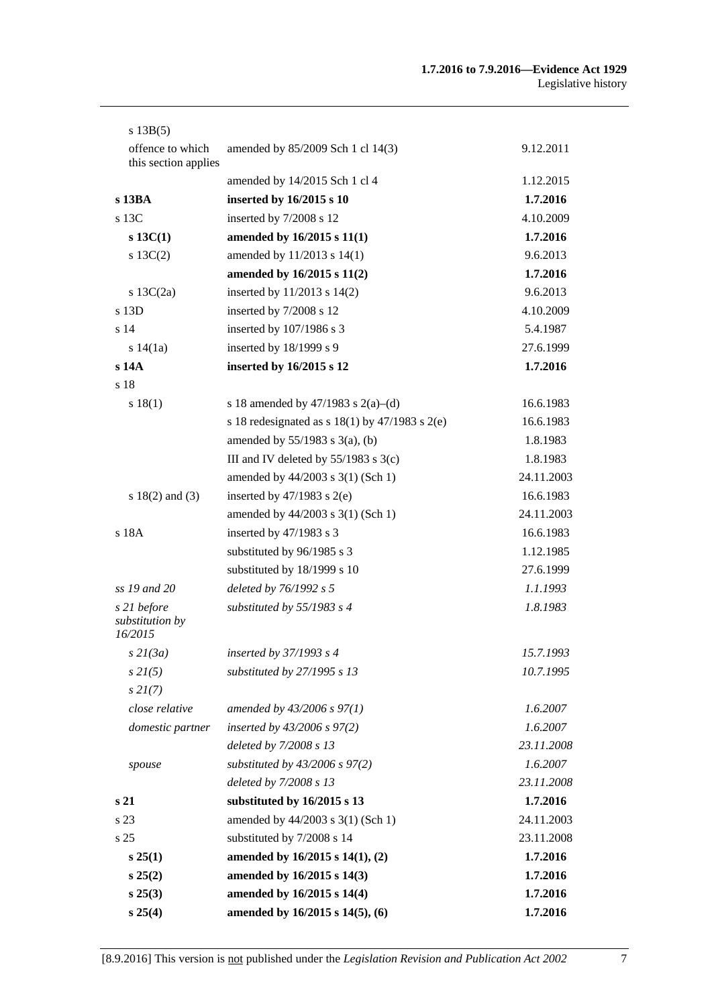| s 13B(5)                                  |                                                      |            |
|-------------------------------------------|------------------------------------------------------|------------|
| offence to which<br>this section applies  | amended by 85/2009 Sch 1 cl 14(3)                    | 9.12.2011  |
|                                           | amended by 14/2015 Sch 1 cl 4                        | 1.12.2015  |
| s 13BA                                    | inserted by 16/2015 s 10                             | 1.7.2016   |
| s 13C                                     | inserted by 7/2008 s 12                              | 4.10.2009  |
| $s\,13C(1)$                               | amended by 16/2015 s 11(1)                           | 1.7.2016   |
| $s$ 13C(2)                                | amended by 11/2013 s 14(1)                           | 9.6.2013   |
|                                           | amended by 16/2015 s 11(2)                           | 1.7.2016   |
| s $13C(2a)$                               | inserted by 11/2013 s 14(2)                          | 9.6.2013   |
| s 13D                                     | inserted by 7/2008 s 12                              | 4.10.2009  |
| s <sub>14</sub>                           | inserted by 107/1986 s 3                             | 5.4.1987   |
| s 14(1a)                                  | inserted by 18/1999 s 9                              | 27.6.1999  |
| s <sub>14A</sub>                          | inserted by 16/2015 s 12                             | 1.7.2016   |
| s 18                                      |                                                      |            |
| s 18(1)                                   | s 18 amended by 47/1983 s 2(a)–(d)                   | 16.6.1983  |
|                                           | s 18 redesignated as s $18(1)$ by $47/1983$ s $2(e)$ | 16.6.1983  |
|                                           | amended by $55/1983$ s $3(a)$ , (b)                  | 1.8.1983   |
|                                           | III and IV deleted by $55/1983$ s $3(c)$             | 1.8.1983   |
|                                           | amended by 44/2003 s 3(1) (Sch 1)                    | 24.11.2003 |
| s $18(2)$ and $(3)$                       | inserted by $47/1983$ s $2(e)$                       | 16.6.1983  |
|                                           | amended by 44/2003 s 3(1) (Sch 1)                    | 24.11.2003 |
| s 18A                                     | inserted by 47/1983 s 3                              | 16.6.1983  |
|                                           | substituted by 96/1985 s 3                           | 1.12.1985  |
|                                           | substituted by 18/1999 s 10                          | 27.6.1999  |
| ss $19$ and $20$                          | deleted by 76/1992 s 5                               | 1.1.1993   |
| s 21 before<br>substitution by<br>16/2015 | substituted by $55/1983$ s 4                         | 1.8.1983   |
| $s\,2I(3a)$                               | inserted by 37/1993 s 4                              | 15.7.1993  |
| $s \, 2I(5)$                              | substituted by 27/1995 s 13                          | 10.7.1995  |
| $s \, 2I(7)$                              |                                                      |            |
| close relative                            | amended by 43/2006 s 97(1)                           | 1.6.2007   |
| domestic partner                          | inserted by $43/2006$ s $97(2)$                      | 1.6.2007   |
|                                           | deleted by 7/2008 s 13                               | 23.11.2008 |
| spouse                                    | substituted by 43/2006 s 97(2)                       | 1.6.2007   |
|                                           | deleted by 7/2008 s 13                               | 23.11.2008 |
| s 21                                      | substituted by 16/2015 s 13                          | 1.7.2016   |
| s 23                                      | amended by 44/2003 s 3(1) (Sch 1)                    | 24.11.2003 |
| s <sub>25</sub>                           | substituted by 7/2008 s 14                           | 23.11.2008 |
| s 25(1)                                   | amended by 16/2015 s 14(1), (2)                      | 1.7.2016   |
| s 25(2)                                   | amended by 16/2015 s 14(3)                           | 1.7.2016   |
| s 25(3)                                   | amended by 16/2015 s 14(4)                           | 1.7.2016   |
| s 25(4)                                   | amended by 16/2015 s 14(5), (6)                      | 1.7.2016   |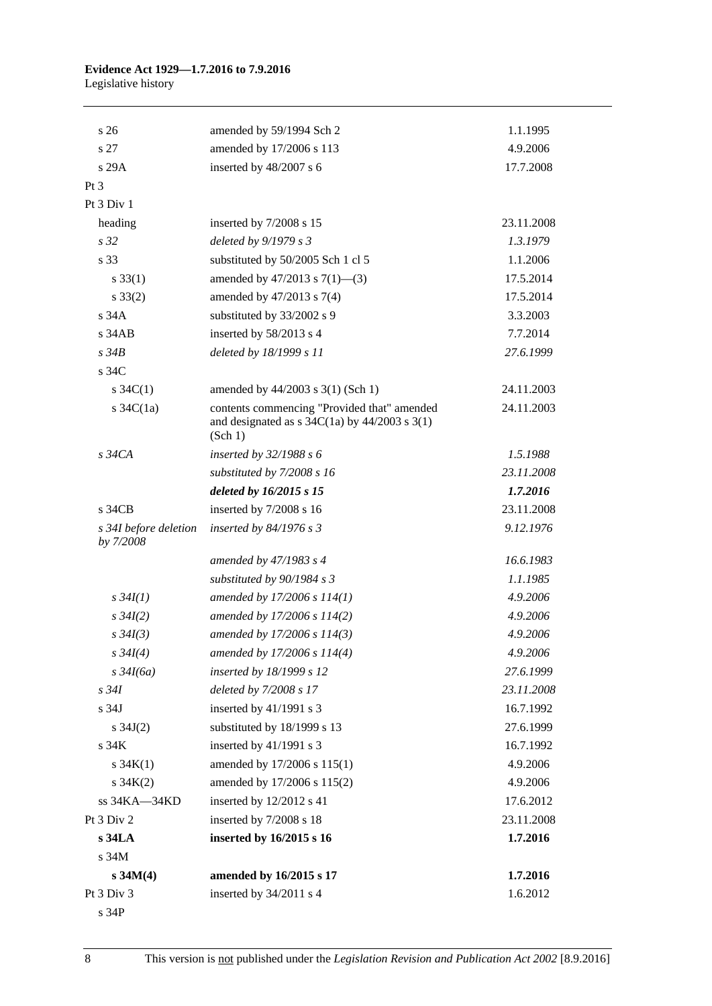#### **Evidence Act 1929—1.7.2016 to 7.9.2016** Legislative history

| s <sub>26</sub>                    | amended by 59/1994 Sch 2                                                                                                                 | 1.1.1995                 |
|------------------------------------|------------------------------------------------------------------------------------------------------------------------------------------|--------------------------|
| s 27                               | amended by 17/2006 s 113                                                                                                                 | 4.9.2006                 |
| s 29A                              | inserted by 48/2007 s 6                                                                                                                  | 17.7.2008                |
| Pt 3                               |                                                                                                                                          |                          |
| Pt 3 Div 1                         |                                                                                                                                          |                          |
| heading                            | inserted by 7/2008 s 15                                                                                                                  | 23.11.2008               |
| s <sub>32</sub>                    | deleted by 9/1979 s 3                                                                                                                    | 1.3.1979                 |
| s 33                               | substituted by 50/2005 Sch 1 cl 5                                                                                                        | 1.1.2006                 |
| $s \, 33(1)$                       | amended by $47/2013$ s $7(1)$ —(3)                                                                                                       | 17.5.2014                |
| $s \, 33(2)$                       | amended by 47/2013 s 7(4)                                                                                                                | 17.5.2014                |
| s 34A                              | substituted by 33/2002 s 9                                                                                                               | 3.3.2003                 |
| $s$ 34 $AB$                        | inserted by 58/2013 s 4                                                                                                                  | 7.7.2014                 |
| $s\,34B$                           | deleted by 18/1999 s 11                                                                                                                  | 27.6.1999                |
| s 34C                              |                                                                                                                                          |                          |
|                                    |                                                                                                                                          |                          |
| $s \, 34C(1)$                      | amended by $44/2003$ s 3(1) (Sch 1)                                                                                                      | 24.11.2003<br>24.11.2003 |
| s $34C(1a)$                        | contents commencing "Provided that" amended<br>and designated as $s \frac{34C(1a)}{y} \frac{44}{2003} \frac{s \cdot 3(1)}{y}$<br>(Sch 1) |                          |
| $s\,34CA$                          | inserted by $32/1988 s 6$                                                                                                                | 1.5.1988                 |
|                                    | substituted by 7/2008 s 16                                                                                                               | 23.11.2008               |
|                                    | deleted by 16/2015 s 15                                                                                                                  | 1.7.2016                 |
| $s\,34CB$                          | inserted by 7/2008 s 16                                                                                                                  | 23.11.2008               |
| s 34I before deletion<br>by 7/2008 | inserted by $84/1976$ s 3                                                                                                                | 9.12.1976                |
|                                    | amended by 47/1983 s 4                                                                                                                   | 16.6.1983                |
|                                    | substituted by 90/1984 s 3                                                                                                               | 1.1.1985                 |
| $s \, 34I(1)$                      | amended by 17/2006 s 114(1)                                                                                                              | 4.9.2006                 |
| $s \, 34I(2)$                      | amended by 17/2006 s 114(2)                                                                                                              | 4.9.2006                 |
| $s \, 34I(3)$                      | amended by 17/2006 s 114(3)                                                                                                              | 4.9.2006                 |
| $s \, 34I(4)$                      | amended by 17/2006 s 114(4)                                                                                                              | 4.9.2006                 |
| $s \frac{34I(6a)}{2}$              | inserted by 18/1999 s 12                                                                                                                 | 27.6.1999                |
| $s\,34I$                           | deleted by 7/2008 s 17                                                                                                                   | 23.11.2008               |
| s 34J                              | inserted by 41/1991 s 3                                                                                                                  | 16.7.1992                |
| s $34J(2)$                         | substituted by 18/1999 s 13                                                                                                              | 27.6.1999                |
| s 34K                              | inserted by 41/1991 s 3                                                                                                                  | 16.7.1992                |
| s $34K(1)$                         | amended by 17/2006 s 115(1)                                                                                                              | 4.9.2006                 |
| $s \, 34K(2)$                      | amended by 17/2006 s 115(2)                                                                                                              | 4.9.2006                 |
| ss 34KA-34KD                       | inserted by 12/2012 s 41                                                                                                                 | 17.6.2012                |
| Pt 3 Div 2                         | inserted by 7/2008 s 18                                                                                                                  | 23.11.2008               |
| s 34LA                             | inserted by 16/2015 s 16                                                                                                                 | 1.7.2016                 |
| s 34M                              |                                                                                                                                          |                          |
| $s\,34M(4)$                        | amended by 16/2015 s 17                                                                                                                  | 1.7.2016                 |
| Pt 3 Div 3                         | inserted by 34/2011 s 4                                                                                                                  | 1.6.2012                 |
| s 34P                              |                                                                                                                                          |                          |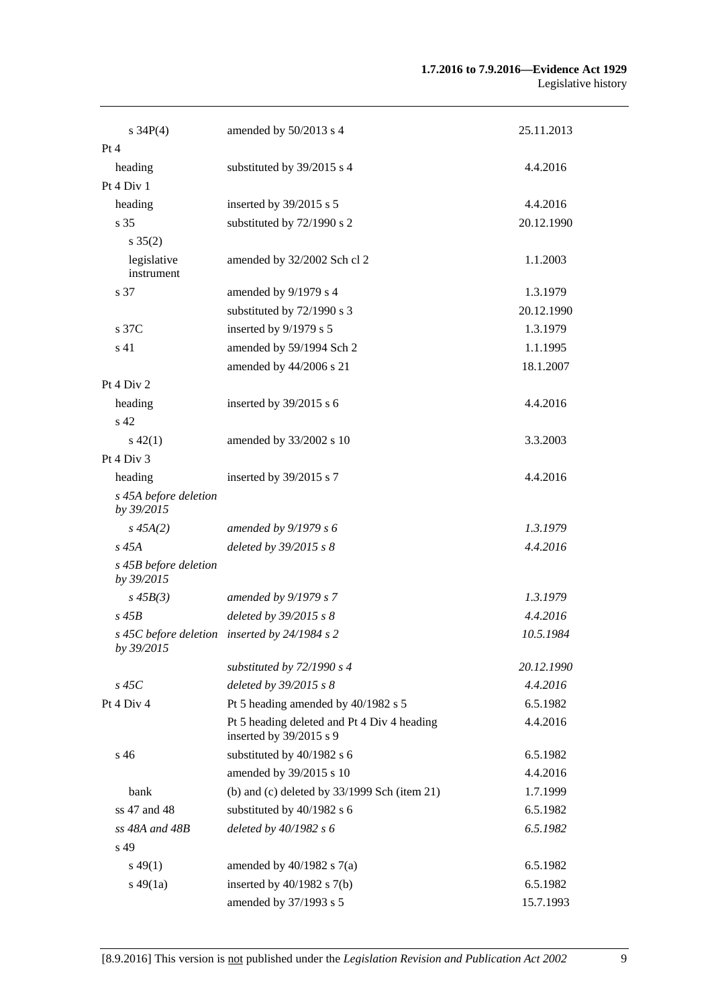#### **1.7.2016 to 7.9.2016—Evidence Act 1929** Legislative history

| $s \, 34P(4)$<br>Pt 4               | amended by 50/2013 s 4                                                 | 25.11.2013 |
|-------------------------------------|------------------------------------------------------------------------|------------|
| heading                             | substituted by 39/2015 s 4                                             | 4.4.2016   |
| Pt 4 Div 1                          |                                                                        |            |
| heading                             | inserted by 39/2015 s 5                                                | 4.4.2016   |
| s 35                                | substituted by 72/1990 s 2                                             | 20.12.1990 |
| $s \; 35(2)$                        |                                                                        |            |
| legislative<br>instrument           | amended by 32/2002 Sch cl 2                                            | 1.1.2003   |
| s 37                                | amended by 9/1979 s 4                                                  | 1.3.1979   |
|                                     | substituted by 72/1990 s 3                                             | 20.12.1990 |
| s 37C                               | inserted by 9/1979 s 5                                                 | 1.3.1979   |
| s 41                                | amended by 59/1994 Sch 2                                               | 1.1.1995   |
|                                     | amended by 44/2006 s 21                                                | 18.1.2007  |
| Pt 4 Div 2                          |                                                                        |            |
| heading                             | inserted by $39/2015$ s 6                                              | 4.4.2016   |
| s 42                                |                                                                        |            |
| $s\ 42(1)$                          | amended by 33/2002 s 10                                                | 3.3.2003   |
| Pt 4 Div 3                          |                                                                        |            |
| heading                             | inserted by 39/2015 s 7                                                | 4.4.2016   |
| s 45A before deletion<br>by 39/2015 |                                                                        |            |
| $s\,45A(2)$                         | amended by $9/1979 s 6$                                                | 1.3.1979   |
| $s\,45A$                            | deleted by 39/2015 s 8                                                 | 4.4.2016   |
| s 45B before deletion<br>by 39/2015 |                                                                        |            |
| $s\,45B(3)$                         | amended by 9/1979 s 7                                                  | 1.3.1979   |
| $s$ 45 $B$                          | deleted by 39/2015 s 8                                                 | 4.4.2016   |
| by 39/2015                          | s 45C before deletion inserted by 24/1984 s 2                          | 10.5.1984  |
|                                     | substituted by $72/1990 s 4$                                           | 20.12.1990 |
| $s$ 45C                             | deleted by 39/2015 s 8                                                 | 4.4.2016   |
| Pt 4 Div 4                          | Pt 5 heading amended by 40/1982 s 5                                    | 6.5.1982   |
|                                     | Pt 5 heading deleted and Pt 4 Div 4 heading<br>inserted by 39/2015 s 9 | 4.4.2016   |
| $s\,46$                             | substituted by 40/1982 s 6                                             | 6.5.1982   |
|                                     | amended by 39/2015 s 10                                                | 4.4.2016   |
| bank                                | (b) and (c) deleted by $33/1999$ Sch (item 21)                         | 1.7.1999   |
| ss 47 and 48                        | substituted by 40/1982 s 6                                             | 6.5.1982   |
| ss 48A and 48B                      | deleted by $40/1982 s 6$                                               | 6.5.1982   |
| s 49                                |                                                                        |            |
| $s\,49(1)$                          | amended by $40/1982$ s $7(a)$                                          | 6.5.1982   |
| $s\,49(1a)$                         | inserted by $40/1982$ s $7(b)$                                         | 6.5.1982   |
|                                     | amended by 37/1993 s 5                                                 | 15.7.1993  |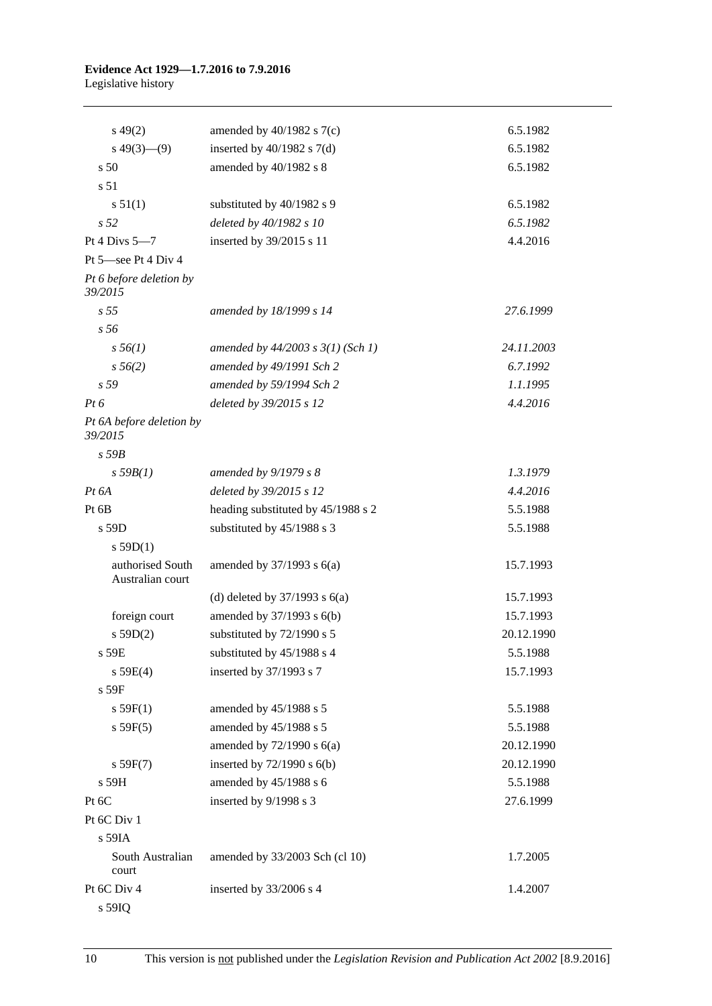#### **Evidence Act 1929—1.7.2016 to 7.9.2016** Legislative history

| $s\,49(2)$                           | amended by $40/1982$ s $7(c)$         | 6.5.1982   |
|--------------------------------------|---------------------------------------|------------|
| $s\ 49(3)$ (9)                       | inserted by $40/1982$ s $7(d)$        | 6.5.1982   |
| s <sub>50</sub>                      | amended by 40/1982 s 8                | 6.5.1982   |
| s 51                                 |                                       |            |
| s 51(1)                              | substituted by 40/1982 s 9            | 6.5.1982   |
| s <sub>52</sub>                      | deleted by 40/1982 s 10               | 6.5.1982   |
| Pt 4 Divs $5-7$                      | inserted by 39/2015 s 11              | 4.4.2016   |
| Pt 5-see Pt 4 Div 4                  |                                       |            |
| Pt 6 before deletion by<br>39/2015   |                                       |            |
| s <sub>55</sub>                      | amended by 18/1999 s 14               | 27.6.1999  |
| s 56                                 |                                       |            |
| $s\,56(1)$                           | amended by $44/2003$ s $3(1)$ (Sch 1) | 24.11.2003 |
| $s\,56(2)$                           | amended by 49/1991 Sch 2              | 6.7.1992   |
| s 59                                 | amended by 59/1994 Sch 2              | 1.1.1995   |
| $Pt\,6$                              | deleted by 39/2015 s 12               | 4.4.2016   |
| Pt 6A before deletion by<br>39/2015  |                                       |            |
| $s$ 59 $B$                           |                                       |            |
| $s$ 59 $B(1)$                        | amended by $9/1979 s 8$               | 1.3.1979   |
| Pt 6A                                | deleted by 39/2015 s 12               | 4.4.2016   |
| Pt 6B                                | heading substituted by 45/1988 s 2    | 5.5.1988   |
| s 59D                                | substituted by 45/1988 s 3            | 5.5.1988   |
| $s$ 59D(1)                           |                                       |            |
| authorised South<br>Australian court | amended by $37/1993$ s $6(a)$         | 15.7.1993  |
|                                      | (d) deleted by $37/1993$ s $6(a)$     | 15.7.1993  |
| foreign court                        | amended by 37/1993 s 6(b)             | 15.7.1993  |
| s 59D(2)                             | substituted by 72/1990 s 5            | 20.12.1990 |
| s 59E                                | substituted by 45/1988 s 4            | 5.5.1988   |
| s 59E(4)                             | inserted by 37/1993 s 7               | 15.7.1993  |
| s 59F                                |                                       |            |
| s 59F(1)                             | amended by 45/1988 s 5                | 5.5.1988   |
| s 59F(5)                             | amended by 45/1988 s 5                | 5.5.1988   |
|                                      | amended by $72/1990$ s $6(a)$         | 20.12.1990 |
| s 59F(7)                             | inserted by $72/1990$ s $6(b)$        | 20.12.1990 |
| s 59H                                | amended by 45/1988 s 6                | 5.5.1988   |
| Pt 6C                                | inserted by 9/1998 s 3                | 27.6.1999  |
| Pt 6C Div 1                          |                                       |            |
| s 59IA                               |                                       |            |
| South Australian<br>court            | amended by 33/2003 Sch (cl 10)        | 1.7.2005   |
| Pt 6C Div 4                          | inserted by 33/2006 s 4               | 1.4.2007   |
| s 59IQ                               |                                       |            |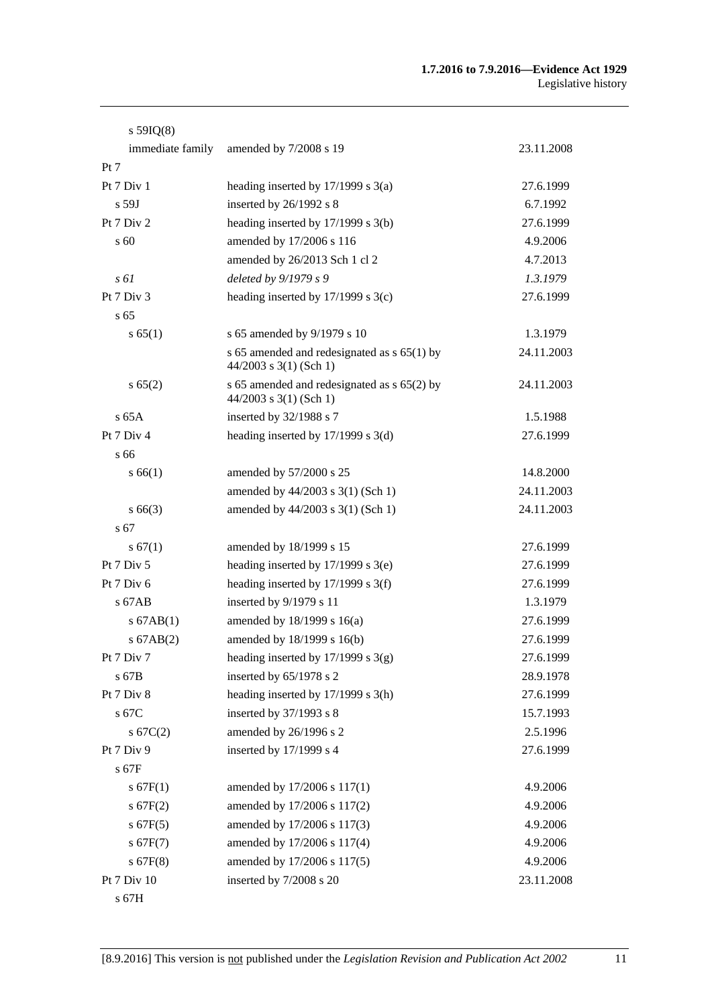#### **1.7.2016 to 7.9.2016—Evidence Act 1929** Legislative history

| s $59IQ(8)$           |                                                                           |            |
|-----------------------|---------------------------------------------------------------------------|------------|
| immediate family      | amended by 7/2008 s 19                                                    | 23.11.2008 |
| Pt 7                  |                                                                           |            |
| Pt 7 Div 1            | heading inserted by $17/1999$ s $3(a)$                                    | 27.6.1999  |
| $s$ 59J               | inserted by 26/1992 s 8                                                   | 6.7.1992   |
| Pt 7 Div 2            | heading inserted by $17/1999$ s $3(b)$                                    | 27.6.1999  |
| s 60                  | amended by 17/2006 s 116                                                  | 4.9.2006   |
|                       | amended by 26/2013 Sch 1 cl 2                                             | 4.7.2013   |
| $s \, \delta l$       | deleted by $9/1979 s 9$                                                   | 1.3.1979   |
| Pt 7 Div 3            | heading inserted by $17/1999$ s $3(c)$                                    | 27.6.1999  |
| s <sub>65</sub>       |                                                                           |            |
| s 65(1)               | s 65 amended by 9/1979 s 10                                               | 1.3.1979   |
|                       | s 65 amended and redesignated as $s$ 65(1) by<br>$44/2003$ s 3(1) (Sch 1) | 24.11.2003 |
| s 65(2)               | s 65 amended and redesignated as s 65(2) by<br>$44/2003$ s 3(1) (Sch 1)   | 24.11.2003 |
| $s$ 65A               | inserted by 32/1988 s 7                                                   | 1.5.1988   |
| Pt 7 Div 4            | heading inserted by $17/1999$ s $3(d)$                                    | 27.6.1999  |
| s 66                  |                                                                           |            |
| s 66(1)               | amended by 57/2000 s 25                                                   | 14.8.2000  |
|                       | amended by $44/2003$ s 3(1) (Sch 1)                                       | 24.11.2003 |
| $s\,66(3)$            | amended by $44/2003$ s 3(1) (Sch 1)                                       | 24.11.2003 |
| s 67                  |                                                                           |            |
| s 67(1)               | amended by 18/1999 s 15                                                   | 27.6.1999  |
| Pt 7 Div 5            | heading inserted by $17/1999$ s $3(e)$                                    | 27.6.1999  |
| Pt 7 Div 6            | heading inserted by 17/1999 s 3(f)                                        | 27.6.1999  |
| $s$ 67AB              | inserted by 9/1979 s 11                                                   | 1.3.1979   |
| $s$ 67AB $(1)$        | amended by $18/1999$ s $16(a)$                                            | 27.6.1999  |
| $s$ 67AB $(2)$        | amended by 18/1999 s 16(b)                                                | 27.6.1999  |
| Pt $7 \mathrm{Div} 7$ | heading inserted by $17/1999$ s 3(g)                                      | 27.6.1999  |
| s 67B                 | inserted by 65/1978 s 2                                                   | 28.9.1978  |
| Pt 7 Div 8            | heading inserted by $17/1999$ s $3(h)$                                    | 27.6.1999  |
| s 67C                 | inserted by 37/1993 s 8                                                   | 15.7.1993  |
| s 67C(2)              | amended by 26/1996 s 2                                                    | 2.5.1996   |
| Pt 7 Div 9            | inserted by 17/1999 s 4                                                   | 27.6.1999  |
| s 67F                 |                                                                           |            |
| s 67F(1)              | amended by 17/2006 s 117(1)                                               | 4.9.2006   |
| s 67F(2)              | amended by 17/2006 s 117(2)                                               | 4.9.2006   |
| s 67F(5)              | amended by 17/2006 s 117(3)                                               | 4.9.2006   |
| s 67F(7)              | amended by 17/2006 s 117(4)                                               | 4.9.2006   |
| $s$ 67F(8)            | amended by 17/2006 s 117(5)                                               | 4.9.2006   |
| Pt 7 Div 10           | inserted by 7/2008 s 20                                                   | 23.11.2008 |
| s 67H                 |                                                                           |            |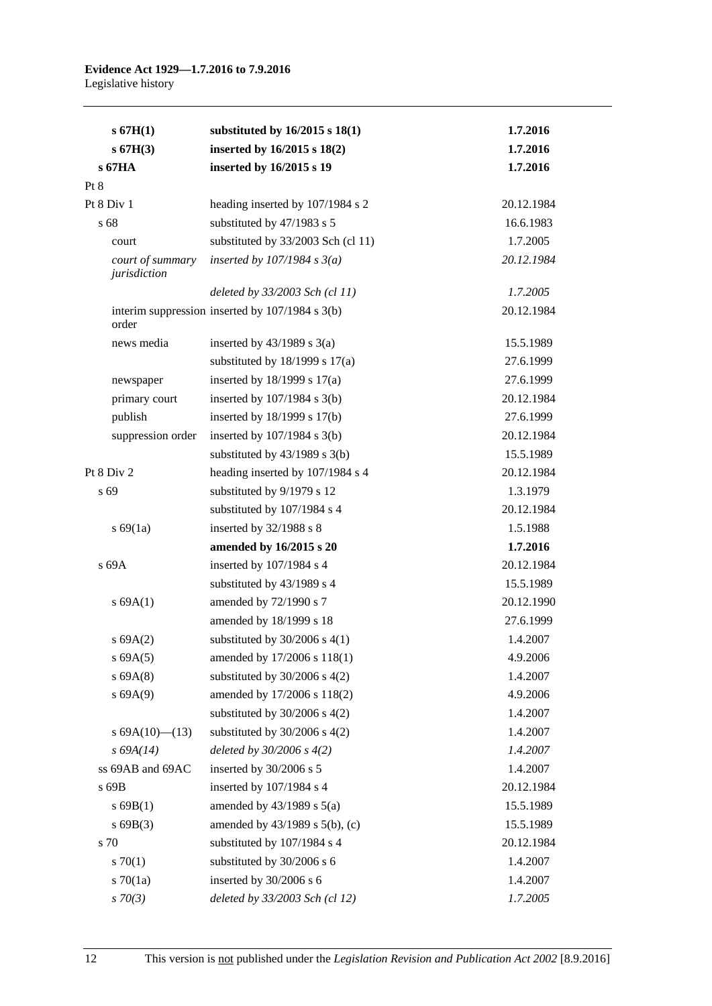| $s$ 67H(1)                       | substituted by $16/2015$ s $18(1)$              | 1.7.2016   |
|----------------------------------|-------------------------------------------------|------------|
| $s$ 67H(3)                       | inserted by 16/2015 s 18(2)                     | 1.7.2016   |
| s 67HA                           | inserted by 16/2015 s 19                        | 1.7.2016   |
| Pt 8                             |                                                 |            |
| Pt 8 Div 1                       | heading inserted by 107/1984 s 2                | 20.12.1984 |
| s 68                             | substituted by 47/1983 s 5                      | 16.6.1983  |
| court                            | substituted by 33/2003 Sch (cl 11)              | 1.7.2005   |
| court of summary<br>jurisdiction | inserted by $107/1984$ s $3(a)$                 | 20.12.1984 |
|                                  | deleted by 33/2003 Sch (cl 11)                  | 1.7.2005   |
| order                            | interim suppression inserted by 107/1984 s 3(b) | 20.12.1984 |
| news media                       | inserted by $43/1989$ s $3(a)$                  | 15.5.1989  |
|                                  | substituted by $18/1999$ s $17(a)$              | 27.6.1999  |
| newspaper                        | inserted by $18/1999$ s $17(a)$                 | 27.6.1999  |
| primary court                    | inserted by 107/1984 s 3(b)                     | 20.12.1984 |
| publish                          | inserted by $18/1999$ s $17(b)$                 | 27.6.1999  |
| suppression order                | inserted by $107/1984$ s $3(b)$                 | 20.12.1984 |
|                                  | substituted by $43/1989$ s $3(b)$               | 15.5.1989  |
| Pt 8 Div 2                       | heading inserted by 107/1984 s 4                | 20.12.1984 |
| s 69                             | substituted by 9/1979 s 12                      | 1.3.1979   |
|                                  | substituted by 107/1984 s 4                     | 20.12.1984 |
| s 69(1a)                         | inserted by 32/1988 s 8                         | 1.5.1988   |
|                                  | amended by 16/2015 s 20                         | 1.7.2016   |
| s 69A                            | inserted by 107/1984 s 4                        | 20.12.1984 |
|                                  | substituted by 43/1989 s 4                      | 15.5.1989  |
| s 69A(1)                         | amended by 72/1990 s 7                          | 20.12.1990 |
|                                  | amended by 18/1999 s 18                         | 27.6.1999  |
| s 69A(2)                         | substituted by $30/2006$ s 4(1)                 | 1.4.2007   |
| s 69A(5)                         | amended by 17/2006 s 118(1)                     | 4.9.2006   |
| $s$ 69A $(8)$                    | substituted by $30/2006$ s $4(2)$               | 1.4.2007   |
| s 69A(9)                         | amended by 17/2006 s 118(2)                     | 4.9.2006   |
|                                  | substituted by $30/2006$ s $4(2)$               | 1.4.2007   |
| s $69A(10)$ (13)                 | substituted by $30/2006$ s $4(2)$               | 1.4.2007   |
| $s\,69A(14)$                     | deleted by $30/2006 s 4(2)$                     | 1.4.2007   |
| ss 69AB and 69AC                 | inserted by 30/2006 s 5                         | 1.4.2007   |
| s 69B                            | inserted by 107/1984 s 4                        | 20.12.1984 |
| $s$ 69B(1)                       | amended by $43/1989$ s $5(a)$                   | 15.5.1989  |
| s69B(3)                          | amended by 43/1989 s 5(b), (c)                  | 15.5.1989  |
| s 70                             | substituted by 107/1984 s 4                     | 20.12.1984 |
| 570(1)                           | substituted by 30/2006 s 6                      | 1.4.2007   |
| $s \, 70(1a)$                    | inserted by 30/2006 s 6                         | 1.4.2007   |
| $s \, 70(3)$                     | deleted by 33/2003 Sch (cl 12)                  | 1.7.2005   |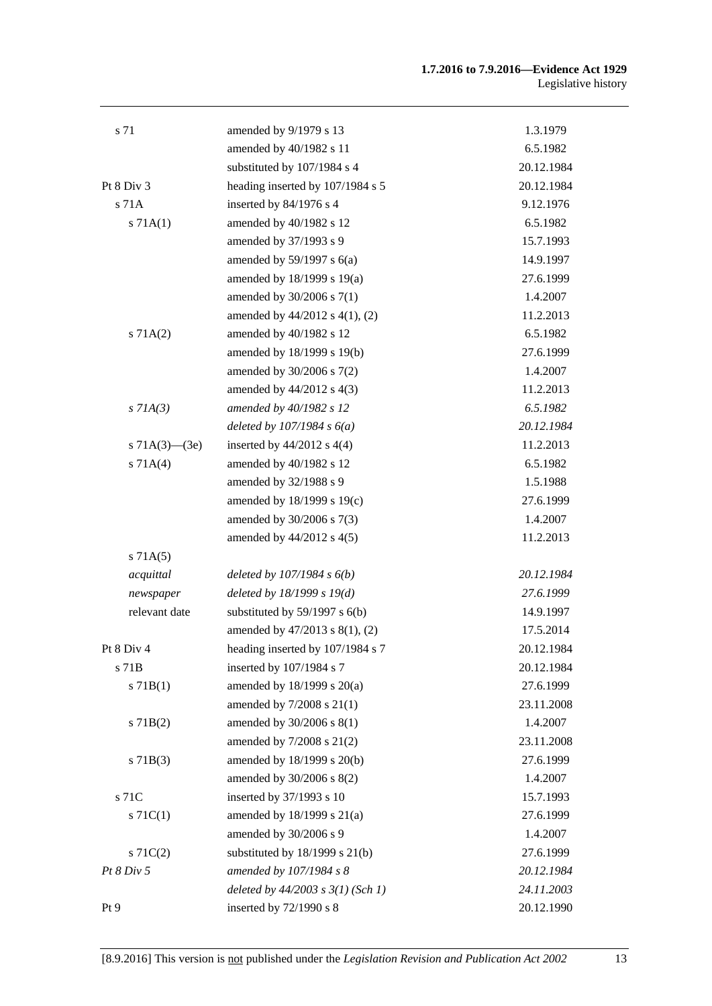| s 71              | amended by 9/1979 s 13                | 1.3.1979   |
|-------------------|---------------------------------------|------------|
|                   | amended by 40/1982 s 11               | 6.5.1982   |
|                   | substituted by 107/1984 s 4           | 20.12.1984 |
| Pt 8 Div 3        | heading inserted by 107/1984 s 5      | 20.12.1984 |
| $s$ 71 $A$        | inserted by 84/1976 s 4               | 9.12.1976  |
| s 71A(1)          | amended by 40/1982 s 12               | 6.5.1982   |
|                   | amended by 37/1993 s 9                | 15.7.1993  |
|                   | amended by $59/1997$ s $6(a)$         | 14.9.1997  |
|                   | amended by 18/1999 s 19(a)            | 27.6.1999  |
|                   | amended by 30/2006 s 7(1)             | 1.4.2007   |
|                   | amended by $44/2012$ s $4(1)$ , (2)   | 11.2.2013  |
| s 71A(2)          | amended by 40/1982 s 12               | 6.5.1982   |
|                   | amended by 18/1999 s 19(b)            | 27.6.1999  |
|                   | amended by 30/2006 s 7(2)             | 1.4.2007   |
|                   | amended by 44/2012 s 4(3)             | 11.2.2013  |
| $s$ 71A(3)        | amended by 40/1982 s 12               | 6.5.1982   |
|                   | deleted by $107/1984 s 6(a)$          | 20.12.1984 |
| s $71A(3)$ - (3e) | inserted by $44/2012$ s $4(4)$        | 11.2.2013  |
| s 71A(4)          | amended by 40/1982 s 12               | 6.5.1982   |
|                   | amended by 32/1988 s 9                | 1.5.1988   |
|                   | amended by 18/1999 s 19(c)            | 27.6.1999  |
|                   | amended by 30/2006 s 7(3)             | 1.4.2007   |
|                   | amended by 44/2012 s 4(5)             | 11.2.2013  |
| s 71A(5)          |                                       |            |
| acquittal         | deleted by $107/1984 s 6(b)$          | 20.12.1984 |
| newspaper         | deleted by $18/1999 s 19(d)$          | 27.6.1999  |
| relevant date     | substituted by $59/1997$ s $6(b)$     | 14.9.1997  |
|                   | amended by 47/2013 s 8(1), (2)        | 17.5.2014  |
| Pt 8 Div 4        | heading inserted by 107/1984 s 7      | 20.12.1984 |
| s 71B             | inserted by 107/1984 s 7              | 20.12.1984 |
| $s$ 71B(1)        | amended by 18/1999 s 20(a)            | 27.6.1999  |
|                   | amended by $7/2008$ s $21(1)$         | 23.11.2008 |
| $s$ 71B(2)        | amended by 30/2006 s 8(1)             | 1.4.2007   |
|                   | amended by 7/2008 s 21(2)             | 23.11.2008 |
| s71B(3)           | amended by 18/1999 s 20(b)            | 27.6.1999  |
|                   | amended by 30/2006 s 8(2)             | 1.4.2007   |
| s 71C             | inserted by 37/1993 s 10              | 15.7.1993  |
| $s \, 71C(1)$     | amended by 18/1999 s 21(a)            | 27.6.1999  |
|                   | amended by 30/2006 s 9                | 1.4.2007   |
| $s \, 71C(2)$     | substituted by $18/1999$ s $21(b)$    | 27.6.1999  |
| Pt 8 Div 5        | amended by 107/1984 s 8               | 20.12.1984 |
|                   | deleted by $44/2003$ s $3(1)$ (Sch 1) | 24.11.2003 |
| Pt 9              | inserted by 72/1990 s 8               | 20.12.1990 |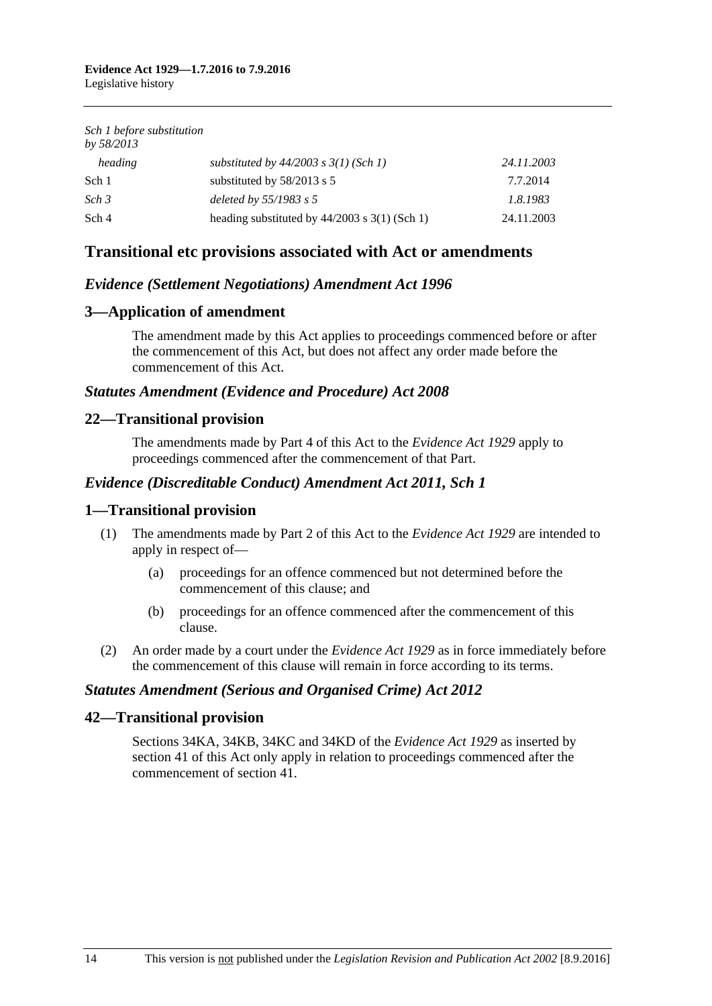*Sch 1 before substitution by 58/2013*

| substituted by $44/2003$ s $3(1)$ (Sch 1)       | 24.11.2003 |
|-------------------------------------------------|------------|
| substituted by $58/2013$ s 5                    | 7.7.2014   |
| deleted by $55/1983$ s 5                        | 1.8.1983   |
| heading substituted by $44/2003$ s 3(1) (Sch 1) | 24.11.2003 |
|                                                 |            |

## **Transitional etc provisions associated with Act or amendments**

### *Evidence (Settlement Negotiations) Amendment Act 1996*

## **3—Application of amendment**

The amendment made by this Act applies to proceedings commenced before or after the commencement of this Act, but does not affect any order made before the commencement of this Act.

### *Statutes Amendment (Evidence and Procedure) Act 2008*

### **22—Transitional provision**

The amendments made by Part 4 of this Act to the *[Evidence Act](http://www.legislation.sa.gov.au/index.aspx?action=legref&type=act&legtitle=Evidence%20Act%201929) 1929* apply to proceedings commenced after the commencement of that Part.

### *Evidence (Discreditable Conduct) Amendment Act 2011, Sch 1*

#### **1—Transitional provision**

- (1) The amendments made by Part 2 of this Act to the *[Evidence Act](http://www.legislation.sa.gov.au/index.aspx?action=legref&type=act&legtitle=Evidence%20Act%201929) 1929* are intended to apply in respect of—
	- (a) proceedings for an offence commenced but not determined before the commencement of this clause; and
	- (b) proceedings for an offence commenced after the commencement of this clause.
- (2) An order made by a court under the *[Evidence Act](http://www.legislation.sa.gov.au/index.aspx?action=legref&type=act&legtitle=Evidence%20Act%201929) 1929* as in force immediately before the commencement of this clause will remain in force according to its terms.

### *Statutes Amendment (Serious and Organised Crime) Act 2012*

### **42—Transitional provision**

Sections 34KA, 34KB, 34KC and 34KD of the *[Evidence Act](http://www.legislation.sa.gov.au/index.aspx?action=legref&type=act&legtitle=Evidence%20Act%201929) 1929* as inserted by section 41 of this Act only apply in relation to proceedings commenced after the commencement of section 41.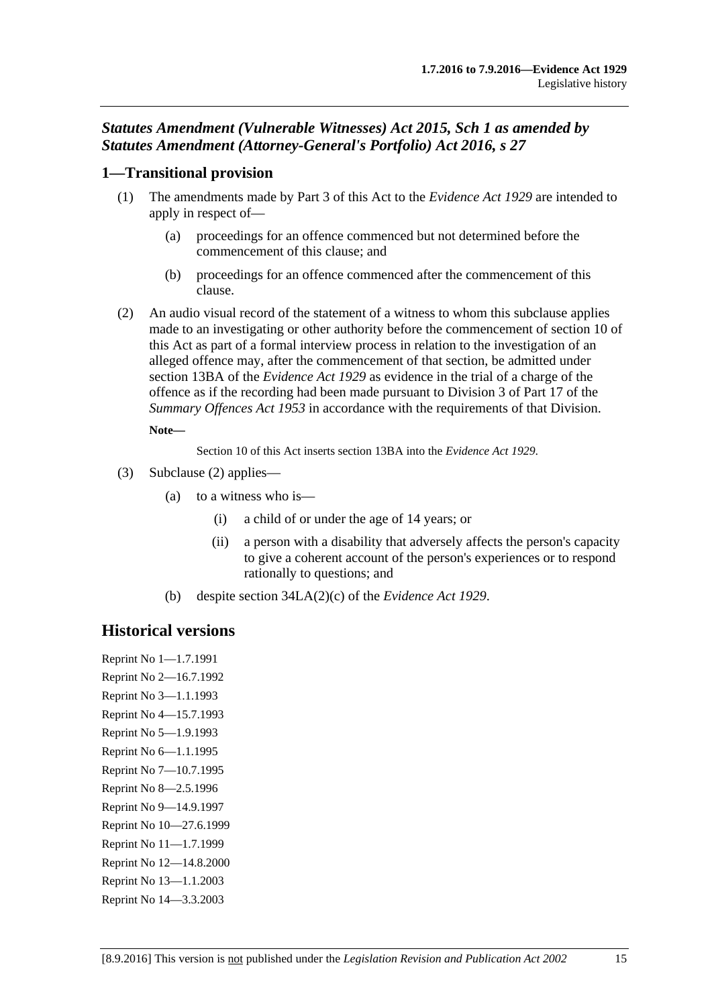# *Statutes Amendment (Vulnerable Witnesses) Act 2015, Sch 1 as amended by Statutes Amendment (Attorney-General's Portfolio) Act 2016, s 27*

#### **1—Transitional provision**

- (1) The amendments made by Part 3 of this Act to the *[Evidence Act](http://www.legislation.sa.gov.au/index.aspx?action=legref&type=act&legtitle=Evidence%20Act%201929) 1929* are intended to apply in respect of—
	- (a) proceedings for an offence commenced but not determined before the commencement of this clause; and
	- (b) proceedings for an offence commenced after the commencement of this clause.
- <span id="page-110-0"></span>(2) An audio visual record of the statement of a witness to whom this subclause applies made to an investigating or other authority before the commencement of section 10 of this Act as part of a formal interview process in relation to the investigation of an alleged offence may, after the commencement of that section, be admitted under section 13BA of the *[Evidence Act](http://www.legislation.sa.gov.au/index.aspx?action=legref&type=act&legtitle=Evidence%20Act%201929) 1929* as evidence in the trial of a charge of the offence as if the recording had been made pursuant to Division 3 of Part 17 of the *[Summary Offences Act](http://www.legislation.sa.gov.au/index.aspx?action=legref&type=act&legtitle=Summary%20Offences%20Act%201953) 1953* in accordance with the requirements of that Division.

#### **Note—**

Section 10 of this Act inserts section 13BA into the *[Evidence Act](http://www.legislation.sa.gov.au/index.aspx?action=legref&type=act&legtitle=Evidence%20Act%201929) 1929*.

- (3) [Subclause \(2\)](#page-110-0) applies—
	- (a) to a witness who is—
		- (i) a child of or under the age of 14 years; or
		- (ii) a person with a disability that adversely affects the person's capacity to give a coherent account of the person's experiences or to respond rationally to questions; and
	- (b) despite section 34LA(2)(c) of the *[Evidence Act](http://www.legislation.sa.gov.au/index.aspx?action=legref&type=act&legtitle=Evidence%20Act%201929) 1929*.

### **Historical versions**

Reprint No 1—1.7.1991 Reprint No 2—16.7.1992 Reprint No 3—1.1.1993 Reprint No 4—15.7.1993 Reprint No 5—1.9.1993 Reprint No 6—1.1.1995 Reprint No 7—10.7.1995 Reprint No 8—2.5.1996 Reprint No 9—14.9.1997 Reprint No 10—27.6.1999 Reprint No 11—1.7.1999 Reprint No 12—14.8.2000 Reprint No 13—1.1.2003 Reprint No 14—3.3.2003